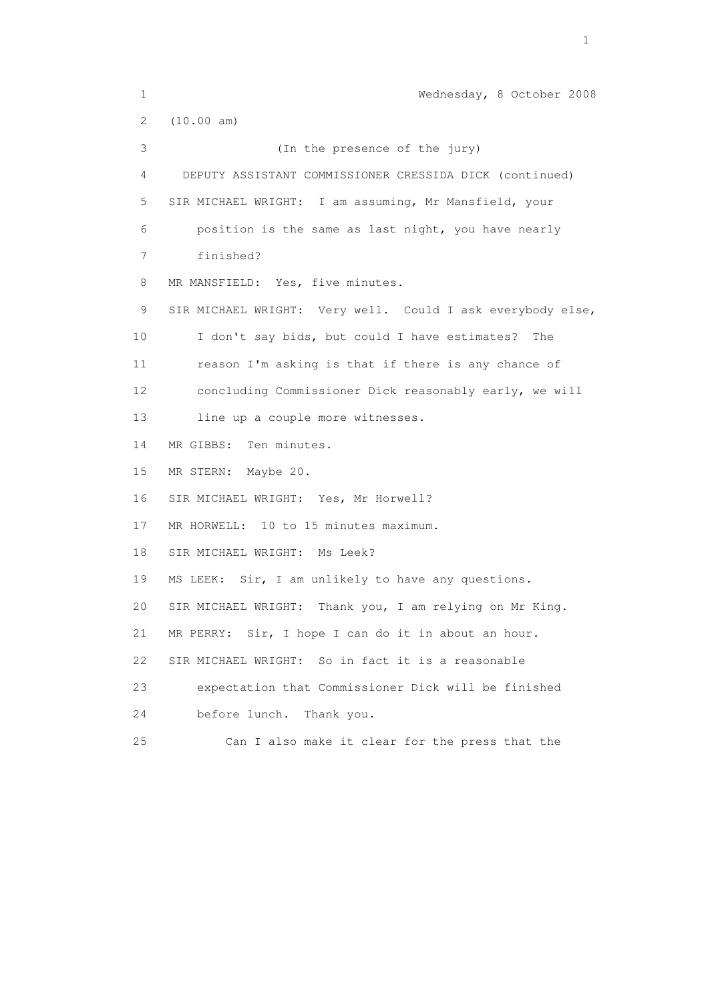1 Wednesday, 8 October 2008 2 (10.00 am) 3 (In the presence of the jury) 4 DEPUTY ASSISTANT COMMISSIONER CRESSIDA DICK (continued) 5 SIR MICHAEL WRIGHT: I am assuming, Mr Mansfield, your 6 position is the same as last night, you have nearly 7 finished? 8 MR MANSFIELD: Yes, five minutes. 9 SIR MICHAEL WRIGHT: Very well. Could I ask everybody else, 10 I don't say bids, but could I have estimates? The 11 reason I'm asking is that if there is any chance of 12 concluding Commissioner Dick reasonably early, we will 13 line up a couple more witnesses. 14 MR GIBBS: Ten minutes. 15 MR STERN: Maybe 20. 16 SIR MICHAEL WRIGHT: Yes, Mr Horwell? 17 MR HORWELL: 10 to 15 minutes maximum. 18 SIR MICHAEL WRIGHT: Ms Leek? 19 MS LEEK: Sir, I am unlikely to have any questions. 20 SIR MICHAEL WRIGHT: Thank you, I am relying on Mr King. 21 MR PERRY: Sir, I hope I can do it in about an hour. 22 SIR MICHAEL WRIGHT: So in fact it is a reasonable 23 expectation that Commissioner Dick will be finished 24 before lunch. Thank you. 25 Can I also make it clear for the press that the

the contract of the contract of the contract of the contract of the contract of the contract of the contract of the contract of the contract of the contract of the contract of the contract of the contract of the contract o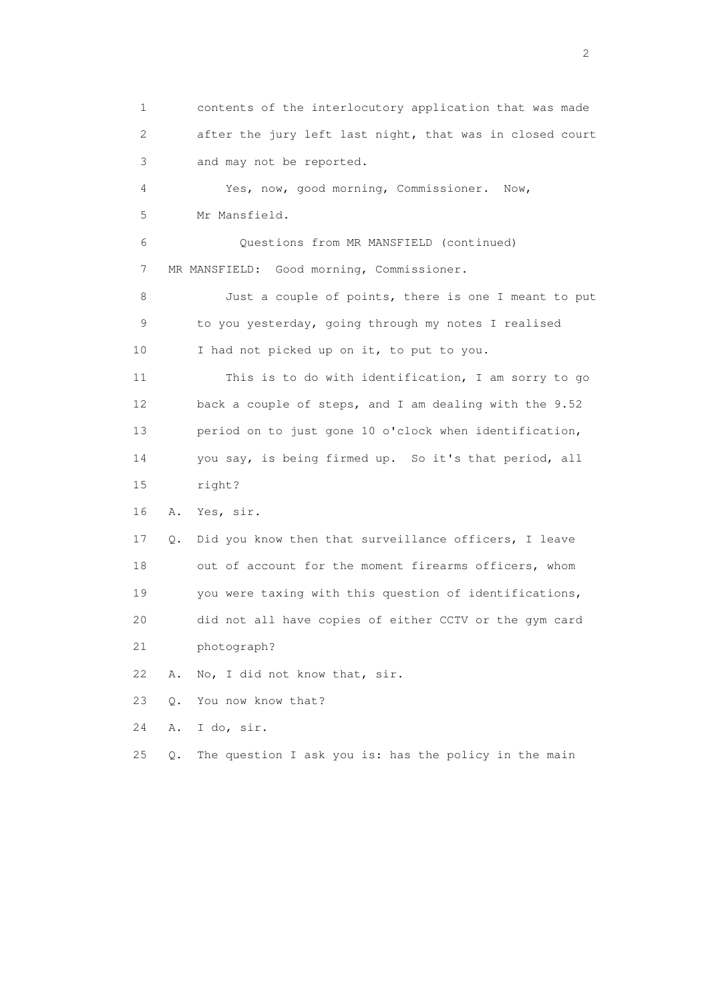1 contents of the interlocutory application that was made 2 after the jury left last night, that was in closed court 3 and may not be reported. 4 Yes, now, good morning, Commissioner. Now, 5 Mr Mansfield. 6 Questions from MR MANSFIELD (continued) 7 MR MANSFIELD: Good morning, Commissioner. 8 Just a couple of points, there is one I meant to put 9 to you yesterday, going through my notes I realised 10 I had not picked up on it, to put to you. 11 This is to do with identification, I am sorry to go 12 back a couple of steps, and I am dealing with the 9.52 13 period on to just gone 10 o'clock when identification, 14 you say, is being firmed up. So it's that period, all 15 right? 16 A. Yes, sir. 17 Q. Did you know then that surveillance officers, I leave 18 out of account for the moment firearms officers, whom 19 you were taxing with this question of identifications, 20 did not all have copies of either CCTV or the gym card 21 photograph? 22 A. No, I did not know that, sir. 23 Q. You now know that? 24 A. I do, sir. 25 Q. The question I ask you is: has the policy in the main

 $\overline{2}$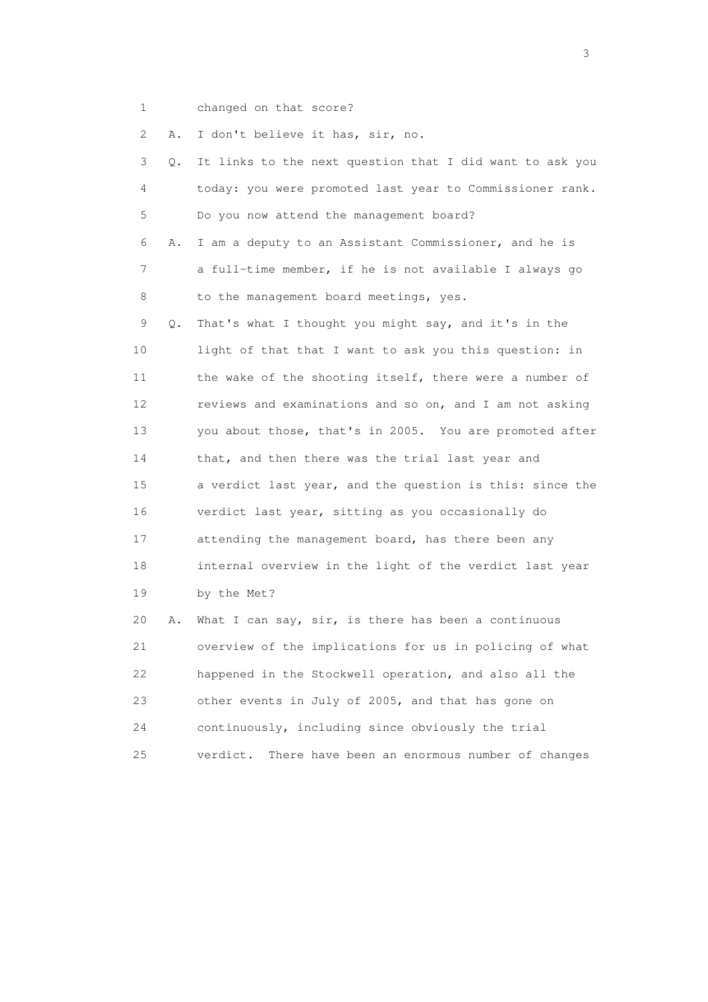1 changed on that score?

2 A. I don't believe it has, sir, no.

| 3               | Q. | It links to the next question that I did want to ask you |
|-----------------|----|----------------------------------------------------------|
| 4               |    | today: you were promoted last year to Commissioner rank. |
| 5               |    | Do you now attend the management board?                  |
| 6               | Α. | I am a deputy to an Assistant Commissioner, and he is    |
| 7               |    | a full-time member, if he is not available I always go   |
| 8               |    | to the management board meetings, yes.                   |
| 9               | Q. | That's what I thought you might say, and it's in the     |
| 10              |    | light of that that I want to ask you this question: in   |
| 11              |    | the wake of the shooting itself, there were a number of  |
| 12 <sup>°</sup> |    | reviews and examinations and so on, and I am not asking  |
| 13              |    | you about those, that's in 2005. You are promoted after  |
| 14              |    | that, and then there was the trial last year and         |
| 15              |    | a verdict last year, and the question is this: since the |
| 16              |    | verdict last year, sitting as you occasionally do        |
| 17              |    | attending the management board, has there been any       |
| 18              |    | internal overview in the light of the verdict last year  |
| 19              |    | by the Met?                                              |
| 20              | Α. | What I can say, sir, is there has been a continuous      |
| 21              |    | overview of the implications for us in policing of what  |
| 22              |    | happened in the Stockwell operation, and also all the    |
| 23              |    | other events in July of 2005, and that has gone on       |
| 24              |    | continuously, including since obviously the trial        |

25 verdict. There have been an enormous number of changes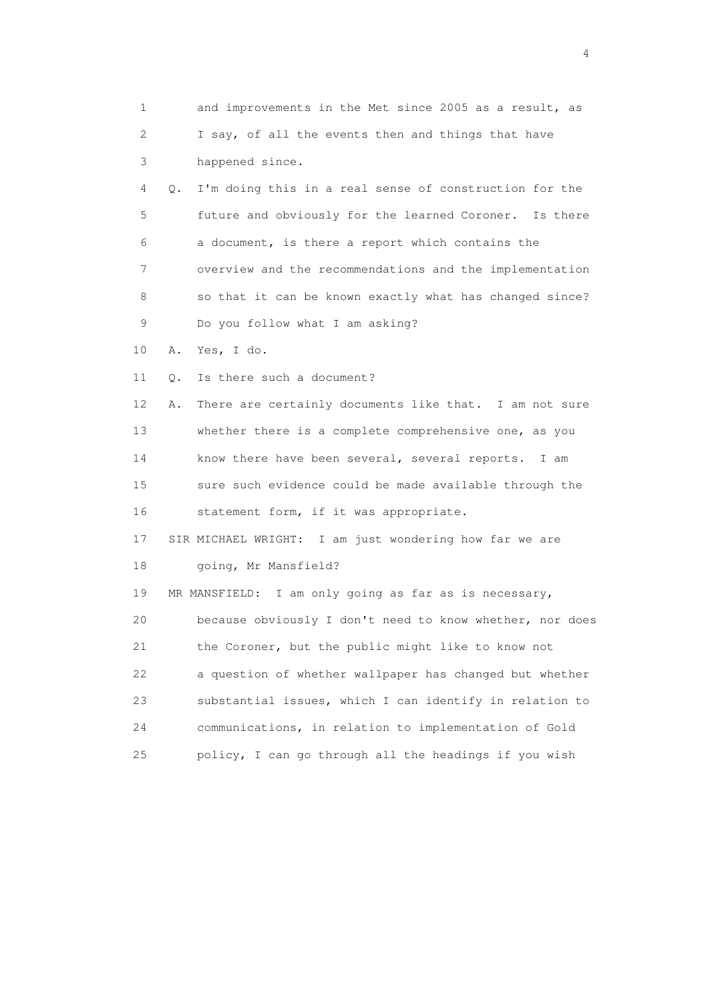| $\mathbf{1}$ |       | and improvements in the Met since 2005 as a result, as   |
|--------------|-------|----------------------------------------------------------|
| 2            |       | I say, of all the events then and things that have       |
| 3            |       | happened since.                                          |
| 4            | $Q$ . | I'm doing this in a real sense of construction for the   |
| 5            |       | future and obviously for the learned Coroner. Is there   |
| 6            |       | a document, is there a report which contains the         |
| 7            |       | overview and the recommendations and the implementation  |
| 8            |       | so that it can be known exactly what has changed since?  |
| 9            |       | Do you follow what I am asking?                          |
| 10           | Α.    | Yes, I do.                                               |
| 11           | Q.    | Is there such a document?                                |
| 12           | Α.    | There are certainly documents like that. I am not sure   |
| 13           |       | whether there is a complete comprehensive one, as you    |
| 14           |       | know there have been several, several reports. I am      |
| 15           |       | sure such evidence could be made available through the   |
| 16           |       | statement form, if it was appropriate.                   |
| 17           |       | SIR MICHAEL WRIGHT: I am just wondering how far we are   |
| 18           |       | going, Mr Mansfield?                                     |
| 19           |       | MR MANSFIELD: I am only going as far as is necessary,    |
| 20           |       | because obviously I don't need to know whether, nor does |
| 21           |       | the Coroner, but the public might like to know not       |
| 22           |       | a question of whether wallpaper has changed but whether  |
| 23           |       | substantial issues, which I can identify in relation to  |
| 24           |       | communications, in relation to implementation of Gold    |
| 25           |       | policy, I can go through all the headings if you wish    |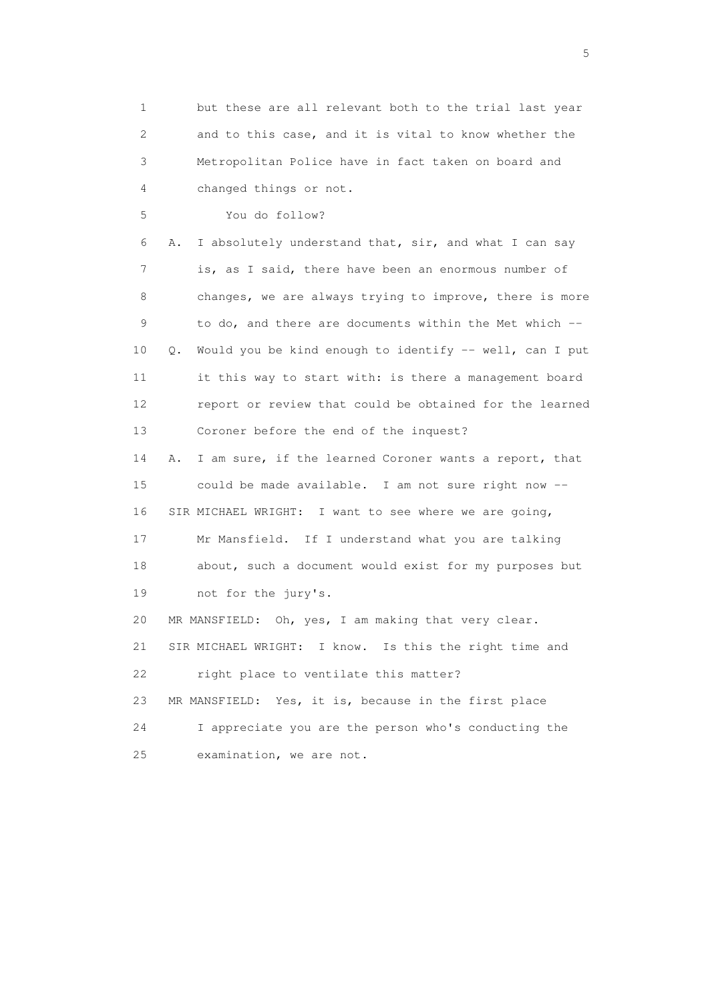1 but these are all relevant both to the trial last year 2 and to this case, and it is vital to know whether the 3 Metropolitan Police have in fact taken on board and 4 changed things or not. 5 You do follow? 6 A. I absolutely understand that, sir, and what I can say 7 is, as I said, there have been an enormous number of 8 changes, we are always trying to improve, there is more 9 to do, and there are documents within the Met which -- 10 Q. Would you be kind enough to identify -- well, can I put 11 it this way to start with: is there a management board 12 report or review that could be obtained for the learned 13 Coroner before the end of the inquest? 14 A. I am sure, if the learned Coroner wants a report, that 15 could be made available. I am not sure right now -- 16 SIR MICHAEL WRIGHT: I want to see where we are going, 17 Mr Mansfield. If I understand what you are talking 18 about, such a document would exist for my purposes but 19 not for the jury's. 20 MR MANSFIELD: Oh, yes, I am making that very clear. 21 SIR MICHAEL WRIGHT: I know. Is this the right time and 22 right place to ventilate this matter? 23 MR MANSFIELD: Yes, it is, because in the first place 24 I appreciate you are the person who's conducting the 25 examination, we are not.

 $\sim$  5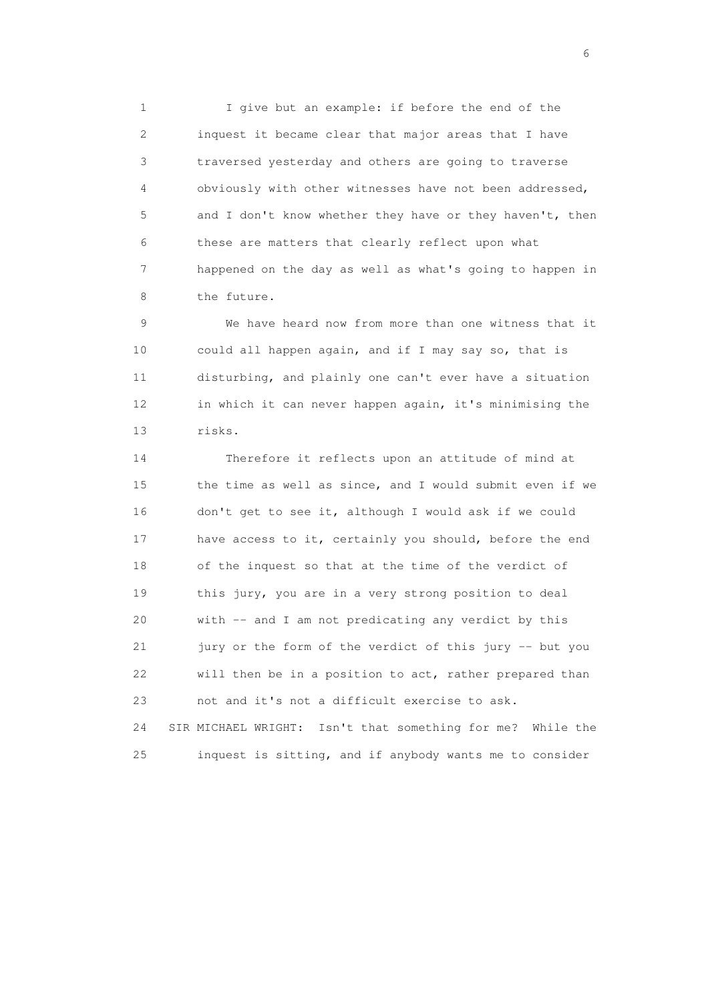1 I give but an example: if before the end of the 2 inquest it became clear that major areas that I have 3 traversed yesterday and others are going to traverse 4 obviously with other witnesses have not been addressed, 5 and I don't know whether they have or they haven't, then 6 these are matters that clearly reflect upon what 7 happened on the day as well as what's going to happen in 8 the future.

 9 We have heard now from more than one witness that it 10 could all happen again, and if I may say so, that is 11 disturbing, and plainly one can't ever have a situation 12 in which it can never happen again, it's minimising the 13 risks.

 14 Therefore it reflects upon an attitude of mind at 15 the time as well as since, and I would submit even if we 16 don't get to see it, although I would ask if we could 17 have access to it, certainly you should, before the end 18 of the inquest so that at the time of the verdict of 19 this jury, you are in a very strong position to deal 20 with -- and I am not predicating any verdict by this 21 jury or the form of the verdict of this jury -- but you 22 will then be in a position to act, rather prepared than 23 not and it's not a difficult exercise to ask. 24 SIR MICHAEL WRIGHT: Isn't that something for me? While the

25 inquest is sitting, and if anybody wants me to consider

 $\sim$  6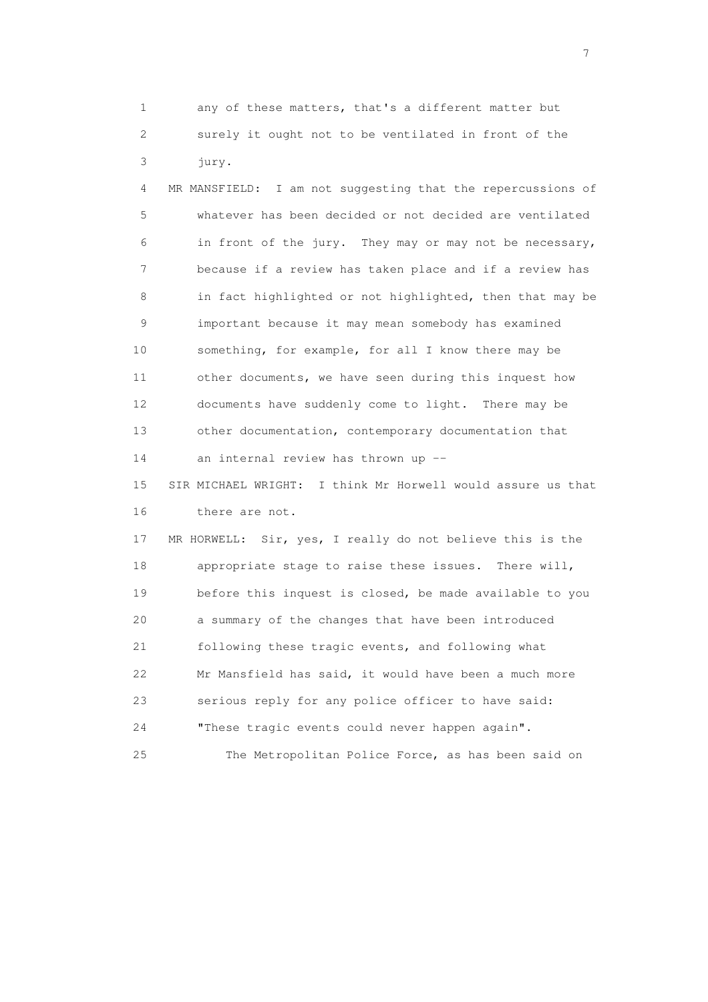1 any of these matters, that's a different matter but 2 surely it ought not to be ventilated in front of the 3 jury.

 4 MR MANSFIELD: I am not suggesting that the repercussions of 5 whatever has been decided or not decided are ventilated 6 in front of the jury. They may or may not be necessary, 7 because if a review has taken place and if a review has 8 in fact highlighted or not highlighted, then that may be 9 important because it may mean somebody has examined 10 something, for example, for all I know there may be 11 other documents, we have seen during this inquest how 12 documents have suddenly come to light. There may be 13 other documentation, contemporary documentation that 14 an internal review has thrown up --

 15 SIR MICHAEL WRIGHT: I think Mr Horwell would assure us that 16 there are not.

 17 MR HORWELL: Sir, yes, I really do not believe this is the 18 appropriate stage to raise these issues. There will, 19 before this inquest is closed, be made available to you 20 a summary of the changes that have been introduced 21 following these tragic events, and following what 22 Mr Mansfield has said, it would have been a much more 23 serious reply for any police officer to have said: 24 "These tragic events could never happen again".

25 The Metropolitan Police Force, as has been said on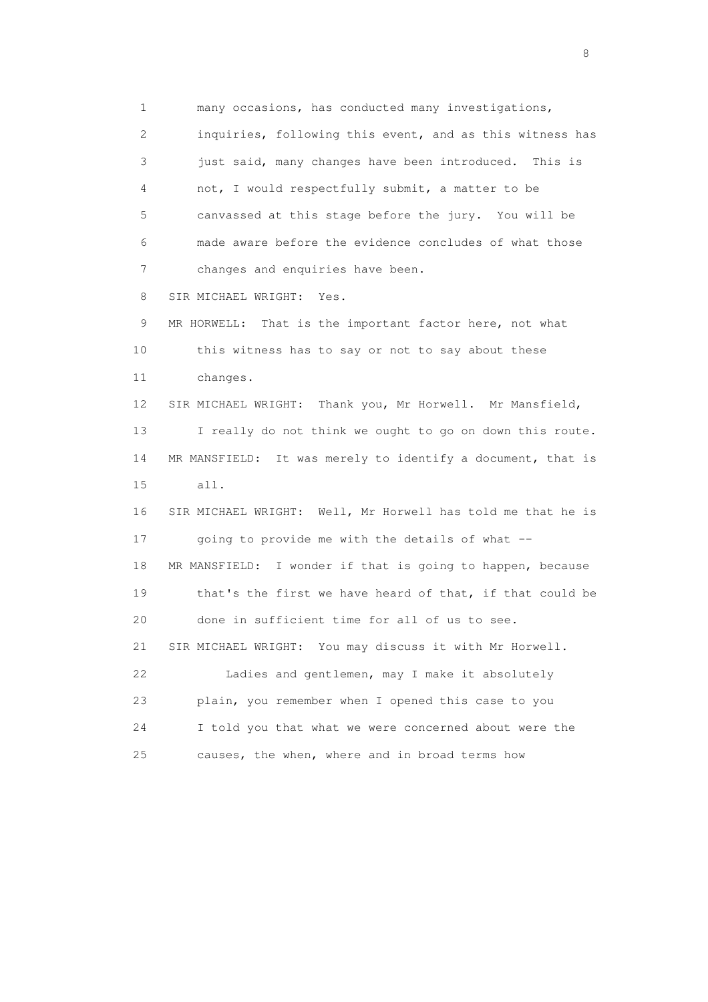1 many occasions, has conducted many investigations, 2 inquiries, following this event, and as this witness has 3 just said, many changes have been introduced. This is 4 not, I would respectfully submit, a matter to be 5 canvassed at this stage before the jury. You will be 6 made aware before the evidence concludes of what those 7 changes and enquiries have been. 8 SIR MICHAEL WRIGHT: Yes. 9 MR HORWELL: That is the important factor here, not what 10 this witness has to say or not to say about these 11 changes. 12 SIR MICHAEL WRIGHT: Thank you, Mr Horwell. Mr Mansfield, 13 I really do not think we ought to go on down this route. 14 MR MANSFIELD: It was merely to identify a document, that is 15 all. 16 SIR MICHAEL WRIGHT: Well, Mr Horwell has told me that he is 17 going to provide me with the details of what -- 18 MR MANSFIELD: I wonder if that is going to happen, because 19 that's the first we have heard of that, if that could be 20 done in sufficient time for all of us to see. 21 SIR MICHAEL WRIGHT: You may discuss it with Mr Horwell. 22 Ladies and gentlemen, may I make it absolutely 23 plain, you remember when I opened this case to you 24 I told you that what we were concerned about were the 25 causes, the when, where and in broad terms how

en de la construction de la construction de la construction de la construction de la construction de la constr<br>18 de juny : la construction de la construction de la construction de la construction de la construction de l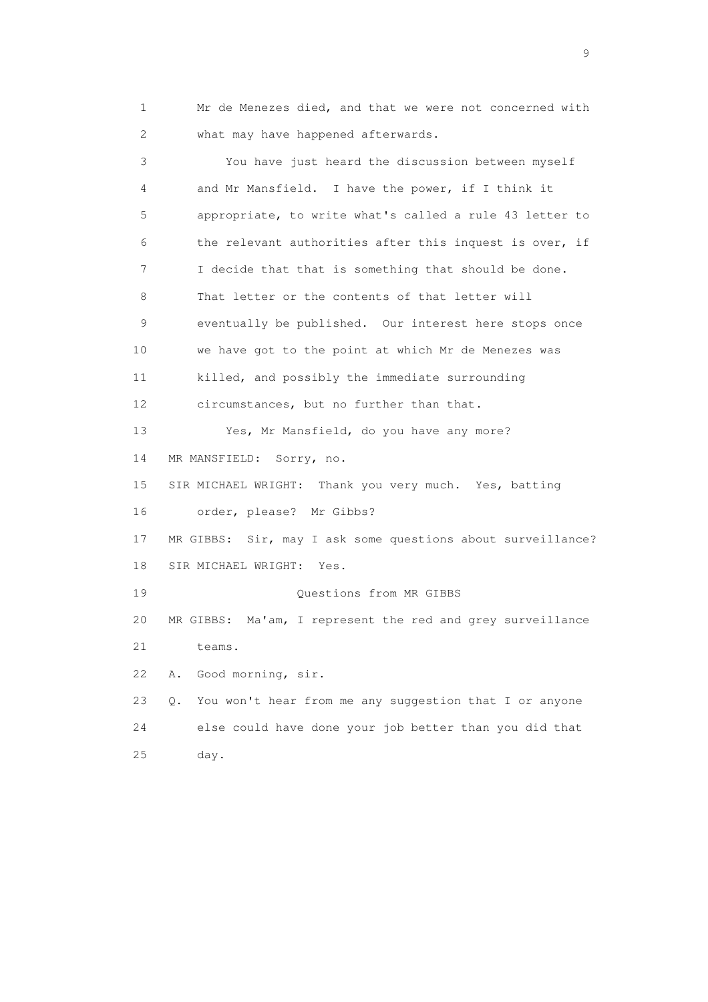1 Mr de Menezes died, and that we were not concerned with 2 what may have happened afterwards.

 3 You have just heard the discussion between myself 4 and Mr Mansfield. I have the power, if I think it 5 appropriate, to write what's called a rule 43 letter to 6 the relevant authorities after this inquest is over, if 7 I decide that that is something that should be done. 8 That letter or the contents of that letter will 9 eventually be published. Our interest here stops once 10 we have got to the point at which Mr de Menezes was 11 killed, and possibly the immediate surrounding 12 circumstances, but no further than that. 13 Yes, Mr Mansfield, do you have any more? 14 MR MANSFIELD: Sorry, no. 15 SIR MICHAEL WRIGHT: Thank you very much. Yes, batting 16 order, please? Mr Gibbs? 17 MR GIBBS: Sir, may I ask some questions about surveillance? 18 SIR MICHAEL WRIGHT: Yes. 19 Questions from MR GIBBS 20 MR GIBBS: Ma'am, I represent the red and grey surveillance 21 teams. 22 A. Good morning, sir. 23 Q. You won't hear from me any suggestion that I or anyone 24 else could have done your job better than you did that 25 day.

en de la construction de la construction de la construction de la construction de la construction de la constr<br>1911 : la construction de la construction de la construction de la construction de la construction de la const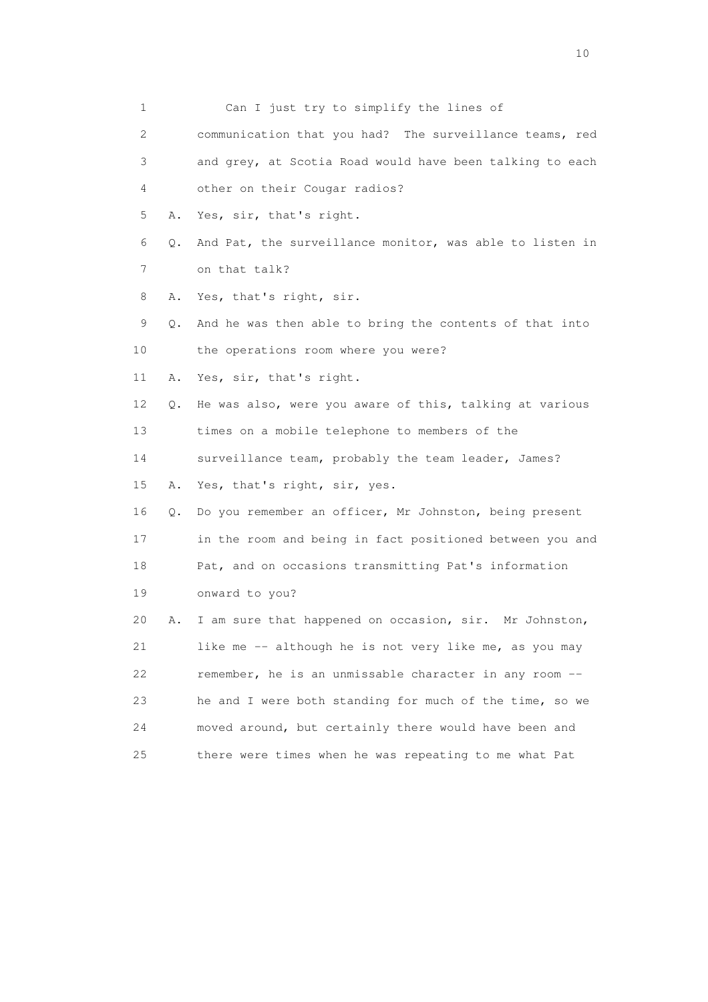| 1                         |    | Can I just try to simplify the lines of                  |
|---------------------------|----|----------------------------------------------------------|
| $\mathbf{2}^{\mathsf{I}}$ |    | communication that you had? The surveillance teams, red  |
| 3                         |    | and grey, at Scotia Road would have been talking to each |
| 4                         |    | other on their Cougar radios?                            |
| 5                         | Α. | Yes, sir, that's right.                                  |
| 6                         | О. | And Pat, the surveillance monitor, was able to listen in |
| 7                         |    | on that talk?                                            |
| 8                         | Α. | Yes, that's right, sir.                                  |
| 9                         | Q. | And he was then able to bring the contents of that into  |
| 10                        |    | the operations room where you were?                      |
| 11                        | Α. | Yes, sir, that's right.                                  |
| 12                        | Q. | He was also, were you aware of this, talking at various  |
| 13                        |    | times on a mobile telephone to members of the            |
| 14                        |    | surveillance team, probably the team leader, James?      |
| 15                        | Α. | Yes, that's right, sir, yes.                             |
| 16                        | Q. | Do you remember an officer, Mr Johnston, being present   |
| 17                        |    | in the room and being in fact positioned between you and |
| 18                        |    | Pat, and on occasions transmitting Pat's information     |
| 19                        |    | onward to you?                                           |
| 20                        | Α. | I am sure that happened on occasion, sir. Mr Johnston,   |
| 21                        |    | like me -- although he is not very like me, as you may   |
| 22                        |    | remember, he is an unmissable character in any room --   |
| 23                        |    | he and I were both standing for much of the time, so we  |
| 24                        |    | moved around, but certainly there would have been and    |
| 25                        |    | there were times when he was repeating to me what Pat    |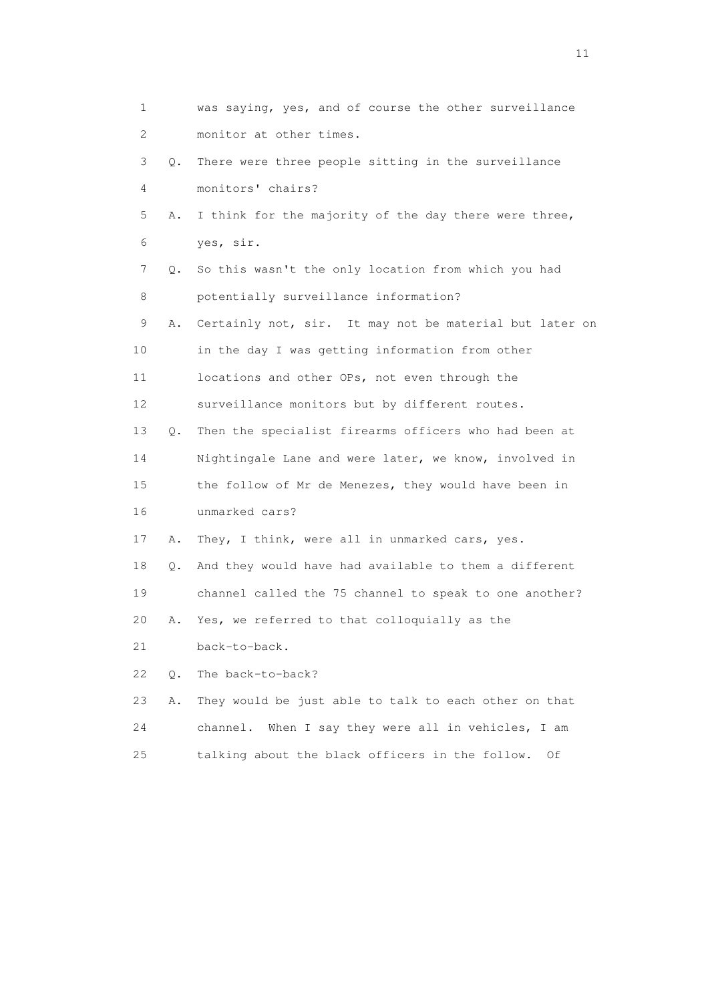| 1                         |    | was saying, yes, and of course the other surveillance   |
|---------------------------|----|---------------------------------------------------------|
| $\mathbf{2}^{\mathsf{I}}$ |    | monitor at other times.                                 |
| 3                         | Q. | There were three people sitting in the surveillance     |
| 4                         |    | monitors' chairs?                                       |
| 5                         | Α. | I think for the majority of the day there were three,   |
| 6                         |    | yes, sir.                                               |
| 7                         | Q. | So this wasn't the only location from which you had     |
| 8                         |    | potentially surveillance information?                   |
| 9                         | Α. | Certainly not, sir. It may not be material but later on |
| 10                        |    | in the day I was getting information from other         |
| 11                        |    | locations and other OPs, not even through the           |
| 12                        |    | surveillance monitors but by different routes.          |
| 13                        | Q. | Then the specialist firearms officers who had been at   |
| 14                        |    | Nightingale Lane and were later, we know, involved in   |
| 15                        |    | the follow of Mr de Menezes, they would have been in    |
| 16                        |    | unmarked cars?                                          |
| 17                        | Α. | They, I think, were all in unmarked cars, yes.          |
| 18                        | Q. | And they would have had available to them a different   |
| 19                        |    | channel called the 75 channel to speak to one another?  |
| 20                        | Α. | Yes, we referred to that colloquially as the            |
| 21                        |    | back-to-back.                                           |
| 22                        | О. | The back-to-back?                                       |
| 23                        | Α. | They would be just able to talk to each other on that   |
| 24                        |    | When I say they were all in vehicles, I am<br>channel.  |
| 25                        |    | talking about the black officers in the follow.<br>Οf   |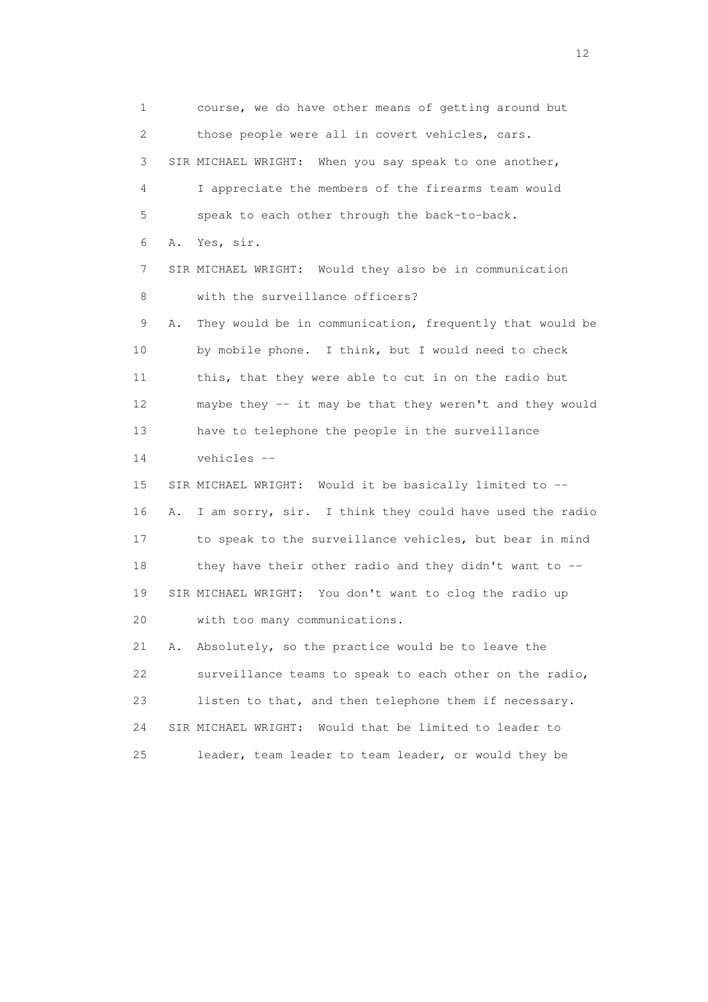1 course, we do have other means of getting around but 2 those people were all in covert vehicles, cars. 3 SIR MICHAEL WRIGHT: When you say speak to one another, 4 I appreciate the members of the firearms team would 5 speak to each other through the back-to-back. 6 A. Yes, sir. 7 SIR MICHAEL WRIGHT: Would they also be in communication 8 with the surveillance officers? 9 A. They would be in communication, frequently that would be 10 by mobile phone. I think, but I would need to check 11 this, that they were able to cut in on the radio but 12 maybe they -- it may be that they weren't and they would 13 have to telephone the people in the surveillance 14 vehicles -- 15 SIR MICHAEL WRIGHT: Would it be basically limited to -- 16 A. I am sorry, sir. I think they could have used the radio 17 to speak to the surveillance vehicles, but bear in mind 18 they have their other radio and they didn't want to -- 19 SIR MICHAEL WRIGHT: You don't want to clog the radio up 20 with too many communications. 21 A. Absolutely, so the practice would be to leave the 22 surveillance teams to speak to each other on the radio, 23 listen to that, and then telephone them if necessary. 24 SIR MICHAEL WRIGHT: Would that be limited to leader to 25 leader, team leader to team leader, or would they be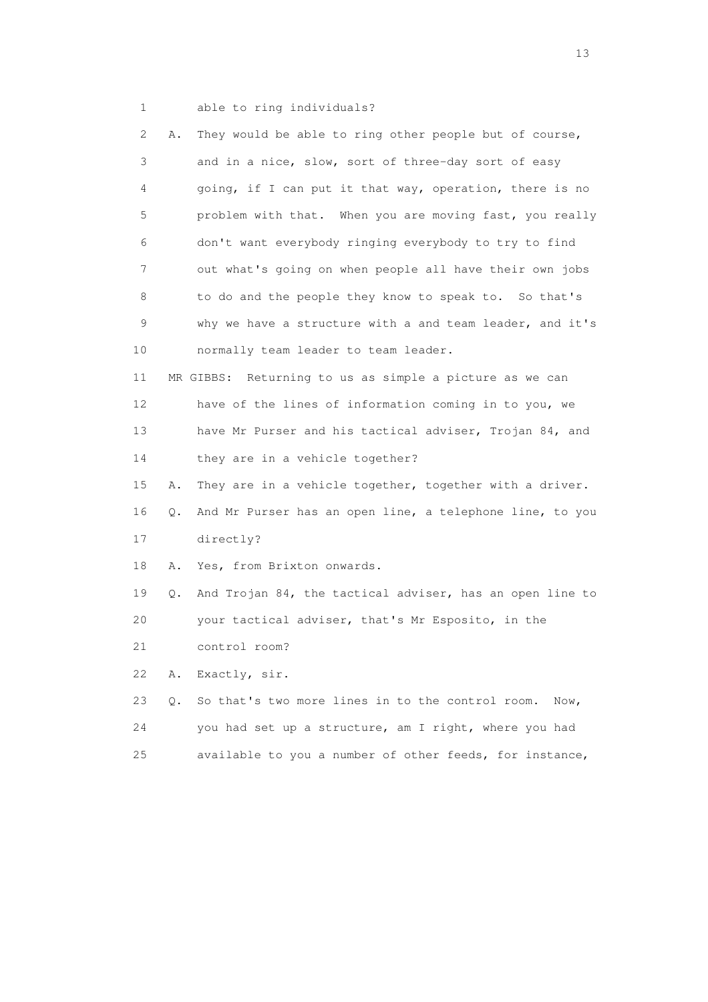- 
- 1 able to ring individuals?

| 2  | Α. | They would be able to ring other people but of course,   |
|----|----|----------------------------------------------------------|
| 3  |    | and in a nice, slow, sort of three-day sort of easy      |
| 4  |    | going, if I can put it that way, operation, there is no  |
| 5  |    | problem with that. When you are moving fast, you really  |
| 6  |    | don't want everybody ringing everybody to try to find    |
| 7  |    | out what's going on when people all have their own jobs  |
| 8  |    | to do and the people they know to speak to. So that's    |
| 9  |    | why we have a structure with a and team leader, and it's |
| 10 |    | normally team leader to team leader.                     |
| 11 |    | MR GIBBS: Returning to us as simple a picture as we can  |
| 12 |    | have of the lines of information coming in to you, we    |
| 13 |    | have Mr Purser and his tactical adviser, Trojan 84, and  |
| 14 |    | they are in a vehicle together?                          |
| 15 | Α. | They are in a vehicle together, together with a driver.  |
| 16 | Q. | And Mr Purser has an open line, a telephone line, to you |
| 17 |    | directly?                                                |
| 18 | Α. | Yes, from Brixton onwards.                               |
| 19 | Q. | And Trojan 84, the tactical adviser, has an open line to |
| 20 |    | your tactical adviser, that's Mr Esposito, in the        |
| 21 |    | control room?                                            |
| 22 | Α. | Exactly, sir.                                            |
| 23 | Q. | So that's two more lines in to the control room.<br>Now, |
| 24 |    | you had set up a structure, am I right, where you had    |
| 25 |    | available to you a number of other feeds, for instance,  |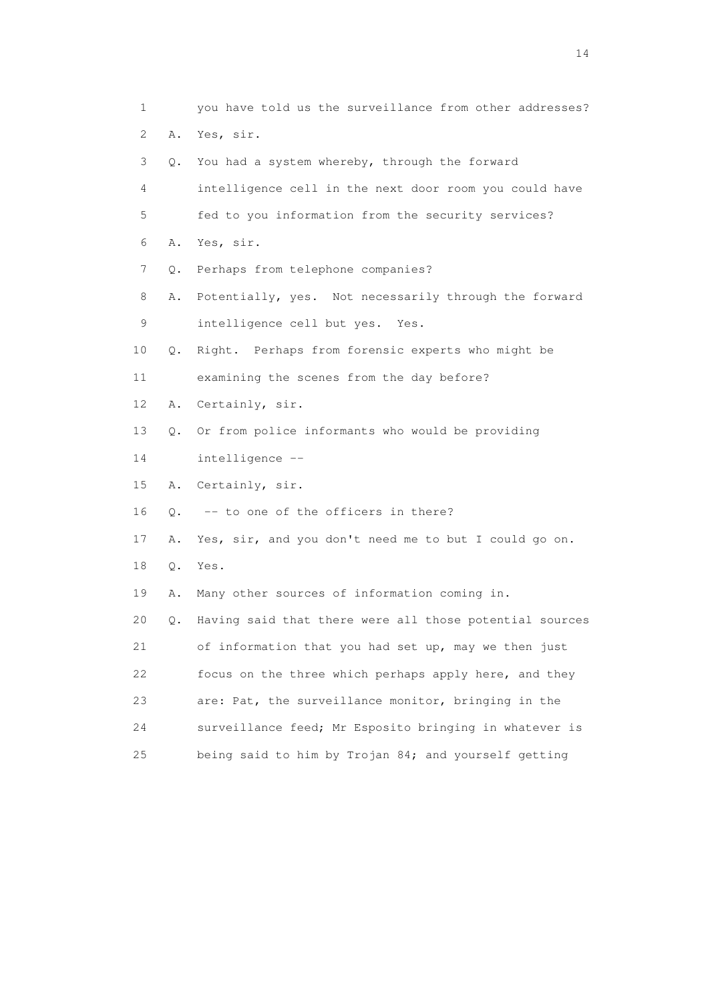1 you have told us the surveillance from other addresses? 2 A. Yes, sir. 3 Q. You had a system whereby, through the forward 4 intelligence cell in the next door room you could have 5 fed to you information from the security services? 6 A. Yes, sir. 7 Q. Perhaps from telephone companies? 8 A. Potentially, yes. Not necessarily through the forward 9 intelligence cell but yes. Yes. 10 Q. Right. Perhaps from forensic experts who might be 11 examining the scenes from the day before? 12 A. Certainly, sir. 13 Q. Or from police informants who would be providing 14 intelligence -- 15 A. Certainly, sir. 16 Q. -- to one of the officers in there? 17 A. Yes, sir, and you don't need me to but I could go on. 18 Q. Yes. 19 A. Many other sources of information coming in. 20 Q. Having said that there were all those potential sources 21 of information that you had set up, may we then just 22 focus on the three which perhaps apply here, and they 23 are: Pat, the surveillance monitor, bringing in the 24 surveillance feed; Mr Esposito bringing in whatever is 25 being said to him by Trojan 84; and yourself getting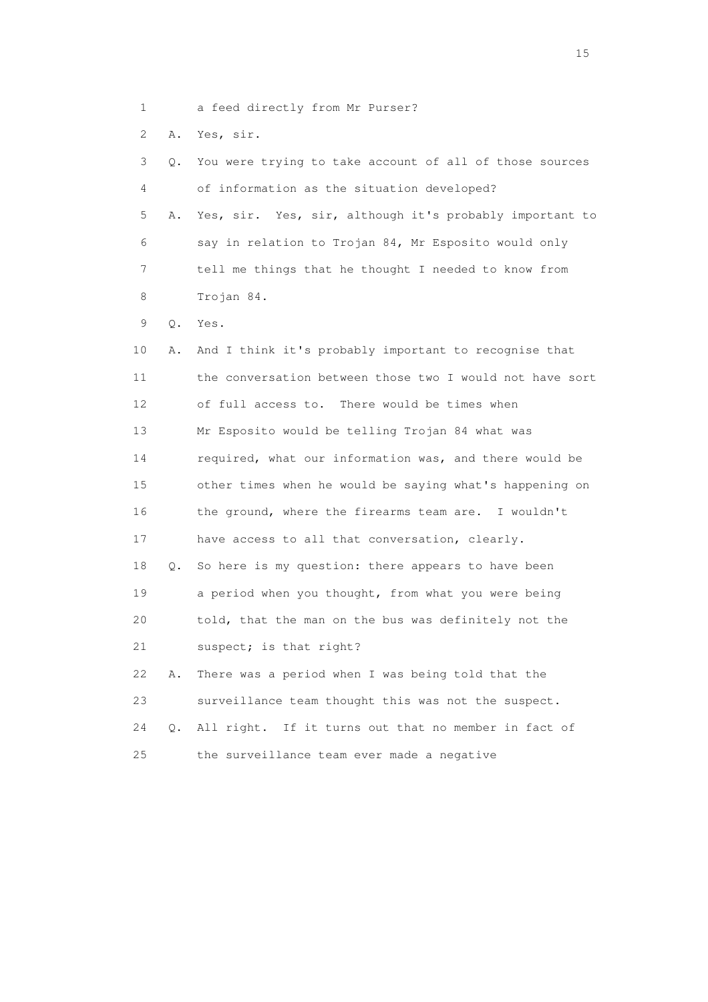1 a feed directly from Mr Purser?

2 A. Yes, sir.

| 3  | Q. | You were trying to take account of all of those sources  |
|----|----|----------------------------------------------------------|
| 4  |    | of information as the situation developed?               |
| 5  | Α. | Yes, sir. Yes, sir, although it's probably important to  |
| 6  |    | say in relation to Trojan 84, Mr Esposito would only     |
| 7  |    | tell me things that he thought I needed to know from     |
| 8  |    | Trojan 84.                                               |
| 9  | Q. | Yes.                                                     |
| 10 | Α. | And I think it's probably important to recognise that    |
| 11 |    | the conversation between those two I would not have sort |
| 12 |    | of full access to. There would be times when             |
| 13 |    | Mr Esposito would be telling Trojan 84 what was          |
| 14 |    | required, what our information was, and there would be   |
| 15 |    | other times when he would be saying what's happening on  |
| 16 |    | the ground, where the firearms team are. I wouldn't      |
| 17 |    | have access to all that conversation, clearly.           |
| 18 | Q. | So here is my question: there appears to have been       |
| 19 |    | a period when you thought, from what you were being      |
| 20 |    | told, that the man on the bus was definitely not the     |
| 21 |    | suspect; is that right?                                  |
| 22 | Α. | There was a period when I was being told that the        |
| 23 |    | surveillance team thought this was not the suspect.      |
| 24 | О. | All right. If it turns out that no member in fact of     |
| 25 |    | the surveillance team ever made a negative               |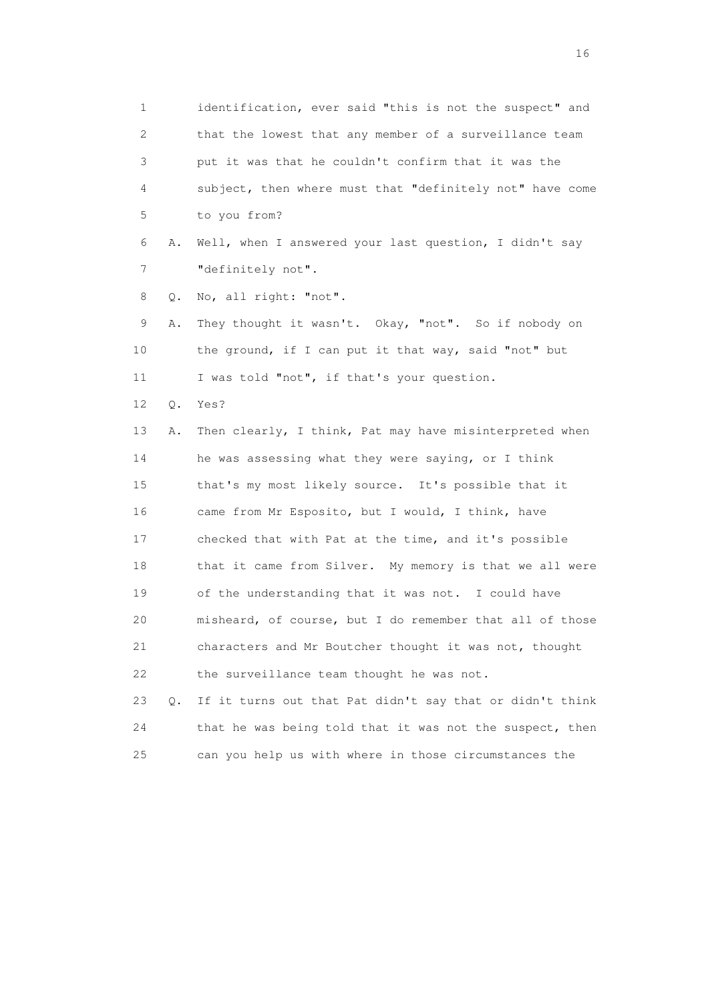1 identification, ever said "this is not the suspect" and 2 that the lowest that any member of a surveillance team 3 put it was that he couldn't confirm that it was the 4 subject, then where must that "definitely not" have come 5 to you from? 6 A. Well, when I answered your last question, I didn't say 7 "definitely not". 8 Q. No, all right: "not". 9 A. They thought it wasn't. Okay, "not". So if nobody on 10 the ground, if I can put it that way, said "not" but 11 I was told "not", if that's your question. 12 Q. Yes? 13 A. Then clearly, I think, Pat may have misinterpreted when 14 he was assessing what they were saying, or I think 15 that's my most likely source. It's possible that it 16 came from Mr Esposito, but I would, I think, have 17 checked that with Pat at the time, and it's possible 18 that it came from Silver. My memory is that we all were 19 of the understanding that it was not. I could have 20 misheard, of course, but I do remember that all of those 21 characters and Mr Boutcher thought it was not, thought 22 the surveillance team thought he was not. 23 Q. If it turns out that Pat didn't say that or didn't think 24 that he was being told that it was not the suspect, then 25 can you help us with where in those circumstances the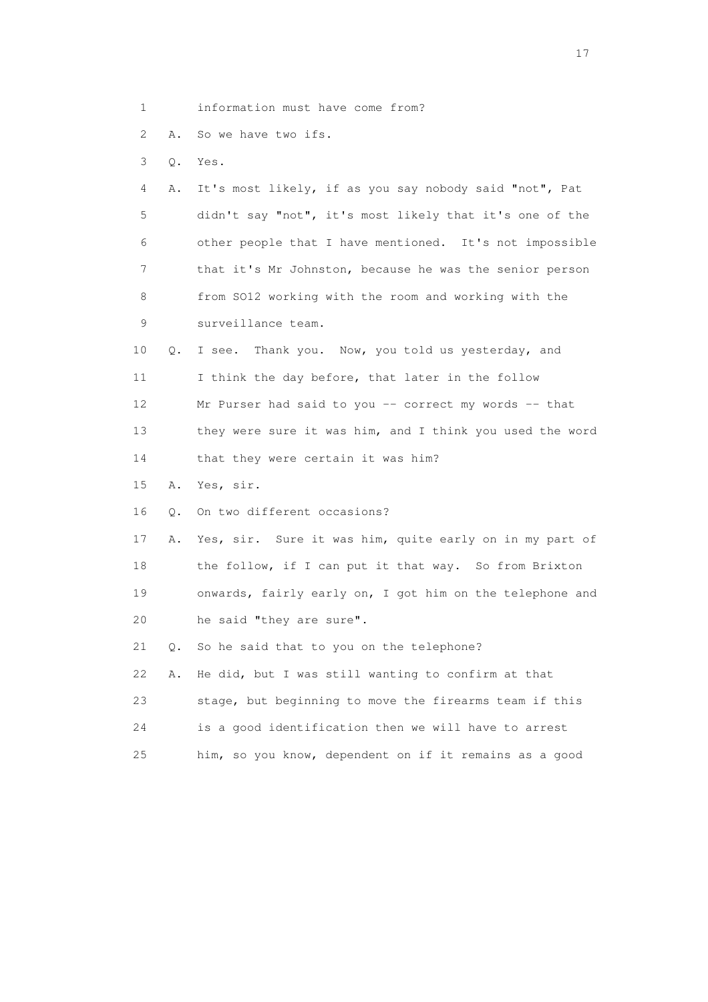- 1 information must have come from?
- 2 A. So we have two ifs.
- 3 Q. Yes.

| 4               | A. It's most likely, if as you say nobody said "not", Pat  |
|-----------------|------------------------------------------------------------|
| 5               | didn't say "not", it's most likely that it's one of the    |
| 6               | other people that I have mentioned. It's not impossible    |
| 7               | that it's Mr Johnston, because he was the senior person    |
| 8               | from SO12 working with the room and working with the       |
| 9               | surveillance team.                                         |
| 10              | Q. I see. Thank you. Now, you told us yesterday, and       |
| 11              | I think the day before, that later in the follow           |
| 12 <sup>°</sup> | Mr Purser had said to you $-$ correct my words $-$ that    |
| 13 <sup>°</sup> | they were sure it was him, and I think you used the word   |
| 14              | that they were certain it was him?                         |
| 15              | A. Yes, sir.                                               |
| 16              | 0. On two different occasions?                             |
| 17              | A. Yes, sir. Sure it was him, quite early on in my part of |

18 the follow, if I can put it that way. So from Brixton 19 onwards, fairly early on, I got him on the telephone and 20 he said "they are sure".

21 Q. So he said that to you on the telephone?

|    | 22 A. He did, but I was still wanting to confirm at that |
|----|----------------------------------------------------------|
| 23 | stage, but beginning to move the firearms team if this   |
| 24 | is a good identification then we will have to arrest     |
| 25 | him, so you know, dependent on if it remains as a good   |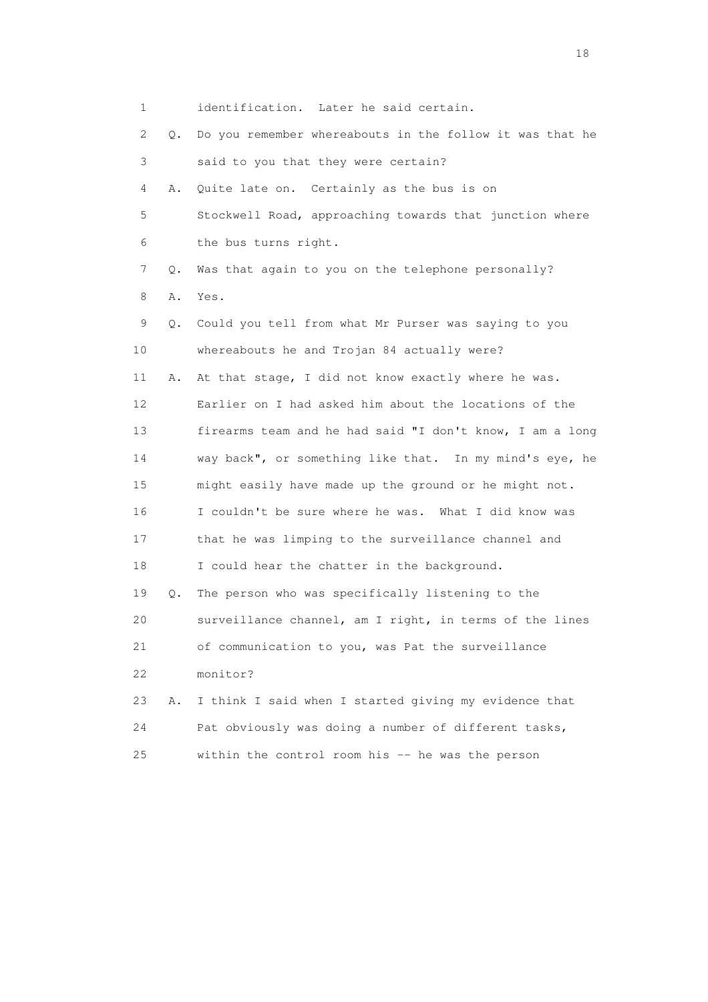1 identification. Later he said certain. 2 Q. Do you remember whereabouts in the follow it was that he 3 said to you that they were certain? 4 A. Quite late on. Certainly as the bus is on 5 Stockwell Road, approaching towards that junction where 6 the bus turns right. 7 Q. Was that again to you on the telephone personally? 8 A. Yes. 9 Q. Could you tell from what Mr Purser was saying to you 10 whereabouts he and Trojan 84 actually were? 11 A. At that stage, I did not know exactly where he was. 12 Earlier on I had asked him about the locations of the 13 firearms team and he had said "I don't know, I am a long 14 way back", or something like that. In my mind's eye, he 15 might easily have made up the ground or he might not. 16 I couldn't be sure where he was. What I did know was 17 that he was limping to the surveillance channel and 18 I could hear the chatter in the background. 19 Q. The person who was specifically listening to the 20 surveillance channel, am I right, in terms of the lines 21 of communication to you, was Pat the surveillance 22 monitor? 23 A. I think I said when I started giving my evidence that 24 Pat obviously was doing a number of different tasks, 25 within the control room his -- he was the person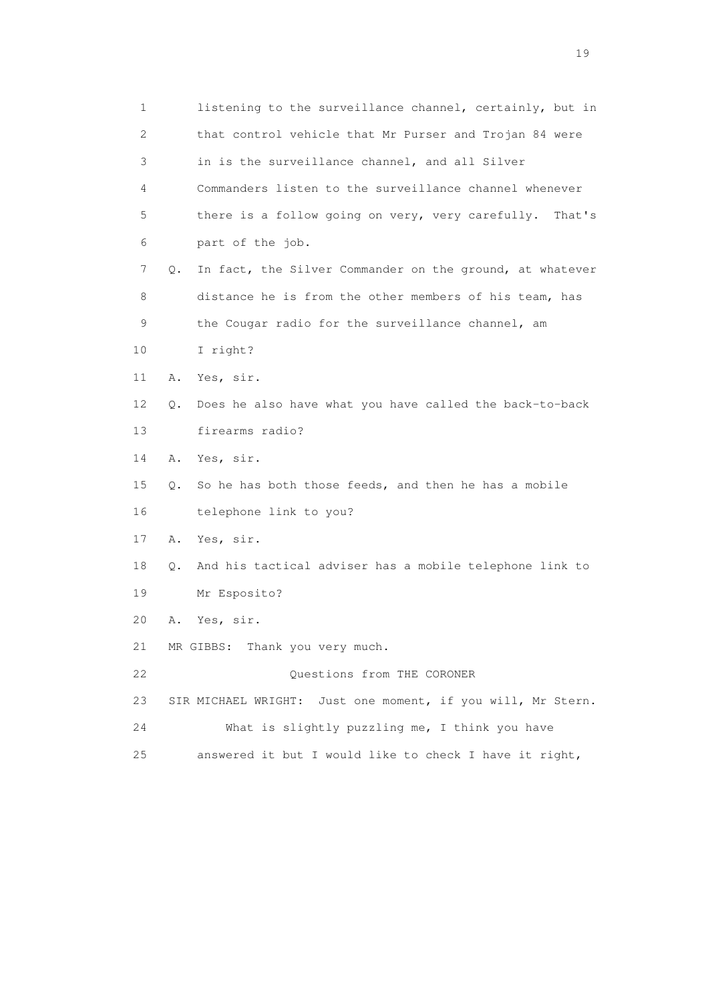| 1  | listening to the surveillance channel, certainly, but in       |  |
|----|----------------------------------------------------------------|--|
| 2  | that control vehicle that Mr Purser and Trojan 84 were         |  |
| 3  | in is the surveillance channel, and all Silver                 |  |
| 4  | Commanders listen to the surveillance channel whenever         |  |
| 5  | there is a follow going on very, very carefully.<br>That's     |  |
| 6  | part of the job.                                               |  |
| 7  | In fact, the Silver Commander on the ground, at whatever<br>Q. |  |
| 8  | distance he is from the other members of his team, has         |  |
| 9  | the Cougar radio for the surveillance channel, am              |  |
| 10 | I right?                                                       |  |
| 11 | Yes, sir.<br>Α.                                                |  |
| 12 | Does he also have what you have called the back-to-back<br>Q.  |  |
| 13 | firearms radio?                                                |  |
| 14 | Yes, sir.<br>Α.                                                |  |
| 15 | So he has both those feeds, and then he has a mobile<br>Q.     |  |
| 16 | telephone link to you?                                         |  |
| 17 | Yes, sir.<br>Α.                                                |  |
| 18 | And his tactical adviser has a mobile telephone link to<br>Q.  |  |
| 19 | Mr Esposito?                                                   |  |
| 20 | Yes, sir.<br>Α.                                                |  |
| 21 | MR GIBBS: Thank you very much.                                 |  |
| 22 | Questions from THE CORONER                                     |  |
| 23 | SIR MICHAEL WRIGHT: Just one moment, if you will, Mr Stern.    |  |
| 24 | What is slightly puzzling me, I think you have                 |  |
| 25 | answered it but I would like to check I have it right,         |  |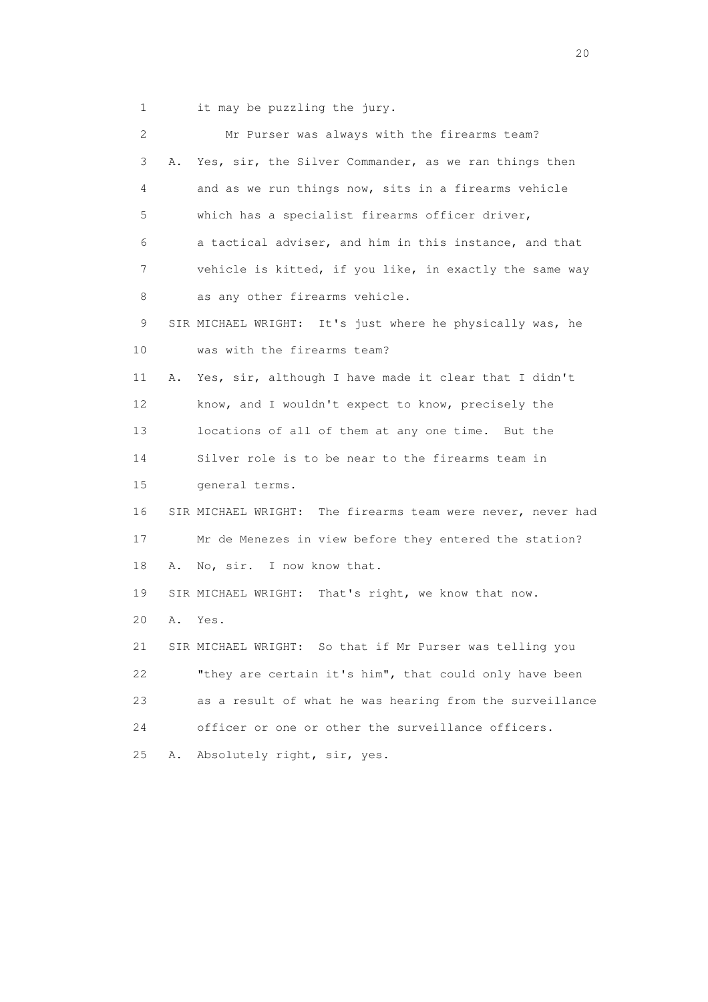1 it may be puzzling the jury.

| $\overline{2}$ |    | Mr Purser was always with the firearms team?                |
|----------------|----|-------------------------------------------------------------|
| 3              | Α. | Yes, sir, the Silver Commander, as we ran things then       |
| 4              |    | and as we run things now, sits in a firearms vehicle        |
| 5              |    | which has a specialist firearms officer driver,             |
| 6              |    | a tactical adviser, and him in this instance, and that      |
| 7              |    | vehicle is kitted, if you like, in exactly the same way     |
| 8              |    | as any other firearms vehicle.                              |
| 9              |    | SIR MICHAEL WRIGHT: It's just where he physically was, he   |
| 10             |    | was with the firearms team?                                 |
| 11             | Α. | Yes, sir, although I have made it clear that I didn't       |
| 12             |    | know, and I wouldn't expect to know, precisely the          |
| 13             |    | locations of all of them at any one time. But the           |
| 14             |    | Silver role is to be near to the firearms team in           |
| 15             |    | general terms.                                              |
| 16             |    | SIR MICHAEL WRIGHT: The firearms team were never, never had |
| 17             |    | Mr de Menezes in view before they entered the station?      |
| 18             | Α. | No, sir. I now know that.                                   |
| 19             |    | SIR MICHAEL WRIGHT: That's right, we know that now.         |
| 20             | Α. | Yes.                                                        |
| 21             |    | So that if Mr Purser was telling you<br>SIR MICHAEL WRIGHT: |
| 22             |    | "they are certain it's him", that could only have been      |
| 23             |    | as a result of what he was hearing from the surveillance    |
| 24             |    | officer or one or other the surveillance officers.          |
| 25             | Α. | Absolutely right, sir, yes.                                 |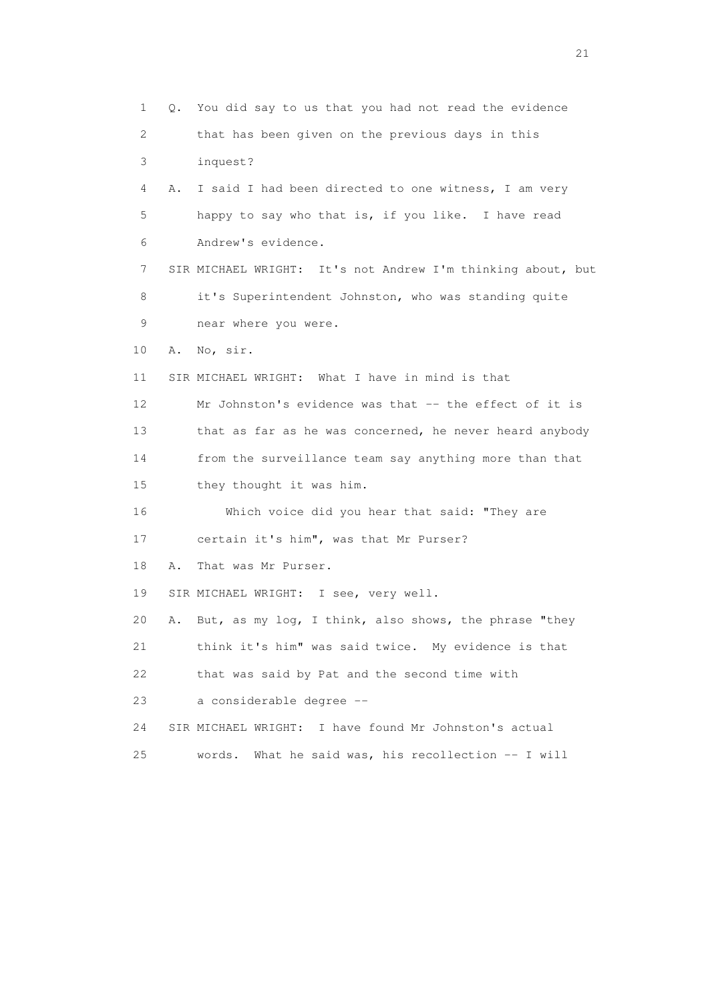1 Q. You did say to us that you had not read the evidence 2 that has been given on the previous days in this 3 inquest? 4 A. I said I had been directed to one witness, I am very 5 happy to say who that is, if you like. I have read 6 Andrew's evidence. 7 SIR MICHAEL WRIGHT: It's not Andrew I'm thinking about, but 8 it's Superintendent Johnston, who was standing quite 9 near where you were. 10 A. No, sir. 11 SIR MICHAEL WRIGHT: What I have in mind is that 12 Mr Johnston's evidence was that -- the effect of it is 13 that as far as he was concerned, he never heard anybody 14 from the surveillance team say anything more than that 15 they thought it was him. 16 Which voice did you hear that said: "They are 17 certain it's him", was that Mr Purser? 18 A. That was Mr Purser. 19 SIR MICHAEL WRIGHT: I see, very well. 20 A. But, as my log, I think, also shows, the phrase "they 21 think it's him" was said twice. My evidence is that 22 that was said by Pat and the second time with 23 a considerable degree -- 24 SIR MICHAEL WRIGHT: I have found Mr Johnston's actual 25 words. What he said was, his recollection -- I will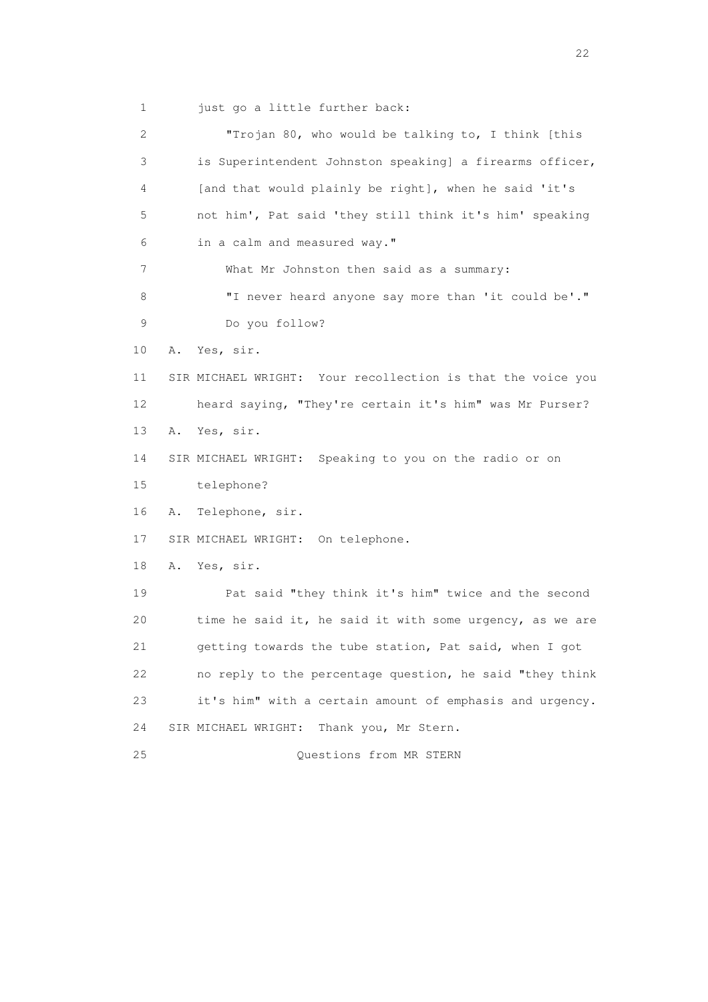1 just go a little further back:

 2 "Trojan 80, who would be talking to, I think [this 3 is Superintendent Johnston speaking] a firearms officer, 4 [and that would plainly be right], when he said 'it's 5 not him', Pat said 'they still think it's him' speaking 6 in a calm and measured way." 7 What Mr Johnston then said as a summary: 8 "I never heard anyone say more than 'it could be'." 9 Do you follow? 10 A. Yes, sir. 11 SIR MICHAEL WRIGHT: Your recollection is that the voice you 12 heard saying, "They're certain it's him" was Mr Purser? 13 A. Yes, sir. 14 SIR MICHAEL WRIGHT: Speaking to you on the radio or on 15 telephone? 16 A. Telephone, sir. 17 SIR MICHAEL WRIGHT: On telephone. 18 A. Yes, sir. 19 Pat said "they think it's him" twice and the second 20 time he said it, he said it with some urgency, as we are 21 getting towards the tube station, Pat said, when I got 22 no reply to the percentage question, he said "they think 23 it's him" with a certain amount of emphasis and urgency. 24 SIR MICHAEL WRIGHT: Thank you, Mr Stern. 25 Questions from MR STERN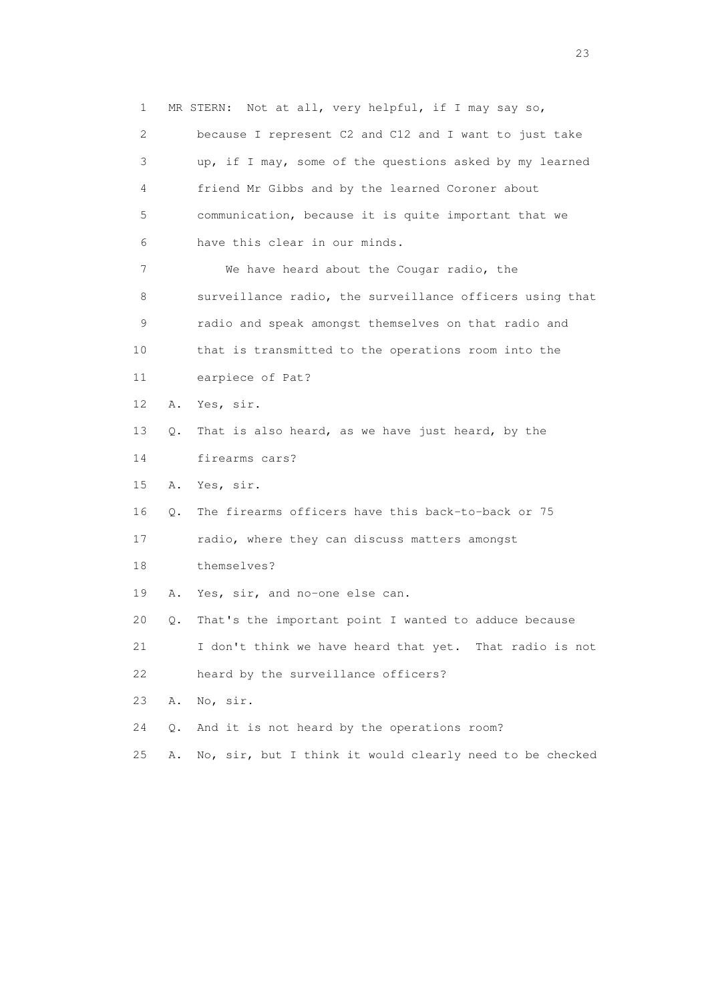1 MR STERN: Not at all, very helpful, if I may say so, 2 because I represent C2 and C12 and I want to just take 3 up, if I may, some of the questions asked by my learned 4 friend Mr Gibbs and by the learned Coroner about 5 communication, because it is quite important that we 6 have this clear in our minds. 7 We have heard about the Cougar radio, the 8 surveillance radio, the surveillance officers using that 9 radio and speak amongst themselves on that radio and 10 that is transmitted to the operations room into the 11 earpiece of Pat? 12 A. Yes, sir. 13 Q. That is also heard, as we have just heard, by the 14 firearms cars? 15 A. Yes, sir. 16 Q. The firearms officers have this back-to-back or 75 17 radio, where they can discuss matters amongst 18 themselves? 19 A. Yes, sir, and no-one else can. 20 Q. That's the important point I wanted to adduce because 21 I don't think we have heard that yet. That radio is not 22 heard by the surveillance officers? 23 A. No, sir. 24 Q. And it is not heard by the operations room? 25 A. No, sir, but I think it would clearly need to be checked

23 and 23 and 23 and 23 and 23 and 23 and 23 and 23 and 23 and 23 and 23 and 23 and 23 and 23 and 23 and 23 and 24 and 25 and 25 and 25 and 26 and 26 and 26 and 26 and 26 and 26 and 26 and 26 and 26 and 26 and 26 and 26 an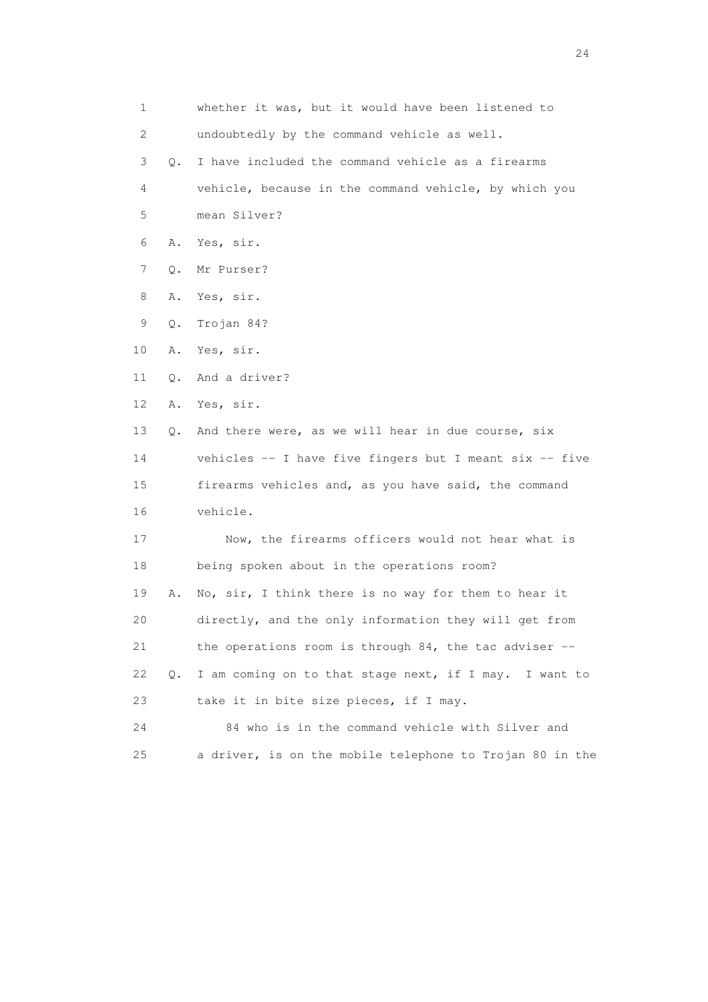| 1  |    | whether it was, but it would have been listened to       |
|----|----|----------------------------------------------------------|
| 2  |    | undoubtedly by the command vehicle as well.              |
| 3  | 0. | I have included the command vehicle as a firearms        |
| 4  |    | vehicle, because in the command vehicle, by which you    |
| 5  |    | mean Silver?                                             |
| 6  | Α. | Yes, sir.                                                |
| 7  | Q. | Mr Purser?                                               |
| 8  | Α. | Yes, sir.                                                |
| 9  | Q. | Trojan 84?                                               |
| 10 | Α. | Yes, sir.                                                |
| 11 | Q. | And a driver?                                            |
| 12 | Α. | Yes, sir.                                                |
| 13 | О. | And there were, as we will hear in due course, six       |
| 14 |    | vehicles -- I have five fingers but I meant six -- five  |
| 15 |    | firearms vehicles and, as you have said, the command     |
| 16 |    | vehicle.                                                 |
| 17 |    | Now, the firearms officers would not hear what is        |
| 18 |    | being spoken about in the operations room?               |
| 19 | Α. | No, sir, I think there is no way for them to hear it     |
| 20 |    | directly, and the only information they will get from    |
| 21 |    | the operations room is through 84, the tac adviser $-$ - |
| 22 | Q. | I am coming on to that stage next, if I may. I want to   |
| 23 |    | take it in bite size pieces, if I may.                   |
| 24 |    | 84 who is in the command vehicle with Silver and         |
| 25 |    | a driver, is on the mobile telephone to Trojan 80 in the |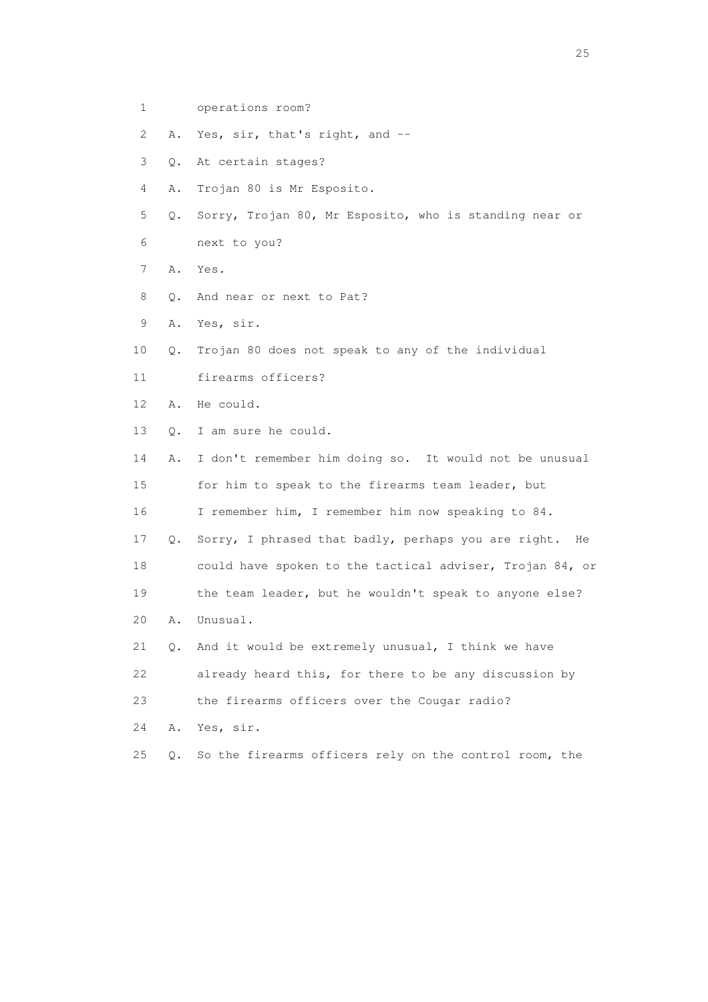1 operations room?

2 A. Yes, sir, that's right, and --

- 3 Q. At certain stages?
- 4 A. Trojan 80 is Mr Esposito.
- 5 Q. Sorry, Trojan 80, Mr Esposito, who is standing near or 6 next to you?
- 7 A. Yes.
- 8 0. And near or next to Pat?
- 9 A. Yes, sir.
- 10 Q. Trojan 80 does not speak to any of the individual
- 11 firearms officers?
- 12 A. He could.
- 13 Q. I am sure he could.

 14 A. I don't remember him doing so. It would not be unusual 15 for him to speak to the firearms team leader, but 16 I remember him, I remember him now speaking to 84. 17 Q. Sorry, I phrased that badly, perhaps you are right. He 18 could have spoken to the tactical adviser, Trojan 84, or 19 the team leader, but he wouldn't speak to anyone else? 20 A. Unusual. 21 Q. And it would be extremely unusual, I think we have

- 22 already heard this, for there to be any discussion by
- 23 the firearms officers over the Cougar radio?
- 24 A. Yes, sir.
- 25 Q. So the firearms officers rely on the control room, the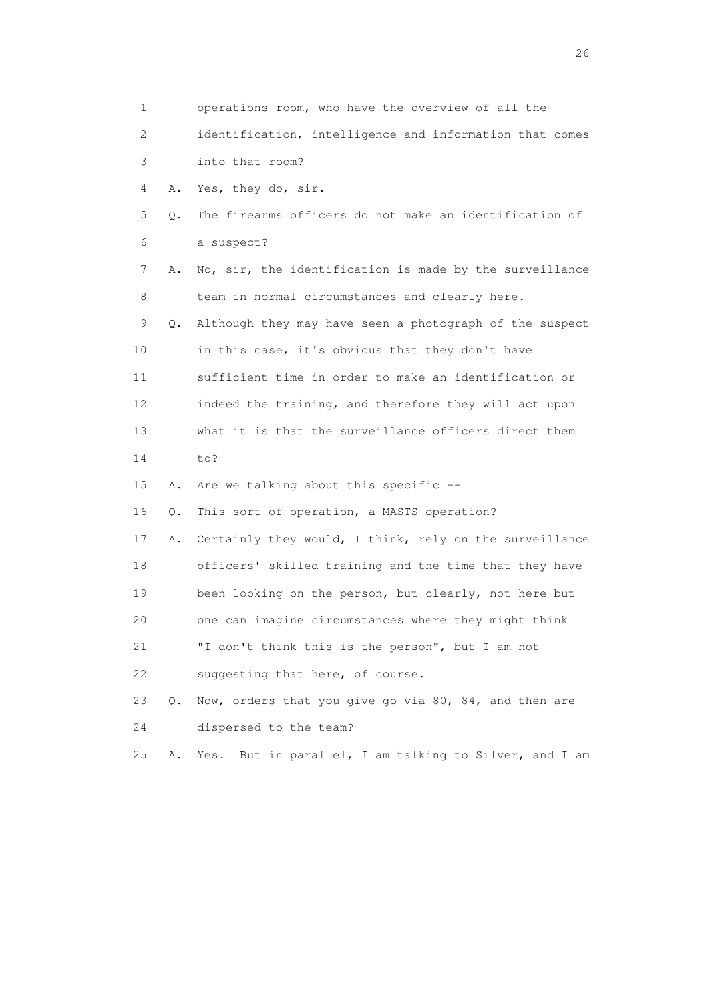| 1  |    | operations room, who have the overview of all the         |
|----|----|-----------------------------------------------------------|
| 2  |    | identification, intelligence and information that comes   |
| 3  |    | into that room?                                           |
| 4  | Α. | Yes, they do, sir.                                        |
| 5  | Q. | The firearms officers do not make an identification of    |
| 6  |    | a suspect?                                                |
| 7  | Α. | No, sir, the identification is made by the surveillance   |
| 8  |    | team in normal circumstances and clearly here.            |
| 9  | Q. | Although they may have seen a photograph of the suspect   |
| 10 |    | in this case, it's obvious that they don't have           |
| 11 |    | sufficient time in order to make an identification or     |
| 12 |    | indeed the training, and therefore they will act upon     |
| 13 |    | what it is that the surveillance officers direct them     |
| 14 |    | to?                                                       |
| 15 | Α. | Are we talking about this specific --                     |
| 16 | Q. | This sort of operation, a MASTS operation?                |
| 17 | Α. | Certainly they would, I think, rely on the surveillance   |
| 18 |    | officers' skilled training and the time that they have    |
| 19 |    | been looking on the person, but clearly, not here but     |
| 20 |    | one can imagine circumstances where they might think      |
| 21 |    | "I don't think this is the person", but I am not          |
| 22 |    | suggesting that here, of course.                          |
| 23 | Q. | Now, orders that you give go via 80, 84, and then are     |
| 24 |    | dispersed to the team?                                    |
| 25 | Α. | But in parallel, I am talking to Silver, and I am<br>Yes. |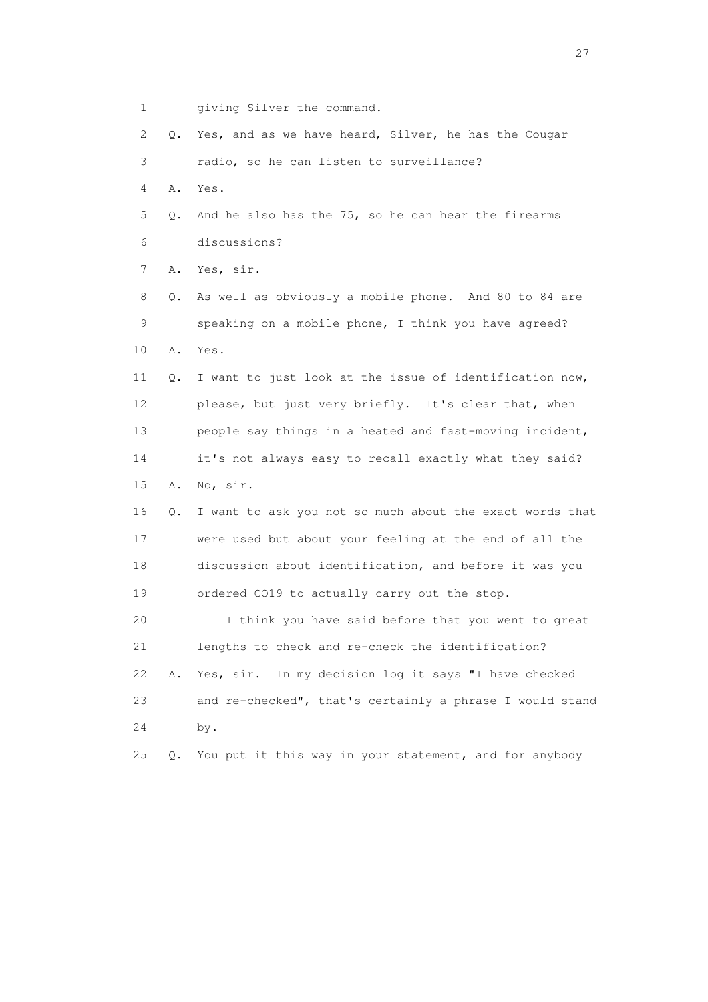1 giving Silver the command.

 2 Q. Yes, and as we have heard, Silver, he has the Cougar 3 radio, so he can listen to surveillance? 4 A. Yes. 5 Q. And he also has the 75, so he can hear the firearms 6 discussions? 7 A. Yes, sir. 8 Q. As well as obviously a mobile phone. And 80 to 84 are 9 speaking on a mobile phone, I think you have agreed? 10 A. Yes. 11 Q. I want to just look at the issue of identification now, 12 please, but just very briefly. It's clear that, when 13 people say things in a heated and fast-moving incident, 14 it's not always easy to recall exactly what they said? 15 A. No, sir. 16 Q. I want to ask you not so much about the exact words that 17 were used but about your feeling at the end of all the 18 discussion about identification, and before it was you 19 ordered CO19 to actually carry out the stop. 20 I think you have said before that you went to great 21 lengths to check and re-check the identification? 22 A. Yes, sir. In my decision log it says "I have checked 23 and re-checked", that's certainly a phrase I would stand 24 by. 25 Q. You put it this way in your statement, and for anybody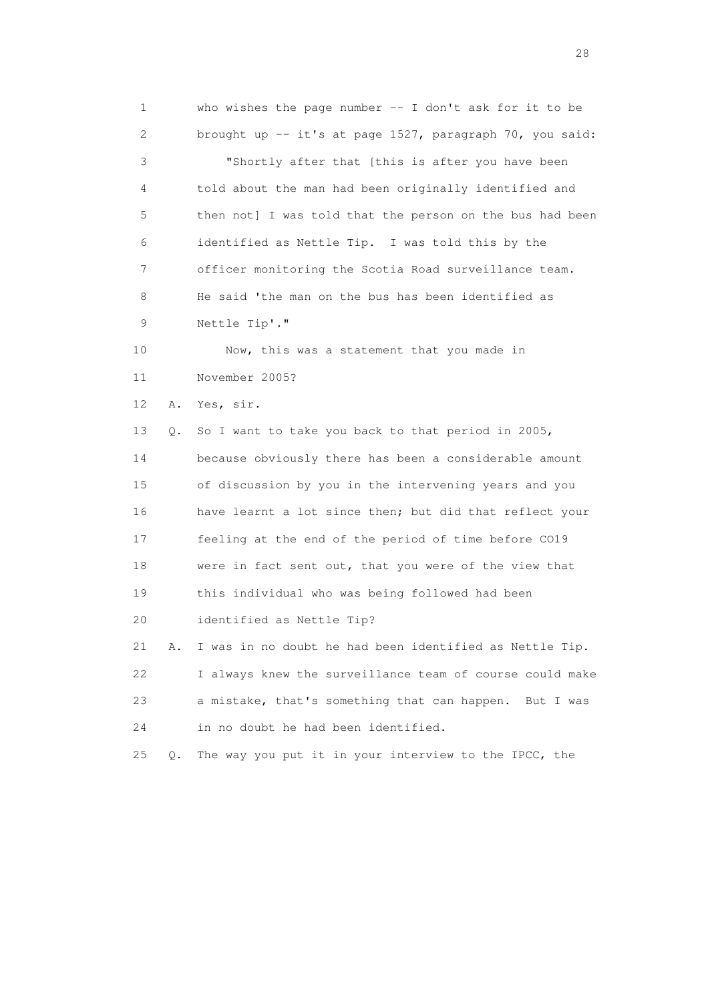1 who wishes the page number -- I don't ask for it to be 2 brought up -- it's at page 1527, paragraph 70, you said: 3 "Shortly after that [this is after you have been 4 told about the man had been originally identified and 5 then not] I was told that the person on the bus had been 6 identified as Nettle Tip. I was told this by the 7 officer monitoring the Scotia Road surveillance team. 8 He said 'the man on the bus has been identified as 9 Nettle Tip'." 10 Now, this was a statement that you made in 11 November 2005? 12 A. Yes, sir. 13 Q. So I want to take you back to that period in 2005, 14 because obviously there has been a considerable amount 15 of discussion by you in the intervening years and you 16 have learnt a lot since then; but did that reflect your 17 feeling at the end of the period of time before CO19 18 were in fact sent out, that you were of the view that 19 this individual who was being followed had been 20 identified as Nettle Tip? 21 A. I was in no doubt he had been identified as Nettle Tip. 22 I always knew the surveillance team of course could make 23 a mistake, that's something that can happen. But I was 24 in no doubt he had been identified. 25 Q. The way you put it in your interview to the IPCC, the

28 and 28 and 28 and 28 and 28 and 28 and 28 and 28 and 28 and 28 and 28 and 28 and 28 and 28 and 28 and 28 and 28 and 28 and 28 and 28 and 28 and 28 and 28 and 28 and 28 and 28 and 28 and 28 and 28 and 28 and 28 and 28 an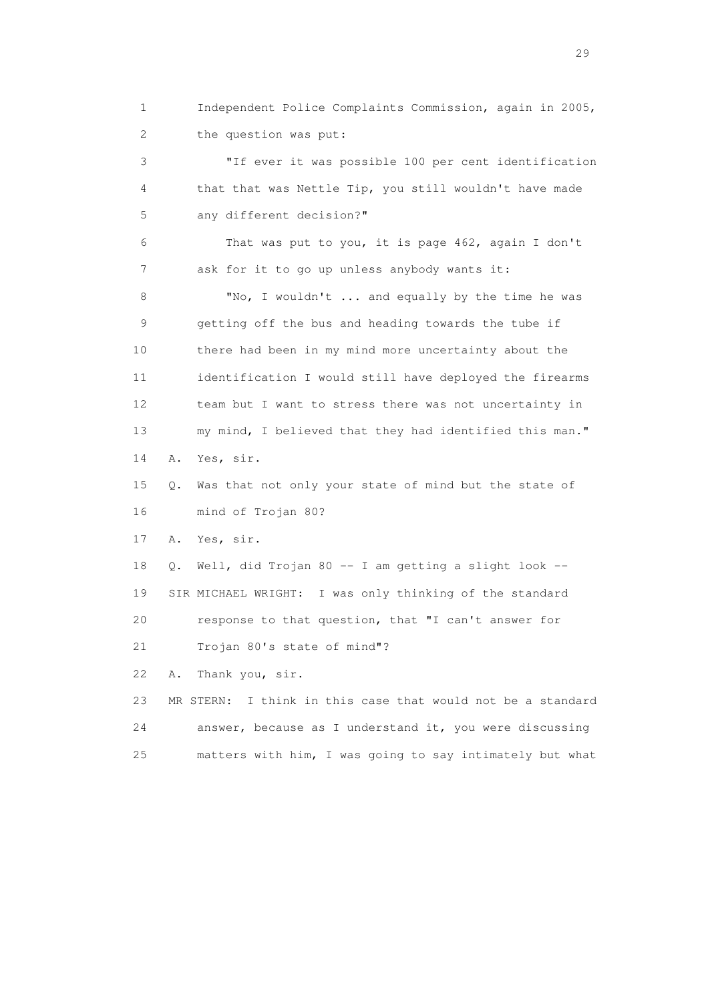1 Independent Police Complaints Commission, again in 2005, 2 the question was put:

 3 "If ever it was possible 100 per cent identification 4 that that was Nettle Tip, you still wouldn't have made 5 any different decision?"

 6 That was put to you, it is page 462, again I don't 7 ask for it to go up unless anybody wants it:

8 "No, I wouldn't ... and equally by the time he was 9 getting off the bus and heading towards the tube if 10 there had been in my mind more uncertainty about the 11 identification I would still have deployed the firearms 12 team but I want to stress there was not uncertainty in 13 my mind, I believed that they had identified this man." 14 A. Yes, sir.

15 Q. Was that not only your state of mind but the state of

16 mind of Trojan 80?

17 A. Yes, sir.

 18 Q. Well, did Trojan 80 -- I am getting a slight look -- 19 SIR MICHAEL WRIGHT: I was only thinking of the standard 20 response to that question, that "I can't answer for 21 Trojan 80's state of mind"?

22 A. Thank you, sir.

 23 MR STERN: I think in this case that would not be a standard 24 answer, because as I understand it, you were discussing 25 matters with him, I was going to say intimately but what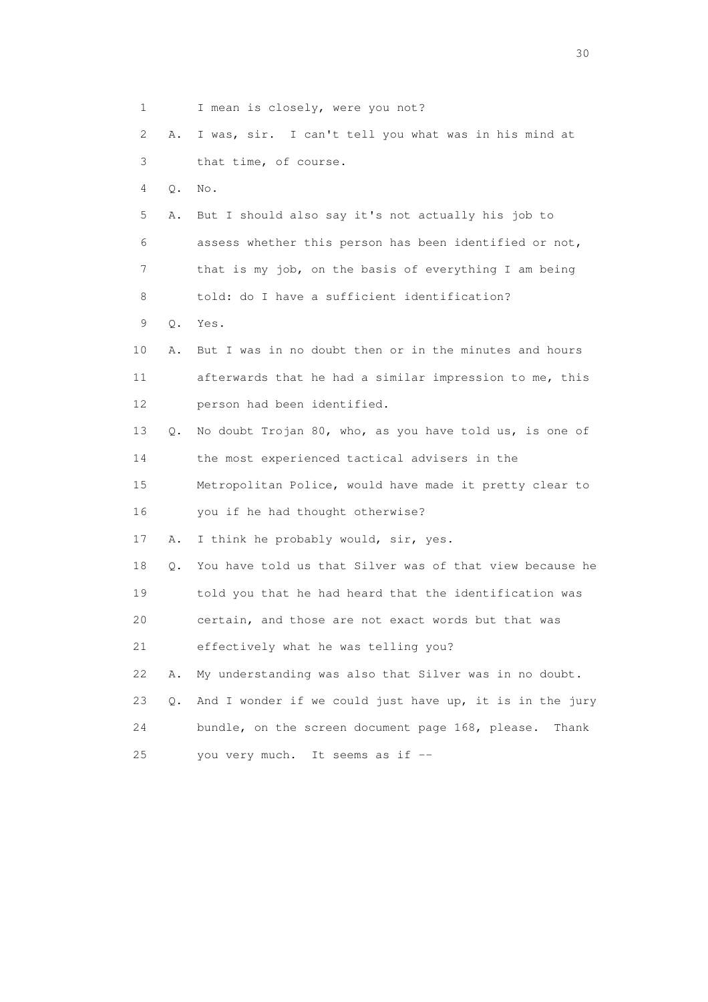1 I mean is closely, were you not? 2 A. I was, sir. I can't tell you what was in his mind at 3 that time, of course. 4 Q. No. 5 A. But I should also say it's not actually his job to 6 assess whether this person has been identified or not, 7 that is my job, on the basis of everything I am being 8 told: do I have a sufficient identification? 9 Q. Yes. 10 A. But I was in no doubt then or in the minutes and hours 11 afterwards that he had a similar impression to me, this 12 person had been identified. 13 Q. No doubt Trojan 80, who, as you have told us, is one of 14 the most experienced tactical advisers in the 15 Metropolitan Police, would have made it pretty clear to 16 you if he had thought otherwise? 17 A. I think he probably would, sir, yes. 18 Q. You have told us that Silver was of that view because he 19 told you that he had heard that the identification was 20 certain, and those are not exact words but that was 21 effectively what he was telling you? 22 A. My understanding was also that Silver was in no doubt. 23 Q. And I wonder if we could just have up, it is in the jury 24 bundle, on the screen document page 168, please. Thank 25 you very much. It seems as if --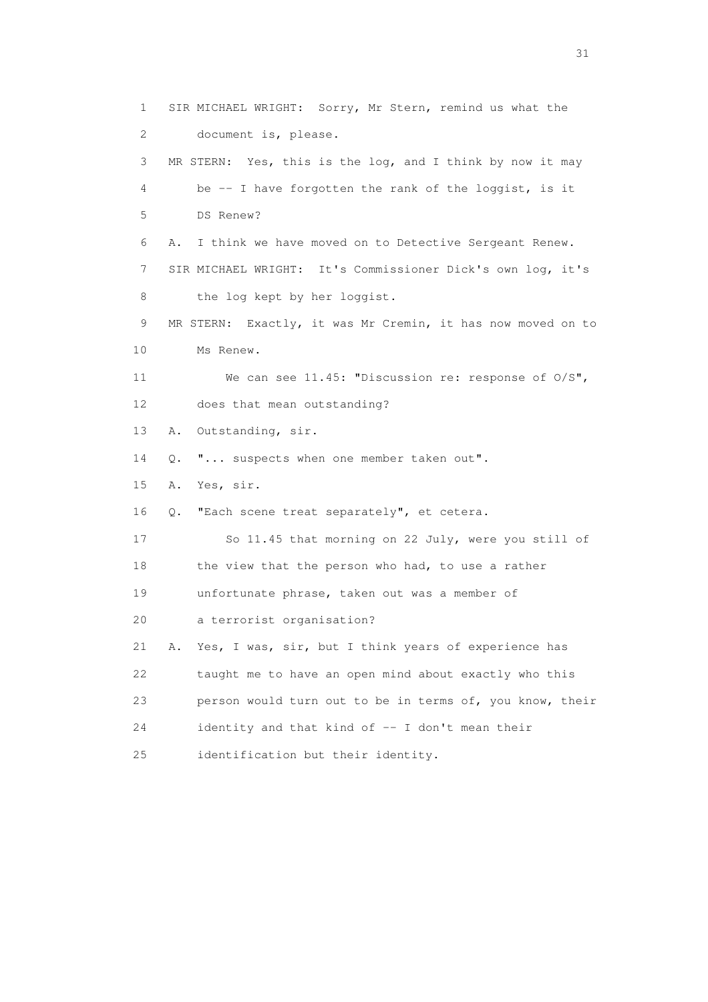1 SIR MICHAEL WRIGHT: Sorry, Mr Stern, remind us what the 2 document is, please. 3 MR STERN: Yes, this is the log, and I think by now it may 4 be -- I have forgotten the rank of the loggist, is it 5 DS Renew? 6 A. I think we have moved on to Detective Sergeant Renew. 7 SIR MICHAEL WRIGHT: It's Commissioner Dick's own log, it's 8 the log kept by her loggist. 9 MR STERN: Exactly, it was Mr Cremin, it has now moved on to 10 Ms Renew. 11 We can see 11.45: "Discussion re: response of O/S", 12 does that mean outstanding? 13 A. Outstanding, sir. 14 Q. "... suspects when one member taken out". 15 A. Yes, sir. 16 Q. "Each scene treat separately", et cetera. 17 So 11.45 that morning on 22 July, were you still of 18 the view that the person who had, to use a rather 19 unfortunate phrase, taken out was a member of 20 a terrorist organisation? 21 A. Yes, I was, sir, but I think years of experience has 22 taught me to have an open mind about exactly who this 23 person would turn out to be in terms of, you know, their 24 identity and that kind of -- I don't mean their 25 identification but their identity.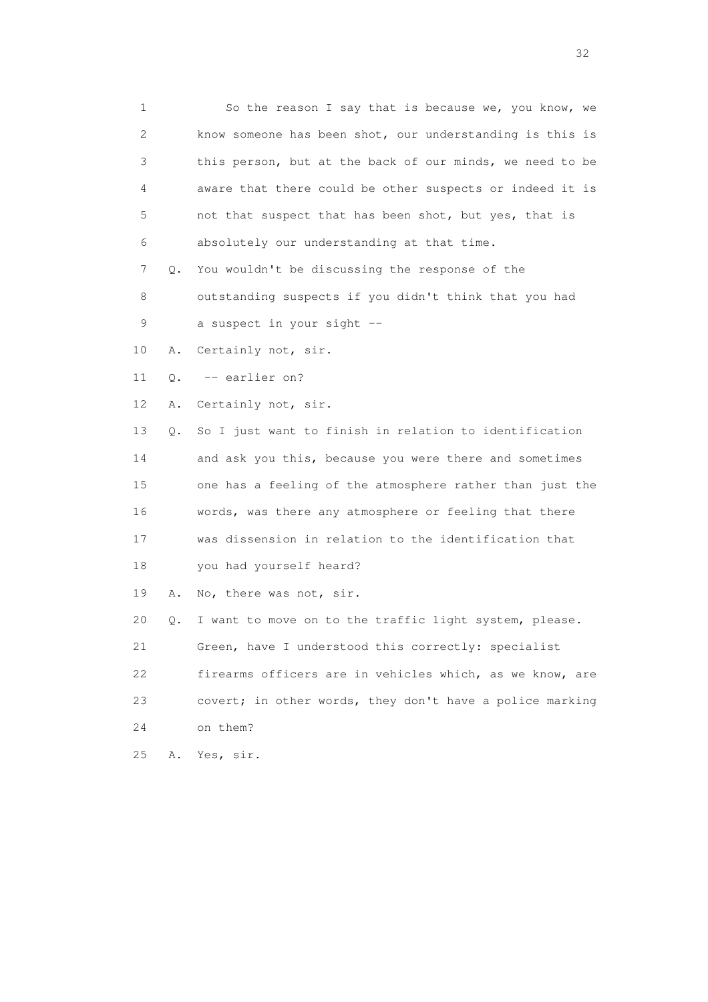1 So the reason I say that is because we, you know, we 2 know someone has been shot, our understanding is this is 3 this person, but at the back of our minds, we need to be 4 aware that there could be other suspects or indeed it is 5 not that suspect that has been shot, but yes, that is 6 absolutely our understanding at that time. 7 Q. You wouldn't be discussing the response of the 8 outstanding suspects if you didn't think that you had 9 a suspect in your sight -- 10 A. Certainly not, sir. 11 Q. -- earlier on? 12 A. Certainly not, sir. 13 Q. So I just want to finish in relation to identification 14 and ask you this, because you were there and sometimes 15 one has a feeling of the atmosphere rather than just the 16 words, was there any atmosphere or feeling that there 17 was dissension in relation to the identification that 18 you had yourself heard? 19 A. No, there was not, sir. 20 Q. I want to move on to the traffic light system, please. 21 Green, have I understood this correctly: specialist 22 firearms officers are in vehicles which, as we know, are 23 covert; in other words, they don't have a police marking 24 on them? 25 A. Yes, sir.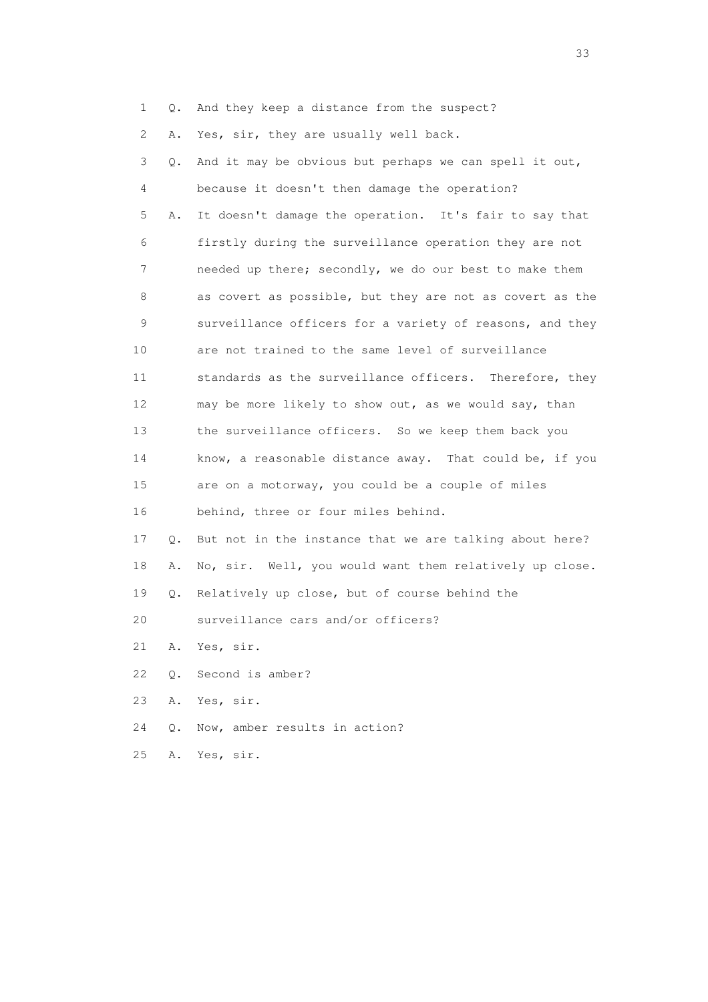1 Q. And they keep a distance from the suspect?

2 A. Yes, sir, they are usually well back.

| 3               | Q. | And it may be obvious but perhaps we can spell it out,   |
|-----------------|----|----------------------------------------------------------|
| 4               |    | because it doesn't then damage the operation?            |
| 5               | Α. | It doesn't damage the operation. It's fair to say that   |
| 6               |    | firstly during the surveillance operation they are not   |
| 7               |    | needed up there; secondly, we do our best to make them   |
| 8               |    | as covert as possible, but they are not as covert as the |
| 9               |    | surveillance officers for a variety of reasons, and they |
| 10              |    | are not trained to the same level of surveillance        |
| 11              |    | standards as the surveillance officers. Therefore, they  |
| 12 <sup>°</sup> |    | may be more likely to show out, as we would say, than    |
| 13              |    | the surveillance officers. So we keep them back you      |
| 14              |    | know, a reasonable distance away. That could be, if you  |
| 15              |    | are on a motorway, you could be a couple of miles        |
| 16              |    | behind, three or four miles behind.                      |
| 17              | 0. | But not in the instance that we are talking about here?  |
| 18              | Α. | No, sir. Well, you would want them relatively up close.  |
| 19              | Q. | Relatively up close, but of course behind the            |
| 20              |    | surveillance cars and/or officers?                       |
| 21              | Α. | Yes, sir.                                                |
| 22              | О. | Second is amber?                                         |
| 23              | Α. | Yes, sir.                                                |
| 24              | О. | Now, amber results in action?                            |
| 25              | Α. | Yes, sir.                                                |

<u>33</u> and the state of the state of the state of the state of the state of the state of the state of the state of the state of the state of the state of the state of the state of the state of the state of the state of the s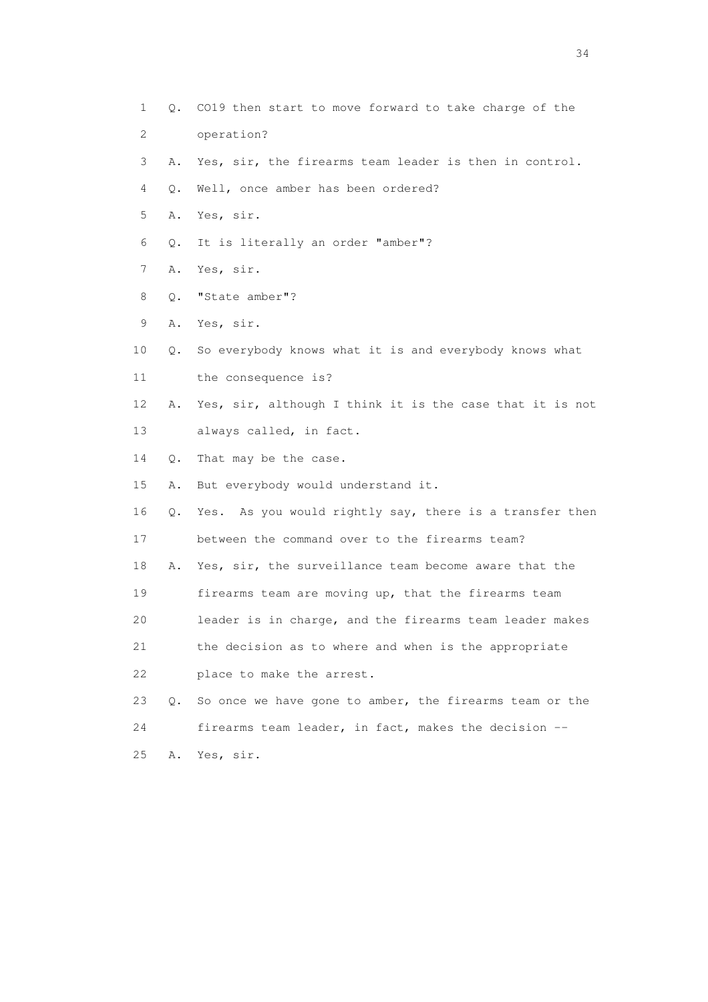1 Q. CO19 then start to move forward to take charge of the 2 operation? 3 A. Yes, sir, the firearms team leader is then in control. 4 Q. Well, once amber has been ordered? 5 A. Yes, sir. 6 Q. It is literally an order "amber"? 7 A. Yes, sir. 8 Q. "State amber"? 9 A. Yes, sir. 10 Q. So everybody knows what it is and everybody knows what 11 the consequence is? 12 A. Yes, sir, although I think it is the case that it is not 13 always called, in fact. 14 Q. That may be the case. 15 A. But everybody would understand it. 16 Q. Yes. As you would rightly say, there is a transfer then 17 between the command over to the firearms team? 18 A. Yes, sir, the surveillance team become aware that the 19 firearms team are moving up, that the firearms team 20 leader is in charge, and the firearms team leader makes 21 the decision as to where and when is the appropriate 22 place to make the arrest. 23 Q. So once we have gone to amber, the firearms team or the 24 firearms team leader, in fact, makes the decision -- 25 A. Yes, sir.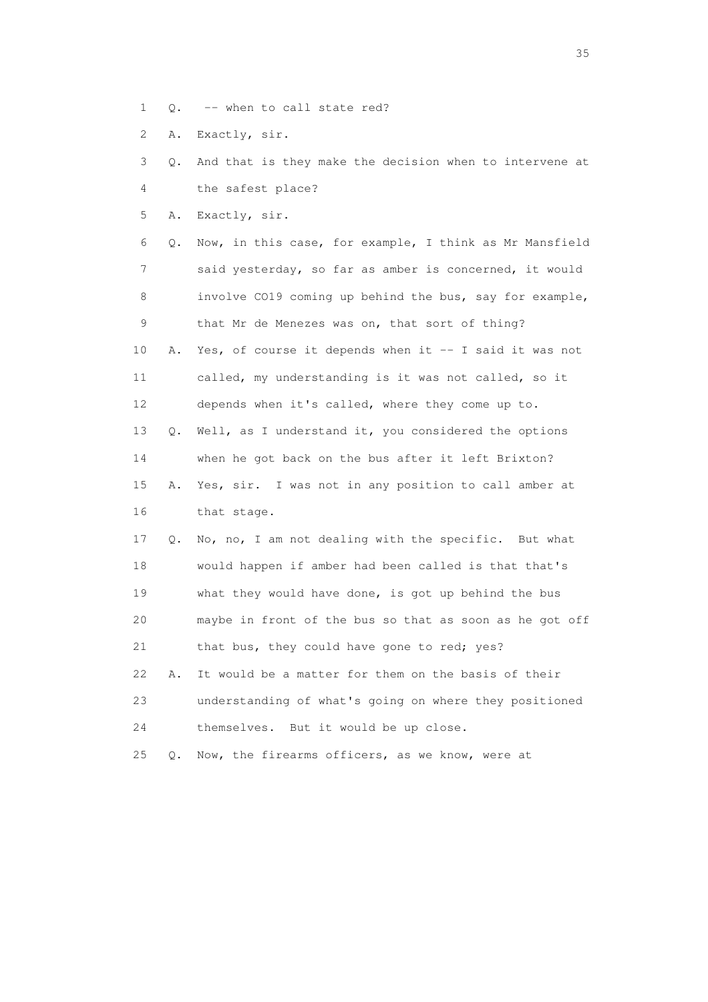- 1 Q. -- when to call state red?
- 2 A. Exactly, sir.

 3 Q. And that is they make the decision when to intervene at 4 the safest place?

5 A. Exactly, sir.

 6 Q. Now, in this case, for example, I think as Mr Mansfield 7 said yesterday, so far as amber is concerned, it would 8 involve CO19 coming up behind the bus, say for example, 9 that Mr de Menezes was on, that sort of thing? 10 A. Yes, of course it depends when it -- I said it was not 11 called, my understanding is it was not called, so it 12 depends when it's called, where they come up to. 13 Q. Well, as I understand it, you considered the options 14 when he got back on the bus after it left Brixton? 15 A. Yes, sir. I was not in any position to call amber at 16 that stage. 17 Q. No, no, I am not dealing with the specific. But what 18 would happen if amber had been called is that that's 19 what they would have done, is got up behind the bus 20 maybe in front of the bus so that as soon as he got off 21 that bus, they could have gone to red; yes?

 22 A. It would be a matter for them on the basis of their 23 understanding of what's going on where they positioned 24 themselves. But it would be up close.

25 Q. Now, the firearms officers, as we know, were at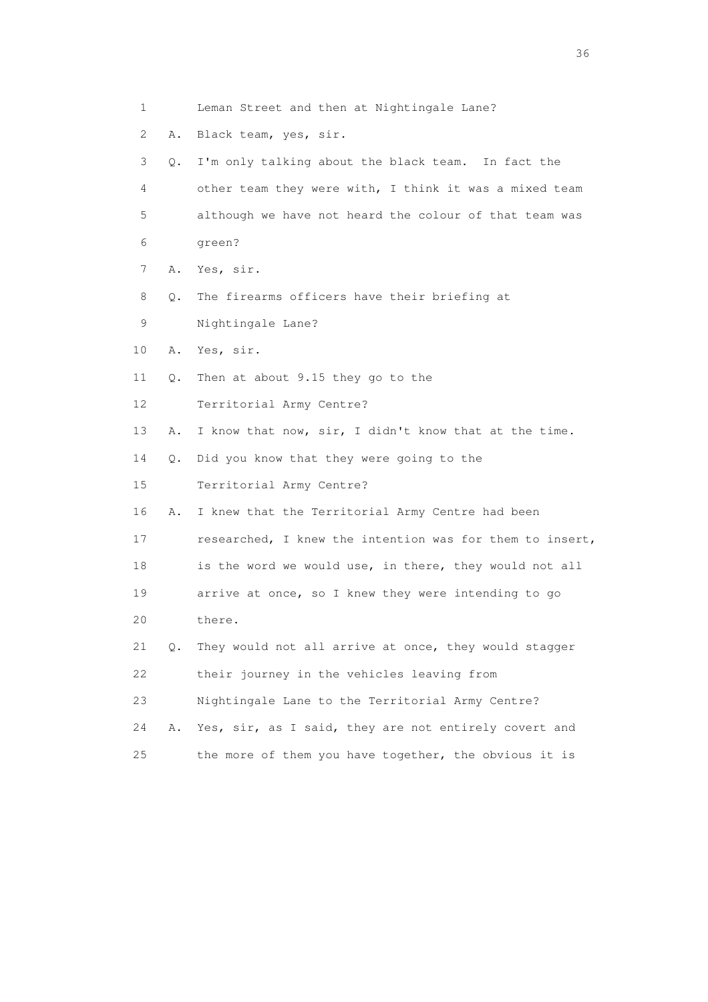- 1 Leman Street and then at Nightingale Lane?
- 2 A. Black team, yes, sir.

 3 Q. I'm only talking about the black team. In fact the 4 other team they were with, I think it was a mixed team 5 although we have not heard the colour of that team was 6 green?

- 7 A. Yes, sir.
- 8 Q. The firearms officers have their briefing at
- 9 Nightingale Lane?
- 10 A. Yes, sir.
- 11 Q. Then at about 9.15 they go to the
- 12 Territorial Army Centre?
- 13 A. I know that now, sir, I didn't know that at the time.
- 14 Q. Did you know that they were going to the
- 15 Territorial Army Centre?
- 16 A. I knew that the Territorial Army Centre had been
- 17 researched, I knew the intention was for them to insert,
- 18 is the word we would use, in there, they would not all
- 19 arrive at once, so I knew they were intending to go
- 20 there.
- 21 Q. They would not all arrive at once, they would stagger 22 their journey in the vehicles leaving from
- 23 Nightingale Lane to the Territorial Army Centre?
- 24 A. Yes, sir, as I said, they are not entirely covert and
- 25 the more of them you have together, the obvious it is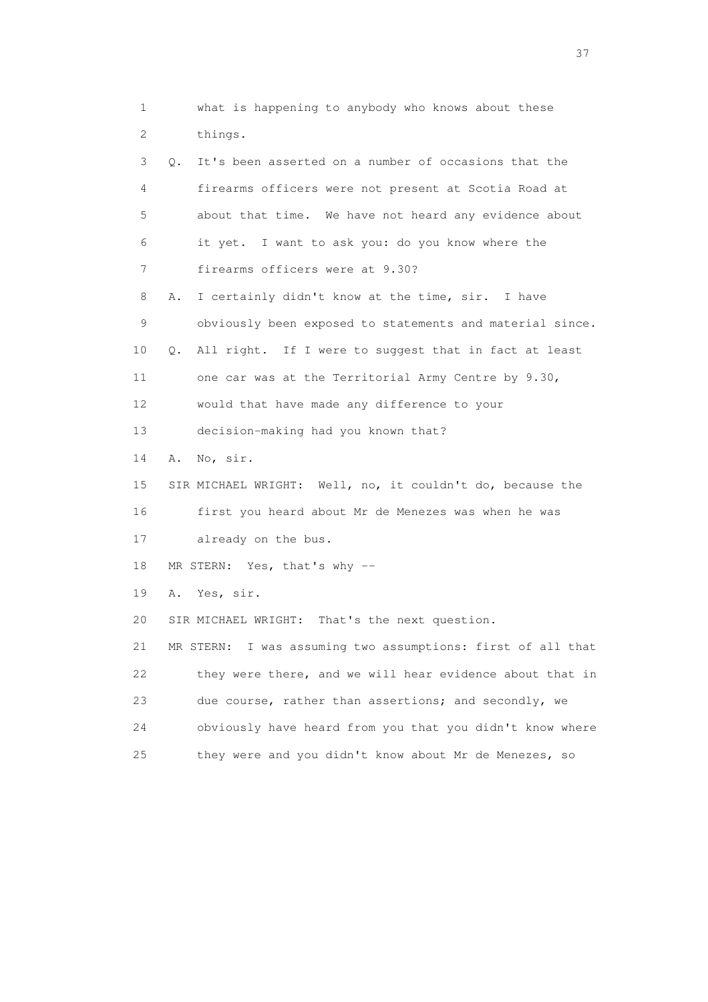1 what is happening to anybody who knows about these 2 things.

 3 Q. It's been asserted on a number of occasions that the 4 firearms officers were not present at Scotia Road at 5 about that time. We have not heard any evidence about 6 it yet. I want to ask you: do you know where the 7 firearms officers were at 9.30? 8 A. I certainly didn't know at the time, sir. I have 9 obviously been exposed to statements and material since. 10 Q. All right. If I were to suggest that in fact at least 11 one car was at the Territorial Army Centre by 9.30, 12 would that have made any difference to your

13 decision-making had you known that?

14 A. No, sir.

 15 SIR MICHAEL WRIGHT: Well, no, it couldn't do, because the 16 first you heard about Mr de Menezes was when he was

17 already on the bus.

18 MR STERN: Yes, that's why --

19 A. Yes, sir.

20 SIR MICHAEL WRIGHT: That's the next question.

 21 MR STERN: I was assuming two assumptions: first of all that 22 they were there, and we will hear evidence about that in 23 due course, rather than assertions; and secondly, we 24 obviously have heard from you that you didn't know where 25 they were and you didn't know about Mr de Menezes, so

<u>37</u>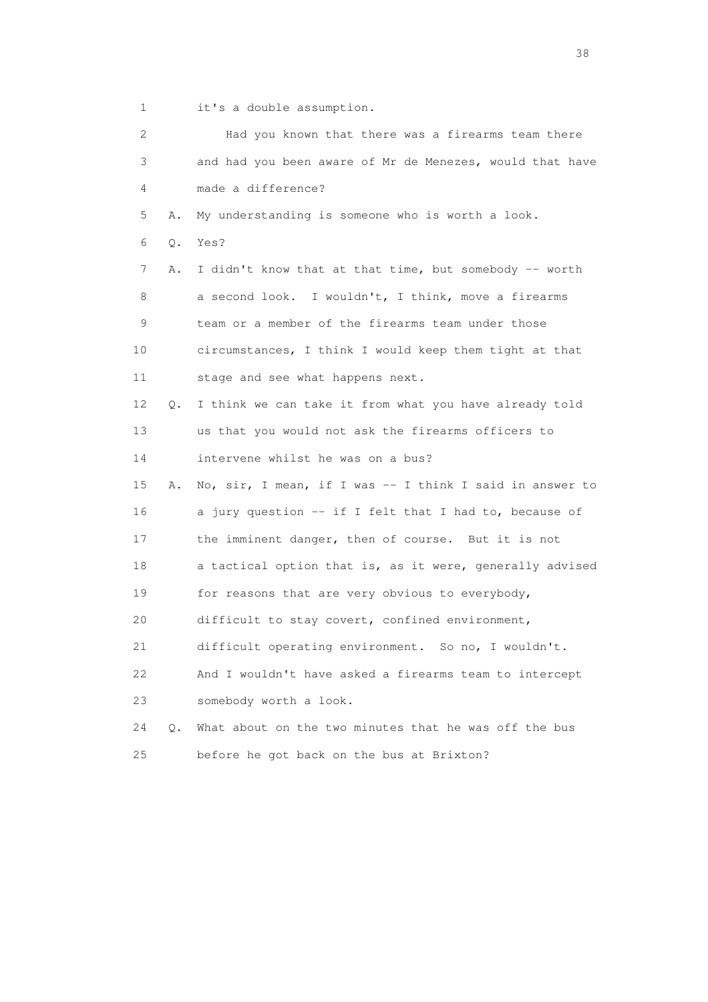1 it's a double assumption.

| $\mathbf{2}^{\mathsf{I}}$ |       | Had you known that there was a firearms team there       |
|---------------------------|-------|----------------------------------------------------------|
| 3                         |       | and had you been aware of Mr de Menezes, would that have |
| 4                         |       | made a difference?                                       |
| 5                         | Α.    | My understanding is someone who is worth a look.         |
| 6                         | Q.    | Yes?                                                     |
| 7                         | Α.    | I didn't know that at that time, but somebody -- worth   |
| 8                         |       | a second look. I wouldn't, I think, move a firearms      |
| 9                         |       | team or a member of the firearms team under those        |
| 10                        |       | circumstances, I think I would keep them tight at that   |
| 11                        |       | stage and see what happens next.                         |
| 12                        | О.    | I think we can take it from what you have already told   |
| 13                        |       | us that you would not ask the firearms officers to       |
| 14                        |       | intervene whilst he was on a bus?                        |
| 15                        | Α.    | No, sir, I mean, if I was -- I think I said in answer to |
| 16                        |       | a jury question -- if I felt that I had to, because of   |
| 17                        |       | the imminent danger, then of course. But it is not       |
| 18                        |       | a tactical option that is, as it were, generally advised |
| 19                        |       | for reasons that are very obvious to everybody,          |
| 20                        |       | difficult to stay covert, confined environment,          |
| 21                        |       | difficult operating environment. So no, I wouldn't.      |
| 22                        |       | And I wouldn't have asked a firearms team to intercept   |
| 23                        |       | somebody worth a look.                                   |
| 24                        | $Q$ . | What about on the two minutes that he was off the bus    |
| 25                        |       | before he got back on the bus at Brixton?                |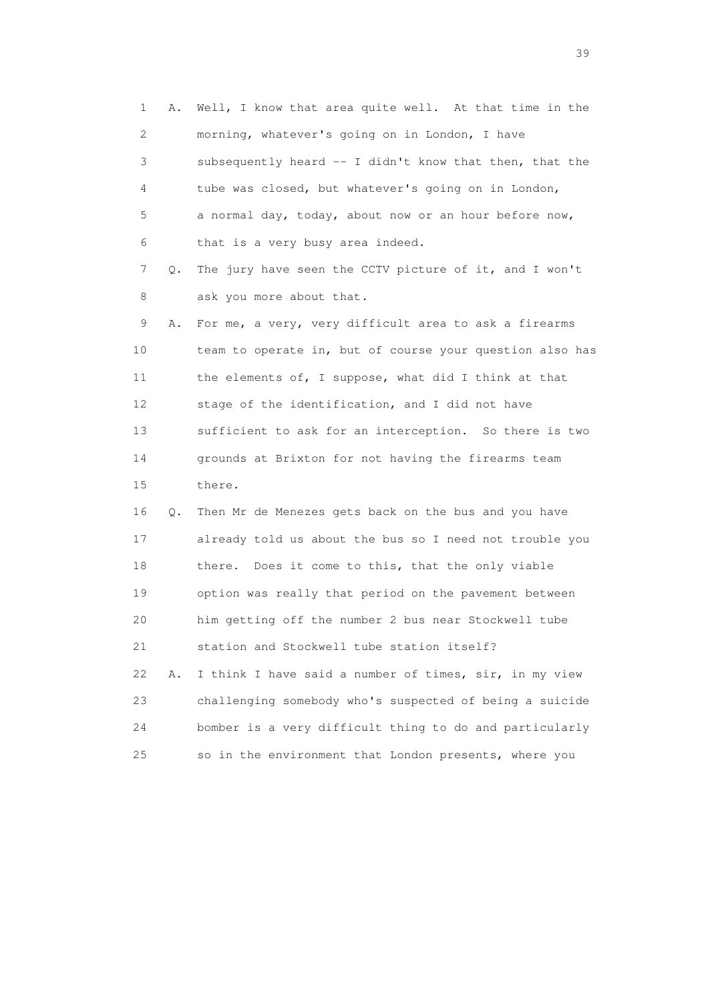1 A. Well, I know that area quite well. At that time in the 2 morning, whatever's going on in London, I have 3 subsequently heard -- I didn't know that then, that the 4 tube was closed, but whatever's going on in London, 5 a normal day, today, about now or an hour before now, 6 that is a very busy area indeed. 7 Q. The jury have seen the CCTV picture of it, and I won't 8 ask you more about that. 9 A. For me, a very, very difficult area to ask a firearms 10 team to operate in, but of course your question also has 11 the elements of, I suppose, what did I think at that 12 stage of the identification, and I did not have 13 sufficient to ask for an interception. So there is two 14 grounds at Brixton for not having the firearms team 15 there. 16 Q. Then Mr de Menezes gets back on the bus and you have 17 already told us about the bus so I need not trouble you 18 there. Does it come to this, that the only viable 19 option was really that period on the pavement between 20 him getting off the number 2 bus near Stockwell tube 21 station and Stockwell tube station itself? 22 A. I think I have said a number of times, sir, in my view 23 challenging somebody who's suspected of being a suicide 24 bomber is a very difficult thing to do and particularly 25 so in the environment that London presents, where you

 $39<sup>2</sup>$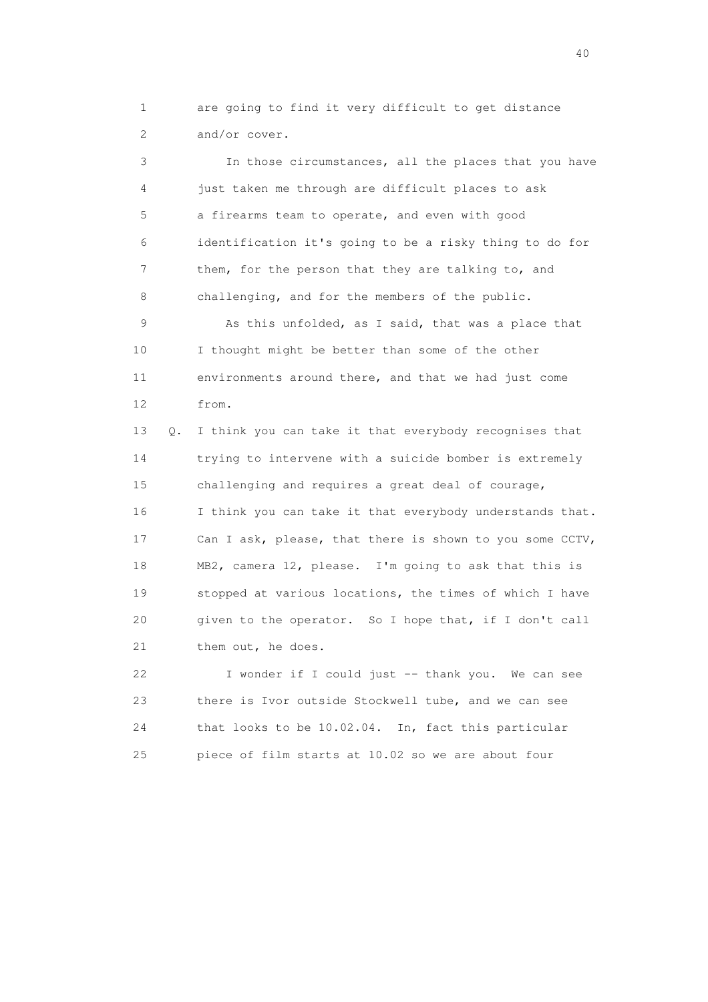1 are going to find it very difficult to get distance 2 and/or cover.

 3 In those circumstances, all the places that you have 4 just taken me through are difficult places to ask 5 a firearms team to operate, and even with good 6 identification it's going to be a risky thing to do for 7 them, for the person that they are talking to, and 8 challenging, and for the members of the public.

9 As this unfolded, as I said, that was a place that 10 I thought might be better than some of the other 11 environments around there, and that we had just come 12 from.

 13 Q. I think you can take it that everybody recognises that 14 trying to intervene with a suicide bomber is extremely 15 challenging and requires a great deal of courage, 16 I think you can take it that everybody understands that. 17 Can I ask, please, that there is shown to you some CCTV, 18 MB2, camera 12, please. I'm going to ask that this is 19 stopped at various locations, the times of which I have 20 given to the operator. So I hope that, if I don't call 21 them out, he does.

 22 I wonder if I could just -- thank you. We can see 23 there is Ivor outside Stockwell tube, and we can see 24 that looks to be 10.02.04. In, fact this particular 25 piece of film starts at 10.02 so we are about four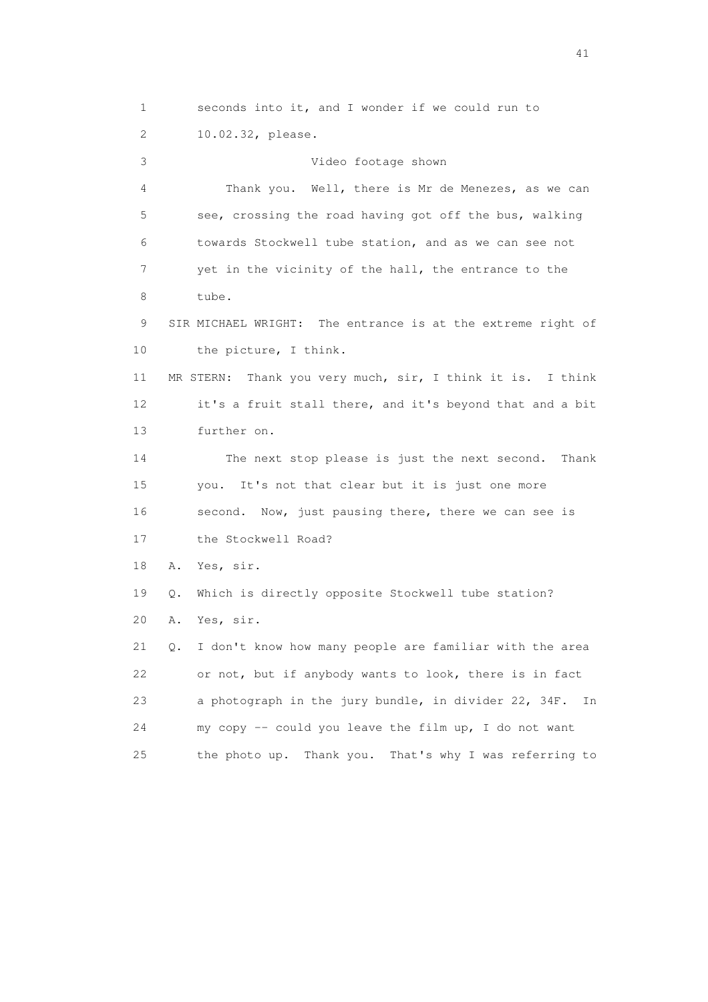1 seconds into it, and I wonder if we could run to 2 10.02.32, please. 3 Video footage shown 4 Thank you. Well, there is Mr de Menezes, as we can 5 see, crossing the road having got off the bus, walking 6 towards Stockwell tube station, and as we can see not 7 yet in the vicinity of the hall, the entrance to the 8 tube. 9 SIR MICHAEL WRIGHT: The entrance is at the extreme right of 10 the picture, I think. 11 MR STERN: Thank you very much, sir, I think it is. I think 12 it's a fruit stall there, and it's beyond that and a bit 13 further on. 14 The next stop please is just the next second. Thank 15 you. It's not that clear but it is just one more 16 second. Now, just pausing there, there we can see is 17 the Stockwell Road? 18 A. Yes, sir. 19 Q. Which is directly opposite Stockwell tube station? 20 A. Yes, sir. 21 Q. I don't know how many people are familiar with the area 22 or not, but if anybody wants to look, there is in fact 23 a photograph in the jury bundle, in divider 22, 34F. In 24 my copy -- could you leave the film up, I do not want 25 the photo up. Thank you. That's why I was referring to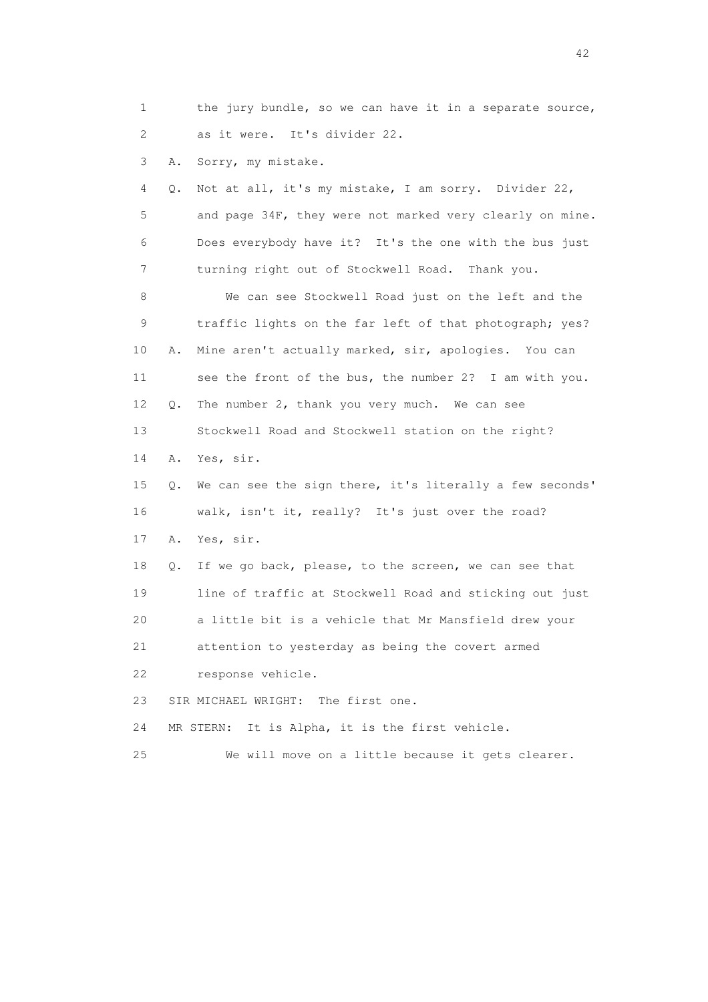1 the jury bundle, so we can have it in a separate source, 2 as it were. It's divider 22.

3 A. Sorry, my mistake.

 4 Q. Not at all, it's my mistake, I am sorry. Divider 22, 5 and page 34F, they were not marked very clearly on mine. 6 Does everybody have it? It's the one with the bus just 7 turning right out of Stockwell Road. Thank you.

 8 We can see Stockwell Road just on the left and the 9 traffic lights on the far left of that photograph; yes? 10 A. Mine aren't actually marked, sir, apologies. You can 11 see the front of the bus, the number 2? I am with you. 12 Q. The number 2, thank you very much. We can see 13 Stockwell Road and Stockwell station on the right?

14 A. Yes, sir.

 15 Q. We can see the sign there, it's literally a few seconds' 16 walk, isn't it, really? It's just over the road? 17 A. Yes, sir.

18 Q. If we go back, please, to the screen, we can see that

 19 line of traffic at Stockwell Road and sticking out just 20 a little bit is a vehicle that Mr Mansfield drew your 21 attention to yesterday as being the covert armed

22 response vehicle.

23 SIR MICHAEL WRIGHT: The first one.

24 MR STERN: It is Alpha, it is the first vehicle.

25 We will move on a little because it gets clearer.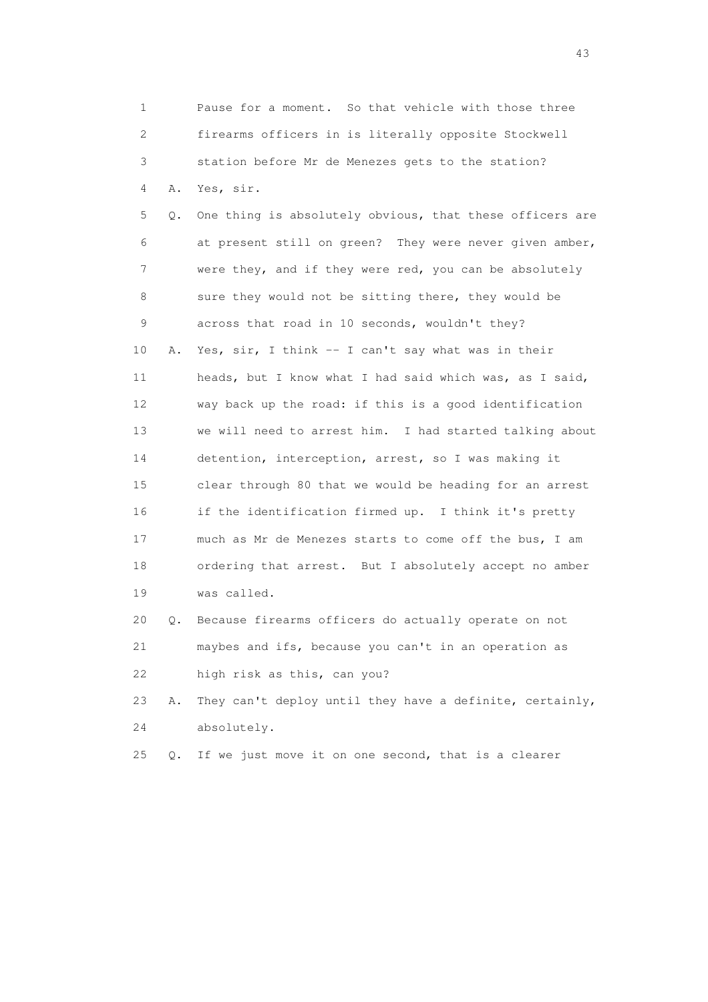1 Pause for a moment. So that vehicle with those three 2 firearms officers in is literally opposite Stockwell 3 station before Mr de Menezes gets to the station? 4 A. Yes, sir. 5 Q. One thing is absolutely obvious, that these officers are 6 at present still on green? They were never given amber, 7 were they, and if they were red, you can be absolutely 8 sure they would not be sitting there, they would be 9 across that road in 10 seconds, wouldn't they? 10 A. Yes, sir, I think -- I can't say what was in their 11 heads, but I know what I had said which was, as I said, 12 way back up the road: if this is a good identification 13 we will need to arrest him. I had started talking about 14 detention, interception, arrest, so I was making it 15 clear through 80 that we would be heading for an arrest 16 if the identification firmed up. I think it's pretty 17 much as Mr de Menezes starts to come off the bus, I am 18 ordering that arrest. But I absolutely accept no amber 19 was called. 20 Q. Because firearms officers do actually operate on not 21 maybes and ifs, because you can't in an operation as 22 high risk as this, can you? 23 A. They can't deploy until they have a definite, certainly, 24 absolutely. 25 Q. If we just move it on one second, that is a clearer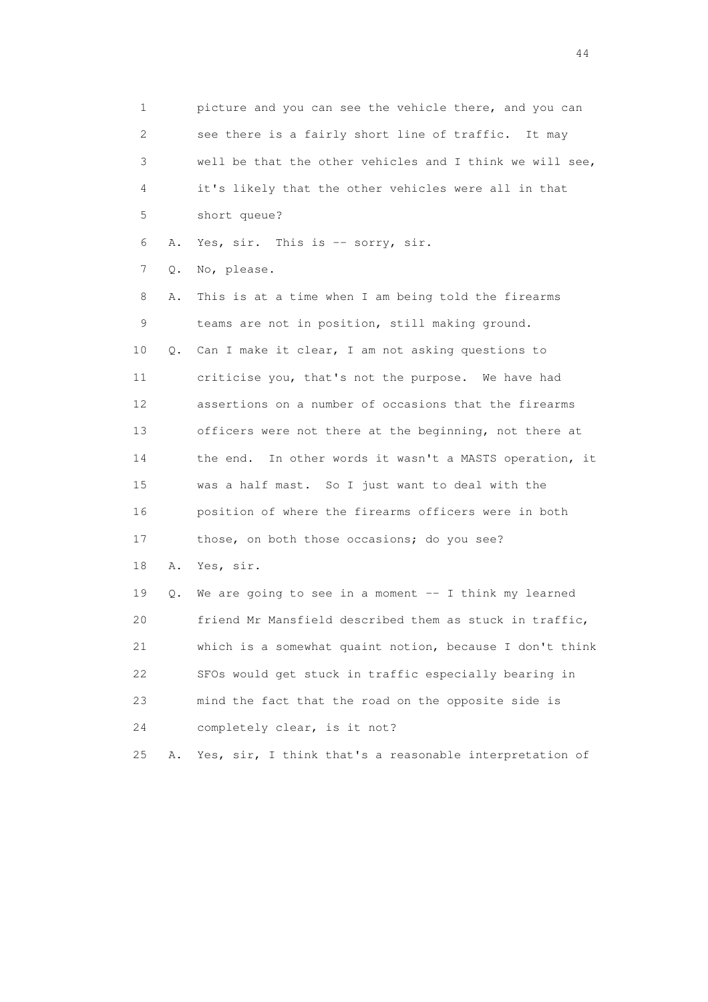1 picture and you can see the vehicle there, and you can 2 see there is a fairly short line of traffic. It may 3 well be that the other vehicles and I think we will see, 4 it's likely that the other vehicles were all in that 5 short queue? 6 A. Yes, sir. This is -- sorry, sir. 7 Q. No, please. 8 A. This is at a time when I am being told the firearms 9 teams are not in position, still making ground. 10 Q. Can I make it clear, I am not asking questions to 11 criticise you, that's not the purpose. We have had 12 assertions on a number of occasions that the firearms 13 officers were not there at the beginning, not there at 14 the end. In other words it wasn't a MASTS operation, it 15 was a half mast. So I just want to deal with the 16 position of where the firearms officers were in both 17 those, on both those occasions; do you see? 18 A. Yes, sir. 19 Q. We are going to see in a moment -- I think my learned 20 friend Mr Mansfield described them as stuck in traffic, 21 which is a somewhat quaint notion, because I don't think 22 SFOs would get stuck in traffic especially bearing in 23 mind the fact that the road on the opposite side is 24 completely clear, is it not? 25 A. Yes, sir, I think that's a reasonable interpretation of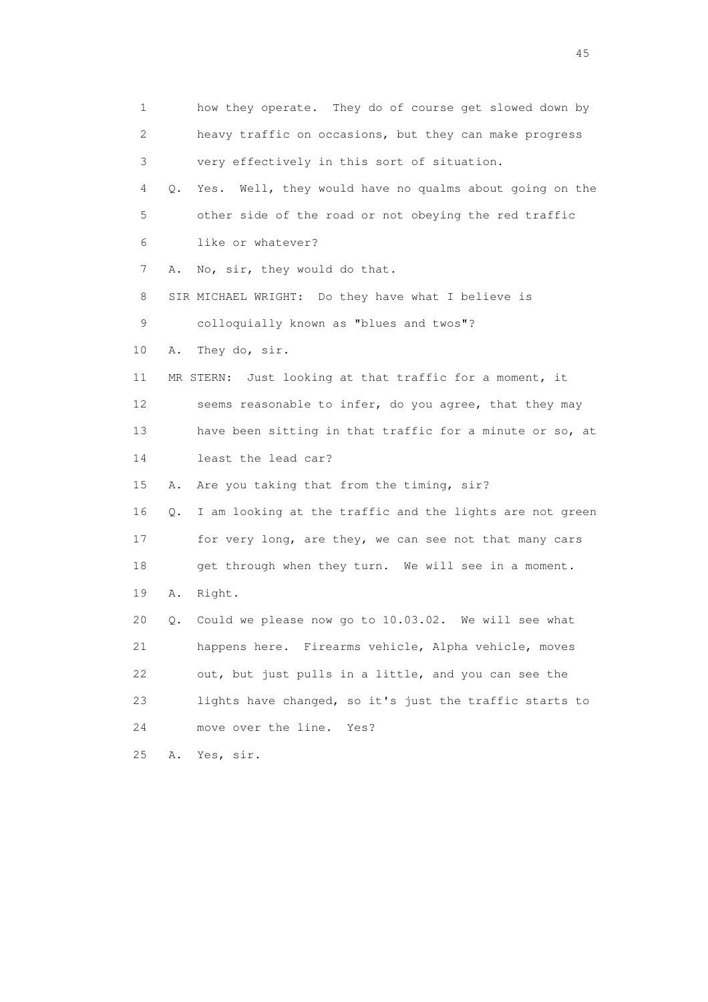1 how they operate. They do of course get slowed down by 2 heavy traffic on occasions, but they can make progress 3 very effectively in this sort of situation. 4 Q. Yes. Well, they would have no qualms about going on the 5 other side of the road or not obeying the red traffic 6 like or whatever? 7 A. No, sir, they would do that. 8 SIR MICHAEL WRIGHT: Do they have what I believe is 9 colloquially known as "blues and twos"? 10 A. They do, sir. 11 MR STERN: Just looking at that traffic for a moment, it 12 seems reasonable to infer, do you agree, that they may 13 have been sitting in that traffic for a minute or so, at 14 least the lead car? 15 A. Are you taking that from the timing, sir? 16 Q. I am looking at the traffic and the lights are not green 17 for very long, are they, we can see not that many cars 18 get through when they turn. We will see in a moment. 19 A. Right. 20 Q. Could we please now go to 10.03.02. We will see what 21 happens here. Firearms vehicle, Alpha vehicle, moves 22 out, but just pulls in a little, and you can see the 23 lights have changed, so it's just the traffic starts to 24 move over the line. Yes? 25 A. Yes, sir.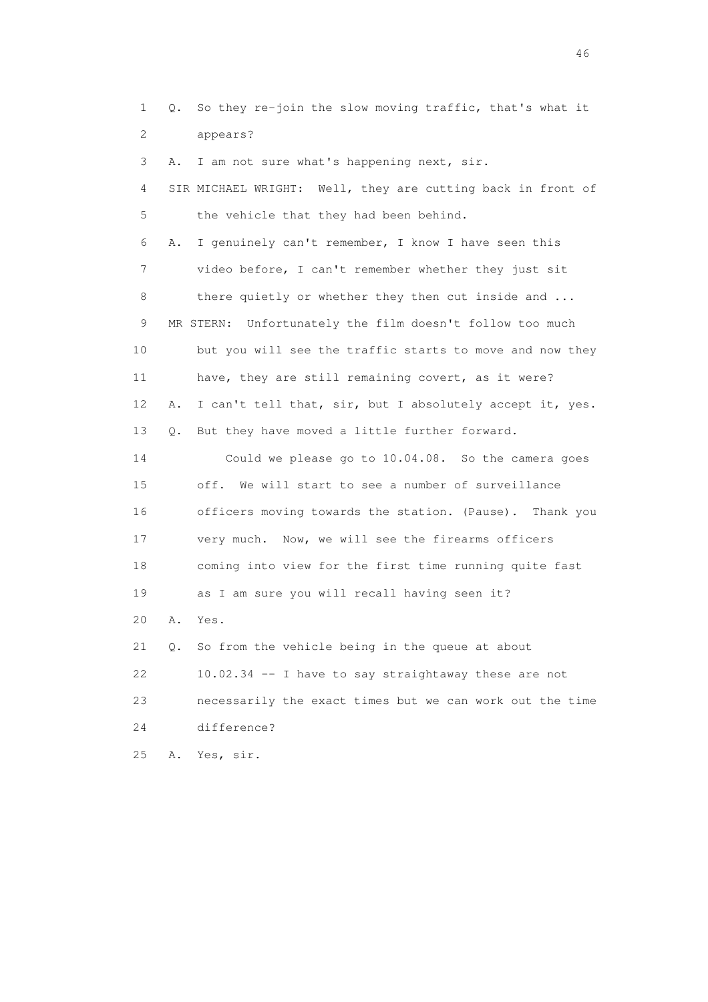1 Q. So they re-join the slow moving traffic, that's what it 2 appears? 3 A. I am not sure what's happening next, sir. 4 SIR MICHAEL WRIGHT: Well, they are cutting back in front of 5 the vehicle that they had been behind. 6 A. I genuinely can't remember, I know I have seen this 7 video before, I can't remember whether they just sit 8 there quietly or whether they then cut inside and ... 9 MR STERN: Unfortunately the film doesn't follow too much 10 but you will see the traffic starts to move and now they 11 have, they are still remaining covert, as it were? 12 A. I can't tell that, sir, but I absolutely accept it, yes. 13 Q. But they have moved a little further forward. 14 Could we please go to 10.04.08. So the camera goes 15 off. We will start to see a number of surveillance 16 officers moving towards the station. (Pause). Thank you 17 very much. Now, we will see the firearms officers 18 coming into view for the first time running quite fast 19 as I am sure you will recall having seen it? 20 A. Yes. 21 Q. So from the vehicle being in the queue at about 22 10.02.34 -- I have to say straightaway these are not 23 necessarily the exact times but we can work out the time 24 difference? 25 A. Yes, sir.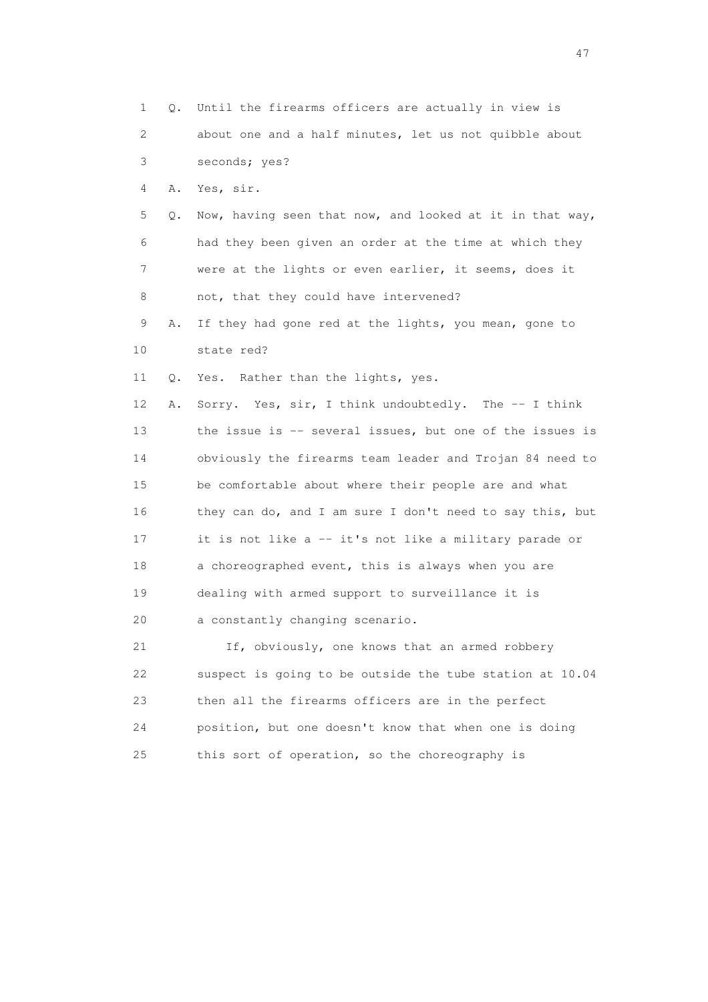1 Q. Until the firearms officers are actually in view is 2 about one and a half minutes, let us not quibble about 3 seconds; yes? 4 A. Yes, sir. 5 Q. Now, having seen that now, and looked at it in that way, 6 had they been given an order at the time at which they 7 were at the lights or even earlier, it seems, does it 8 not, that they could have intervened? 9 A. If they had gone red at the lights, you mean, gone to 10 state red? 11 Q. Yes. Rather than the lights, yes. 12 A. Sorry. Yes, sir, I think undoubtedly. The -- I think 13 the issue is -- several issues, but one of the issues is 14 obviously the firearms team leader and Trojan 84 need to 15 be comfortable about where their people are and what 16 they can do, and I am sure I don't need to say this, but 17 it is not like a -- it's not like a military parade or 18 a choreographed event, this is always when you are 19 dealing with armed support to surveillance it is 20 a constantly changing scenario. 21 If, obviously, one knows that an armed robbery 22 suspect is going to be outside the tube station at 10.04 23 then all the firearms officers are in the perfect 24 position, but one doesn't know that when one is doing 25 this sort of operation, so the choreography is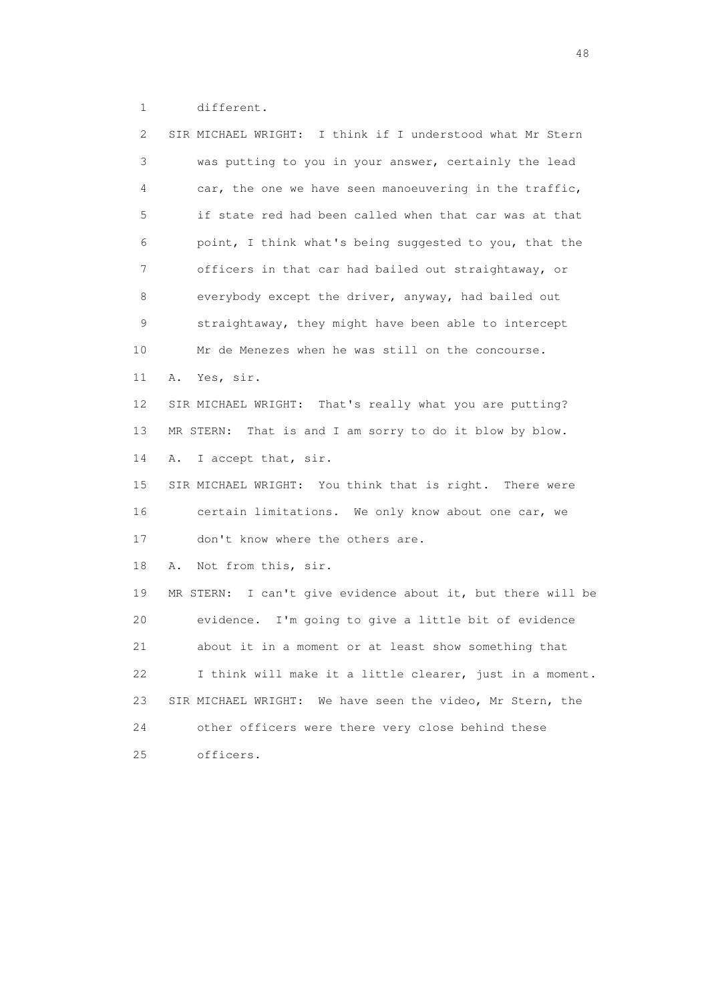1 different.

| SIR MICHAEL WRIGHT: I think if I understood what Mr Stern      |
|----------------------------------------------------------------|
| was putting to you in your answer, certainly the lead          |
| car, the one we have seen manoeuvering in the traffic,         |
| if state red had been called when that car was at that         |
| point, I think what's being suggested to you, that the         |
| officers in that car had bailed out straightaway, or           |
| everybody except the driver, anyway, had bailed out            |
| straightaway, they might have been able to intercept           |
| Mr de Menezes when he was still on the concourse.              |
| Yes, sir.<br>Α.                                                |
| SIR MICHAEL WRIGHT: That's really what you are putting?        |
| That is and I am sorry to do it blow by blow.<br>MR STERN:     |
| I accept that, sir.<br>Α.                                      |
| SIR MICHAEL WRIGHT: You think that is right. There were        |
| certain limitations. We only know about one car, we            |
| don't know where the others are.                               |
| Not from this, sir.<br>Α.                                      |
| I can't give evidence about it, but there will be<br>MR STERN: |
| evidence. I'm going to give a little bit of evidence           |
| about it in a moment or at least show something that           |
| I think will make it a little clearer, just in a moment.       |
| SIR MICHAEL WRIGHT: We have seen the video, Mr Stern, the      |
| other officers were there very close behind these              |
| officers.                                                      |
|                                                                |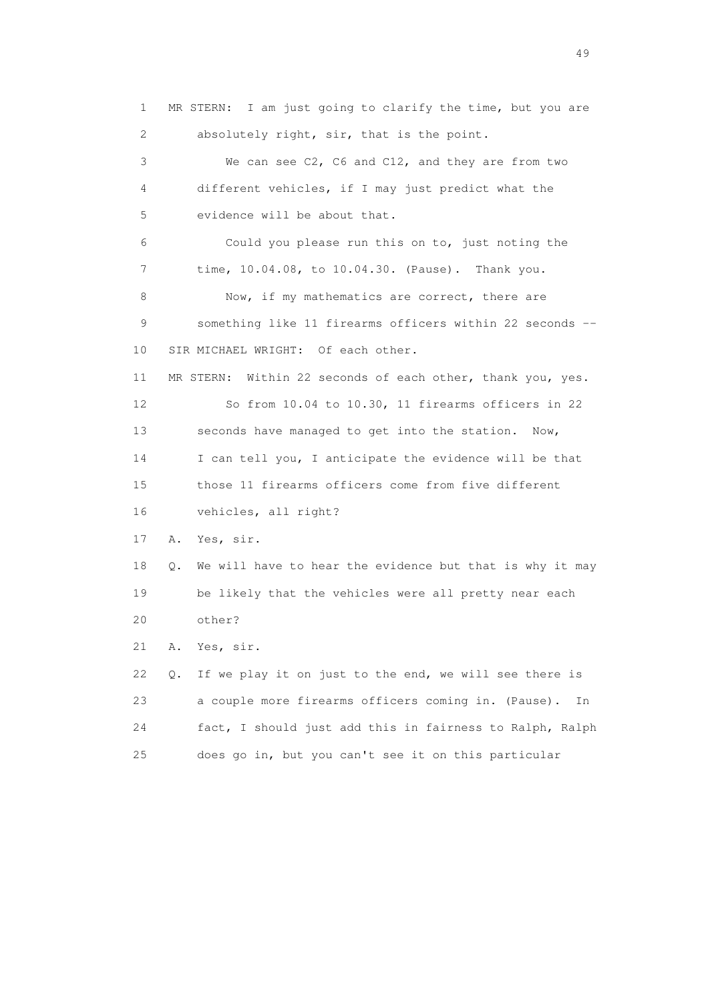1 MR STERN: I am just going to clarify the time, but you are 2 absolutely right, sir, that is the point. 3 We can see C2, C6 and C12, and they are from two 4 different vehicles, if I may just predict what the 5 evidence will be about that. 6 Could you please run this on to, just noting the 7 time, 10.04.08, to 10.04.30. (Pause). Thank you. 8 Now, if my mathematics are correct, there are 9 something like 11 firearms officers within 22 seconds -- 10 SIR MICHAEL WRIGHT: Of each other. 11 MR STERN: Within 22 seconds of each other, thank you, yes. 12 So from 10.04 to 10.30, 11 firearms officers in 22 13 seconds have managed to get into the station. Now, 14 I can tell you, I anticipate the evidence will be that 15 those 11 firearms officers come from five different 16 vehicles, all right? 17 A. Yes, sir. 18 Q. We will have to hear the evidence but that is why it may 19 be likely that the vehicles were all pretty near each 20 other? 21 A. Yes, sir. 22 Q. If we play it on just to the end, we will see there is 23 a couple more firearms officers coming in. (Pause). In 24 fact, I should just add this in fairness to Ralph, Ralph 25 does go in, but you can't see it on this particular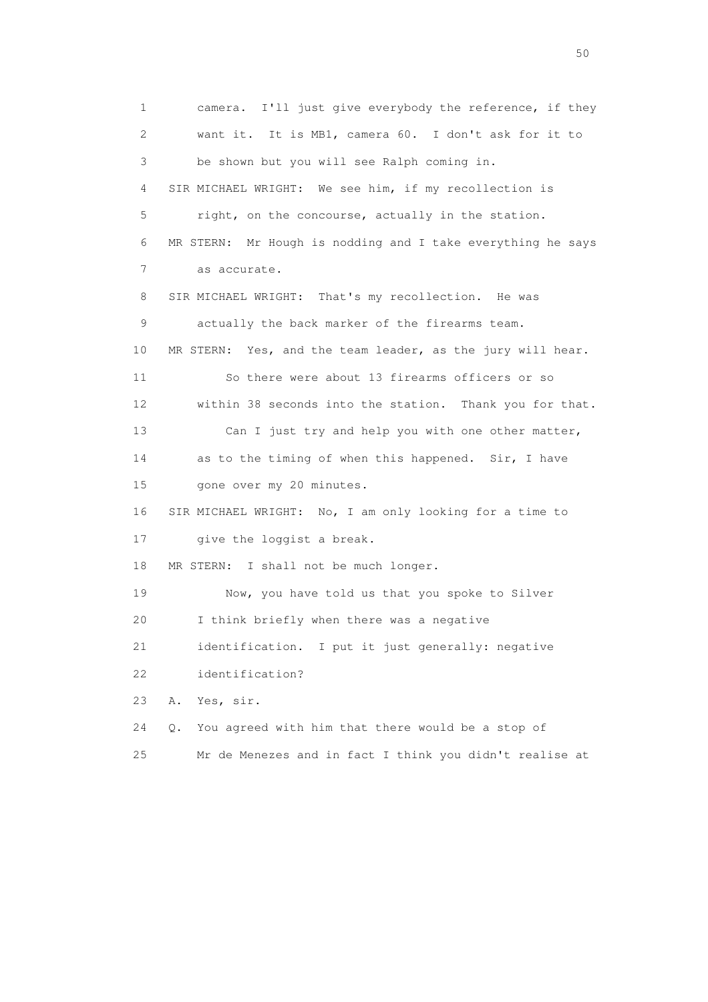1 camera. I'll just give everybody the reference, if they 2 want it. It is MB1, camera 60. I don't ask for it to 3 be shown but you will see Ralph coming in. 4 SIR MICHAEL WRIGHT: We see him, if my recollection is 5 right, on the concourse, actually in the station. 6 MR STERN: Mr Hough is nodding and I take everything he says 7 as accurate. 8 SIR MICHAEL WRIGHT: That's my recollection. He was 9 actually the back marker of the firearms team. 10 MR STERN: Yes, and the team leader, as the jury will hear. 11 So there were about 13 firearms officers or so 12 within 38 seconds into the station. Thank you for that. 13 Can I just try and help you with one other matter, 14 as to the timing of when this happened. Sir, I have 15 gone over my 20 minutes. 16 SIR MICHAEL WRIGHT: No, I am only looking for a time to 17 give the loggist a break. 18 MR STERN: I shall not be much longer. 19 Now, you have told us that you spoke to Silver 20 I think briefly when there was a negative 21 identification. I put it just generally: negative 22 identification? 23 A. Yes, sir. 24 Q. You agreed with him that there would be a stop of 25 Mr de Menezes and in fact I think you didn't realise at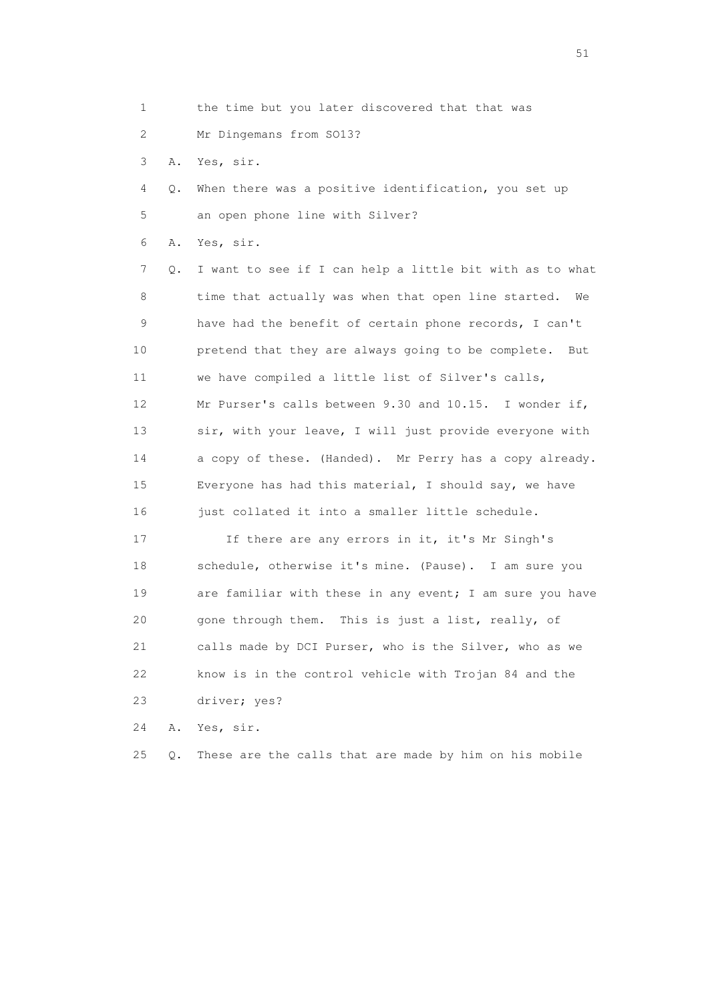- 1 the time but you later discovered that that was
- 2 Mr Dingemans from SO13?
- 3 A. Yes, sir.
- 4 Q. When there was a positive identification, you set up 5 an open phone line with Silver?
- 6 A. Yes, sir.

 7 Q. I want to see if I can help a little bit with as to what 8 time that actually was when that open line started. We 9 have had the benefit of certain phone records, I can't 10 pretend that they are always going to be complete. But 11 we have compiled a little list of Silver's calls, 12 Mr Purser's calls between 9.30 and 10.15. I wonder if, 13 sir, with your leave, I will just provide everyone with 14 a copy of these. (Handed). Mr Perry has a copy already. 15 Everyone has had this material, I should say, we have 16 just collated it into a smaller little schedule.

 17 If there are any errors in it, it's Mr Singh's 18 schedule, otherwise it's mine. (Pause). I am sure you 19 are familiar with these in any event; I am sure you have 20 gone through them. This is just a list, really, of 21 calls made by DCI Purser, who is the Silver, who as we 22 know is in the control vehicle with Trojan 84 and the 23 driver; yes?

24 A. Yes, sir.

25 Q. These are the calls that are made by him on his mobile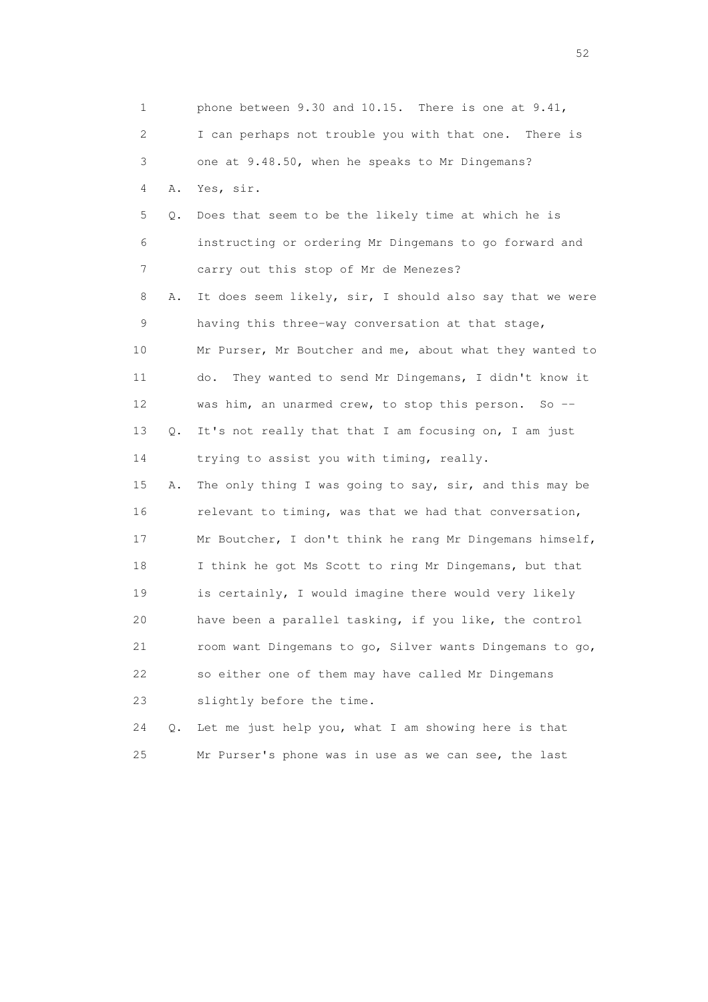| 1  |       | phone between 9.30 and 10.15. There is one at 9.41,       |
|----|-------|-----------------------------------------------------------|
| 2  |       | I can perhaps not trouble you with that one. There is     |
| 3  |       | one at 9.48.50, when he speaks to Mr Dingemans?           |
| 4  | Α.    | Yes, sir.                                                 |
| 5  | Q.    | Does that seem to be the likely time at which he is       |
| 6  |       | instructing or ordering Mr Dingemans to go forward and    |
| 7  |       | carry out this stop of Mr de Menezes?                     |
| 8  | Α.    | It does seem likely, sir, I should also say that we were  |
| 9  |       | having this three-way conversation at that stage,         |
| 10 |       | Mr Purser, Mr Boutcher and me, about what they wanted to  |
| 11 |       | They wanted to send Mr Dingemans, I didn't know it<br>do. |
| 12 |       | was him, an unarmed crew, to stop this person. So --      |
| 13 | Q.    | It's not really that that I am focusing on, I am just     |
| 14 |       | trying to assist you with timing, really.                 |
| 15 | Α.    | The only thing I was going to say, sir, and this may be   |
| 16 |       | relevant to timing, was that we had that conversation,    |
| 17 |       | Mr Boutcher, I don't think he rang Mr Dingemans himself,  |
| 18 |       | I think he got Ms Scott to ring Mr Dingemans, but that    |
| 19 |       | is certainly, I would imagine there would very likely     |
| 20 |       | have been a parallel tasking, if you like, the control    |
| 21 |       | room want Dingemans to go, Silver wants Dingemans to go,  |
| 22 |       | so either one of them may have called Mr Dingemans        |
| 23 |       | slightly before the time.                                 |
| 24 | $Q$ . | Let me just help you, what I am showing here is that      |

25 Mr Purser's phone was in use as we can see, the last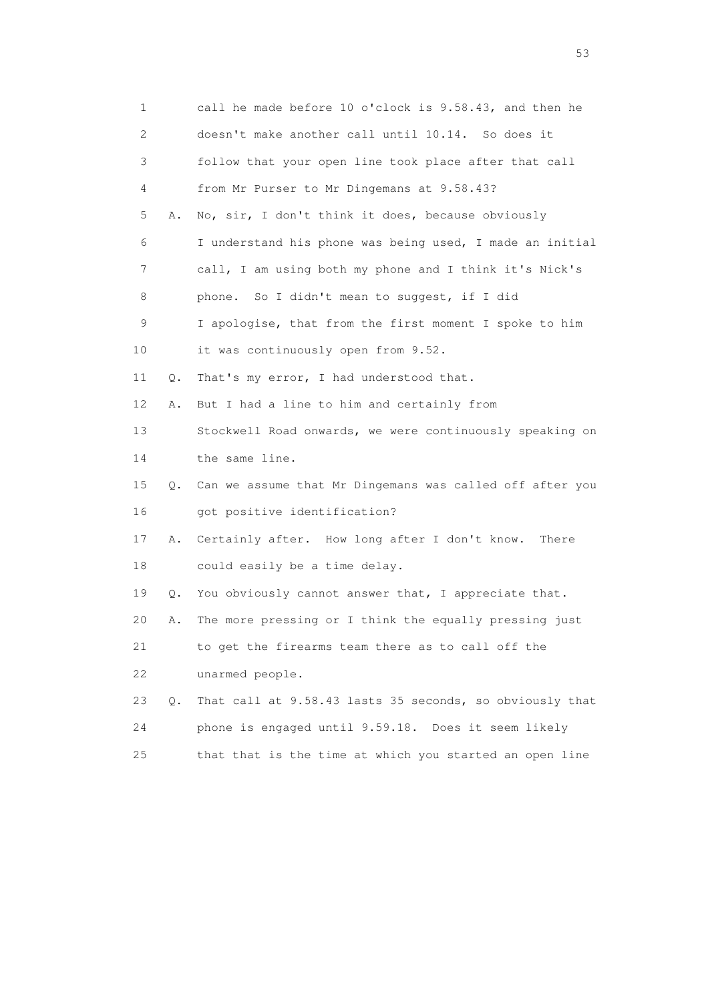| 1                         |    | call he made before 10 o'clock is 9.58.43, and then he      |
|---------------------------|----|-------------------------------------------------------------|
| $\mathbf{2}^{\mathsf{I}}$ |    | doesn't make another call until 10.14. So does it           |
| 3                         |    | follow that your open line took place after that call       |
| 4                         |    | from Mr Purser to Mr Dingemans at 9.58.43?                  |
| 5                         | Α. | No, sir, I don't think it does, because obviously           |
| 6                         |    | I understand his phone was being used, I made an initial    |
| 7                         |    | call, I am using both my phone and I think it's Nick's      |
| 8                         |    | phone. So I didn't mean to suggest, if I did                |
| 9                         |    | I apologise, that from the first moment I spoke to him      |
| 10                        |    | it was continuously open from 9.52.                         |
| 11                        | Q. | That's my error, I had understood that.                     |
| 12                        | Α. | But I had a line to him and certainly from                  |
| 13                        |    | Stockwell Road onwards, we were continuously speaking on    |
| 14                        |    | the same line.                                              |
| 15                        |    | Q. Can we assume that Mr Dingemans was called off after you |
| 16                        |    | got positive identification?                                |
| 17                        | Α. | Certainly after. How long after I don't know.<br>There      |
| 18                        |    | could easily be a time delay.                               |
| 19                        | Q. | You obviously cannot answer that, I appreciate that.        |
| 20                        | Α. | The more pressing or I think the equally pressing just      |
| 21                        |    | to get the firearms team there as to call off the           |
| 22                        |    | unarmed people.                                             |
| 23                        | Q. | That call at 9.58.43 lasts 35 seconds, so obviously that    |
| 24                        |    | phone is engaged until 9.59.18. Does it seem likely         |
| 25                        |    | that that is the time at which you started an open line     |

 $\sim$  53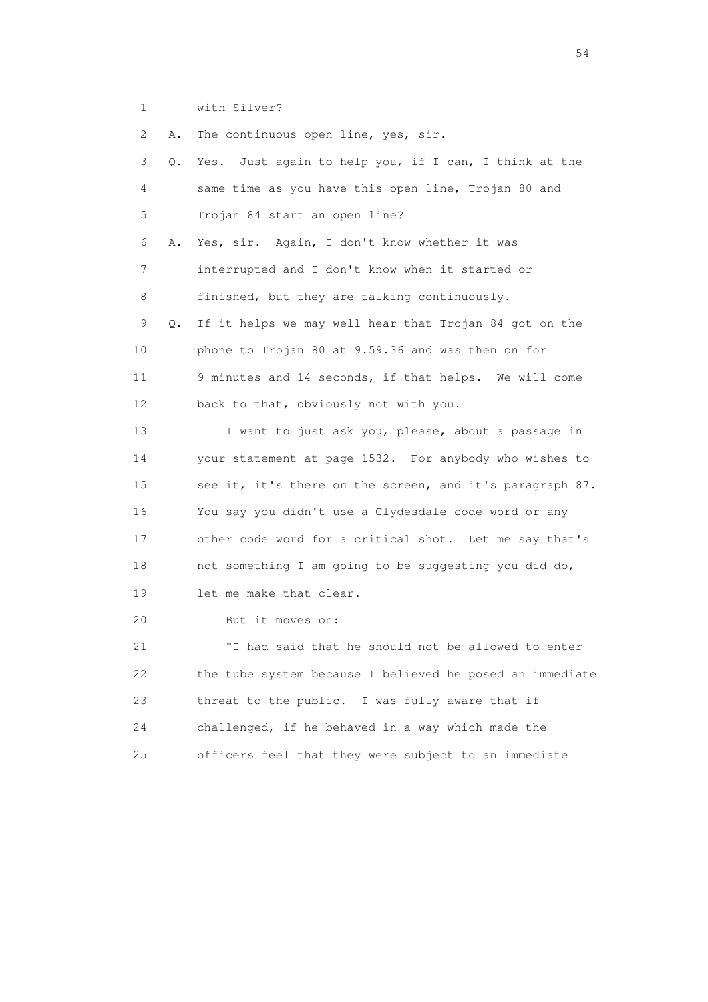1 with Silver?

 2 A. The continuous open line, yes, sir. 3 Q. Yes. Just again to help you, if I can, I think at the 4 same time as you have this open line, Trojan 80 and 5 Trojan 84 start an open line? 6 A. Yes, sir. Again, I don't know whether it was 7 interrupted and I don't know when it started or 8 finished, but they are talking continuously. 9 Q. If it helps we may well hear that Trojan 84 got on the 10 phone to Trojan 80 at 9.59.36 and was then on for 11 9 minutes and 14 seconds, if that helps. We will come 12 back to that, obviously not with you. 13 I want to just ask you, please, about a passage in 14 your statement at page 1532. For anybody who wishes to 15 see it, it's there on the screen, and it's paragraph 87. 16 You say you didn't use a Clydesdale code word or any 17 other code word for a critical shot. Let me say that's 18 not something I am going to be suggesting you did do, 19 let me make that clear. 20 But it moves on:

 21 "I had said that he should not be allowed to enter 22 the tube system because I believed he posed an immediate 23 threat to the public. I was fully aware that if 24 challenged, if he behaved in a way which made the 25 officers feel that they were subject to an immediate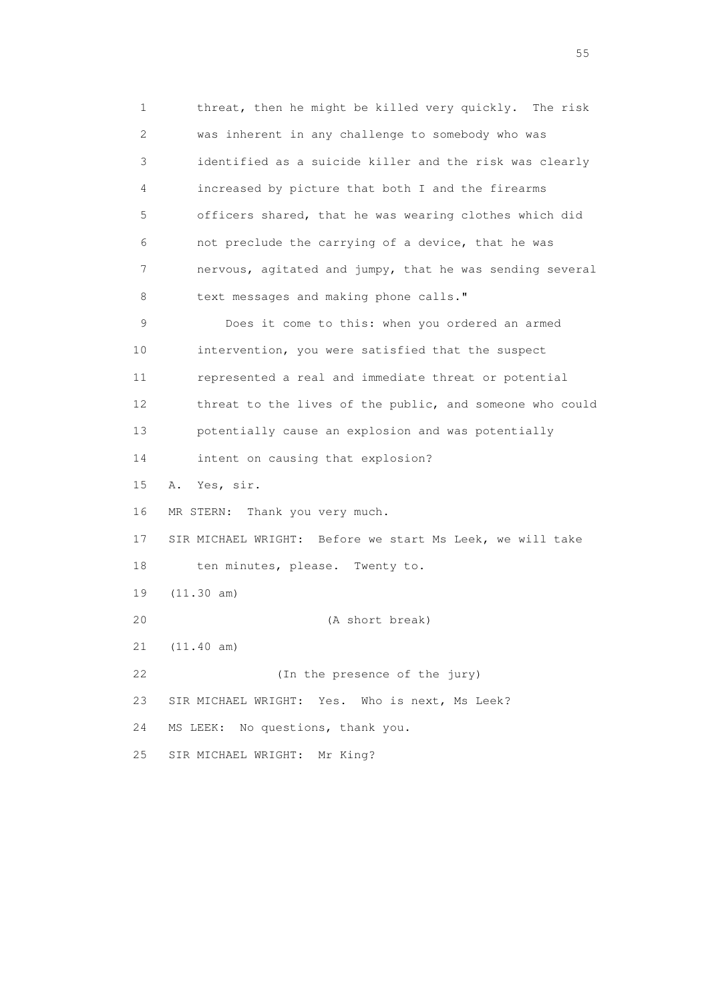1 threat, then he might be killed very quickly. The risk 2 was inherent in any challenge to somebody who was 3 identified as a suicide killer and the risk was clearly 4 increased by picture that both I and the firearms 5 officers shared, that he was wearing clothes which did 6 not preclude the carrying of a device, that he was 7 nervous, agitated and jumpy, that he was sending several 8 text messages and making phone calls." 9 Does it come to this: when you ordered an armed 10 intervention, you were satisfied that the suspect 11 represented a real and immediate threat or potential 12 threat to the lives of the public, and someone who could 13 potentially cause an explosion and was potentially 14 intent on causing that explosion? 15 A. Yes, sir. 16 MR STERN: Thank you very much. 17 SIR MICHAEL WRIGHT: Before we start Ms Leek, we will take 18 ten minutes, please. Twenty to. 19 (11.30 am) 20 (A short break) 21 (11.40 am) 22 (In the presence of the jury) 23 SIR MICHAEL WRIGHT: Yes. Who is next, Ms Leek? 24 MS LEEK: No questions, thank you. 25 SIR MICHAEL WRIGHT: Mr King?

the state of the state of the state of the state of the state of the state of the state of the state of the state of the state of the state of the state of the state of the state of the state of the state of the state of t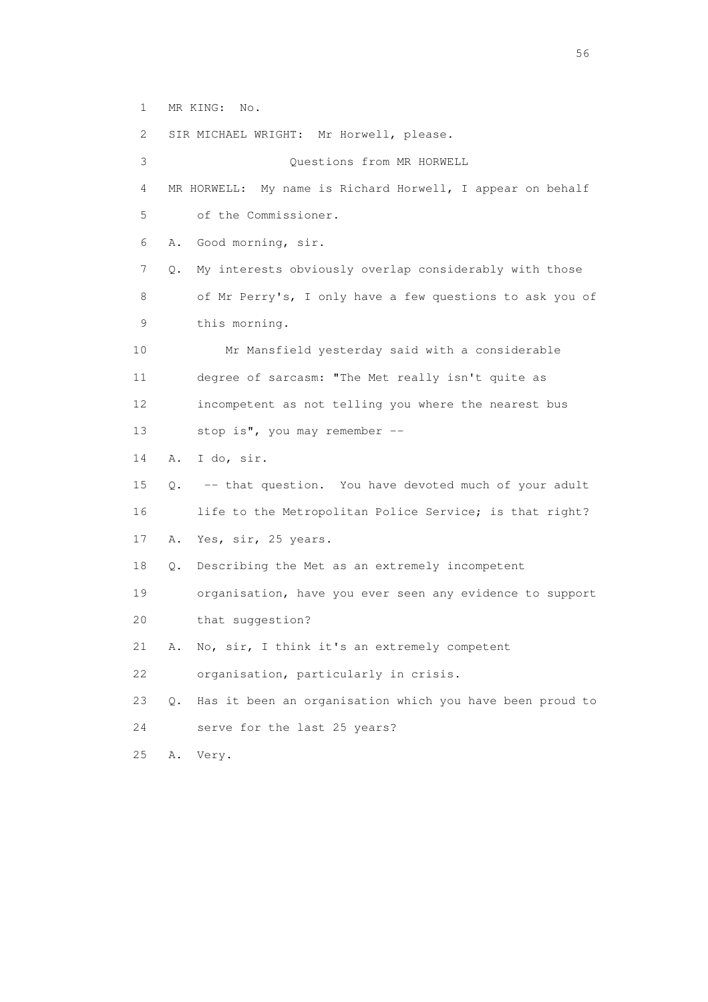1 MR KING: No.

 2 SIR MICHAEL WRIGHT: Mr Horwell, please. 3 Questions from MR HORWELL 4 MR HORWELL: My name is Richard Horwell, I appear on behalf 5 of the Commissioner. 6 A. Good morning, sir. 7 Q. My interests obviously overlap considerably with those 8 of Mr Perry's, I only have a few questions to ask you of 9 this morning. 10 Mr Mansfield yesterday said with a considerable 11 degree of sarcasm: "The Met really isn't quite as 12 incompetent as not telling you where the nearest bus 13 stop is", you may remember -- 14 A. I do, sir. 15 Q. -- that question. You have devoted much of your adult 16 life to the Metropolitan Police Service; is that right? 17 A. Yes, sir, 25 years. 18 Q. Describing the Met as an extremely incompetent 19 organisation, have you ever seen any evidence to support 20 that suggestion? 21 A. No, sir, I think it's an extremely competent 22 organisation, particularly in crisis. 23 Q. Has it been an organisation which you have been proud to 24 serve for the last 25 years? 25 A. Very.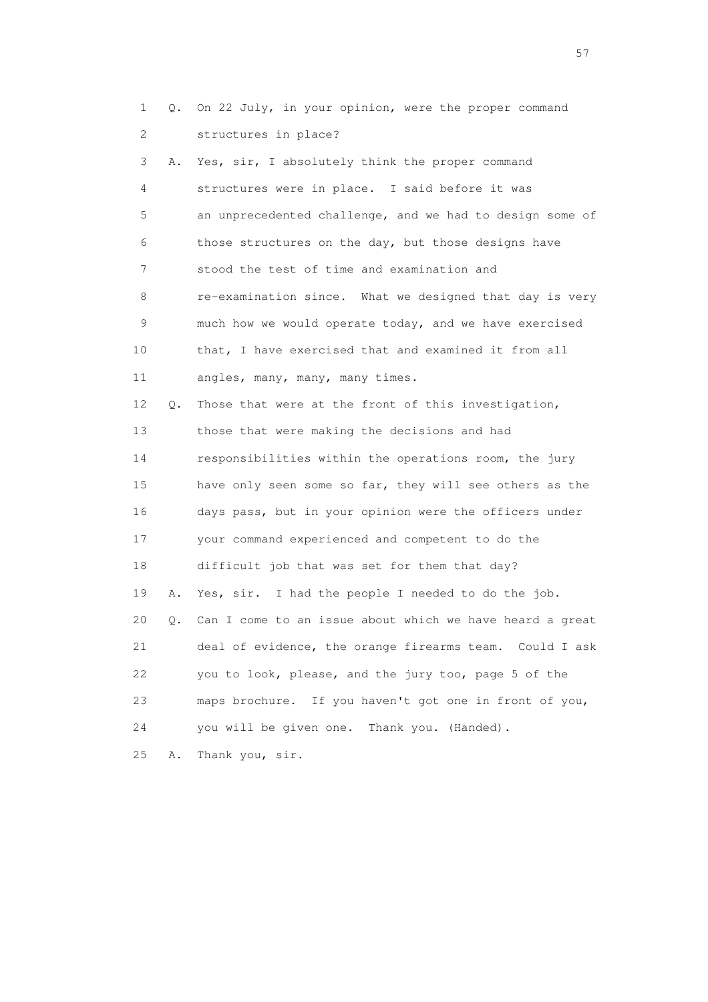1 Q. On 22 July, in your opinion, were the proper command 2 structures in place? 3 A. Yes, sir, I absolutely think the proper command 4 structures were in place. I said before it was 5 an unprecedented challenge, and we had to design some of 6 those structures on the day, but those designs have 7 stood the test of time and examination and 8 re-examination since. What we designed that day is very 9 much how we would operate today, and we have exercised 10 that, I have exercised that and examined it from all 11 angles, many, many, many times. 12 Q. Those that were at the front of this investigation, 13 those that were making the decisions and had 14 responsibilities within the operations room, the jury 15 have only seen some so far, they will see others as the 16 days pass, but in your opinion were the officers under 17 your command experienced and competent to do the 18 difficult job that was set for them that day? 19 A. Yes, sir. I had the people I needed to do the job. 20 Q. Can I come to an issue about which we have heard a great 21 deal of evidence, the orange firearms team. Could I ask 22 you to look, please, and the jury too, page 5 of the 23 maps brochure. If you haven't got one in front of you,

24 you will be given one. Thank you. (Handed).

25 A. Thank you, sir.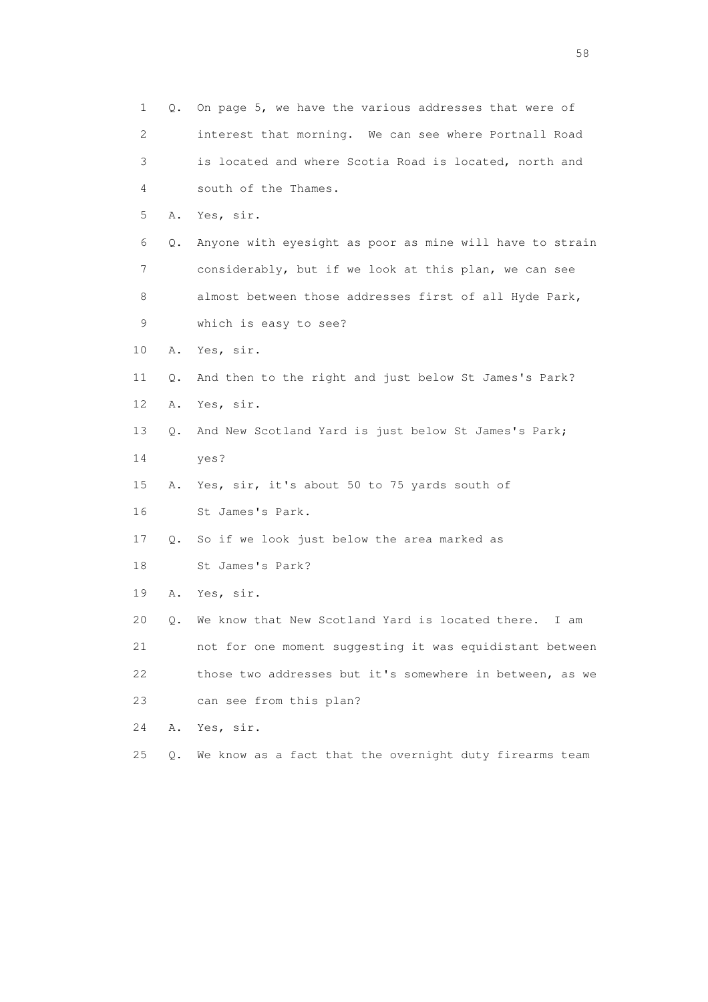| $\mathbf 1$ | Q. | On page 5, we have the various addresses that were of    |
|-------------|----|----------------------------------------------------------|
| 2           |    | interest that morning. We can see where Portnall Road    |
| 3           |    | is located and where Scotia Road is located, north and   |
| 4           |    | south of the Thames.                                     |
| 5           | Α. | Yes, sir.                                                |
| 6           | Q. | Anyone with eyesight as poor as mine will have to strain |
| 7           |    | considerably, but if we look at this plan, we can see    |
| 8           |    | almost between those addresses first of all Hyde Park,   |
| 9           |    | which is easy to see?                                    |
| 10          | Α. | Yes, sir.                                                |
| 11          | Q. | And then to the right and just below St James's Park?    |
| 12          | Α. | Yes, sir.                                                |
| 13          | Q. | And New Scotland Yard is just below St James's Park;     |
| 14          |    | yes?                                                     |
| 15          | Α. | Yes, sir, it's about 50 to 75 yards south of             |
| 16          |    | St James's Park.                                         |
| 17          | Q. | So if we look just below the area marked as              |
| 18          |    | St James's Park?                                         |
| 19          | Α. | Yes, sir.                                                |
| 20          | Q. | We know that New Scotland Yard is located there.<br>I am |
| 21          |    | not for one moment suggesting it was equidistant between |
| 22          |    | those two addresses but it's somewhere in between, as we |
| 23          |    | can see from this plan?                                  |
| 24          | Α. | Yes, sir.                                                |
| 25          | Q. | We know as a fact that the overnight duty firearms team  |

the state of the state of the state of the state of the state of the state of the state of the state of the state of the state of the state of the state of the state of the state of the state of the state of the state of t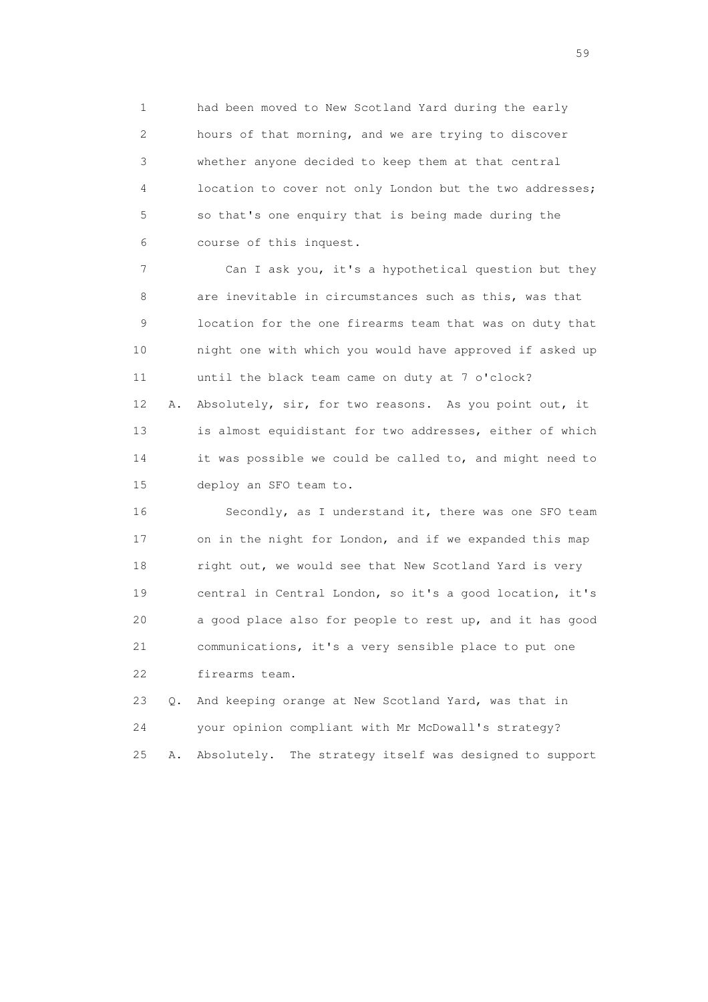1 had been moved to New Scotland Yard during the early 2 hours of that morning, and we are trying to discover 3 whether anyone decided to keep them at that central 4 location to cover not only London but the two addresses; 5 so that's one enquiry that is being made during the 6 course of this inquest.

 7 Can I ask you, it's a hypothetical question but they 8 are inevitable in circumstances such as this, was that 9 location for the one firearms team that was on duty that 10 night one with which you would have approved if asked up 11 until the black team came on duty at 7 o'clock? 12 A. Absolutely, sir, for two reasons. As you point out, it 13 is almost equidistant for two addresses, either of which 14 it was possible we could be called to, and might need to 15 deploy an SFO team to.

16 Secondly, as I understand it, there was one SFO team 17 on in the night for London, and if we expanded this map 18 right out, we would see that New Scotland Yard is very 19 central in Central London, so it's a good location, it's 20 a good place also for people to rest up, and it has good 21 communications, it's a very sensible place to put one 22 firearms team.

 23 Q. And keeping orange at New Scotland Yard, was that in 24 your opinion compliant with Mr McDowall's strategy? 25 A. Absolutely. The strategy itself was designed to support

the contract of the contract of the contract of the contract of the contract of the contract of the contract of the contract of the contract of the contract of the contract of the contract of the contract of the contract o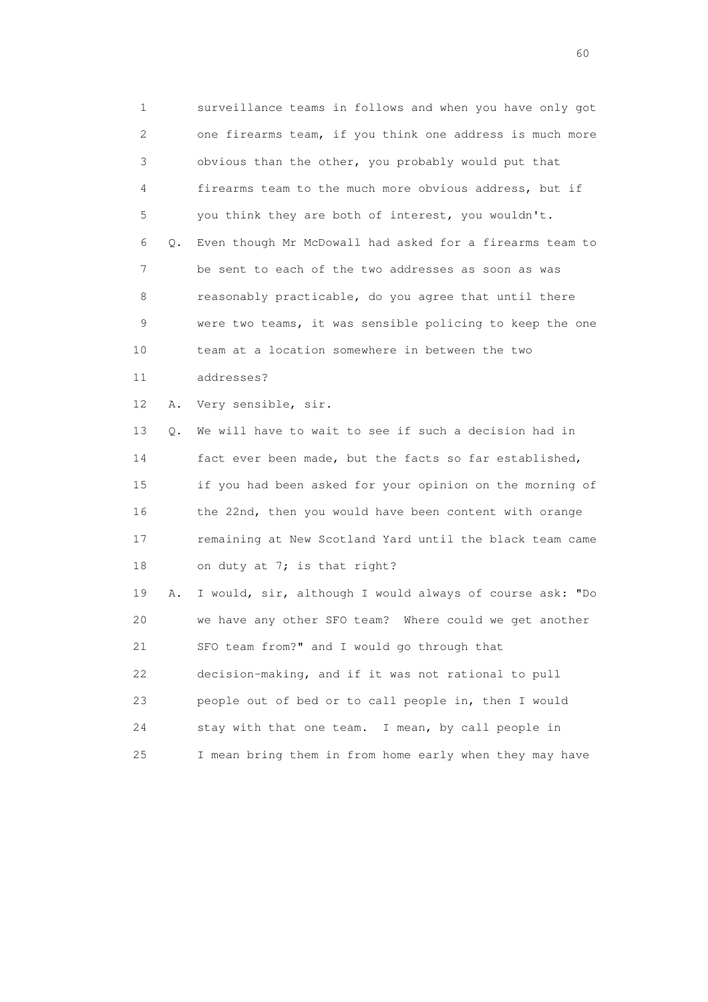1 surveillance teams in follows and when you have only got 2 one firearms team, if you think one address is much more 3 obvious than the other, you probably would put that 4 firearms team to the much more obvious address, but if 5 you think they are both of interest, you wouldn't. 6 Q. Even though Mr McDowall had asked for a firearms team to 7 be sent to each of the two addresses as soon as was 8 reasonably practicable, do you agree that until there 9 were two teams, it was sensible policing to keep the one 10 team at a location somewhere in between the two 11 addresses? 12 A. Very sensible, sir. 13 Q. We will have to wait to see if such a decision had in 14 fact ever been made, but the facts so far established, 15 if you had been asked for your opinion on the morning of 16 the 22nd, then you would have been content with orange 17 remaining at New Scotland Yard until the black team came 18 on duty at 7; is that right? 19 A. I would, sir, although I would always of course ask: "Do 20 we have any other SFO team? Where could we get another

21 SFO team from?" and I would go through that

22 decision-making, and if it was not rational to pull

23 people out of bed or to call people in, then I would

24 stay with that one team. I mean, by call people in

25 I mean bring them in from home early when they may have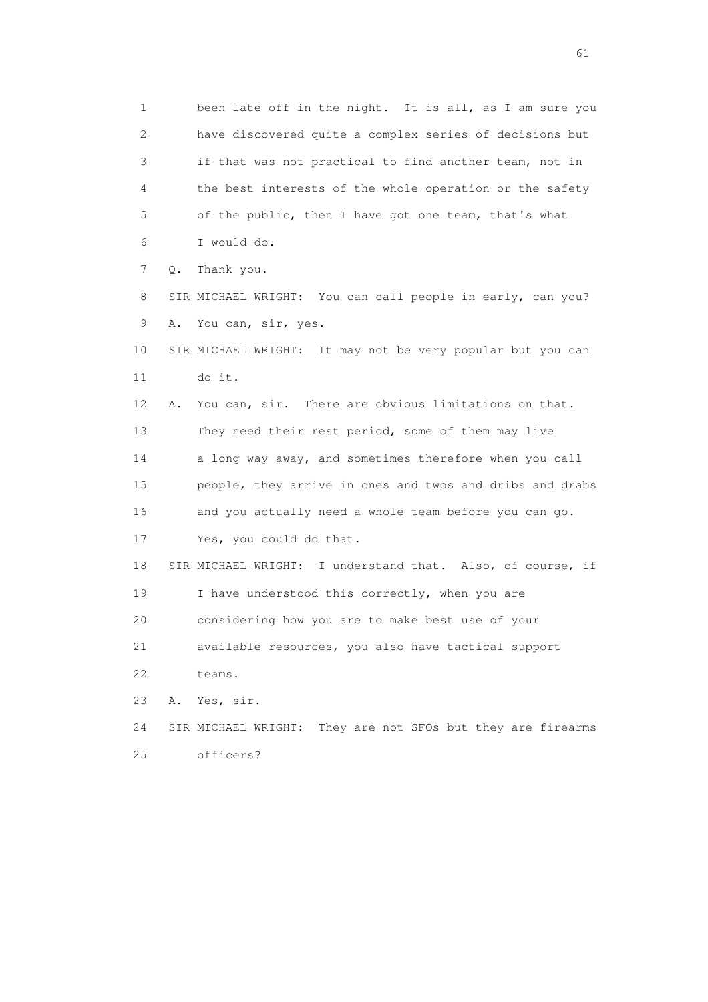1 been late off in the night. It is all, as I am sure you 2 have discovered quite a complex series of decisions but 3 if that was not practical to find another team, not in 4 the best interests of the whole operation or the safety 5 of the public, then I have got one team, that's what 6 I would do. 7 Q. Thank you. 8 SIR MICHAEL WRIGHT: You can call people in early, can you? 9 A. You can, sir, yes. 10 SIR MICHAEL WRIGHT: It may not be very popular but you can 11 do it. 12 A. You can, sir. There are obvious limitations on that. 13 They need their rest period, some of them may live 14 a long way away, and sometimes therefore when you call 15 people, they arrive in ones and twos and dribs and drabs 16 and you actually need a whole team before you can go. 17 Yes, you could do that. 18 SIR MICHAEL WRIGHT: I understand that. Also, of course, if 19 I have understood this correctly, when you are 20 considering how you are to make best use of your 21 available resources, you also have tactical support 22 teams. 23 A. Yes, sir. 24 SIR MICHAEL WRIGHT: They are not SFOs but they are firearms 25 officers?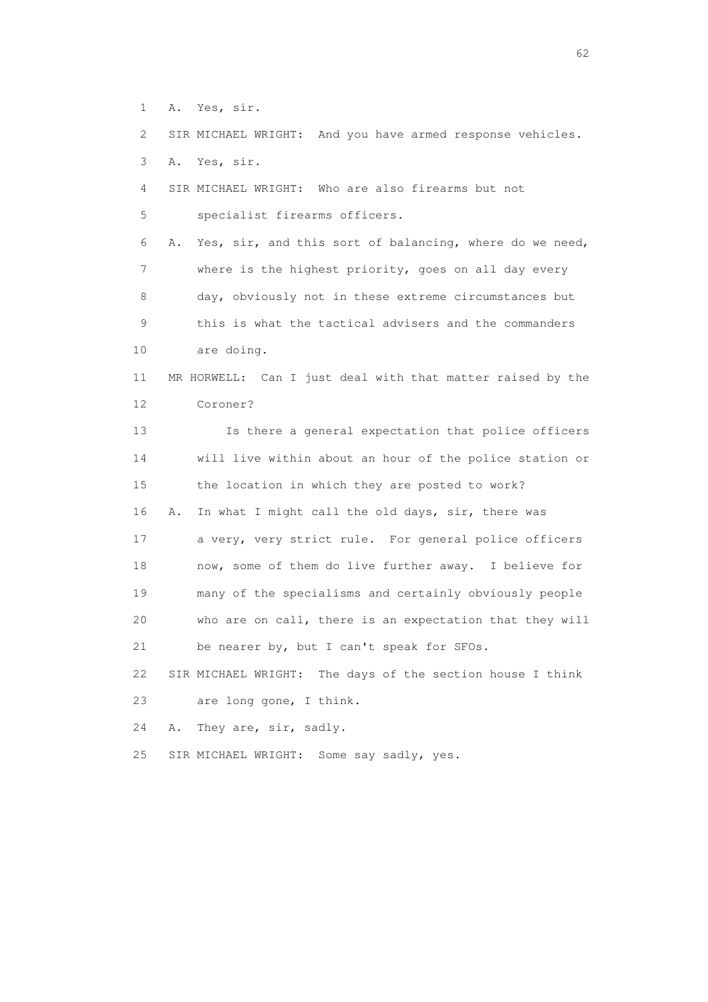1 A. Yes, sir.

2 SIR MICHAEL WRIGHT: And you have armed response vehicles.

- 3 A. Yes, sir.
- 4 SIR MICHAEL WRIGHT: Who are also firearms but not 5 specialist firearms officers.

 6 A. Yes, sir, and this sort of balancing, where do we need, 7 where is the highest priority, goes on all day every 8 day, obviously not in these extreme circumstances but 9 this is what the tactical advisers and the commanders 10 are doing.

## 11 MR HORWELL: Can I just deal with that matter raised by the 12 Coroner?

 13 Is there a general expectation that police officers 14 will live within about an hour of the police station or 15 the location in which they are posted to work? 16 A. In what I might call the old days, sir, there was 17 a very, very strict rule. For general police officers 18 now, some of them do live further away. I believe for 19 many of the specialisms and certainly obviously people 20 who are on call, there is an expectation that they will 21 be nearer by, but I can't speak for SFOs.

 22 SIR MICHAEL WRIGHT: The days of the section house I think 23 are long gone, I think.

24 A. They are, sir, sadly.

25 SIR MICHAEL WRIGHT: Some say sadly, yes.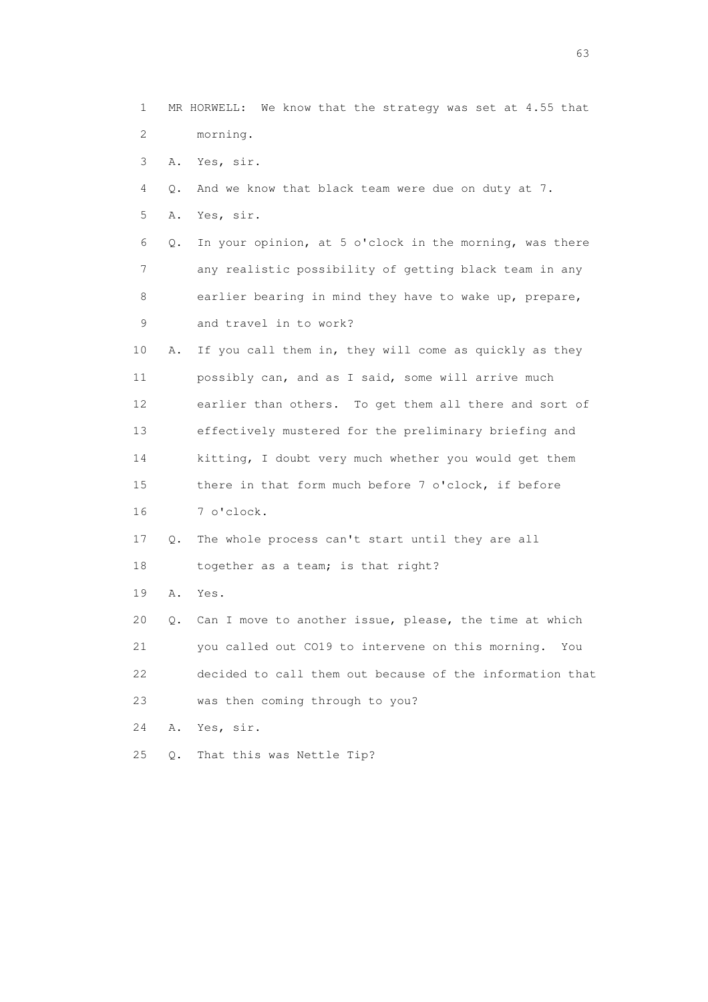1 MR HORWELL: We know that the strategy was set at 4.55 that 2 morning. 3 A. Yes, sir. 4 Q. And we know that black team were due on duty at 7. 5 A. Yes, sir. 6 Q. In your opinion, at 5 o'clock in the morning, was there 7 any realistic possibility of getting black team in any 8 earlier bearing in mind they have to wake up, prepare, 9 and travel in to work? 10 A. If you call them in, they will come as quickly as they 11 possibly can, and as I said, some will arrive much 12 earlier than others. To get them all there and sort of 13 effectively mustered for the preliminary briefing and 14 kitting, I doubt very much whether you would get them 15 there in that form much before 7 o'clock, if before 16 7 o'clock. 17 Q. The whole process can't start until they are all 18 together as a team; is that right? 19 A. Yes. 20 Q. Can I move to another issue, please, the time at which 21 you called out CO19 to intervene on this morning. You 22 decided to call them out because of the information that 23 was then coming through to you? 24 A. Yes, sir. 25 Q. That this was Nettle Tip?

experience of the contract of the contract of the contract of the contract of the contract of the contract of the contract of the contract of the contract of the contract of the contract of the contract of the contract of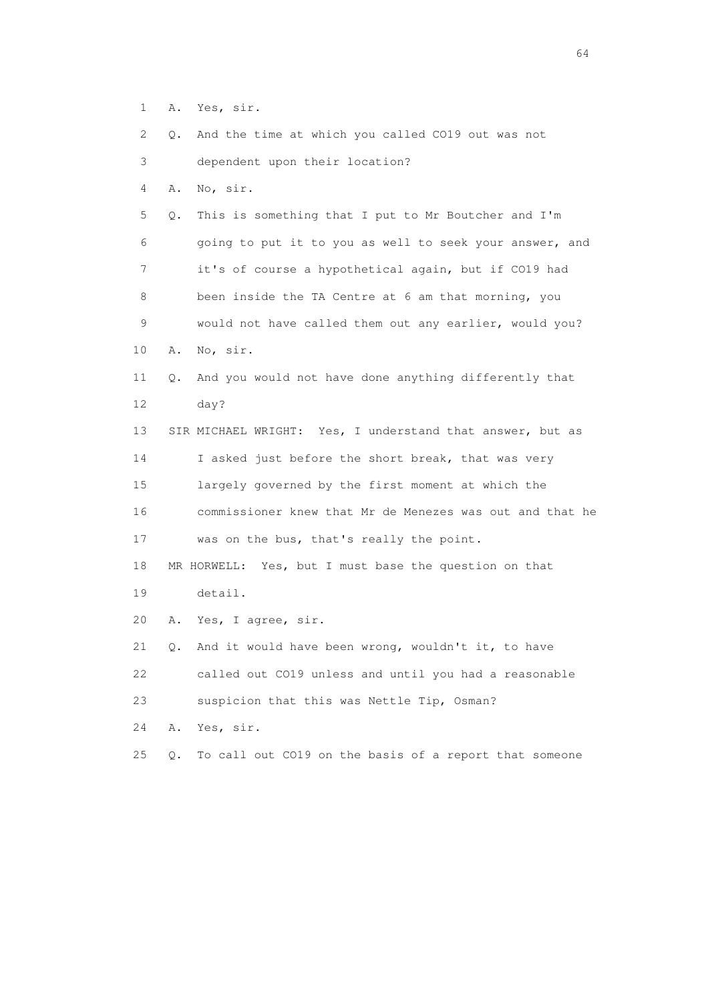- 1 A. Yes, sir.
- 2 Q. And the time at which you called CO19 out was not

3 dependent upon their location?

4 A. No, sir.

 5 Q. This is something that I put to Mr Boutcher and I'm 6 going to put it to you as well to seek your answer, and 7 it's of course a hypothetical again, but if CO19 had 8 been inside the TA Centre at 6 am that morning, you 9 would not have called them out any earlier, would you? 10 A. No, sir.

 11 Q. And you would not have done anything differently that 12 day?

 13 SIR MICHAEL WRIGHT: Yes, I understand that answer, but as 14 I asked just before the short break, that was very 15 largely governed by the first moment at which the 16 commissioner knew that Mr de Menezes was out and that he 17 was on the bus, that's really the point. 18 MR HORWELL: Yes, but I must base the question on that

- 19 detail.
- 20 A. Yes, I agree, sir.

 21 Q. And it would have been wrong, wouldn't it, to have 22 called out CO19 unless and until you had a reasonable 23 suspicion that this was Nettle Tip, Osman?

- 24 A. Yes, sir.
- 25 Q. To call out CO19 on the basis of a report that someone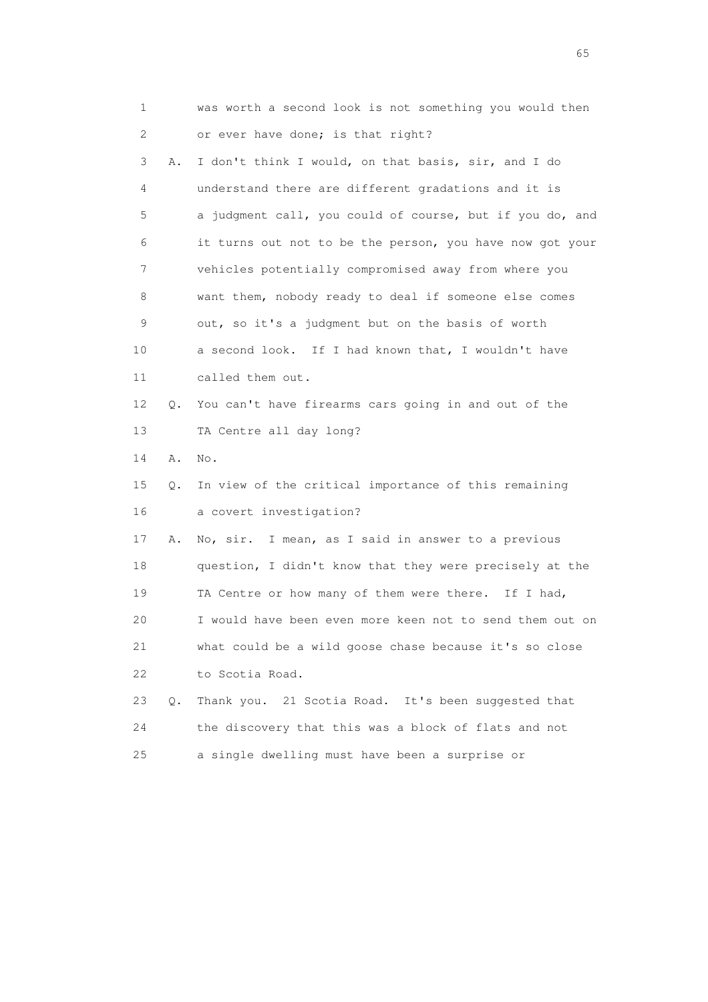| 1                         |       | was worth a second look is not something you would then  |
|---------------------------|-------|----------------------------------------------------------|
| $\mathbf{2}^{\mathsf{I}}$ |       | or ever have done; is that right?                        |
| 3                         | Α.    | I don't think I would, on that basis, sir, and I do      |
| 4                         |       | understand there are different gradations and it is      |
| 5                         |       | a judgment call, you could of course, but if you do, and |
| 6                         |       | it turns out not to be the person, you have now got your |
| 7                         |       | vehicles potentially compromised away from where you     |
| 8                         |       | want them, nobody ready to deal if someone else comes    |
| 9                         |       | out, so it's a judgment but on the basis of worth        |
| 10                        |       | a second look. If I had known that, I wouldn't have      |
| 11                        |       | called them out.                                         |
| 12                        | Q.    | You can't have firearms cars going in and out of the     |
| 13                        |       | TA Centre all day long?                                  |
| 14                        | Α.    | No.                                                      |
| 15                        | О.    | In view of the critical importance of this remaining     |
| 16                        |       | a covert investigation?                                  |
| 17                        | Α.    | No, sir. I mean, as I said in answer to a previous       |
| 18                        |       | question, I didn't know that they were precisely at the  |
| 19                        |       | TA Centre or how many of them were there. If I had,      |
| 20                        |       | I would have been even more keen not to send them out on |
| 21                        |       | what could be a wild goose chase because it's so close   |
| 22                        |       | to Scotia Road.                                          |
| 23                        | $Q$ . | Thank you. 21 Scotia Road. It's been suggested that      |
| 24                        |       | the discovery that this was a block of flats and not     |
| 25                        |       | a single dwelling must have been a surprise or           |

 $\sim$  65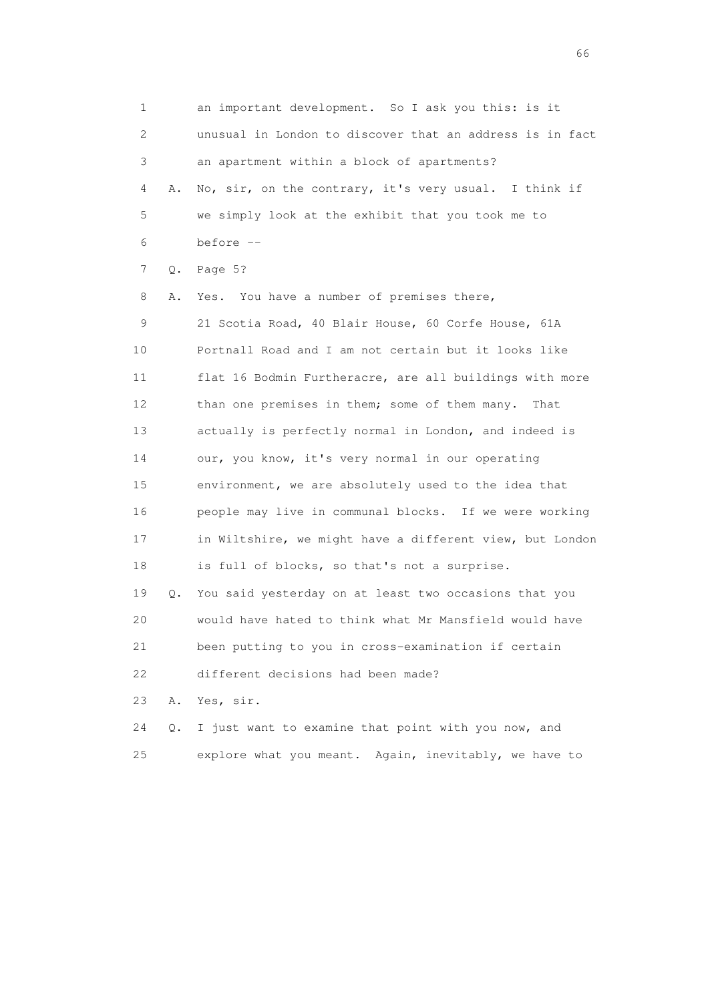1 an important development. So I ask you this: is it 2 unusual in London to discover that an address is in fact 3 an apartment within a block of apartments? 4 A. No, sir, on the contrary, it's very usual. I think if 5 we simply look at the exhibit that you took me to 6 before -- 7 Q. Page 5? 8 A. Yes. You have a number of premises there, 9 21 Scotia Road, 40 Blair House, 60 Corfe House, 61A 10 Portnall Road and I am not certain but it looks like 11 flat 16 Bodmin Furtheracre, are all buildings with more 12 than one premises in them; some of them many. That 13 actually is perfectly normal in London, and indeed is 14 our, you know, it's very normal in our operating 15 environment, we are absolutely used to the idea that 16 people may live in communal blocks. If we were working 17 in Wiltshire, we might have a different view, but London 18 is full of blocks, so that's not a surprise. 19 Q. You said yesterday on at least two occasions that you 20 would have hated to think what Mr Mansfield would have 21 been putting to you in cross-examination if certain 22 different decisions had been made? 23 A. Yes, sir. 24 Q. I just want to examine that point with you now, and 25 explore what you meant. Again, inevitably, we have to

 $\sim$  66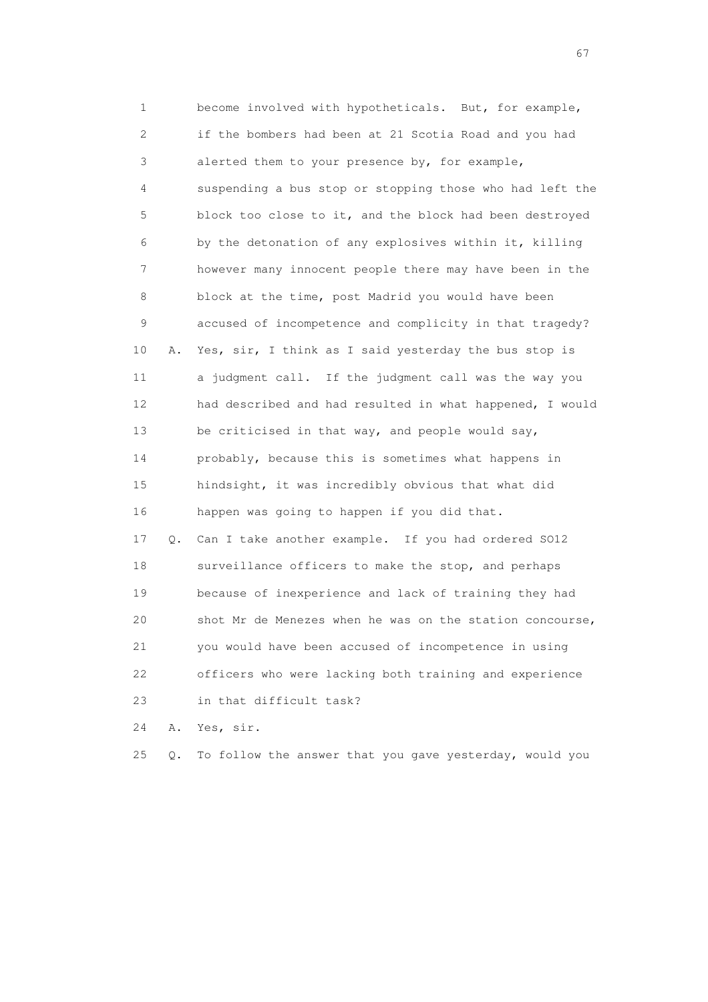1 become involved with hypotheticals. But, for example, 2 if the bombers had been at 21 Scotia Road and you had 3 alerted them to your presence by, for example, 4 suspending a bus stop or stopping those who had left the 5 block too close to it, and the block had been destroyed 6 by the detonation of any explosives within it, killing 7 however many innocent people there may have been in the 8 block at the time, post Madrid you would have been 9 accused of incompetence and complicity in that tragedy? 10 A. Yes, sir, I think as I said yesterday the bus stop is 11 a judgment call. If the judgment call was the way you 12 had described and had resulted in what happened, I would 13 be criticised in that way, and people would say, 14 probably, because this is sometimes what happens in 15 hindsight, it was incredibly obvious that what did 16 happen was going to happen if you did that. 17 Q. Can I take another example. If you had ordered SO12 18 surveillance officers to make the stop, and perhaps 19 because of inexperience and lack of training they had 20 shot Mr de Menezes when he was on the station concourse, 21 you would have been accused of incompetence in using 22 officers who were lacking both training and experience

23 in that difficult task?

24 A. Yes, sir.

25 Q. To follow the answer that you gave yesterday, would you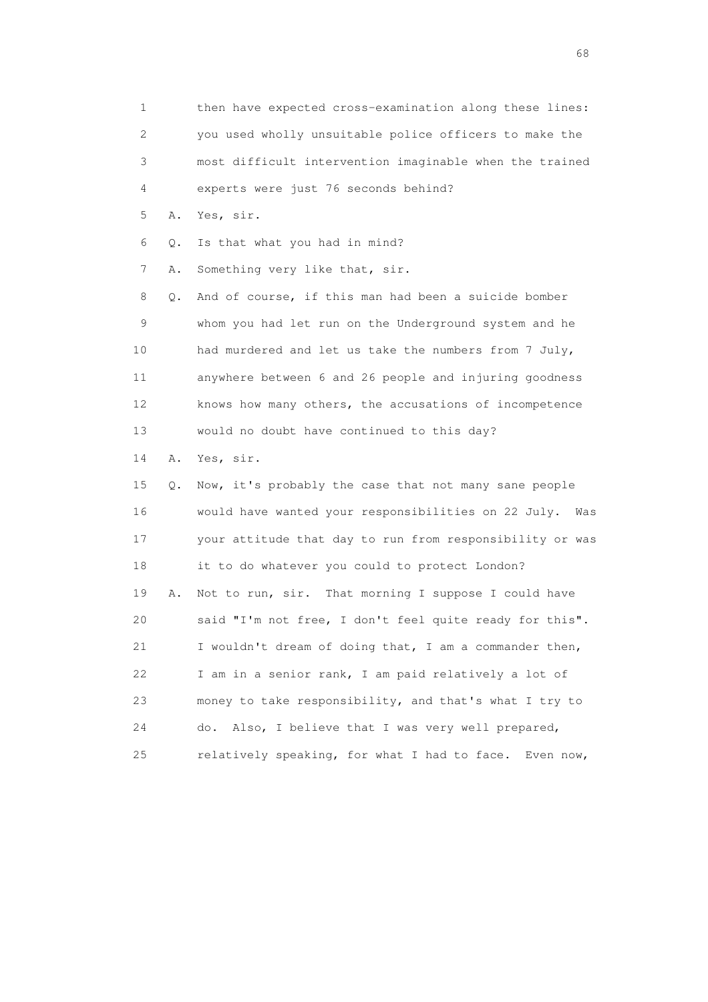1 then have expected cross-examination along these lines: 2 you used wholly unsuitable police officers to make the 3 most difficult intervention imaginable when the trained 4 experts were just 76 seconds behind? 5 A. Yes, sir. 6 Q. Is that what you had in mind? 7 A. Something very like that, sir. 8 Q. And of course, if this man had been a suicide bomber 9 whom you had let run on the Underground system and he 10 had murdered and let us take the numbers from 7 July, 11 anywhere between 6 and 26 people and injuring goodness 12 knows how many others, the accusations of incompetence 13 would no doubt have continued to this day? 14 A. Yes, sir. 15 Q. Now, it's probably the case that not many sane people 16 would have wanted your responsibilities on 22 July. Was 17 your attitude that day to run from responsibility or was 18 it to do whatever you could to protect London? 19 A. Not to run, sir. That morning I suppose I could have 20 said "I'm not free, I don't feel quite ready for this". 21 I wouldn't dream of doing that, I am a commander then, 22 I am in a senior rank, I am paid relatively a lot of 23 money to take responsibility, and that's what I try to 24 do. Also, I believe that I was very well prepared,

25 relatively speaking, for what I had to face. Even now,

en de la construction de la construction de la construction de la construction de la construction de la construction de la construction de la construction de la construction de la construction de la construction de la cons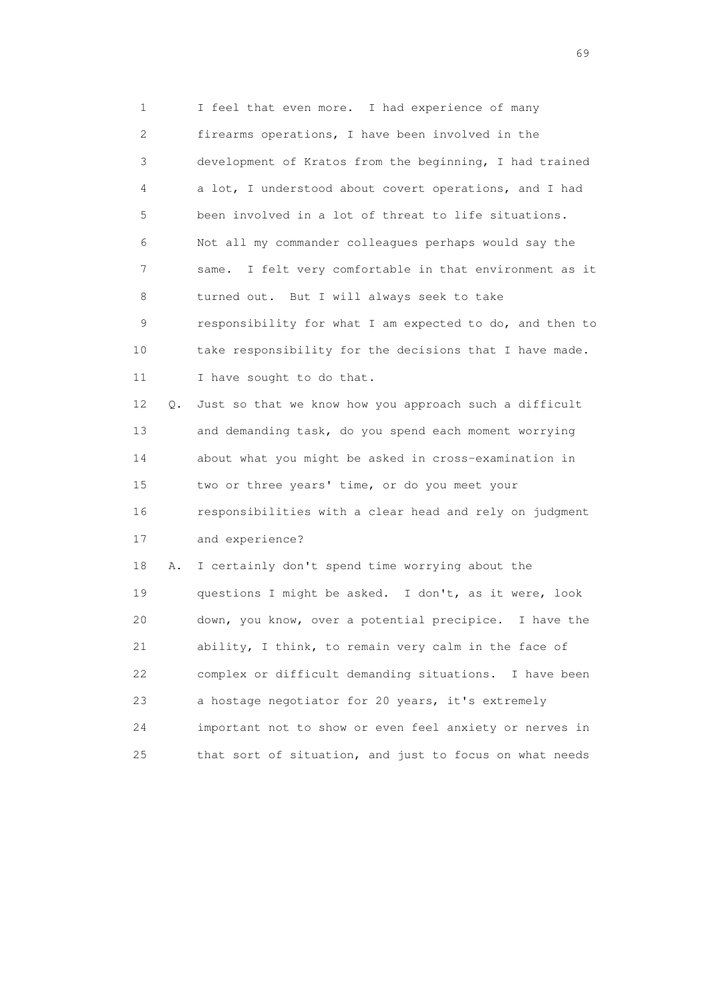1 I feel that even more. I had experience of many 2 firearms operations, I have been involved in the 3 development of Kratos from the beginning, I had trained 4 a lot, I understood about covert operations, and I had 5 been involved in a lot of threat to life situations. 6 Not all my commander colleagues perhaps would say the 7 same. I felt very comfortable in that environment as it 8 turned out. But I will always seek to take 9 responsibility for what I am expected to do, and then to 10 take responsibility for the decisions that I have made. 11 I have sought to do that. 12 Q. Just so that we know how you approach such a difficult 13 and demanding task, do you spend each moment worrying 14 about what you might be asked in cross-examination in 15 two or three years' time, or do you meet your 16 responsibilities with a clear head and rely on judgment 17 and experience? 18 A. I certainly don't spend time worrying about the 19 questions I might be asked. I don't, as it were, look 20 down, you know, over a potential precipice. I have the 21 ability, I think, to remain very calm in the face of 22 complex or difficult demanding situations. I have been 23 a hostage negotiator for 20 years, it's extremely 24 important not to show or even feel anxiety or nerves in 25 that sort of situation, and just to focus on what needs

entral de la construction de la construction de la construction de la construction de la construction de la co<br>1990 : la construction de la construction de la construction de la construction de la construction de la const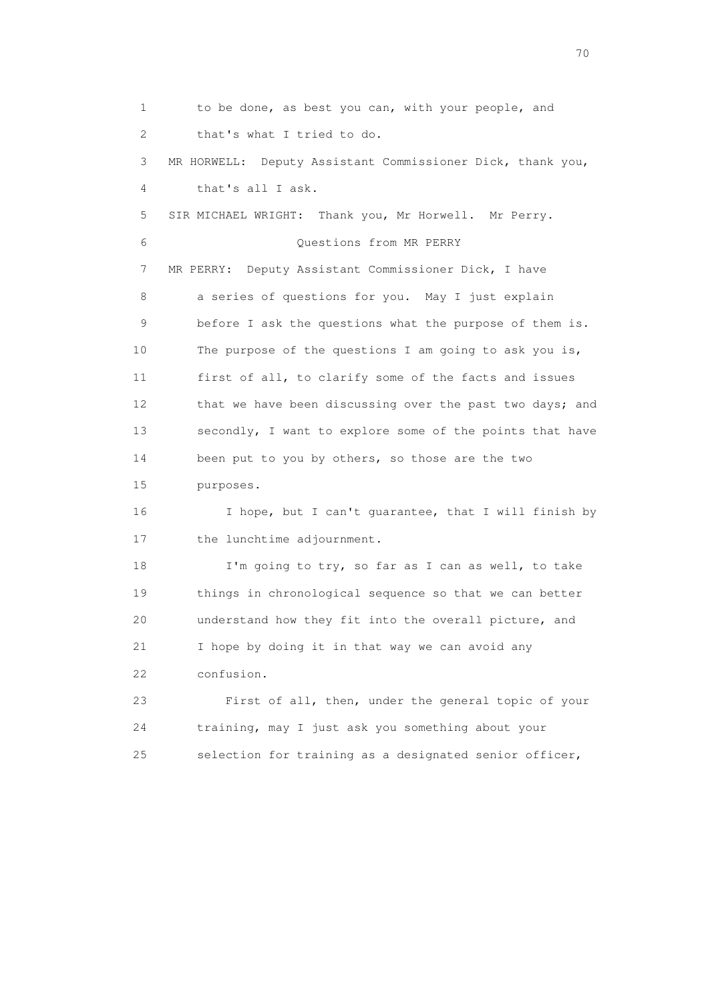1 to be done, as best you can, with your people, and 2 that's what I tried to do. 3 MR HORWELL: Deputy Assistant Commissioner Dick, thank you, 4 that's all I ask. 5 SIR MICHAEL WRIGHT: Thank you, Mr Horwell. Mr Perry. 6 Questions from MR PERRY 7 MR PERRY: Deputy Assistant Commissioner Dick, I have 8 a series of questions for you. May I just explain 9 before I ask the questions what the purpose of them is. 10 The purpose of the questions I am going to ask you is, 11 first of all, to clarify some of the facts and issues 12 that we have been discussing over the past two days; and 13 secondly, I want to explore some of the points that have 14 been put to you by others, so those are the two 15 purposes. 16 I hope, but I can't guarantee, that I will finish by 17 the lunchtime adjournment. 18 I'm going to try, so far as I can as well, to take 19 things in chronological sequence so that we can better 20 understand how they fit into the overall picture, and 21 I hope by doing it in that way we can avoid any 22 confusion. 23 First of all, then, under the general topic of your 24 training, may I just ask you something about your 25 selection for training as a designated senior officer,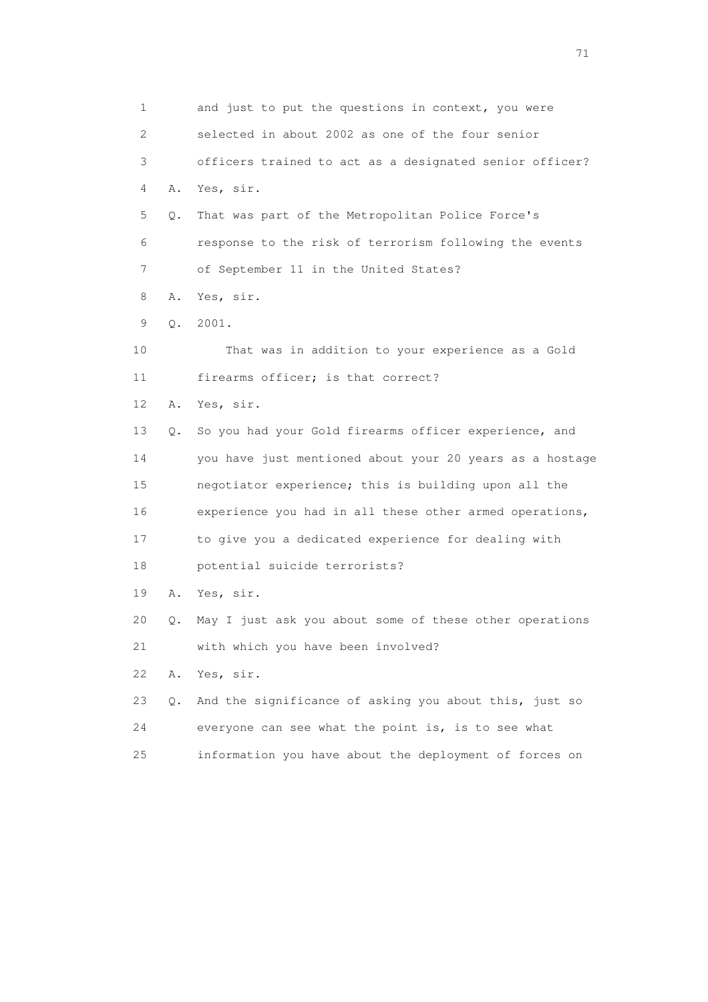1 and just to put the questions in context, you were 2 selected in about 2002 as one of the four senior 3 officers trained to act as a designated senior officer? 4 A. Yes, sir. 5 Q. That was part of the Metropolitan Police Force's 6 response to the risk of terrorism following the events 7 of September 11 in the United States? 8 A. Yes, sir. 9 Q. 2001. 10 That was in addition to your experience as a Gold 11 firearms officer; is that correct? 12 A. Yes, sir. 13 Q. So you had your Gold firearms officer experience, and 14 you have just mentioned about your 20 years as a hostage 15 negotiator experience; this is building upon all the 16 experience you had in all these other armed operations, 17 to give you a dedicated experience for dealing with 18 potential suicide terrorists? 19 A. Yes, sir. 20 Q. May I just ask you about some of these other operations 21 with which you have been involved? 22 A. Yes, sir. 23 Q. And the significance of asking you about this, just so 24 everyone can see what the point is, is to see what 25 information you have about the deployment of forces on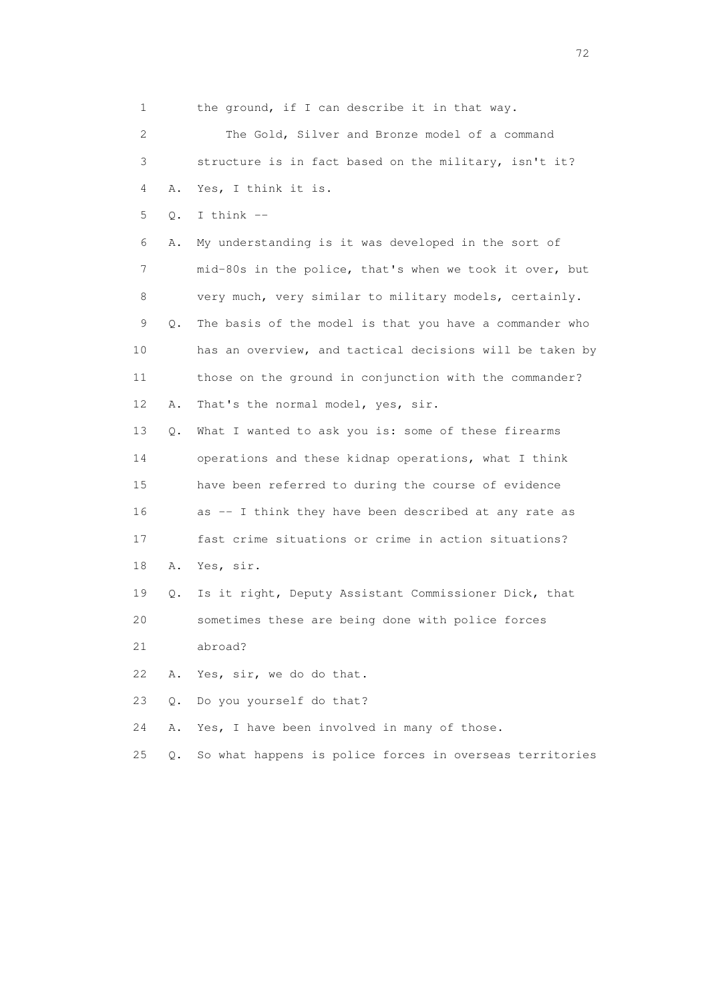1 the ground, if I can describe it in that way. 2 The Gold, Silver and Bronze model of a command 3 structure is in fact based on the military, isn't it? 4 A. Yes, I think it is. 5 Q. I think -- 6 A. My understanding is it was developed in the sort of 7 mid-80s in the police, that's when we took it over, but 8 very much, very similar to military models, certainly. 9 Q. The basis of the model is that you have a commander who 10 has an overview, and tactical decisions will be taken by 11 those on the ground in conjunction with the commander? 12 A. That's the normal model, yes, sir. 13 Q. What I wanted to ask you is: some of these firearms 14 operations and these kidnap operations, what I think 15 have been referred to during the course of evidence 16 as -- I think they have been described at any rate as 17 fast crime situations or crime in action situations? 18 A. Yes, sir. 19 Q. Is it right, Deputy Assistant Commissioner Dick, that 20 sometimes these are being done with police forces 21 abroad? 22 A. Yes, sir, we do do that. 23 Q. Do you yourself do that? 24 A. Yes, I have been involved in many of those. 25 Q. So what happens is police forces in overseas territories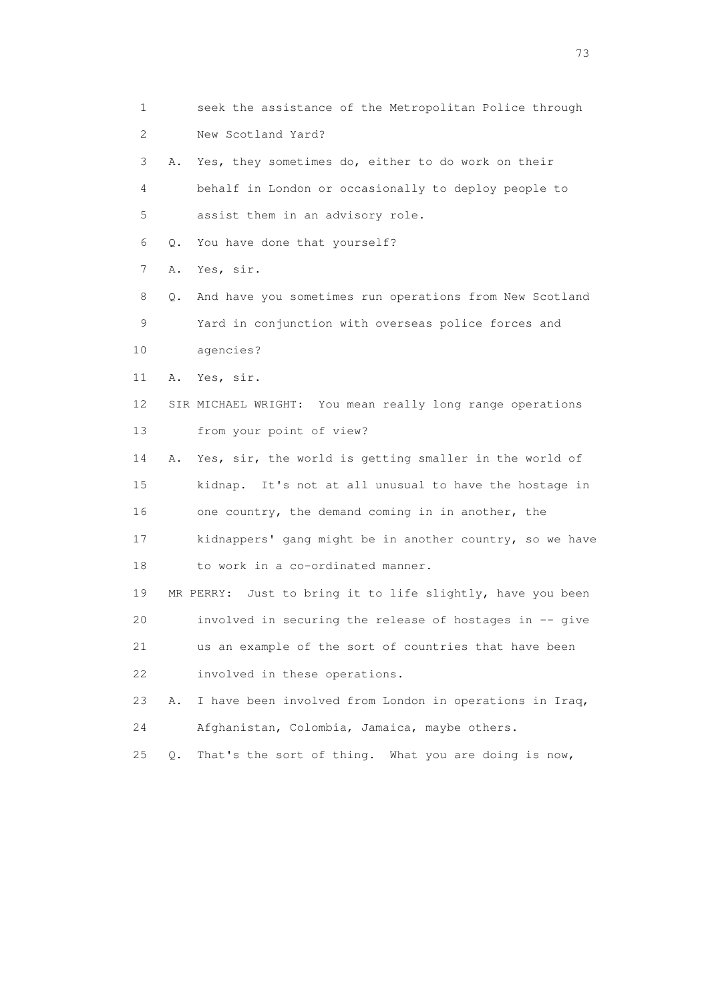| 1  |    | seek the assistance of the Metropolitan Police through     |
|----|----|------------------------------------------------------------|
| 2  |    | New Scotland Yard?                                         |
| 3  | Α. | Yes, they sometimes do, either to do work on their         |
| 4  |    | behalf in London or occasionally to deploy people to       |
| 5  |    | assist them in an advisory role.                           |
| 6  | Q. | You have done that yourself?                               |
| 7  | A. | Yes, sir.                                                  |
| 8  | Q. | And have you sometimes run operations from New Scotland    |
| 9  |    | Yard in conjunction with overseas police forces and        |
| 10 |    | agencies?                                                  |
| 11 | Α. | Yes, sir.                                                  |
| 12 |    | SIR MICHAEL WRIGHT: You mean really long range operations  |
| 13 |    | from your point of view?                                   |
| 14 | Α. | Yes, sir, the world is getting smaller in the world of     |
| 15 |    | kidnap. It's not at all unusual to have the hostage in     |
| 16 |    | one country, the demand coming in in another, the          |
| 17 |    | kidnappers' gang might be in another country, so we have   |
| 18 |    | to work in a co-ordinated manner.                          |
| 19 |    | MR PERRY: Just to bring it to life slightly, have you been |
| 20 |    | involved in securing the release of hostages in -- give    |
| 21 |    | us an example of the sort of countries that have been      |
| 22 |    | involved in these operations.                              |
| 23 | Α. | I have been involved from London in operations in Iraq,    |
| 24 |    | Afghanistan, Colombia, Jamaica, maybe others.              |
| 25 | Q. | That's the sort of thing. What you are doing is now,       |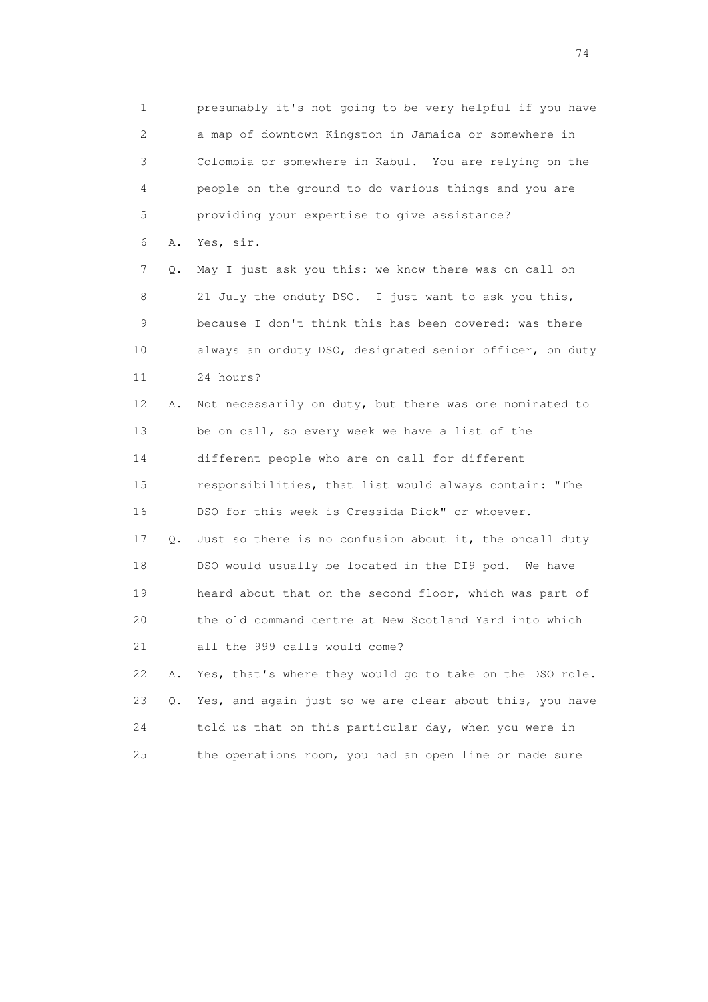1 presumably it's not going to be very helpful if you have 2 a map of downtown Kingston in Jamaica or somewhere in 3 Colombia or somewhere in Kabul. You are relying on the 4 people on the ground to do various things and you are 5 providing your expertise to give assistance? 6 A. Yes, sir. 7 Q. May I just ask you this: we know there was on call on 8 21 July the onduty DSO. I just want to ask you this, 9 because I don't think this has been covered: was there 10 always an onduty DSO, designated senior officer, on duty 11 24 hours? 12 A. Not necessarily on duty, but there was one nominated to 13 be on call, so every week we have a list of the 14 different people who are on call for different 15 responsibilities, that list would always contain: "The 16 DSO for this week is Cressida Dick" or whoever. 17 Q. Just so there is no confusion about it, the oncall duty 18 DSO would usually be located in the DI9 pod. We have 19 heard about that on the second floor, which was part of 20 the old command centre at New Scotland Yard into which 21 all the 999 calls would come? 22 A. Yes, that's where they would go to take on the DSO role. 23 Q. Yes, and again just so we are clear about this, you have 24 told us that on this particular day, when you were in 25 the operations room, you had an open line or made sure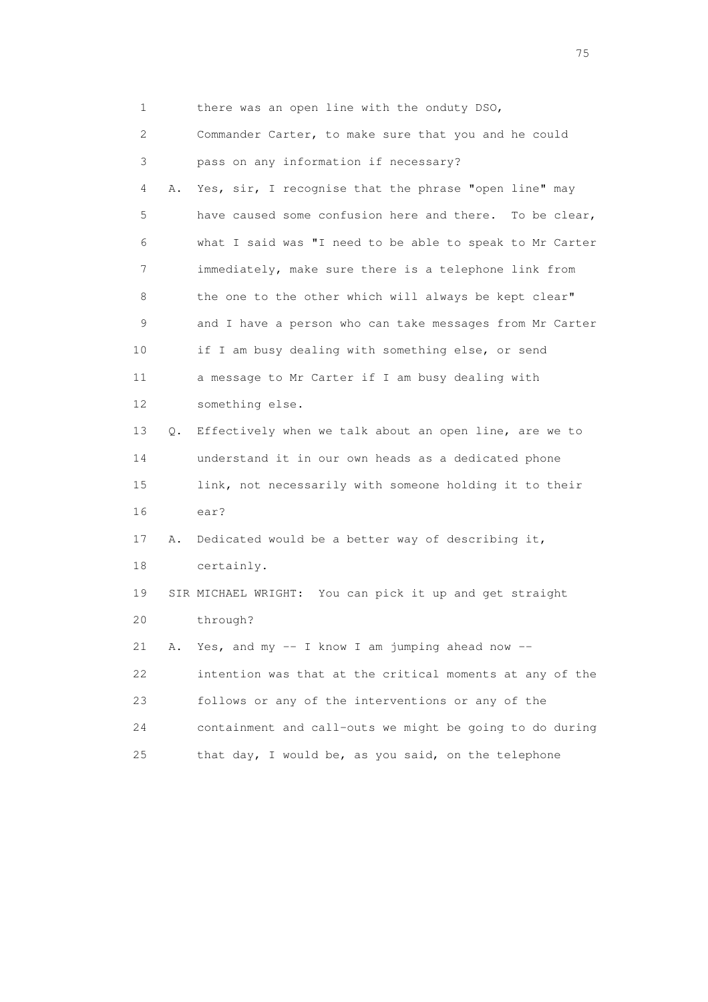1 there was an open line with the onduty DSO,

 2 Commander Carter, to make sure that you and he could 3 pass on any information if necessary? 4 A. Yes, sir, I recognise that the phrase "open line" may 5 have caused some confusion here and there. To be clear, 6 what I said was "I need to be able to speak to Mr Carter 7 immediately, make sure there is a telephone link from 8 the one to the other which will always be kept clear" 9 and I have a person who can take messages from Mr Carter 10 if I am busy dealing with something else, or send 11 a message to Mr Carter if I am busy dealing with 12 something else. 13 Q. Effectively when we talk about an open line, are we to 14 understand it in our own heads as a dedicated phone 15 link, not necessarily with someone holding it to their 16 ear? 17 A. Dedicated would be a better way of describing it, 18 certainly. 19 SIR MICHAEL WRIGHT: You can pick it up and get straight 20 through? 21 A. Yes, and my  $-$  I know I am jumping ahead now  $-$  22 intention was that at the critical moments at any of the 23 follows or any of the interventions or any of the 24 containment and call-outs we might be going to do during 25 that day, I would be, as you said, on the telephone

na matsay na katalog as na kasang na mga 175 may 2008. Ang isang isang nagsang nagsang nagsang nagsang nagsang<br>Tagapang nagsang nagsang nagsang nagsang nagsang nagsang nagsang nagsang nagsang nagsang nagsang nagsang nagsa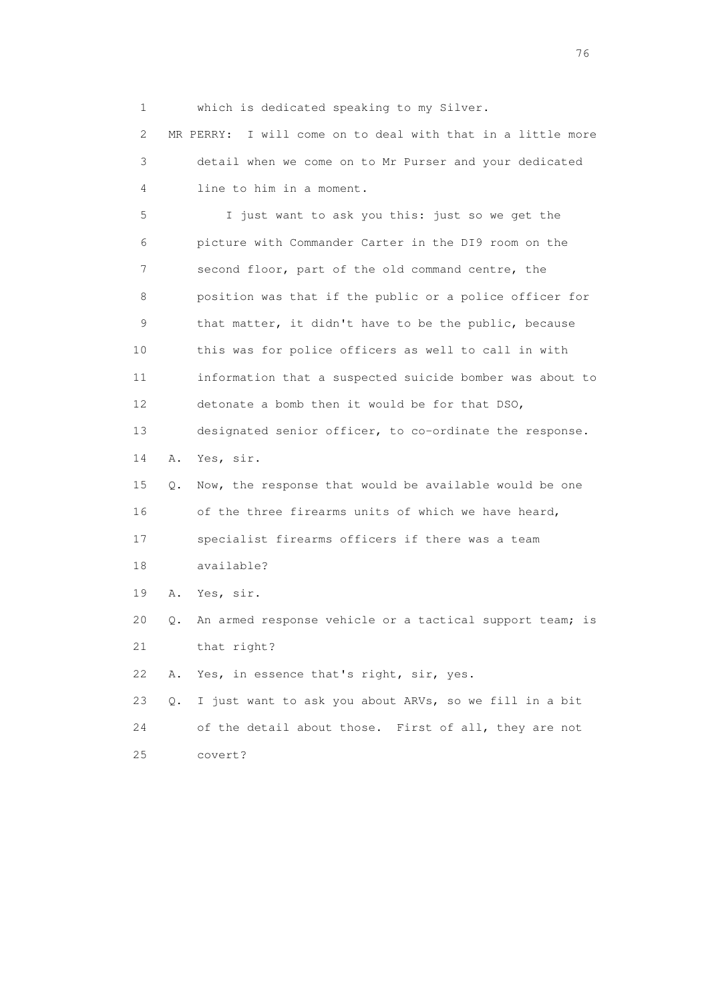1 which is dedicated speaking to my Silver.

 2 MR PERRY: I will come on to deal with that in a little more 3 detail when we come on to Mr Purser and your dedicated 4 line to him in a moment.

 5 I just want to ask you this: just so we get the 6 picture with Commander Carter in the DI9 room on the 7 second floor, part of the old command centre, the 8 position was that if the public or a police officer for 9 that matter, it didn't have to be the public, because 10 this was for police officers as well to call in with 11 information that a suspected suicide bomber was about to 12 detonate a bomb then it would be for that DSO, 13 designated senior officer, to co-ordinate the response. 14 A. Yes, sir. 15 Q. Now, the response that would be available would be one

16 of the three firearms units of which we have heard,

17 specialist firearms officers if there was a team

18 available?

19 A. Yes, sir.

20 Q. An armed response vehicle or a tactical support team; is

21 that right?

22 A. Yes, in essence that's right, sir, yes.

 23 Q. I just want to ask you about ARVs, so we fill in a bit 24 of the detail about those. First of all, they are not 25 covert?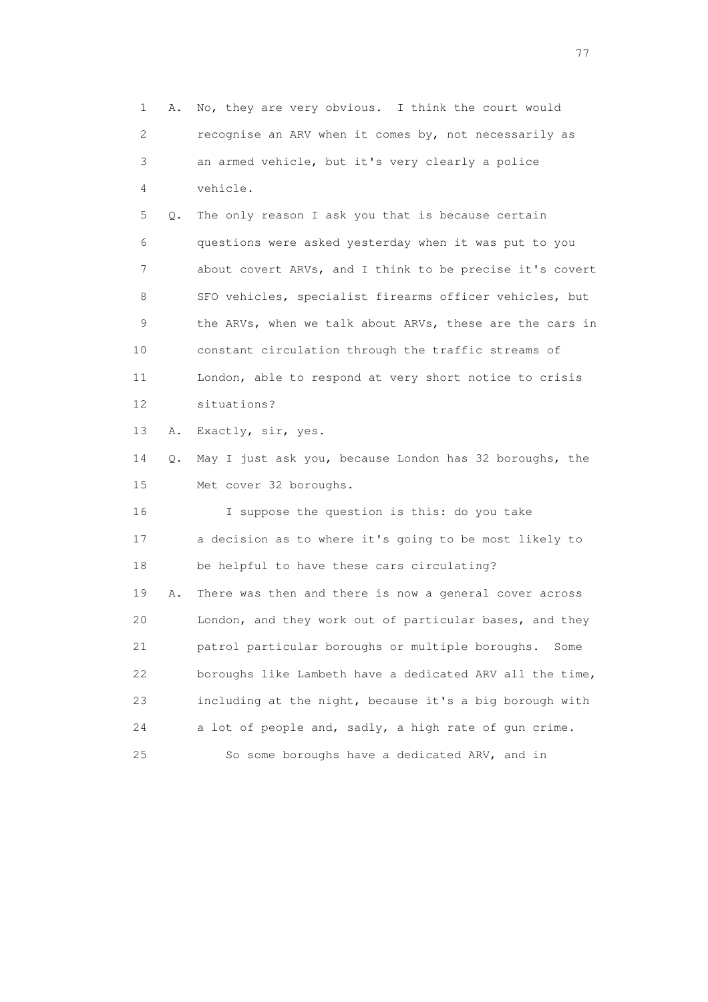1 A. No, they are very obvious. I think the court would 2 recognise an ARV when it comes by, not necessarily as 3 an armed vehicle, but it's very clearly a police 4 vehicle. 5 Q. The only reason I ask you that is because certain 6 questions were asked yesterday when it was put to you 7 about covert ARVs, and I think to be precise it's covert 8 SFO vehicles, specialist firearms officer vehicles, but 9 the ARVs, when we talk about ARVs, these are the cars in 10 constant circulation through the traffic streams of 11 London, able to respond at very short notice to crisis 12 situations? 13 A. Exactly, sir, yes. 14 Q. May I just ask you, because London has 32 boroughs, the 15 Met cover 32 boroughs. 16 I suppose the question is this: do you take 17 a decision as to where it's going to be most likely to 18 be helpful to have these cars circulating? 19 A. There was then and there is now a general cover across 20 London, and they work out of particular bases, and they 21 patrol particular boroughs or multiple boroughs. Some 22 boroughs like Lambeth have a dedicated ARV all the time, 23 including at the night, because it's a big borough with 24 a lot of people and, sadly, a high rate of gun crime. 25 So some boroughs have a dedicated ARV, and in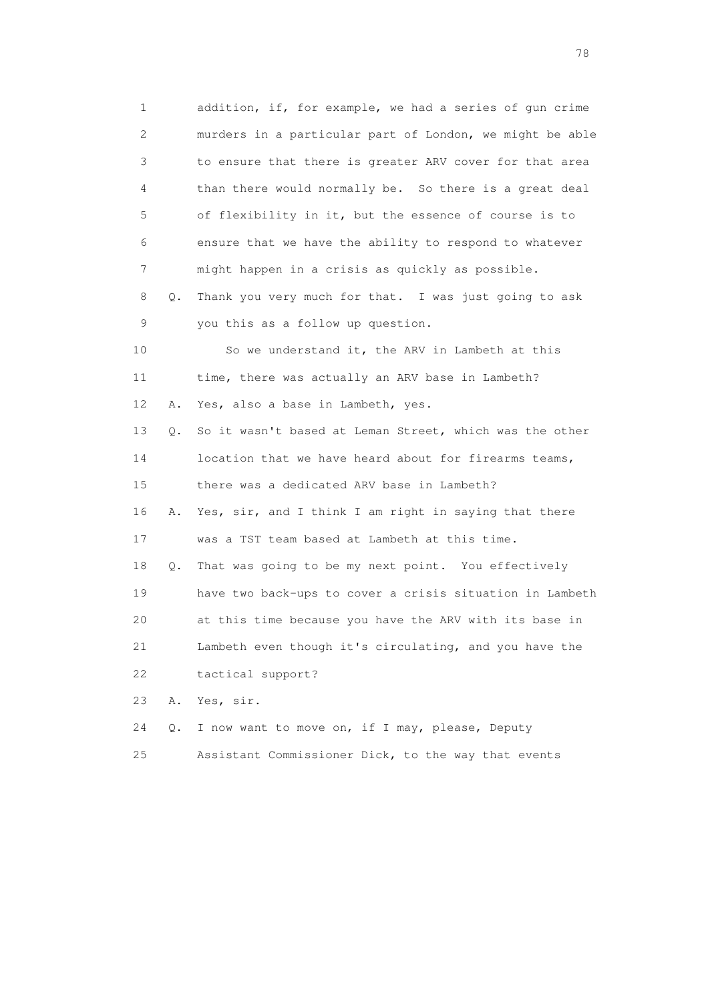1 addition, if, for example, we had a series of gun crime 2 murders in a particular part of London, we might be able 3 to ensure that there is greater ARV cover for that area 4 than there would normally be. So there is a great deal 5 of flexibility in it, but the essence of course is to 6 ensure that we have the ability to respond to whatever 7 might happen in a crisis as quickly as possible. 8 Q. Thank you very much for that. I was just going to ask 9 you this as a follow up question. 10 So we understand it, the ARV in Lambeth at this 11 time, there was actually an ARV base in Lambeth? 12 A. Yes, also a base in Lambeth, yes. 13 Q. So it wasn't based at Leman Street, which was the other 14 location that we have heard about for firearms teams, 15 there was a dedicated ARV base in Lambeth? 16 A. Yes, sir, and I think I am right in saying that there 17 was a TST team based at Lambeth at this time. 18 Q. That was going to be my next point. You effectively 19 have two back-ups to cover a crisis situation in Lambeth 20 at this time because you have the ARV with its base in 21 Lambeth even though it's circulating, and you have the 22 tactical support? 23 A. Yes, sir. 24 Q. I now want to move on, if I may, please, Deputy

25 Assistant Commissioner Dick, to the way that events

na na matsayang mga kasang mga kalendaryon ng mga kasang mga kasang mga kasang mga kasang mga kasang mga kasan<br>Mga kasang mga kasang mga kasang mga kasang mga kasang mga kasang mga kasang mga kasang mga kasang mga kasang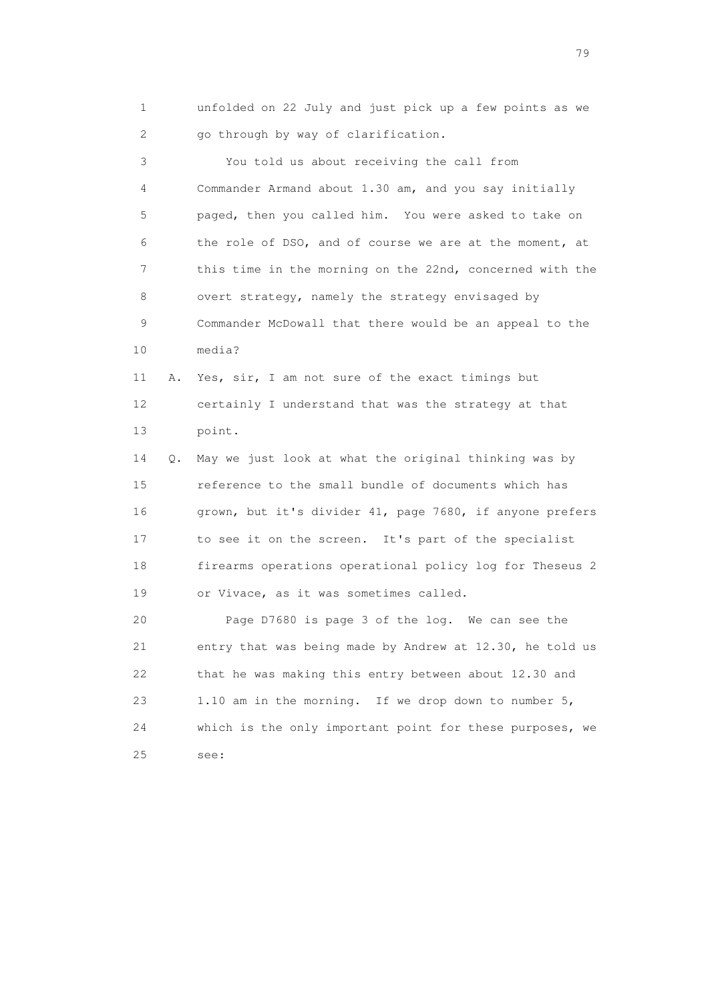1 unfolded on 22 July and just pick up a few points as we 2 go through by way of clarification.

 3 You told us about receiving the call from 4 Commander Armand about 1.30 am, and you say initially 5 paged, then you called him. You were asked to take on 6 the role of DSO, and of course we are at the moment, at 7 this time in the morning on the 22nd, concerned with the 8 overt strategy, namely the strategy envisaged by 9 Commander McDowall that there would be an appeal to the 10 media? 11 A. Yes, sir, I am not sure of the exact timings but 12 certainly I understand that was the strategy at that 13 point. 14 Q. May we just look at what the original thinking was by 15 reference to the small bundle of documents which has 16 grown, but it's divider 41, page 7680, if anyone prefers 17 to see it on the screen. It's part of the specialist

 18 firearms operations operational policy log for Theseus 2 19 or Vivace, as it was sometimes called.

 20 Page D7680 is page 3 of the log. We can see the 21 entry that was being made by Andrew at 12.30, he told us 22 that he was making this entry between about 12.30 and 23 1.10 am in the morning. If we drop down to number 5, 24 which is the only important point for these purposes, we 25 see: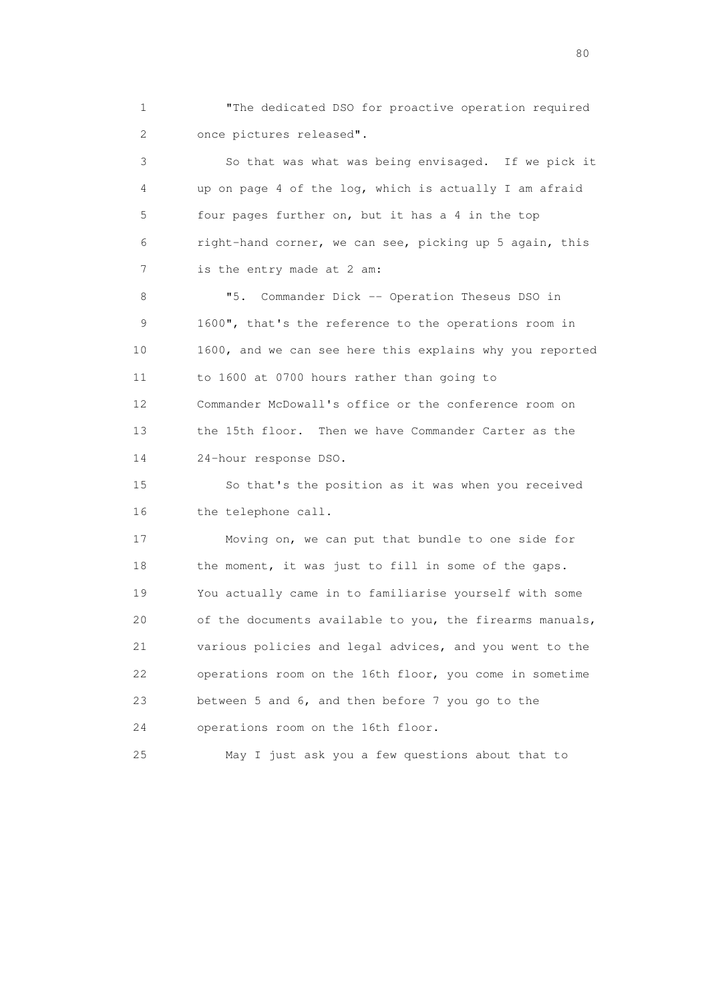1 "The dedicated DSO for proactive operation required 2 once pictures released".

 3 So that was what was being envisaged. If we pick it 4 up on page 4 of the log, which is actually I am afraid 5 four pages further on, but it has a 4 in the top 6 right-hand corner, we can see, picking up 5 again, this 7 is the entry made at 2 am:

 8 "5. Commander Dick -- Operation Theseus DSO in 9 1600", that's the reference to the operations room in 10 1600, and we can see here this explains why you reported 11 to 1600 at 0700 hours rather than going to 12 Commander McDowall's office or the conference room on 13 the 15th floor. Then we have Commander Carter as the 14 24-hour response DSO.

 15 So that's the position as it was when you received 16 the telephone call.

 17 Moving on, we can put that bundle to one side for 18 the moment, it was just to fill in some of the gaps. 19 You actually came in to familiarise yourself with some 20 of the documents available to you, the firearms manuals, 21 various policies and legal advices, and you went to the 22 operations room on the 16th floor, you come in sometime 23 between 5 and 6, and then before 7 you go to the 24 operations room on the 16th floor.

25 May I just ask you a few questions about that to

entration of the state of the state of the state of the state of the state of the state of the state of the state of the state of the state of the state of the state of the state of the state of the state of the state of t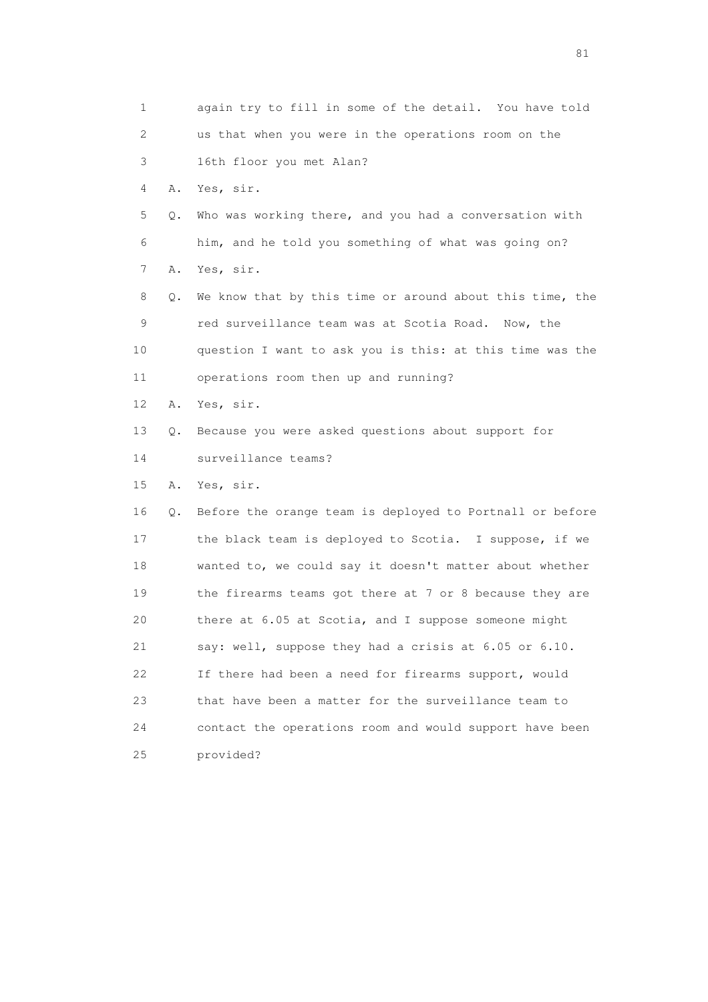1 again try to fill in some of the detail. You have told 2 us that when you were in the operations room on the 3 16th floor you met Alan? 4 A. Yes, sir. 5 Q. Who was working there, and you had a conversation with 6 him, and he told you something of what was going on? 7 A. Yes, sir. 8 Q. We know that by this time or around about this time, the 9 red surveillance team was at Scotia Road. Now, the 10 question I want to ask you is this: at this time was the 11 operations room then up and running? 12 A. Yes, sir. 13 Q. Because you were asked questions about support for 14 surveillance teams? 15 A. Yes, sir. 16 Q. Before the orange team is deployed to Portnall or before 17 the black team is deployed to Scotia. I suppose, if we 18 wanted to, we could say it doesn't matter about whether 19 the firearms teams got there at 7 or 8 because they are 20 there at 6.05 at Scotia, and I suppose someone might 21 say: well, suppose they had a crisis at 6.05 or 6.10. 22 If there had been a need for firearms support, would 23 that have been a matter for the surveillance team to 24 contact the operations room and would support have been 25 provided?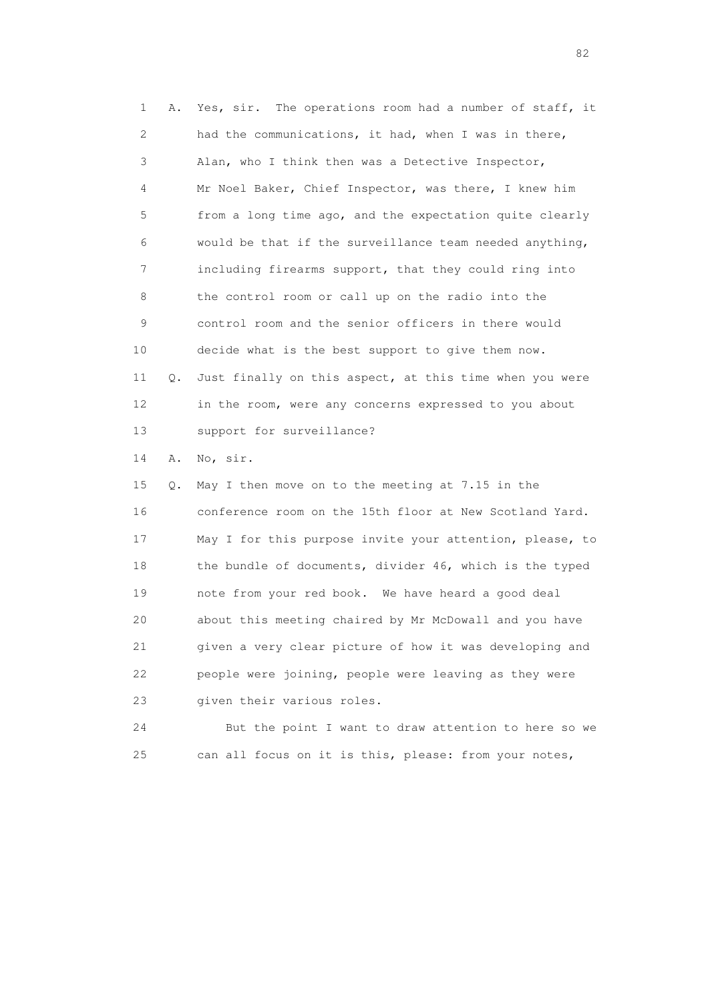1 A. Yes, sir. The operations room had a number of staff, it 2 had the communications, it had, when I was in there, 3 Alan, who I think then was a Detective Inspector, 4 Mr Noel Baker, Chief Inspector, was there, I knew him 5 from a long time ago, and the expectation quite clearly 6 would be that if the surveillance team needed anything, 7 including firearms support, that they could ring into 8 the control room or call up on the radio into the 9 control room and the senior officers in there would 10 decide what is the best support to give them now. 11 Q. Just finally on this aspect, at this time when you were 12 in the room, were any concerns expressed to you about 13 support for surveillance?

14 A. No, sir.

 15 Q. May I then move on to the meeting at 7.15 in the 16 conference room on the 15th floor at New Scotland Yard. 17 May I for this purpose invite your attention, please, to 18 the bundle of documents, divider 46, which is the typed 19 note from your red book. We have heard a good deal 20 about this meeting chaired by Mr McDowall and you have 21 given a very clear picture of how it was developing and 22 people were joining, people were leaving as they were 23 given their various roles.

 24 But the point I want to draw attention to here so we 25 can all focus on it is this, please: from your notes,

experience of the state of the state of the state of the state of the state of the state of the state of the s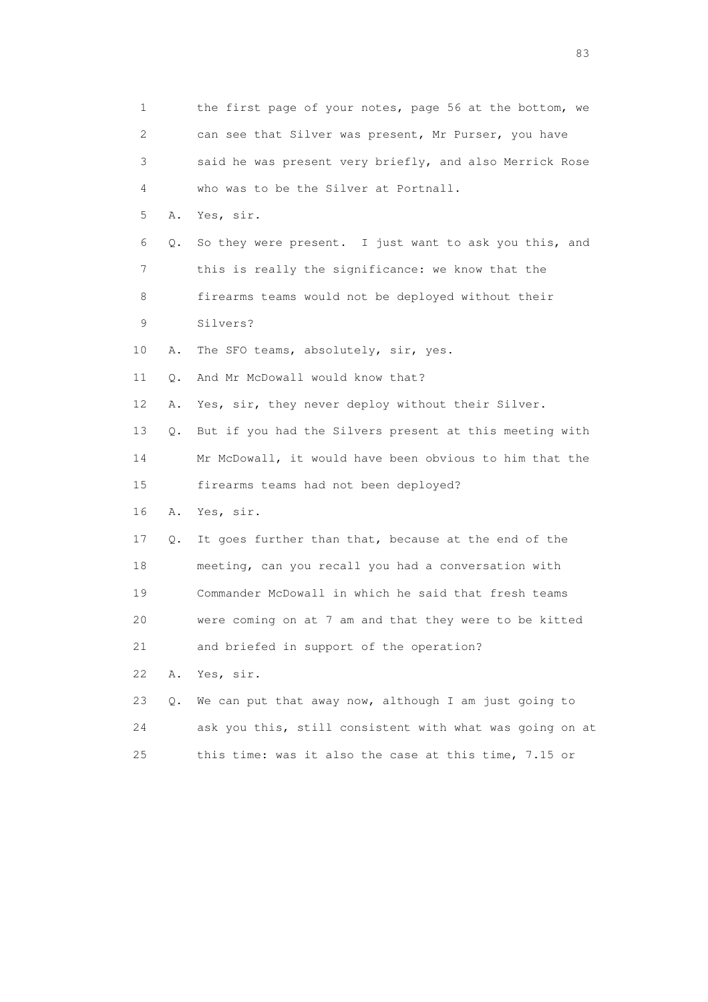|    | 1                         | the first page of your notes, page 56 at the bottom, we  |
|----|---------------------------|----------------------------------------------------------|
|    | $\mathbf{2}^{\mathsf{I}}$ | can see that Silver was present, Mr Purser, you have     |
|    | 3                         | said he was present very briefly, and also Merrick Rose  |
|    | 4                         | who was to be the Silver at Portnall.                    |
|    | 5<br>Α.                   | Yes, sir.                                                |
|    | 6<br>Q.                   | So they were present. I just want to ask you this, and   |
|    | 7                         | this is really the significance: we know that the        |
|    | 8                         | firearms teams would not be deployed without their       |
|    | 9                         | Silvers?                                                 |
| 10 | Α.                        | The SFO teams, absolutely, sir, yes.                     |
| 11 | Q.                        | And Mr McDowall would know that?                         |
| 12 | Α.                        | Yes, sir, they never deploy without their Silver.        |
| 13 | Q.                        | But if you had the Silvers present at this meeting with  |
| 14 |                           | Mr McDowall, it would have been obvious to him that the  |
| 15 |                           | firearms teams had not been deployed?                    |
| 16 | Α.                        | Yes, sir.                                                |
| 17 | Q.                        | It goes further than that, because at the end of the     |
| 18 |                           | meeting, can you recall you had a conversation with      |
| 19 |                           | Commander McDowall in which he said that fresh teams     |
| 20 |                           | were coming on at 7 am and that they were to be kitted   |
| 21 |                           | and briefed in support of the operation?                 |
| 22 | Α.                        | Yes, sir.                                                |
| 23 | Q.                        | We can put that away now, although I am just going to    |
| 24 |                           | ask you this, still consistent with what was going on at |
| 25 |                           | this time: was it also the case at this time, 7.15 or    |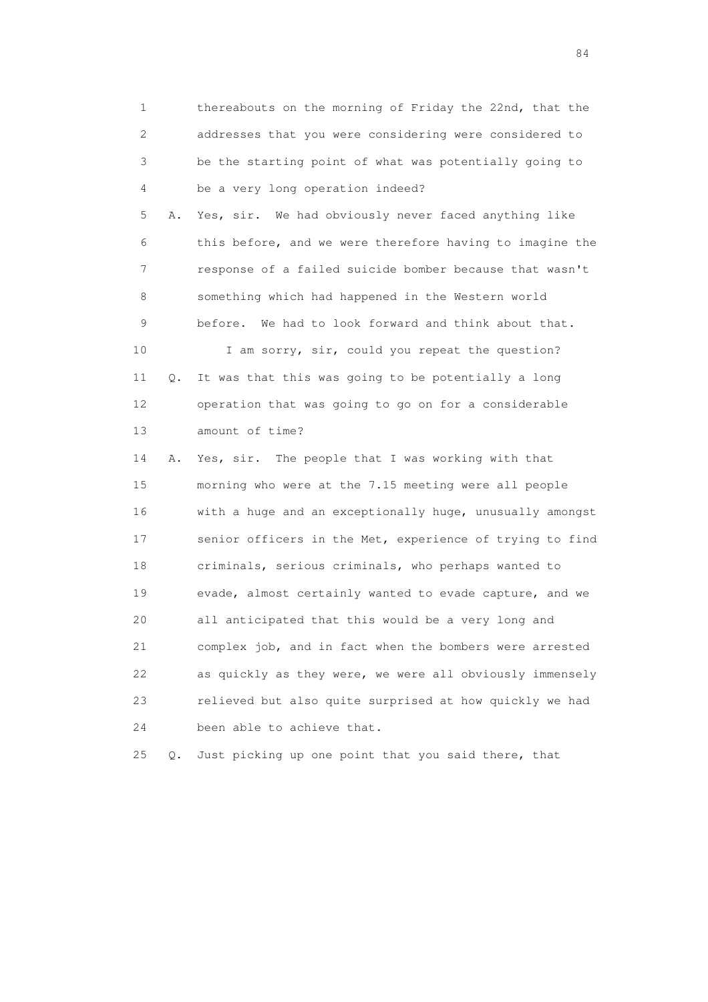1 thereabouts on the morning of Friday the 22nd, that the 2 addresses that you were considering were considered to 3 be the starting point of what was potentially going to 4 be a very long operation indeed? 5 A. Yes, sir. We had obviously never faced anything like 6 this before, and we were therefore having to imagine the 7 response of a failed suicide bomber because that wasn't 8 something which had happened in the Western world 9 before. We had to look forward and think about that. 10 I am sorry, sir, could you repeat the question? 11 Q. It was that this was going to be potentially a long 12 operation that was going to go on for a considerable 13 amount of time? 14 A. Yes, sir. The people that I was working with that 15 morning who were at the 7.15 meeting were all people 16 with a huge and an exceptionally huge, unusually amongst 17 senior officers in the Met, experience of trying to find 18 criminals, serious criminals, who perhaps wanted to 19 evade, almost certainly wanted to evade capture, and we 20 all anticipated that this would be a very long and 21 complex job, and in fact when the bombers were arrested 22 as quickly as they were, we were all obviously immensely 23 relieved but also quite surprised at how quickly we had 24 been able to achieve that.

25 Q. Just picking up one point that you said there, that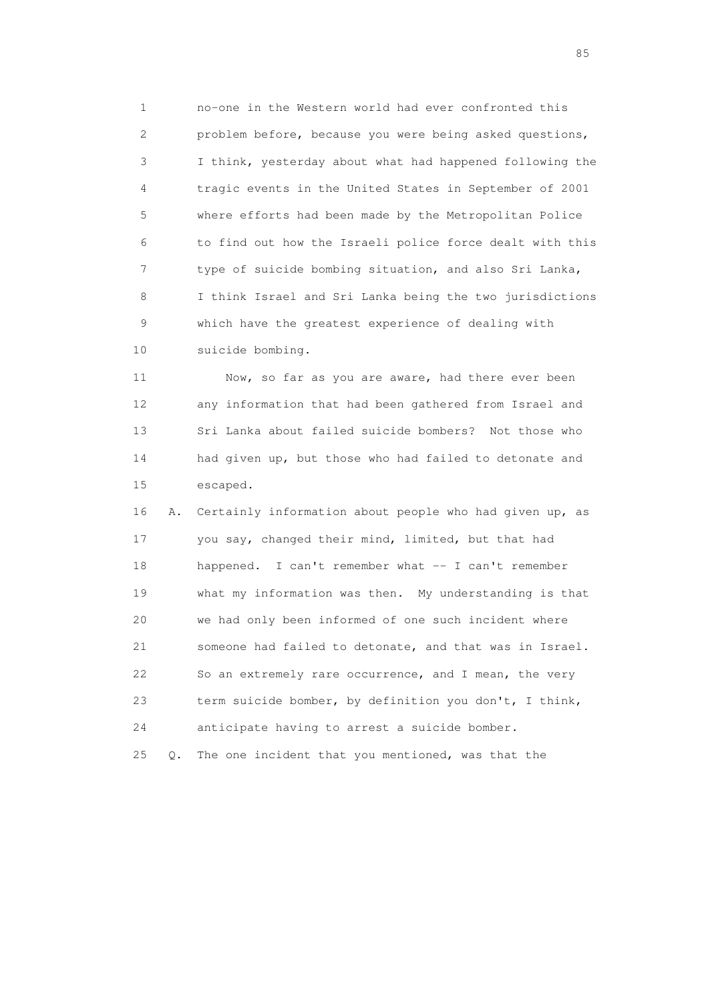1 no-one in the Western world had ever confronted this 2 problem before, because you were being asked questions, 3 I think, yesterday about what had happened following the 4 tragic events in the United States in September of 2001 5 where efforts had been made by the Metropolitan Police 6 to find out how the Israeli police force dealt with this 7 type of suicide bombing situation, and also Sri Lanka, 8 I think Israel and Sri Lanka being the two jurisdictions 9 which have the greatest experience of dealing with 10 suicide bombing.

 11 Now, so far as you are aware, had there ever been 12 any information that had been gathered from Israel and 13 Sri Lanka about failed suicide bombers? Not those who 14 had given up, but those who had failed to detonate and 15 escaped.

 16 A. Certainly information about people who had given up, as 17 you say, changed their mind, limited, but that had 18 happened. I can't remember what -- I can't remember 19 what my information was then. My understanding is that 20 we had only been informed of one such incident where 21 someone had failed to detonate, and that was in Israel. 22 So an extremely rare occurrence, and I mean, the very 23 term suicide bomber, by definition you don't, I think, 24 anticipate having to arrest a suicide bomber. 25 Q. The one incident that you mentioned, was that the

experience of the contract of the contract of the contract of the contract of the contract of the contract of the contract of the contract of the contract of the contract of the contract of the contract of the contract of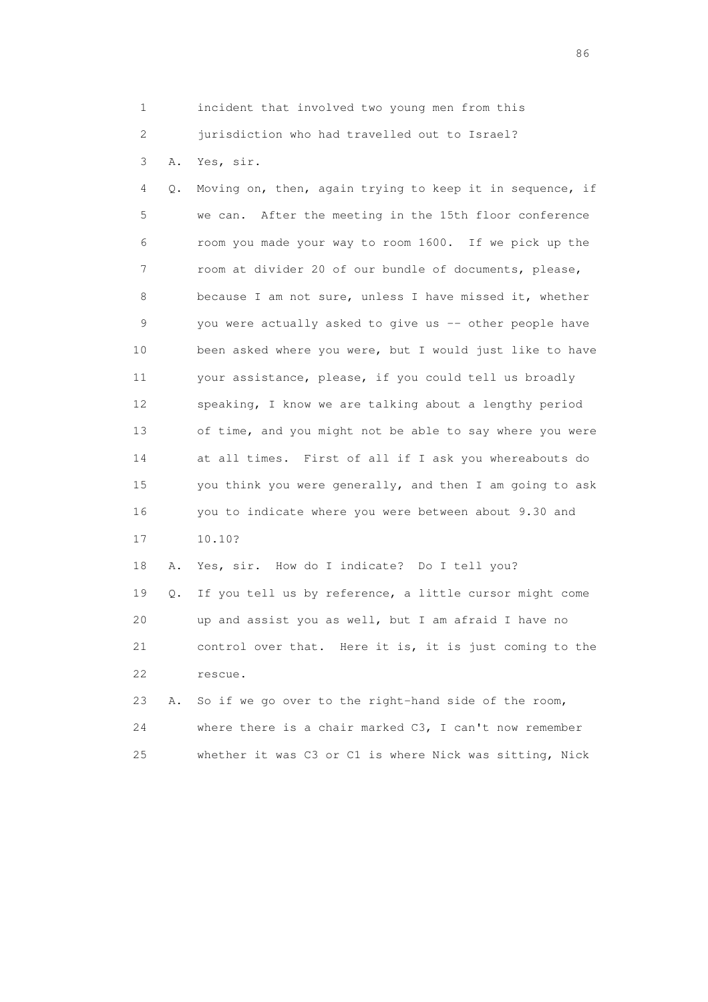1 incident that involved two young men from this

2 jurisdiction who had travelled out to Israel?

3 A. Yes, sir.

 4 Q. Moving on, then, again trying to keep it in sequence, if 5 we can. After the meeting in the 15th floor conference 6 room you made your way to room 1600. If we pick up the 7 room at divider 20 of our bundle of documents, please, 8 because I am not sure, unless I have missed it, whether 9 you were actually asked to give us -- other people have 10 been asked where you were, but I would just like to have 11 your assistance, please, if you could tell us broadly 12 speaking, I know we are talking about a lengthy period 13 of time, and you might not be able to say where you were 14 at all times. First of all if I ask you whereabouts do 15 you think you were generally, and then I am going to ask 16 you to indicate where you were between about 9.30 and 17 10.10?

 18 A. Yes, sir. How do I indicate? Do I tell you? 19 Q. If you tell us by reference, a little cursor might come 20 up and assist you as well, but I am afraid I have no 21 control over that. Here it is, it is just coming to the 22 rescue.

 23 A. So if we go over to the right-hand side of the room, 24 where there is a chair marked C3, I can't now remember 25 whether it was C3 or C1 is where Nick was sitting, Nick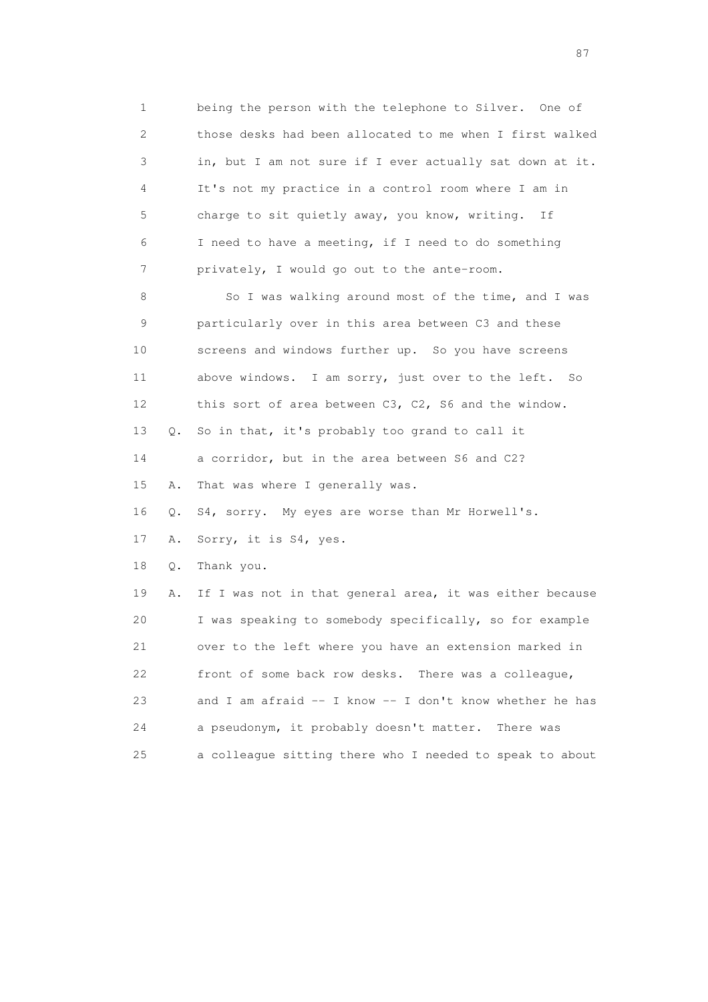1 being the person with the telephone to Silver. One of 2 those desks had been allocated to me when I first walked 3 in, but I am not sure if I ever actually sat down at it. 4 It's not my practice in a control room where I am in 5 charge to sit quietly away, you know, writing. If 6 I need to have a meeting, if I need to do something 7 privately, I would go out to the ante-room.

 8 So I was walking around most of the time, and I was 9 particularly over in this area between C3 and these 10 screens and windows further up. So you have screens 11 above windows. I am sorry, just over to the left. So 12 this sort of area between C3, C2, S6 and the window. 13 Q. So in that, it's probably too grand to call it 14 a corridor, but in the area between S6 and C2? 15 A. That was where I generally was. 16 Q. S4, sorry. My eyes are worse than Mr Horwell's. 17 A. Sorry, it is S4, yes. 18 Q. Thank you. 19 A. If I was not in that general area, it was either because 20 I was speaking to somebody specifically, so for example 21 over to the left where you have an extension marked in 22 front of some back row desks. There was a colleague, 23 and I am afraid -- I know -- I don't know whether he has 24 a pseudonym, it probably doesn't matter. There was 25 a colleague sitting there who I needed to speak to about

experience of the state of the state of the state of the state of the state of the state of the state of the s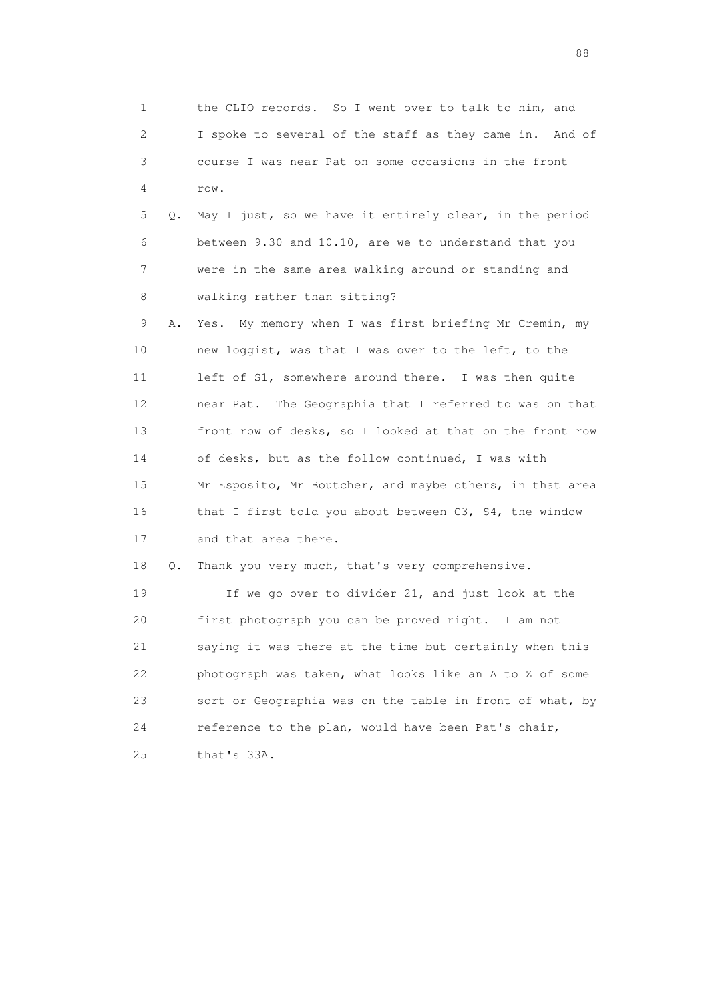1 the CLIO records. So I went over to talk to him, and 2 I spoke to several of the staff as they came in. And of 3 course I was near Pat on some occasions in the front 4 row. 5 Q. May I just, so we have it entirely clear, in the period 6 between 9.30 and 10.10, are we to understand that you 7 were in the same area walking around or standing and 8 walking rather than sitting? 9 A. Yes. My memory when I was first briefing Mr Cremin, my 10 new loggist, was that I was over to the left, to the 11 left of S1, somewhere around there. I was then quite 12 near Pat. The Geographia that I referred to was on that 13 front row of desks, so I looked at that on the front row 14 of desks, but as the follow continued, I was with 15 Mr Esposito, Mr Boutcher, and maybe others, in that area 16 that I first told you about between C3, S4, the window 17 and that area there. 18 Q. Thank you very much, that's very comprehensive. 19 If we go over to divider 21, and just look at the 20 first photograph you can be proved right. I am not 21 saying it was there at the time but certainly when this 22 photograph was taken, what looks like an A to Z of some 23 sort or Geographia was on the table in front of what, by 24 reference to the plan, would have been Pat's chair,

25 that's 33A.

en de la construction de la construction de la construction de la construction de la construction de la constr<br>1880 : le construction de la construction de la construction de la construction de la construction de la const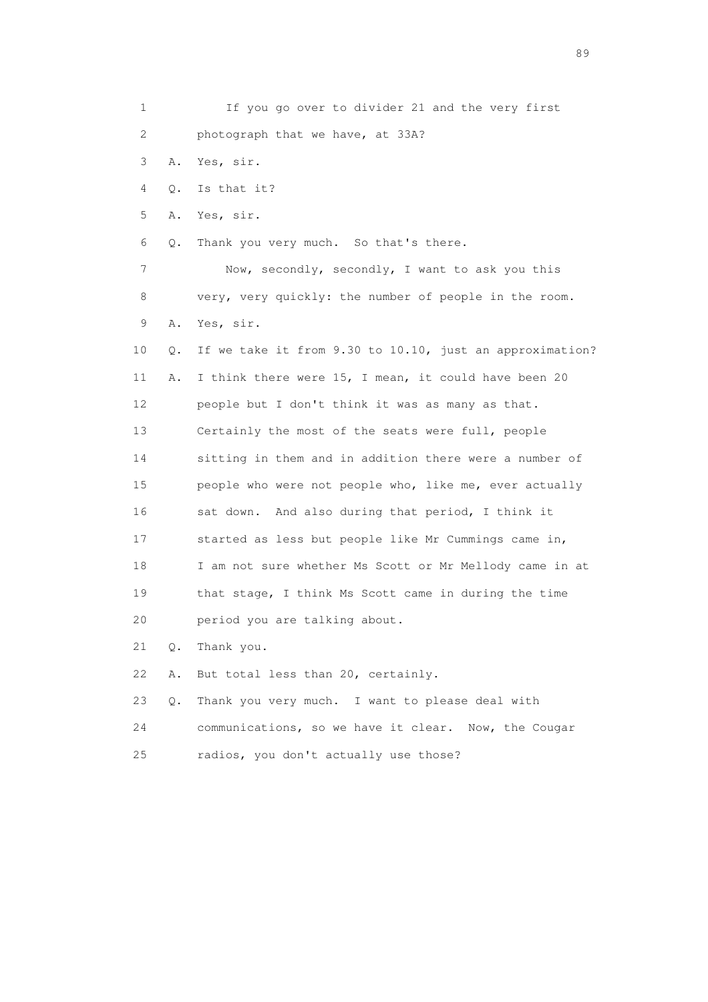| $\mathbf 1$ |       | If you go over to divider 21 and the very first          |
|-------------|-------|----------------------------------------------------------|
| 2           |       | photograph that we have, at 33A?                         |
| 3           | Α.    | Yes, sir.                                                |
| 4           | Q.    | Is that it?                                              |
| 5           | Α.    | Yes, sir.                                                |
| 6           | Q.    | Thank you very much. So that's there.                    |
| 7           |       | Now, secondly, secondly, I want to ask you this          |
| 8           |       | very, very quickly: the number of people in the room.    |
| 9           | Α.    | Yes, sir.                                                |
| 10          | Q.    | If we take it from 9.30 to 10.10, just an approximation? |
| 11          | Α.    | I think there were 15, I mean, it could have been 20     |
| 12          |       | people but I don't think it was as many as that.         |
| 13          |       | Certainly the most of the seats were full, people        |
| 14          |       | sitting in them and in addition there were a number of   |
| 15          |       | people who were not people who, like me, ever actually   |
| 16          |       | sat down. And also during that period, I think it        |
| 17          |       | started as less but people like Mr Cummings came in,     |
| 18          |       | I am not sure whether Ms Scott or Mr Mellody came in at  |
| 19          |       | that stage, I think Ms Scott came in during the time     |
| 20          |       | period you are talking about.                            |
| 21          | Q.    | Thank you.                                               |
| 22          | Α.    | But total less than 20, certainly.                       |
| 23          | $Q$ . | Thank you very much. I want to please deal with          |
| 24          |       | communications, so we have it clear. Now, the Cougar     |
| 25          |       | radios, you don't actually use those?                    |

en andere de la provincia de la provincia de la provincia de la provincia de la provincia de la provincia de l<br>En 1910, en la provincia de la provincia de la provincia de la provincia de la provincia de la provincia de la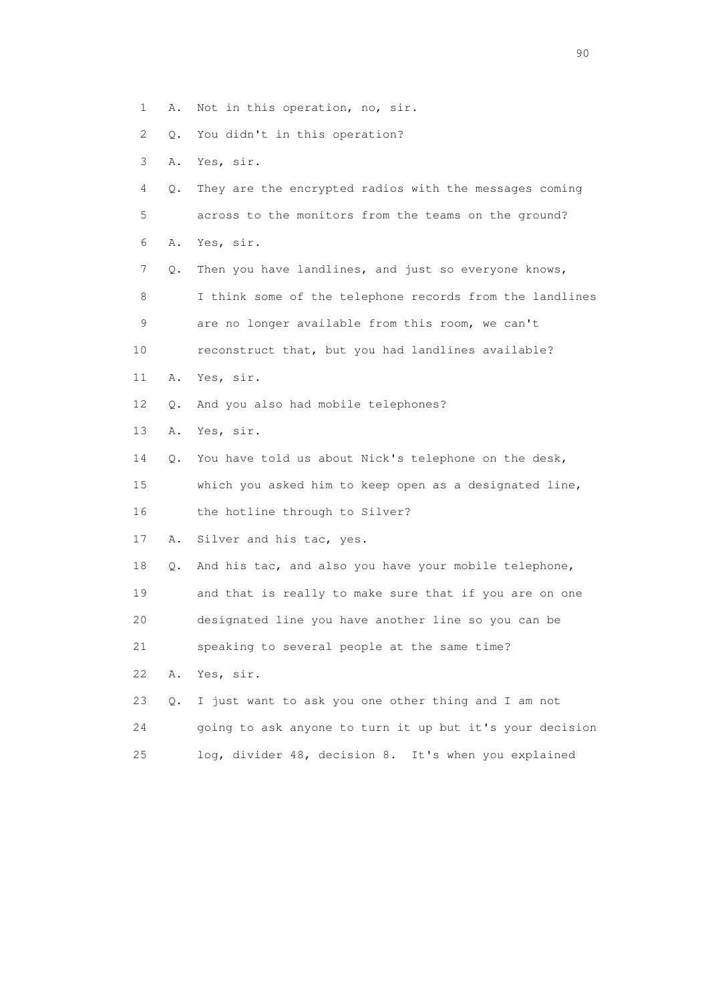- 1 A. Not in this operation, no, sir.
- 2 Q. You didn't in this operation?
- 3 A. Yes, sir.
- 4 Q. They are the encrypted radios with the messages coming 5 across to the monitors from the teams on the ground?
- 6 A. Yes, sir.

 7 Q. Then you have landlines, and just so everyone knows, 8 I think some of the telephone records from the landlines 9 are no longer available from this room, we can't 10 reconstruct that, but you had landlines available?

- 11 A. Yes, sir.
- 12 Q. And you also had mobile telephones?
- 13 A. Yes, sir.
- 14 Q. You have told us about Nick's telephone on the desk,

 15 which you asked him to keep open as a designated line, 16 the hotline through to Silver?

17 A. Silver and his tac, yes.

 18 Q. And his tac, and also you have your mobile telephone, 19 and that is really to make sure that if you are on one

20 designated line you have another line so you can be

21 speaking to several people at the same time?

- 22 A. Yes, sir.
- 23 Q. I just want to ask you one other thing and I am not 24 going to ask anyone to turn it up but it's your decision 25 log, divider 48, decision 8. It's when you explained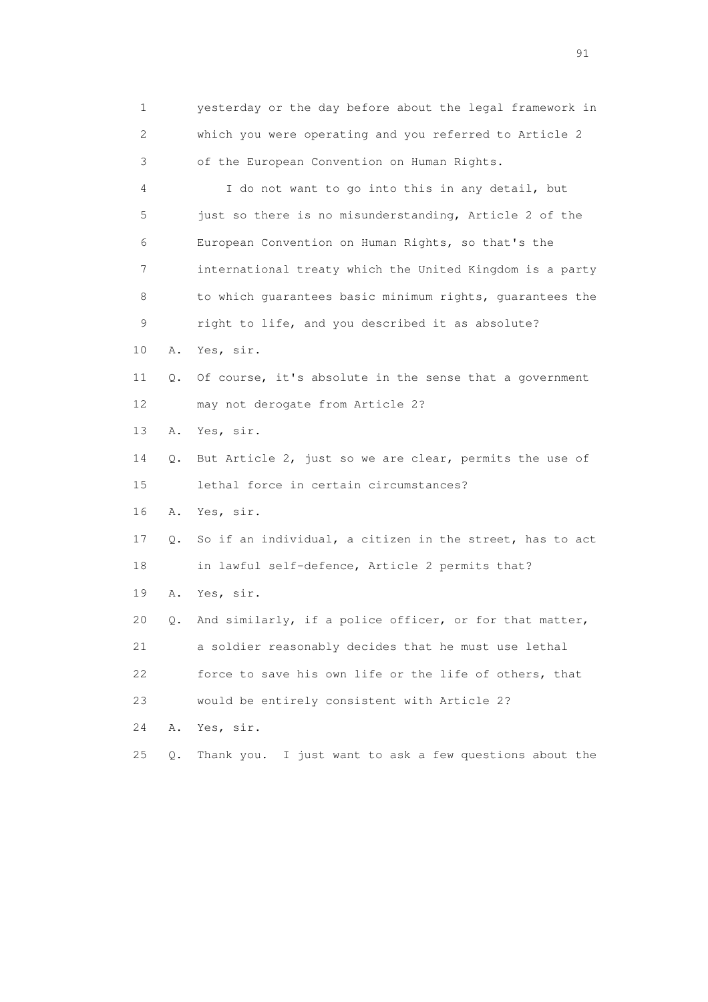1 yesterday or the day before about the legal framework in 2 which you were operating and you referred to Article 2 3 of the European Convention on Human Rights. 4 I do not want to go into this in any detail, but 5 just so there is no misunderstanding, Article 2 of the 6 European Convention on Human Rights, so that's the 7 international treaty which the United Kingdom is a party 8 to which quarantees basic minimum rights, quarantees the 9 right to life, and you described it as absolute? 10 A. Yes, sir. 11 Q. Of course, it's absolute in the sense that a government 12 may not derogate from Article 2? 13 A. Yes, sir. 14 Q. But Article 2, just so we are clear, permits the use of 15 lethal force in certain circumstances? 16 A. Yes, sir. 17 Q. So if an individual, a citizen in the street, has to act 18 in lawful self-defence, Article 2 permits that? 19 A. Yes, sir. 20 Q. And similarly, if a police officer, or for that matter, 21 a soldier reasonably decides that he must use lethal 22 force to save his own life or the life of others, that 23 would be entirely consistent with Article 2? 24 A. Yes, sir. 25 Q. Thank you. I just want to ask a few questions about the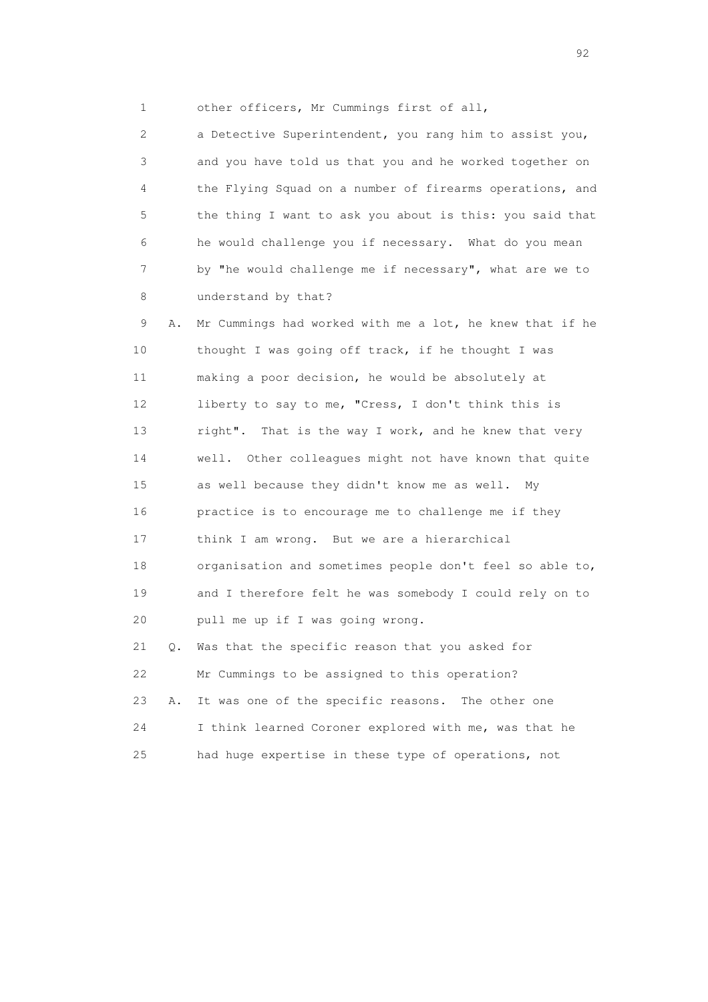1 other officers, Mr Cummings first of all,

 2 a Detective Superintendent, you rang him to assist you, 3 and you have told us that you and he worked together on 4 the Flying Squad on a number of firearms operations, and 5 the thing I want to ask you about is this: you said that 6 he would challenge you if necessary. What do you mean 7 by "he would challenge me if necessary", what are we to 8 understand by that?

 9 A. Mr Cummings had worked with me a lot, he knew that if he 10 thought I was going off track, if he thought I was 11 making a poor decision, he would be absolutely at 12 liberty to say to me, "Cress, I don't think this is 13 right". That is the way I work, and he knew that very 14 well. Other colleagues might not have known that quite 15 as well because they didn't know me as well. My 16 practice is to encourage me to challenge me if they 17 think I am wrong. But we are a hierarchical 18 organisation and sometimes people don't feel so able to, 19 and I therefore felt he was somebody I could rely on to 20 pull me up if I was going wrong. 21 Q. Was that the specific reason that you asked for 22 Mr Cummings to be assigned to this operation? 23 A. It was one of the specific reasons. The other one 24 I think learned Coroner explored with me, was that he

25 had huge expertise in these type of operations, not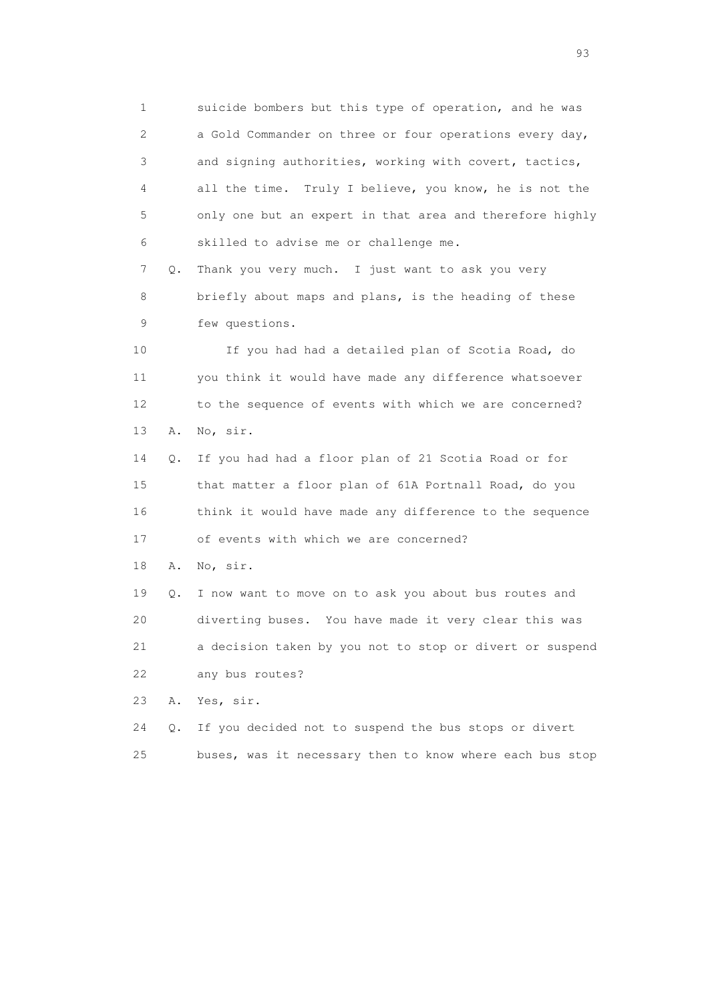1 suicide bombers but this type of operation, and he was 2 a Gold Commander on three or four operations every day, 3 and signing authorities, working with covert, tactics, 4 all the time. Truly I believe, you know, he is not the 5 only one but an expert in that area and therefore highly 6 skilled to advise me or challenge me. 7 Q. Thank you very much. I just want to ask you very

 8 briefly about maps and plans, is the heading of these 9 few questions.

 10 If you had had a detailed plan of Scotia Road, do 11 you think it would have made any difference whatsoever 12 to the sequence of events with which we are concerned? 13 A. No, sir.

 14 Q. If you had had a floor plan of 21 Scotia Road or for 15 that matter a floor plan of 61A Portnall Road, do you 16 think it would have made any difference to the sequence 17 of events with which we are concerned?

18 A. No, sir.

 19 Q. I now want to move on to ask you about bus routes and 20 diverting buses. You have made it very clear this was 21 a decision taken by you not to stop or divert or suspend 22 any bus routes?

23 A. Yes, sir.

 24 Q. If you decided not to suspend the bus stops or divert 25 buses, was it necessary then to know where each bus stop

experience of the contract of the contract of the contract of the contract of the contract of the contract of the contract of the contract of the contract of the contract of the contract of the contract of the contract of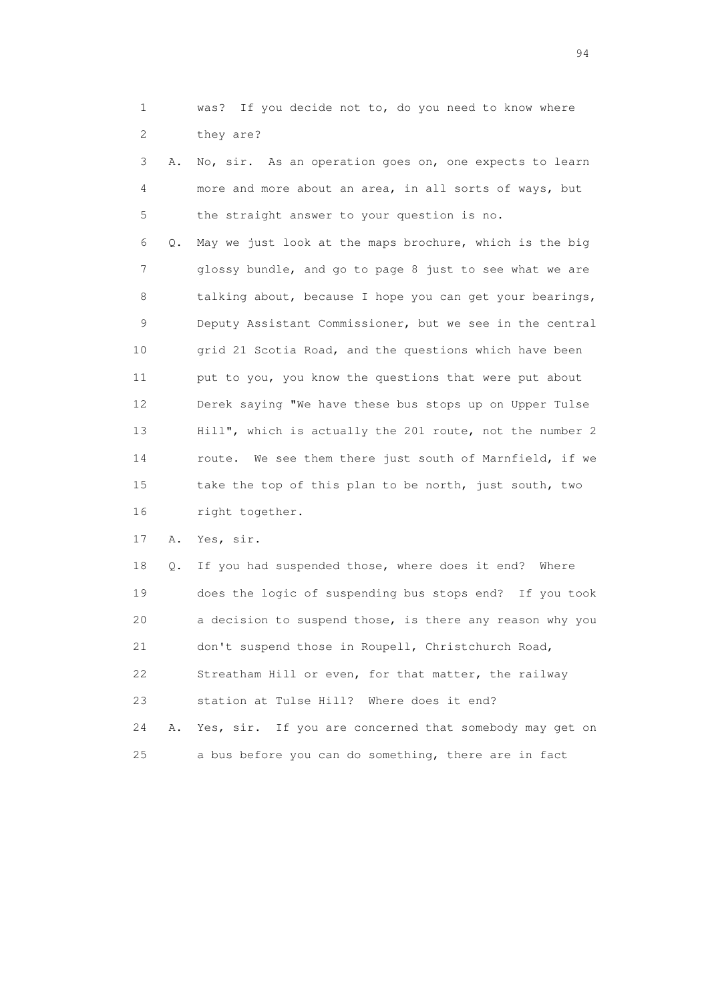1 was? If you decide not to, do you need to know where 2 they are?

 3 A. No, sir. As an operation goes on, one expects to learn 4 more and more about an area, in all sorts of ways, but 5 the straight answer to your question is no.

 6 Q. May we just look at the maps brochure, which is the big 7 glossy bundle, and go to page 8 just to see what we are 8 talking about, because I hope you can get your bearings, 9 Deputy Assistant Commissioner, but we see in the central 10 grid 21 Scotia Road, and the questions which have been 11 put to you, you know the questions that were put about 12 Derek saying "We have these bus stops up on Upper Tulse 13 Hill", which is actually the 201 route, not the number 2 14 route. We see them there just south of Marnfield, if we 15 take the top of this plan to be north, just south, two 16 right together.

17 A. Yes, sir.

 18 Q. If you had suspended those, where does it end? Where 19 does the logic of suspending bus stops end? If you took 20 a decision to suspend those, is there any reason why you 21 don't suspend those in Roupell, Christchurch Road, 22 Streatham Hill or even, for that matter, the railway 23 station at Tulse Hill? Where does it end? 24 A. Yes, sir. If you are concerned that somebody may get on 25 a bus before you can do something, there are in fact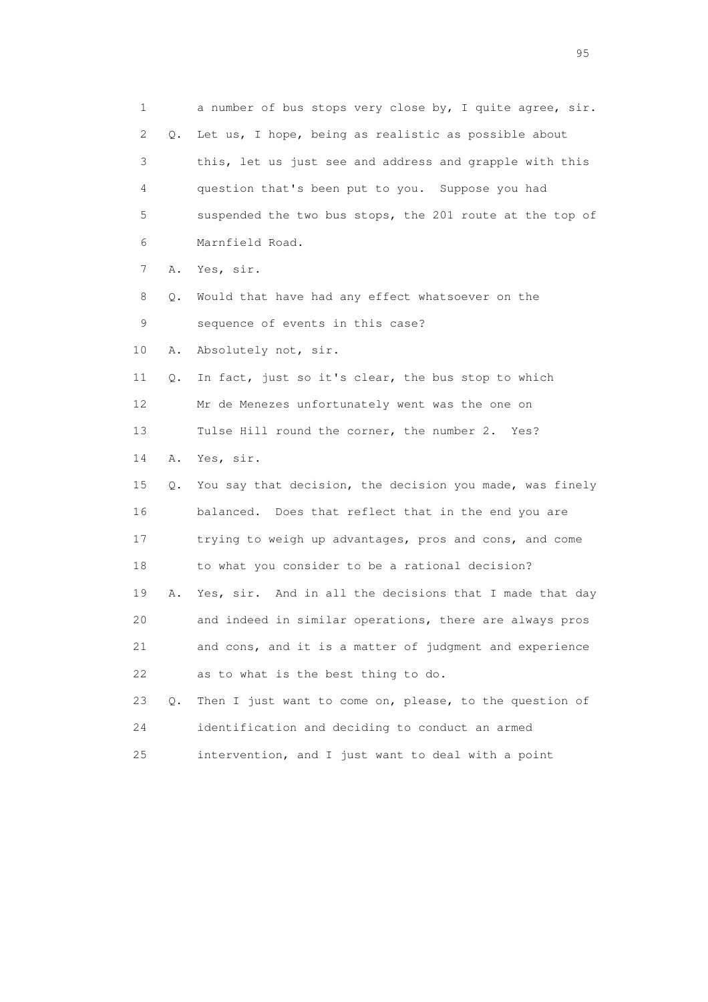1 a number of bus stops very close by, I quite agree, sir. 2 Q. Let us, I hope, being as realistic as possible about 3 this, let us just see and address and grapple with this 4 question that's been put to you. Suppose you had 5 suspended the two bus stops, the 201 route at the top of 6 Marnfield Road. 7 A. Yes, sir. 8 Q. Would that have had any effect whatsoever on the 9 sequence of events in this case? 10 A. Absolutely not, sir. 11 Q. In fact, just so it's clear, the bus stop to which 12 Mr de Menezes unfortunately went was the one on 13 Tulse Hill round the corner, the number 2. Yes? 14 A. Yes, sir. 15 Q. You say that decision, the decision you made, was finely 16 balanced. Does that reflect that in the end you are 17 trying to weigh up advantages, pros and cons, and come 18 to what you consider to be a rational decision? 19 A. Yes, sir. And in all the decisions that I made that day 20 and indeed in similar operations, there are always pros 21 and cons, and it is a matter of judgment and experience 22 as to what is the best thing to do. 23 Q. Then I just want to come on, please, to the question of 24 identification and deciding to conduct an armed 25 intervention, and I just want to deal with a point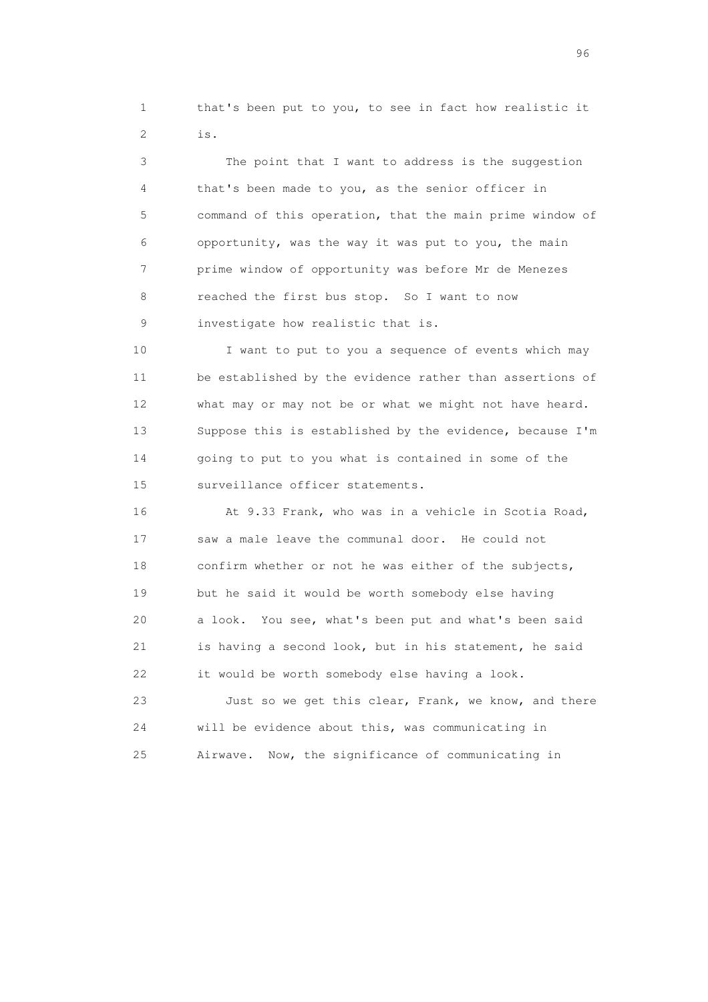1 that's been put to you, to see in fact how realistic it 2 is.

 3 The point that I want to address is the suggestion 4 that's been made to you, as the senior officer in 5 command of this operation, that the main prime window of 6 opportunity, was the way it was put to you, the main 7 prime window of opportunity was before Mr de Menezes 8 reached the first bus stop. So I want to now 9 investigate how realistic that is.

 10 I want to put to you a sequence of events which may 11 be established by the evidence rather than assertions of 12 what may or may not be or what we might not have heard. 13 Suppose this is established by the evidence, because I'm 14 going to put to you what is contained in some of the 15 surveillance officer statements.

 16 At 9.33 Frank, who was in a vehicle in Scotia Road, 17 saw a male leave the communal door. He could not 18 confirm whether or not he was either of the subjects, 19 but he said it would be worth somebody else having 20 a look. You see, what's been put and what's been said 21 is having a second look, but in his statement, he said 22 it would be worth somebody else having a look. 23 Just so we get this clear, Frank, we know, and there 24 will be evidence about this, was communicating in 25 Airwave. Now, the significance of communicating in

<u>96 and the state of the state of the state of the state of the state of the state of the state of the state of the state of the state of the state of the state of the state of the state of the state of the state of the st</u>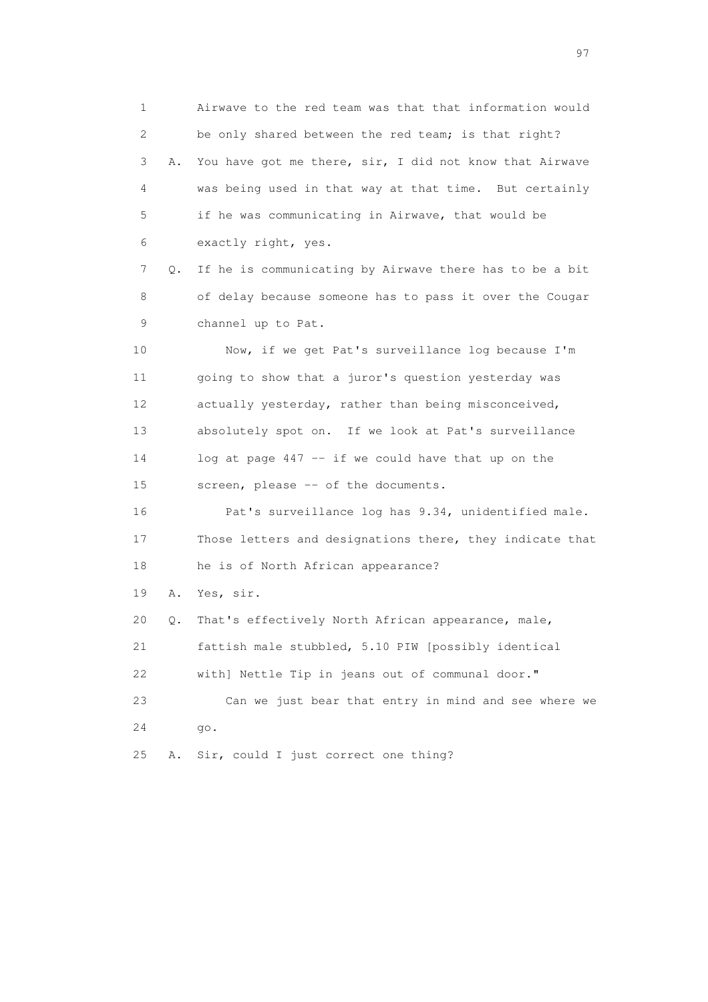1 Airwave to the red team was that that information would 2 be only shared between the red team; is that right? 3 A. You have got me there, sir, I did not know that Airwave 4 was being used in that way at that time. But certainly 5 if he was communicating in Airwave, that would be 6 exactly right, yes. 7 Q. If he is communicating by Airwave there has to be a bit 8 of delay because someone has to pass it over the Cougar 9 channel up to Pat. 10 Now, if we get Pat's surveillance log because I'm 11 going to show that a juror's question yesterday was 12 actually yesterday, rather than being misconceived, 13 absolutely spot on. If we look at Pat's surveillance 14 log at page 447 -- if we could have that up on the 15 screen, please -- of the documents. 16 Pat's surveillance log has 9.34, unidentified male. 17 Those letters and designations there, they indicate that 18 he is of North African appearance? 19 A. Yes, sir. 20 Q. That's effectively North African appearance, male, 21 fattish male stubbled, 5.10 PIW [possibly identical 22 with] Nettle Tip in jeans out of communal door." 23 Can we just bear that entry in mind and see where we 24 go. 25 A. Sir, could I just correct one thing?

experience of the contract of the contract of the contract of the contract of the contract of the contract of the contract of the contract of the contract of the contract of the contract of the contract of the contract of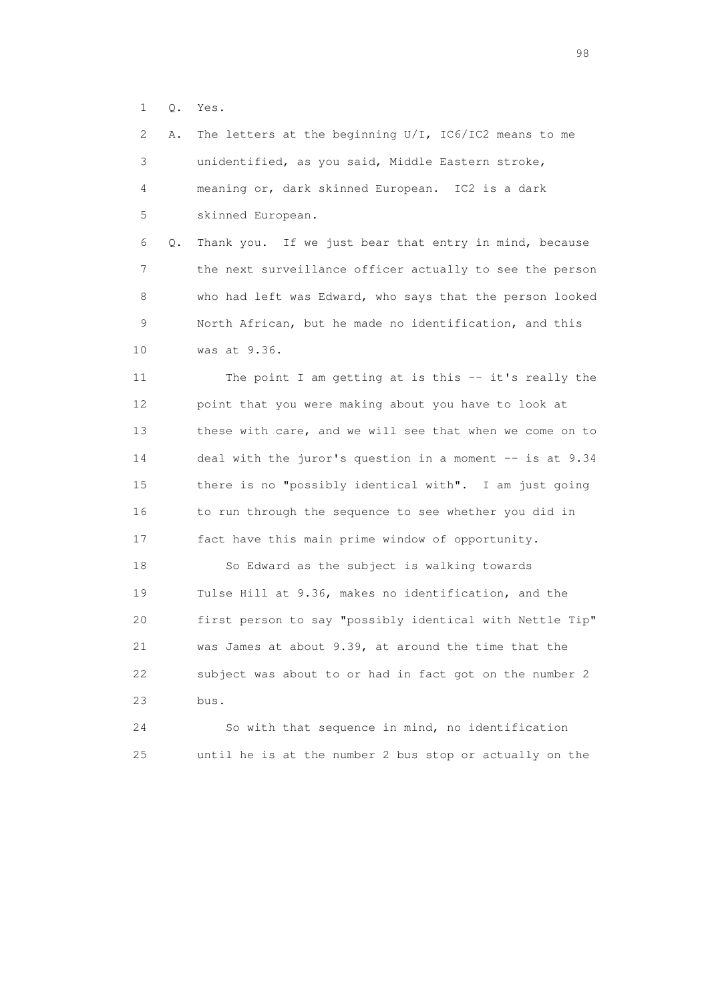1 Q. Yes.

 2 A. The letters at the beginning U/I, IC6/IC2 means to me 3 unidentified, as you said, Middle Eastern stroke, 4 meaning or, dark skinned European. IC2 is a dark 5 skinned European.

 6 Q. Thank you. If we just bear that entry in mind, because 7 the next surveillance officer actually to see the person 8 who had left was Edward, who says that the person looked 9 North African, but he made no identification, and this 10 was at 9.36.

 11 The point I am getting at is this -- it's really the 12 point that you were making about you have to look at 13 these with care, and we will see that when we come on to 14 deal with the juror's question in a moment -- is at 9.34 15 there is no "possibly identical with". I am just going 16 to run through the sequence to see whether you did in 17 fact have this main prime window of opportunity.

 18 So Edward as the subject is walking towards 19 Tulse Hill at 9.36, makes no identification, and the 20 first person to say "possibly identical with Nettle Tip" 21 was James at about 9.39, at around the time that the 22 subject was about to or had in fact got on the number 2 23 bus.

 24 So with that sequence in mind, no identification 25 until he is at the number 2 bus stop or actually on the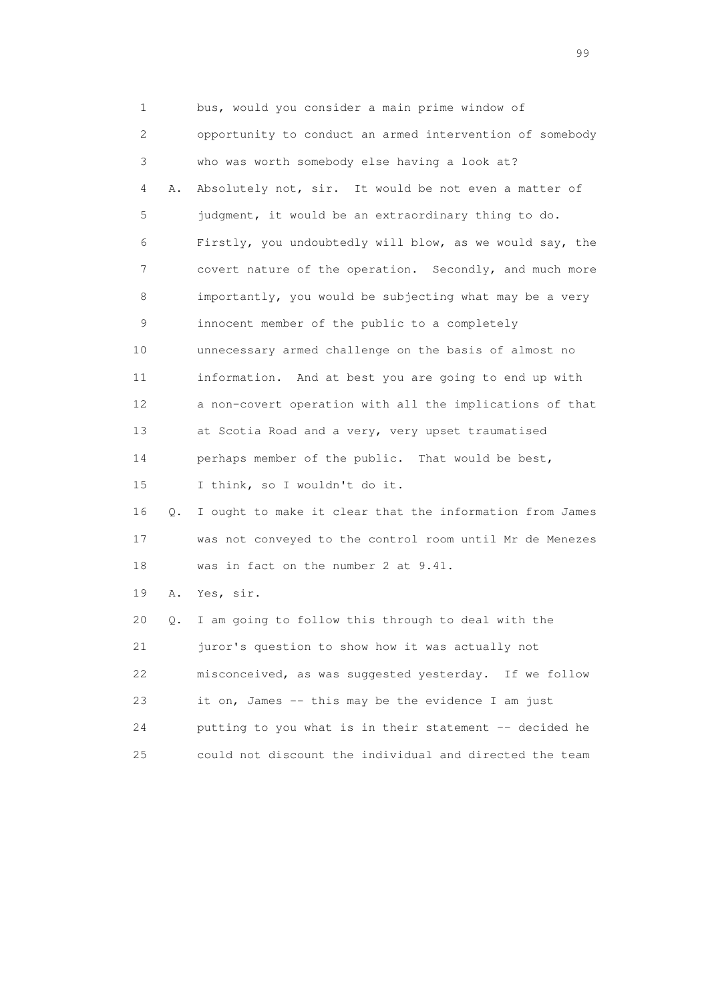1 bus, would you consider a main prime window of 2 opportunity to conduct an armed intervention of somebody 3 who was worth somebody else having a look at? 4 A. Absolutely not, sir. It would be not even a matter of 5 judgment, it would be an extraordinary thing to do. 6 Firstly, you undoubtedly will blow, as we would say, the 7 covert nature of the operation. Secondly, and much more 8 importantly, you would be subjecting what may be a very 9 innocent member of the public to a completely 10 unnecessary armed challenge on the basis of almost no 11 information. And at best you are going to end up with 12 a non-covert operation with all the implications of that 13 at Scotia Road and a very, very upset traumatised 14 perhaps member of the public. That would be best, 15 I think, so I wouldn't do it. 16 Q. I ought to make it clear that the information from James 17 was not conveyed to the control room until Mr de Menezes 18 was in fact on the number 2 at 9.41. 19 A. Yes, sir. 20 Q. I am going to follow this through to deal with the 21 juror's question to show how it was actually not 22 misconceived, as was suggested yesterday. If we follow 23 it on, James -- this may be the evidence I am just 24 putting to you what is in their statement -- decided he 25 could not discount the individual and directed the team

en de la construction de la construction de la construction de la construction de la construction de la constr<br>1990 : la construction de la construction de la construction de la construction de la construction de la const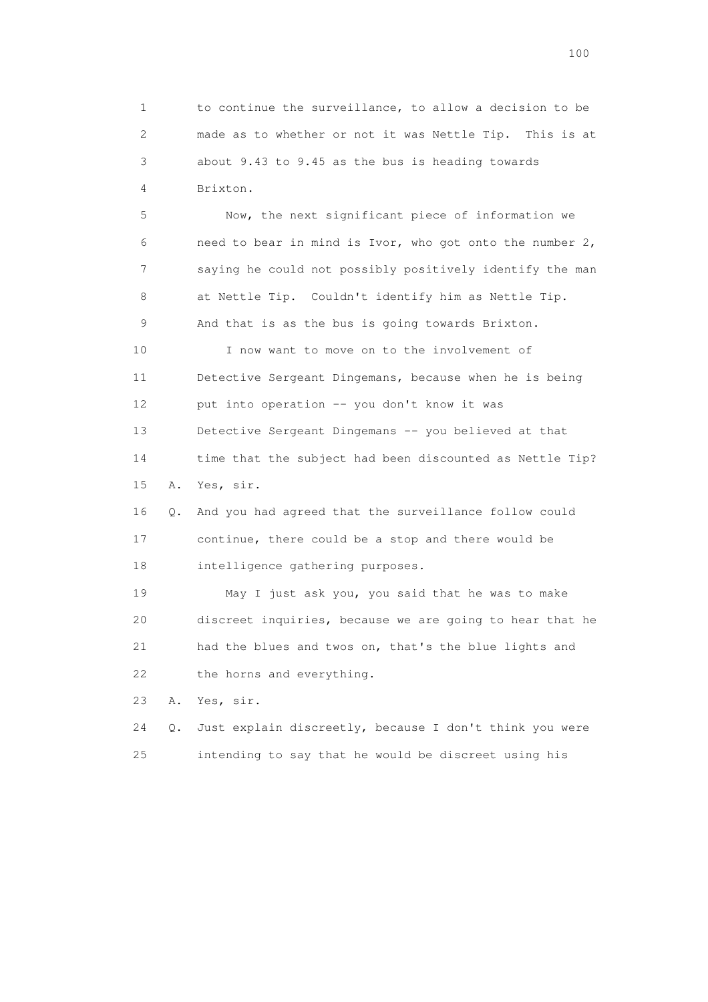1 to continue the surveillance, to allow a decision to be 2 made as to whether or not it was Nettle Tip. This is at 3 about 9.43 to 9.45 as the bus is heading towards 4 Brixton.

 5 Now, the next significant piece of information we 6 need to bear in mind is Ivor, who got onto the number 2, 7 saying he could not possibly positively identify the man 8 at Nettle Tip. Couldn't identify him as Nettle Tip. 9 And that is as the bus is going towards Brixton. 10 I now want to move on to the involvement of 11 Detective Sergeant Dingemans, because when he is being 12 put into operation -- you don't know it was 13 Detective Sergeant Dingemans -- you believed at that 14 time that the subject had been discounted as Nettle Tip? 15 A. Yes, sir. 16 Q. And you had agreed that the surveillance follow could 17 continue, there could be a stop and there would be 18 intelligence gathering purposes.

 19 May I just ask you, you said that he was to make 20 discreet inquiries, because we are going to hear that he 21 had the blues and twos on, that's the blue lights and 22 the horns and everything.

23 A. Yes, sir.

 24 Q. Just explain discreetly, because I don't think you were 25 intending to say that he would be discreet using his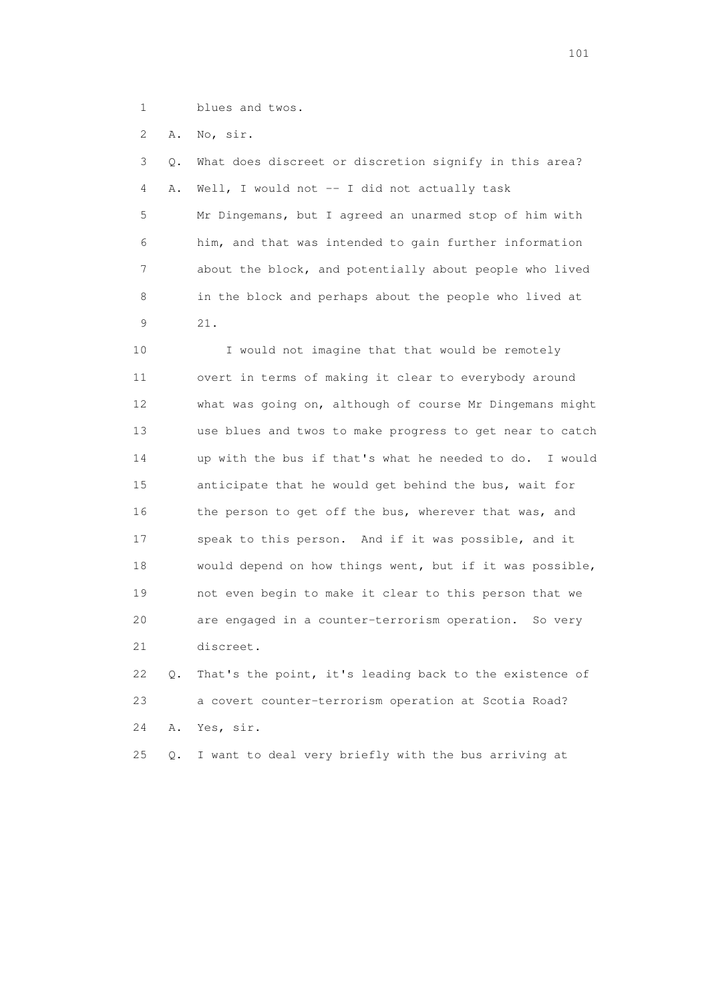1 blues and twos.

2 A. No, sir.

 3 Q. What does discreet or discretion signify in this area? 4 A. Well, I would not -- I did not actually task 5 Mr Dingemans, but I agreed an unarmed stop of him with 6 him, and that was intended to gain further information 7 about the block, and potentially about people who lived 8 in the block and perhaps about the people who lived at 9 21.

10 I would not imagine that that would be remotely 11 overt in terms of making it clear to everybody around 12 what was going on, although of course Mr Dingemans might 13 use blues and twos to make progress to get near to catch 14 up with the bus if that's what he needed to do. I would 15 anticipate that he would get behind the bus, wait for 16 the person to get off the bus, wherever that was, and 17 speak to this person. And if it was possible, and it 18 would depend on how things went, but if it was possible, 19 not even begin to make it clear to this person that we 20 are engaged in a counter-terrorism operation. So very 21 discreet.

 22 Q. That's the point, it's leading back to the existence of 23 a covert counter-terrorism operation at Scotia Road? 24 A. Yes, sir.

25 Q. I want to deal very briefly with the bus arriving at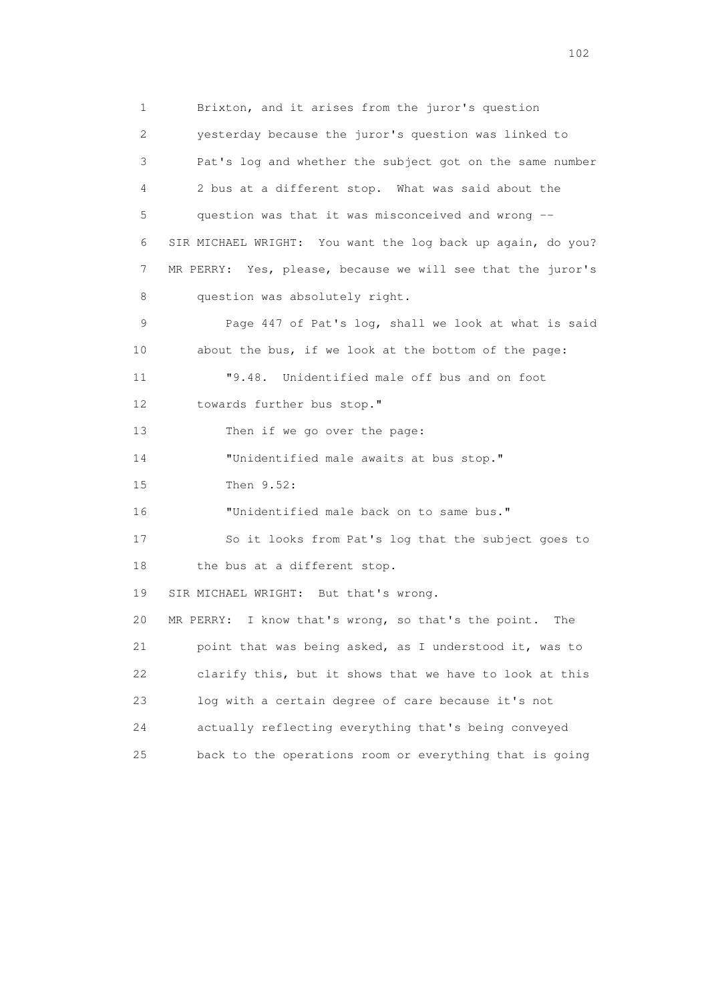1 Brixton, and it arises from the juror's question 2 yesterday because the juror's question was linked to 3 Pat's log and whether the subject got on the same number 4 2 bus at a different stop. What was said about the 5 question was that it was misconceived and wrong -- 6 SIR MICHAEL WRIGHT: You want the log back up again, do you? 7 MR PERRY: Yes, please, because we will see that the juror's 8 question was absolutely right. 9 Page 447 of Pat's log, shall we look at what is said 10 about the bus, if we look at the bottom of the page: 11 "9.48. Unidentified male off bus and on foot 12 towards further bus stop." 13 Then if we go over the page: 14 "Unidentified male awaits at bus stop." 15 Then 9.52: 16 "Unidentified male back on to same bus." 17 So it looks from Pat's log that the subject goes to 18 the bus at a different stop. 19 SIR MICHAEL WRIGHT: But that's wrong. 20 MR PERRY: I know that's wrong, so that's the point. The 21 point that was being asked, as I understood it, was to 22 clarify this, but it shows that we have to look at this 23 log with a certain degree of care because it's not 24 actually reflecting everything that's being conveyed 25 back to the operations room or everything that is going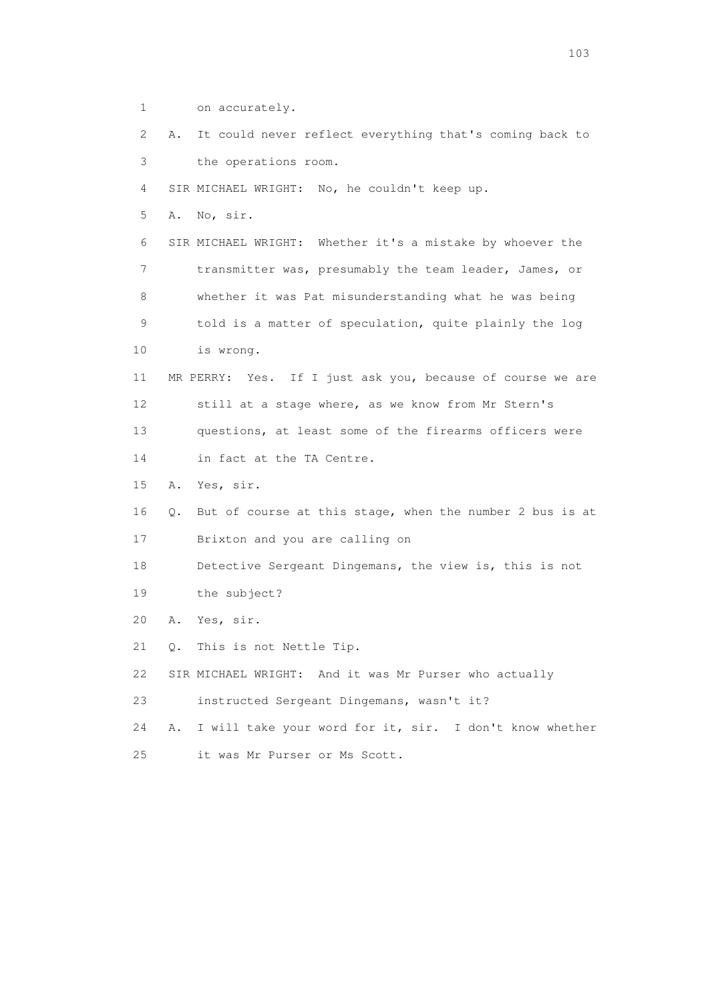1 on accurately. 2 A. It could never reflect everything that's coming back to 3 the operations room. 4 SIR MICHAEL WRIGHT: No, he couldn't keep up. 5 A. No, sir. 6 SIR MICHAEL WRIGHT: Whether it's a mistake by whoever the 7 transmitter was, presumably the team leader, James, or 8 whether it was Pat misunderstanding what he was being 9 told is a matter of speculation, quite plainly the log 10 is wrong. 11 MR PERRY: Yes. If I just ask you, because of course we are 12 still at a stage where, as we know from Mr Stern's 13 questions, at least some of the firearms officers were 14 in fact at the TA Centre. 15 A. Yes, sir. 16 Q. But of course at this stage, when the number 2 bus is at 17 Brixton and you are calling on 18 Detective Sergeant Dingemans, the view is, this is not 19 the subject? 20 A. Yes, sir. 21 Q. This is not Nettle Tip. 22 SIR MICHAEL WRIGHT: And it was Mr Purser who actually 23 instructed Sergeant Dingemans, wasn't it? 24 A. I will take your word for it, sir. I don't know whether 25 it was Mr Purser or Ms Scott.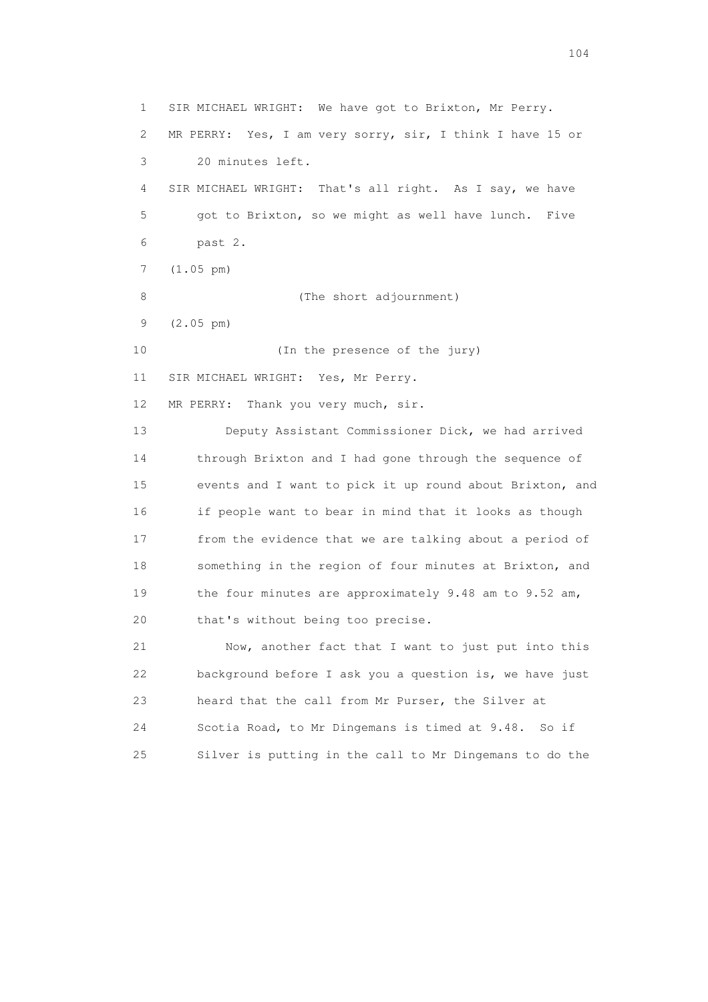1 SIR MICHAEL WRIGHT: We have got to Brixton, Mr Perry. 2 MR PERRY: Yes, I am very sorry, sir, I think I have 15 or 3 20 minutes left. 4 SIR MICHAEL WRIGHT: That's all right. As I say, we have 5 got to Brixton, so we might as well have lunch. Five 6 past 2. 7 (1.05 pm) 8 (The short adjournment) 9 (2.05 pm) 10 (In the presence of the jury) 11 SIR MICHAEL WRIGHT: Yes, Mr Perry. 12 MR PERRY: Thank you very much, sir. 13 Deputy Assistant Commissioner Dick, we had arrived 14 through Brixton and I had gone through the sequence of 15 events and I want to pick it up round about Brixton, and 16 if people want to bear in mind that it looks as though 17 from the evidence that we are talking about a period of 18 something in the region of four minutes at Brixton, and 19 the four minutes are approximately 9.48 am to 9.52 am, 20 that's without being too precise. 21 Now, another fact that I want to just put into this 22 background before I ask you a question is, we have just 23 heard that the call from Mr Purser, the Silver at 24 Scotia Road, to Mr Dingemans is timed at 9.48. So if

25 Silver is putting in the call to Mr Dingemans to do the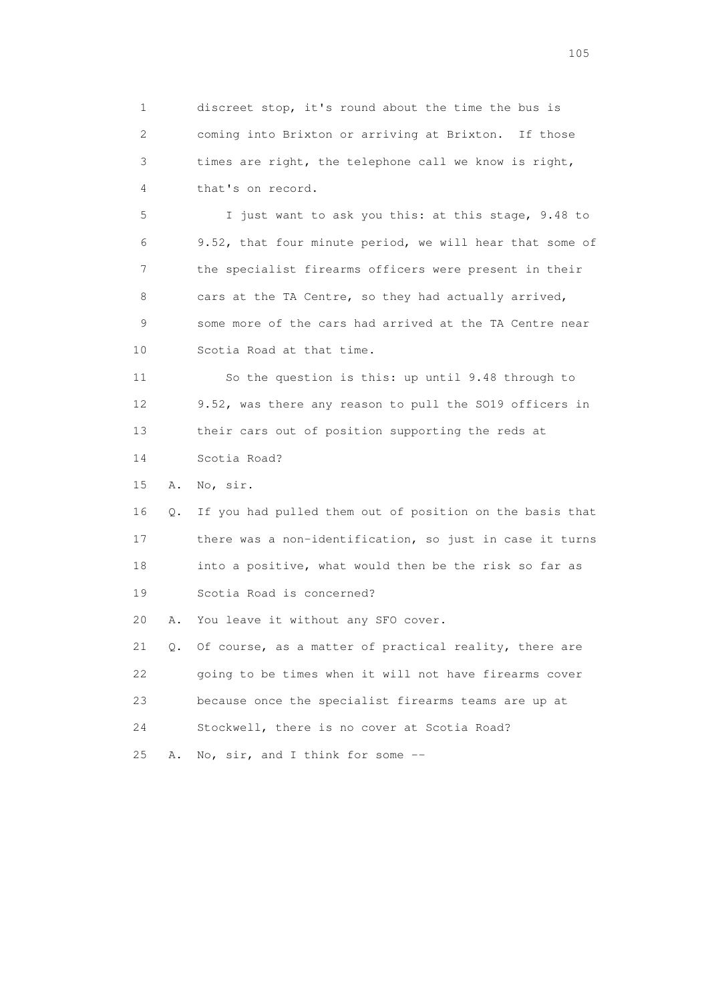1 discreet stop, it's round about the time the bus is 2 coming into Brixton or arriving at Brixton. If those 3 times are right, the telephone call we know is right, 4 that's on record.

 5 I just want to ask you this: at this stage, 9.48 to 6 9.52, that four minute period, we will hear that some of 7 the specialist firearms officers were present in their 8 cars at the TA Centre, so they had actually arrived, 9 some more of the cars had arrived at the TA Centre near 10 Scotia Road at that time.

 11 So the question is this: up until 9.48 through to 12 9.52, was there any reason to pull the SO19 officers in 13 their cars out of position supporting the reds at 14 Scotia Road?

15 A. No, sir.

 16 Q. If you had pulled them out of position on the basis that 17 there was a non-identification, so just in case it turns 18 into a positive, what would then be the risk so far as 19 Scotia Road is concerned?

20 A. You leave it without any SFO cover.

 21 Q. Of course, as a matter of practical reality, there are 22 going to be times when it will not have firearms cover 23 because once the specialist firearms teams are up at 24 Stockwell, there is no cover at Scotia Road? 25 A. No, sir, and I think for some --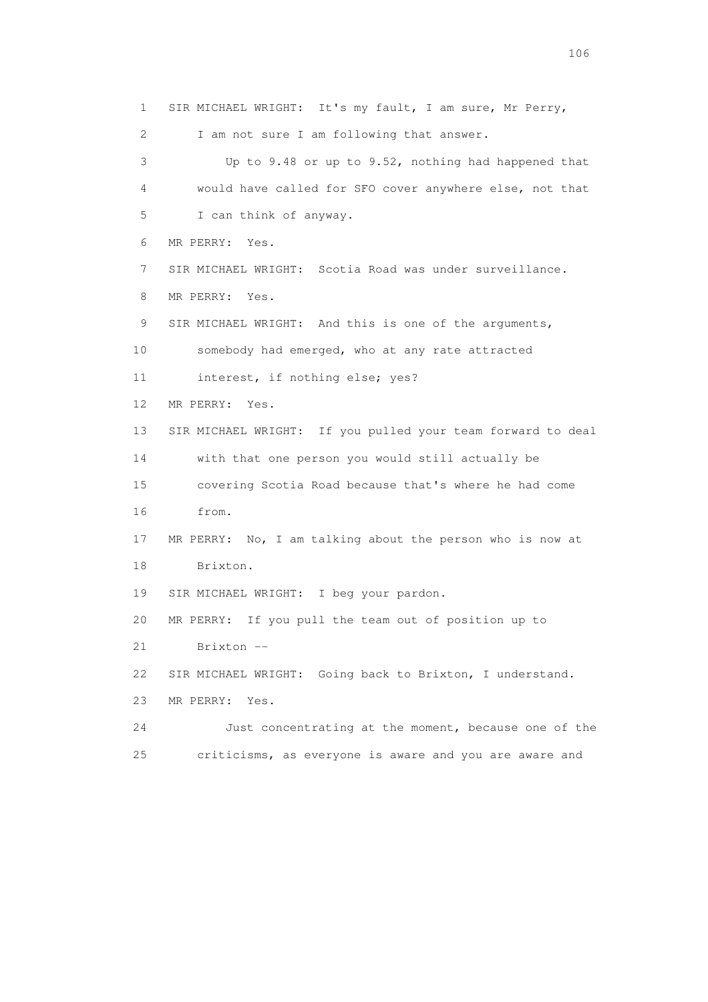1 SIR MICHAEL WRIGHT: It's my fault, I am sure, Mr Perry, 2 I am not sure I am following that answer. 3 Up to 9.48 or up to 9.52, nothing had happened that 4 would have called for SFO cover anywhere else, not that 5 I can think of anyway. 6 MR PERRY: Yes. 7 SIR MICHAEL WRIGHT: Scotia Road was under surveillance. 8 MR PERRY: Yes. 9 SIR MICHAEL WRIGHT: And this is one of the arguments, 10 somebody had emerged, who at any rate attracted 11 interest, if nothing else; yes? 12 MR PERRY: Yes. 13 SIR MICHAEL WRIGHT: If you pulled your team forward to deal 14 with that one person you would still actually be 15 covering Scotia Road because that's where he had come 16 from. 17 MR PERRY: No, I am talking about the person who is now at 18 Brixton. 19 SIR MICHAEL WRIGHT: I beg your pardon. 20 MR PERRY: If you pull the team out of position up to 21 Brixton -- 22 SIR MICHAEL WRIGHT: Going back to Brixton, I understand. 23 MR PERRY: Yes. 24 Just concentrating at the moment, because one of the 25 criticisms, as everyone is aware and you are aware and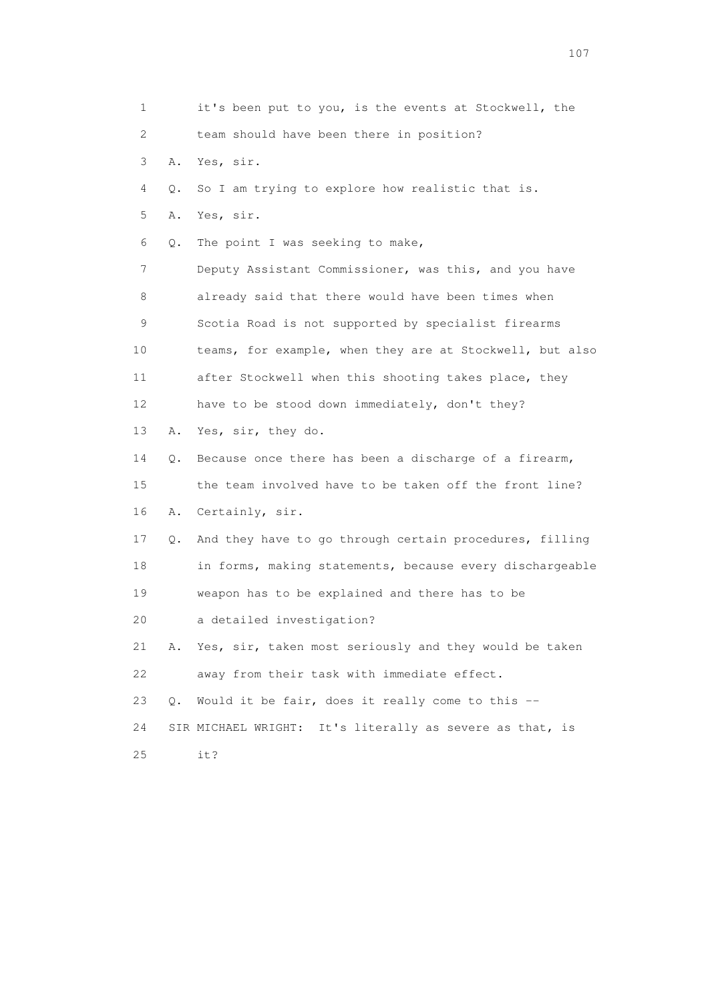1 it's been put to you, is the events at Stockwell, the 2 team should have been there in position? 3 A. Yes, sir. 4 Q. So I am trying to explore how realistic that is. 5 A. Yes, sir. 6 Q. The point I was seeking to make, 7 Deputy Assistant Commissioner, was this, and you have 8 already said that there would have been times when 9 Scotia Road is not supported by specialist firearms 10 teams, for example, when they are at Stockwell, but also 11 after Stockwell when this shooting takes place, they 12 have to be stood down immediately, don't they? 13 A. Yes, sir, they do. 14 Q. Because once there has been a discharge of a firearm, 15 the team involved have to be taken off the front line? 16 A. Certainly, sir. 17 Q. And they have to go through certain procedures, filling 18 in forms, making statements, because every dischargeable 19 weapon has to be explained and there has to be 20 a detailed investigation? 21 A. Yes, sir, taken most seriously and they would be taken 22 away from their task with immediate effect. 23 Q. Would it be fair, does it really come to this -- 24 SIR MICHAEL WRIGHT: It's literally as severe as that, is 25 it?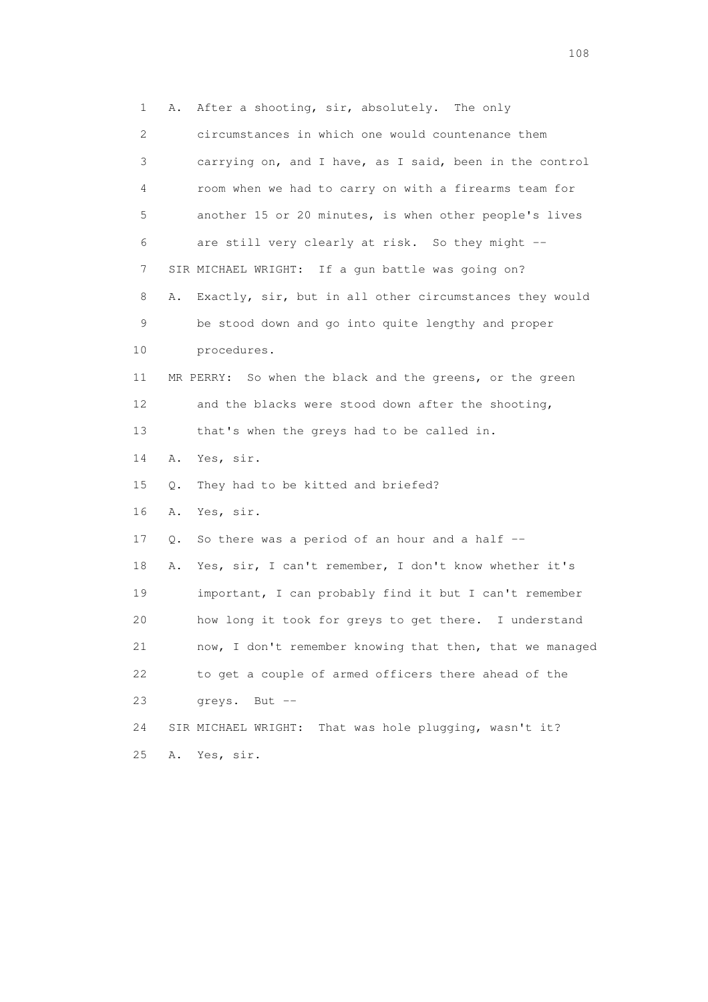1 A. After a shooting, sir, absolutely. The only 2 circumstances in which one would countenance them 3 carrying on, and I have, as I said, been in the control 4 room when we had to carry on with a firearms team for 5 another 15 or 20 minutes, is when other people's lives 6 are still very clearly at risk. So they might -- 7 SIR MICHAEL WRIGHT: If a gun battle was going on? 8 A. Exactly, sir, but in all other circumstances they would 9 be stood down and go into quite lengthy and proper 10 procedures. 11 MR PERRY: So when the black and the greens, or the green 12 and the blacks were stood down after the shooting, 13 that's when the greys had to be called in. 14 A. Yes, sir. 15 Q. They had to be kitted and briefed? 16 A. Yes, sir. 17 Q. So there was a period of an hour and a half -- 18 A. Yes, sir, I can't remember, I don't know whether it's 19 important, I can probably find it but I can't remember 20 how long it took for greys to get there. I understand 21 now, I don't remember knowing that then, that we managed 22 to get a couple of armed officers there ahead of the 23 greys. But -- 24 SIR MICHAEL WRIGHT: That was hole plugging, wasn't it? 25 A. Yes, sir.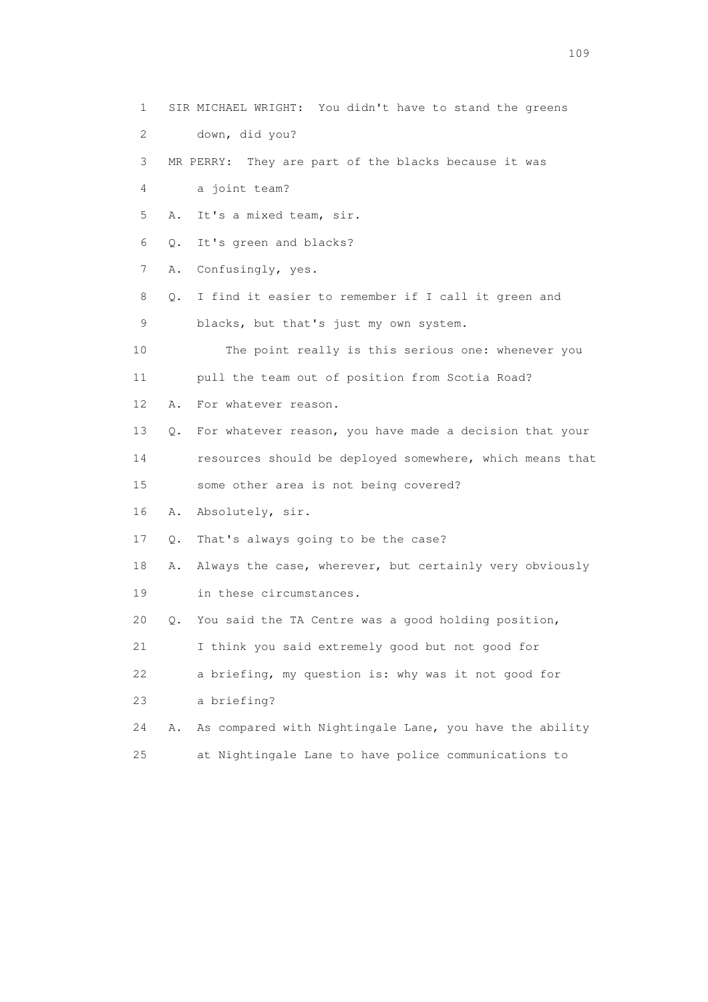1 SIR MICHAEL WRIGHT: You didn't have to stand the greens 2 down, did you? 3 MR PERRY: They are part of the blacks because it was 4 a joint team? 5 A. It's a mixed team, sir. 6 Q. It's green and blacks? 7 A. Confusingly, yes. 8 Q. I find it easier to remember if I call it green and 9 blacks, but that's just my own system. 10 The point really is this serious one: whenever you 11 pull the team out of position from Scotia Road? 12 A. For whatever reason. 13 Q. For whatever reason, you have made a decision that your 14 resources should be deployed somewhere, which means that 15 some other area is not being covered? 16 A. Absolutely, sir. 17 Q. That's always going to be the case? 18 A. Always the case, wherever, but certainly very obviously 19 in these circumstances. 20 Q. You said the TA Centre was a good holding position, 21 I think you said extremely good but not good for 22 a briefing, my question is: why was it not good for 23 a briefing? 24 A. As compared with Nightingale Lane, you have the ability 25 at Nightingale Lane to have police communications to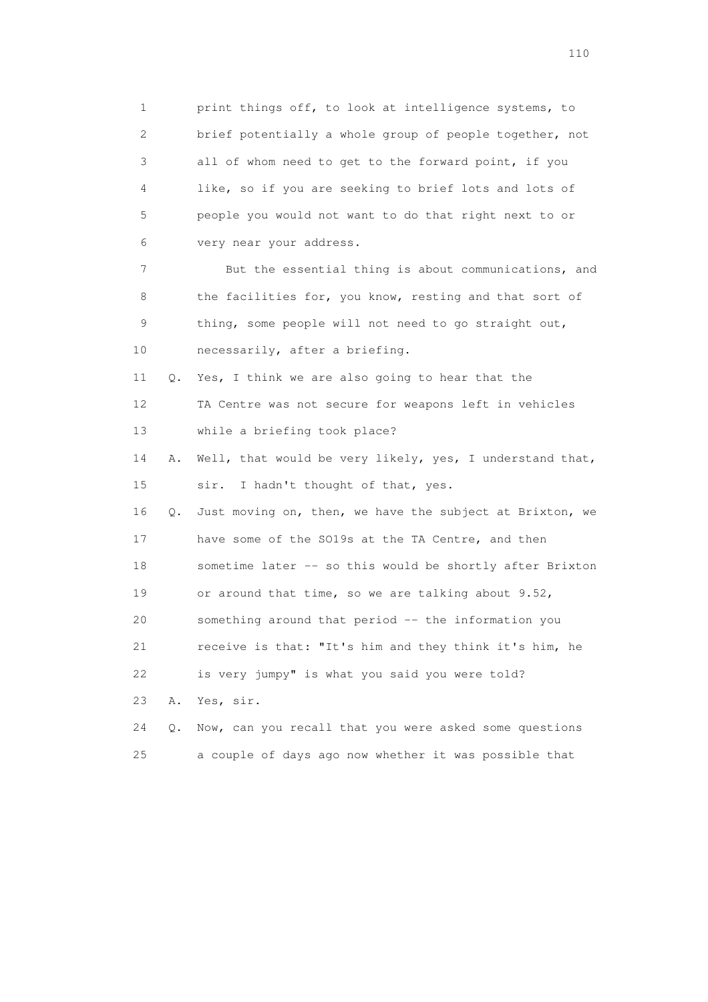1 print things off, to look at intelligence systems, to 2 brief potentially a whole group of people together, not 3 all of whom need to get to the forward point, if you 4 like, so if you are seeking to brief lots and lots of 5 people you would not want to do that right next to or 6 very near your address. 7 But the essential thing is about communications, and 8 the facilities for, you know, resting and that sort of 9 thing, some people will not need to go straight out, 10 necessarily, after a briefing. 11 Q. Yes, I think we are also going to hear that the 12 TA Centre was not secure for weapons left in vehicles 13 while a briefing took place? 14 A. Well, that would be very likely, yes, I understand that, 15 sir. I hadn't thought of that, yes. 16 Q. Just moving on, then, we have the subject at Brixton, we 17 have some of the SO19s at the TA Centre, and then 18 sometime later -- so this would be shortly after Brixton 19 or around that time, so we are talking about 9.52, 20 something around that period -- the information you 21 receive is that: "It's him and they think it's him, he 22 is very jumpy" is what you said you were told? 23 A. Yes, sir. 24 Q. Now, can you recall that you were asked some questions 25 a couple of days ago now whether it was possible that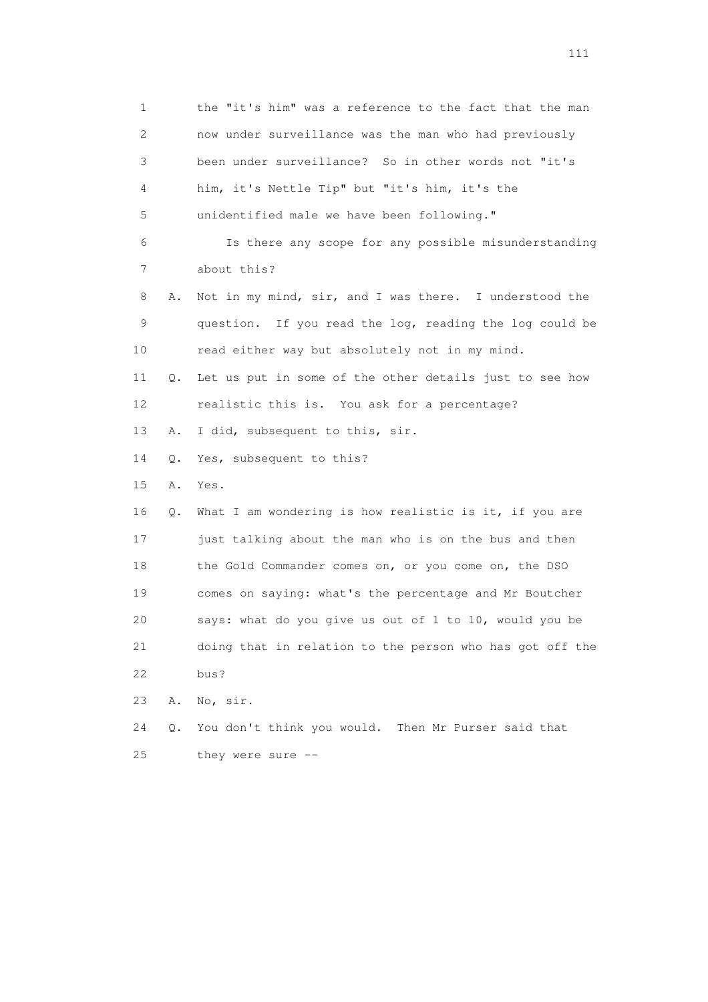1 the "it's him" was a reference to the fact that the man 2 now under surveillance was the man who had previously 3 been under surveillance? So in other words not "it's 4 him, it's Nettle Tip" but "it's him, it's the 5 unidentified male we have been following." 6 Is there any scope for any possible misunderstanding 7 about this? 8 A. Not in my mind, sir, and I was there. I understood the 9 question. If you read the log, reading the log could be 10 read either way but absolutely not in my mind. 11 Q. Let us put in some of the other details just to see how 12 realistic this is. You ask for a percentage? 13 A. I did, subsequent to this, sir. 14 Q. Yes, subsequent to this? 15 A. Yes. 16 Q. What I am wondering is how realistic is it, if you are 17 just talking about the man who is on the bus and then 18 the Gold Commander comes on, or you come on, the DSO 19 comes on saying: what's the percentage and Mr Boutcher 20 says: what do you give us out of 1 to 10, would you be 21 doing that in relation to the person who has got off the 22 bus? 23 A. No, sir. 24 Q. You don't think you would. Then Mr Purser said that 25 they were sure --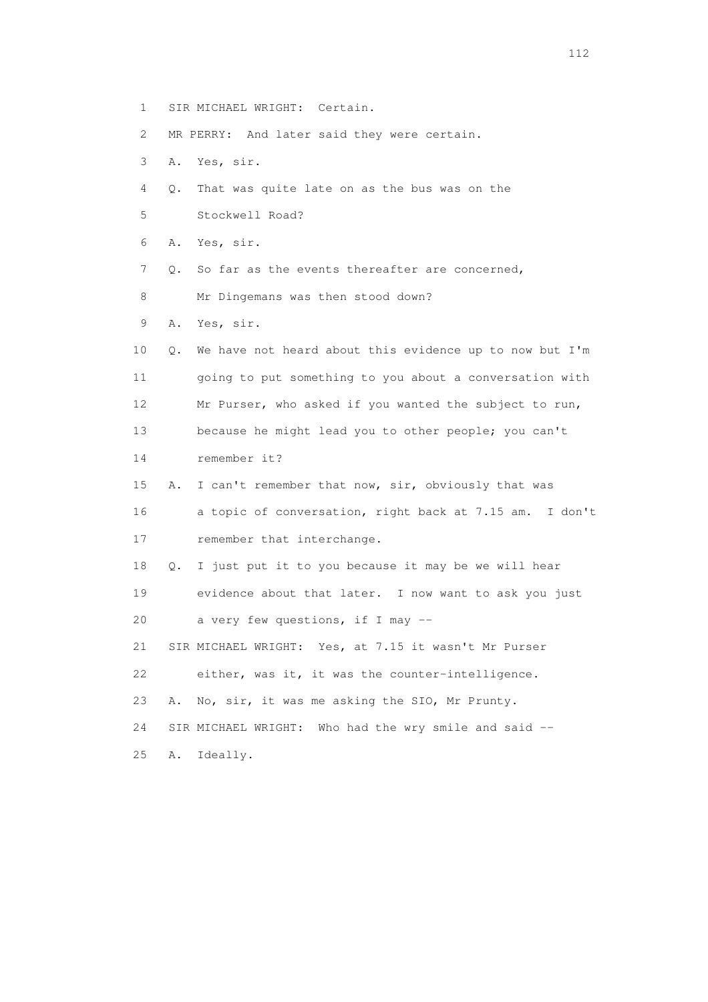- 1 SIR MICHAEL WRIGHT: Certain.
- 2 MR PERRY: And later said they were certain.
- 3 A. Yes, sir.
- 4 Q. That was quite late on as the bus was on the
- 5 Stockwell Road?
- 6 A. Yes, sir.
- 7 Q. So far as the events thereafter are concerned,
- 8 Mr Dingemans was then stood down?
- 9 A. Yes, sir.
- 10 Q. We have not heard about this evidence up to now but I'm 11 going to put something to you about a conversation with 12 Mr Purser, who asked if you wanted the subject to run, 13 because he might lead you to other people; you can't 14 remember it?
- 15 A. I can't remember that now, sir, obviously that was 16 a topic of conversation, right back at 7.15 am. I don't 17 remember that interchange.
- 18 Q. I just put it to you because it may be we will hear 19 evidence about that later. I now want to ask you just
- 20 a very few questions, if I may --
- 21 SIR MICHAEL WRIGHT: Yes, at 7.15 it wasn't Mr Purser
- 22 either, was it, it was the counter-intelligence.
- 23 A. No, sir, it was me asking the SIO, Mr Prunty.
- 24 SIR MICHAEL WRIGHT: Who had the wry smile and said --
- 25 A. Ideally.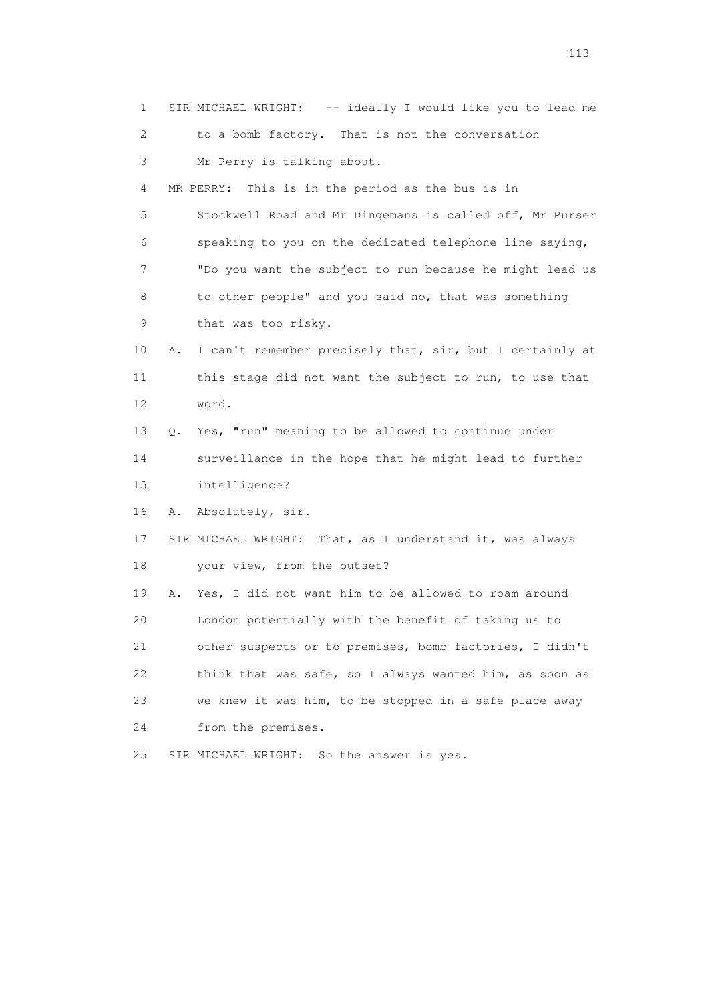1 SIR MICHAEL WRIGHT: -- ideally I would like you to lead me 2 to a bomb factory. That is not the conversation 3 Mr Perry is talking about. 4 MR PERRY: This is in the period as the bus is in 5 Stockwell Road and Mr Dingemans is called off, Mr Purser 6 speaking to you on the dedicated telephone line saying, 7 "Do you want the subject to run because he might lead us 8 to other people" and you said no, that was something 9 that was too risky. 10 A. I can't remember precisely that, sir, but I certainly at 11 this stage did not want the subject to run, to use that 12 word. 13 Q. Yes, "run" meaning to be allowed to continue under 14 surveillance in the hope that he might lead to further 15 intelligence? 16 A. Absolutely, sir. 17 SIR MICHAEL WRIGHT: That, as I understand it, was always 18 your view, from the outset? 19 A. Yes, I did not want him to be allowed to roam around 20 London potentially with the benefit of taking us to 21 other suspects or to premises, bomb factories, I didn't 22 think that was safe, so I always wanted him, as soon as 23 we knew it was him, to be stopped in a safe place away 24 from the premises. 25 SIR MICHAEL WRIGHT: So the answer is yes.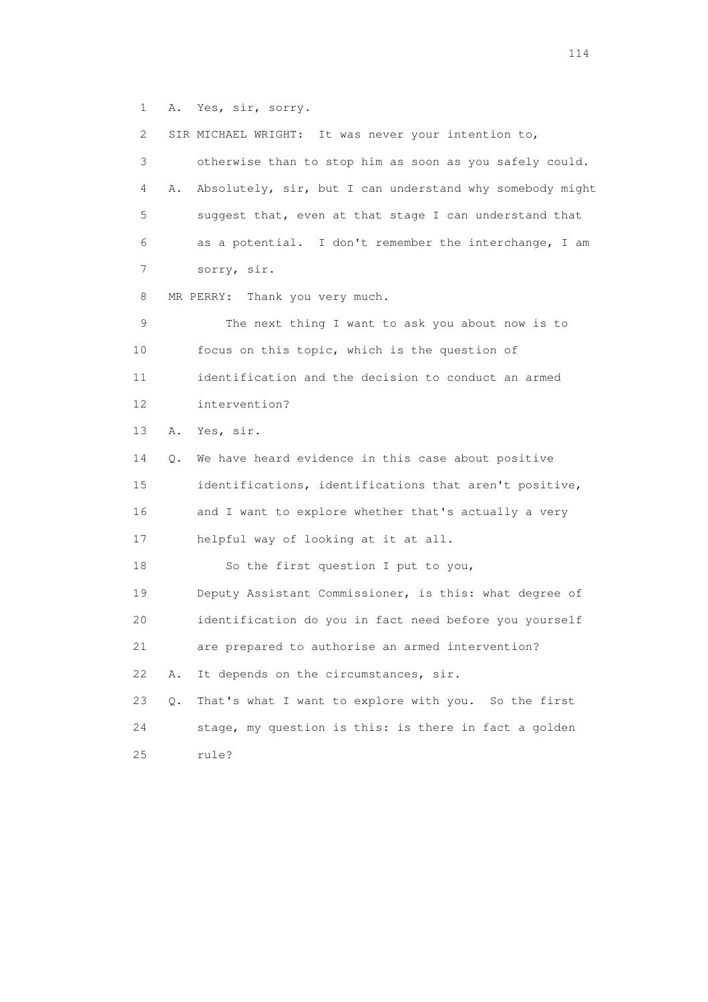1 A. Yes, sir, sorry.

 2 SIR MICHAEL WRIGHT: It was never your intention to, 3 otherwise than to stop him as soon as you safely could. 4 A. Absolutely, sir, but I can understand why somebody might 5 suggest that, even at that stage I can understand that 6 as a potential. I don't remember the interchange, I am 7 sorry, sir. 8 MR PERRY: Thank you very much. 9 The next thing I want to ask you about now is to 10 focus on this topic, which is the question of 11 identification and the decision to conduct an armed 12 intervention? 13 A. Yes, sir. 14 Q. We have heard evidence in this case about positive 15 identifications, identifications that aren't positive, 16 and I want to explore whether that's actually a very 17 helpful way of looking at it at all. 18 So the first question I put to you, 19 Deputy Assistant Commissioner, is this: what degree of 20 identification do you in fact need before you yourself 21 are prepared to authorise an armed intervention? 22 A. It depends on the circumstances, sir. 23 Q. That's what I want to explore with you. So the first 24 stage, my question is this: is there in fact a golden 25 rule?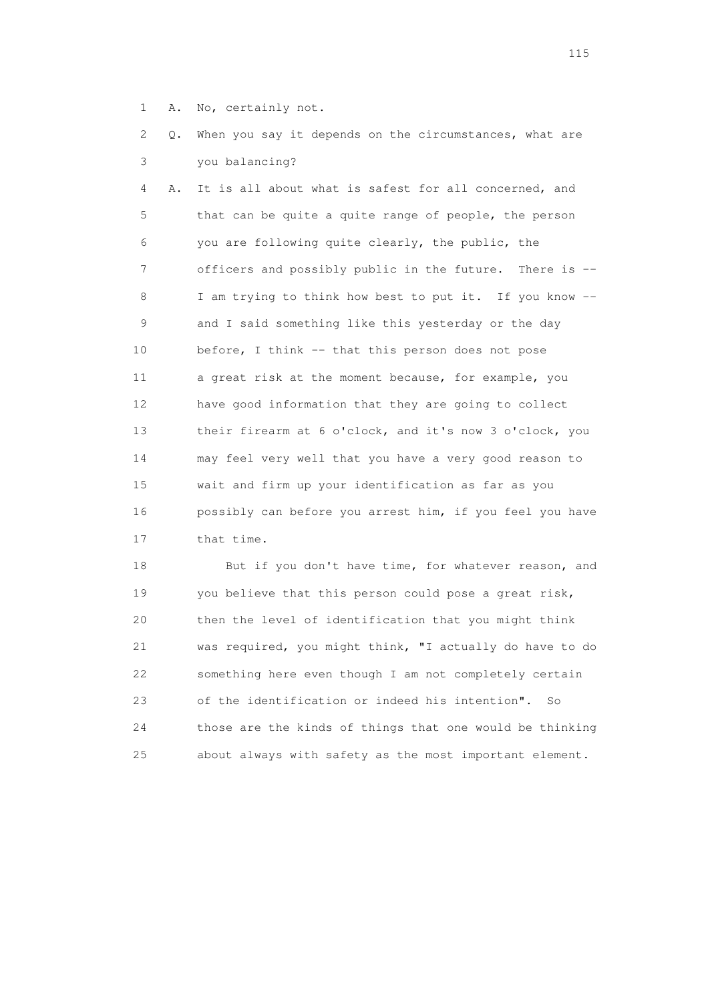1 A. No, certainly not.

 2 Q. When you say it depends on the circumstances, what are 3 you balancing?

 4 A. It is all about what is safest for all concerned, and 5 that can be quite a quite range of people, the person 6 you are following quite clearly, the public, the 7 officers and possibly public in the future. There is -- 8 I am trying to think how best to put it. If you know -- 9 and I said something like this yesterday or the day 10 before, I think -- that this person does not pose 11 a great risk at the moment because, for example, you 12 have good information that they are going to collect 13 their firearm at 6 o'clock, and it's now 3 o'clock, you 14 may feel very well that you have a very good reason to 15 wait and firm up your identification as far as you 16 possibly can before you arrest him, if you feel you have 17 that time.

18 But if you don't have time, for whatever reason, and 19 you believe that this person could pose a great risk, 20 then the level of identification that you might think 21 was required, you might think, "I actually do have to do 22 something here even though I am not completely certain 23 of the identification or indeed his intention". So 24 those are the kinds of things that one would be thinking 25 about always with safety as the most important element.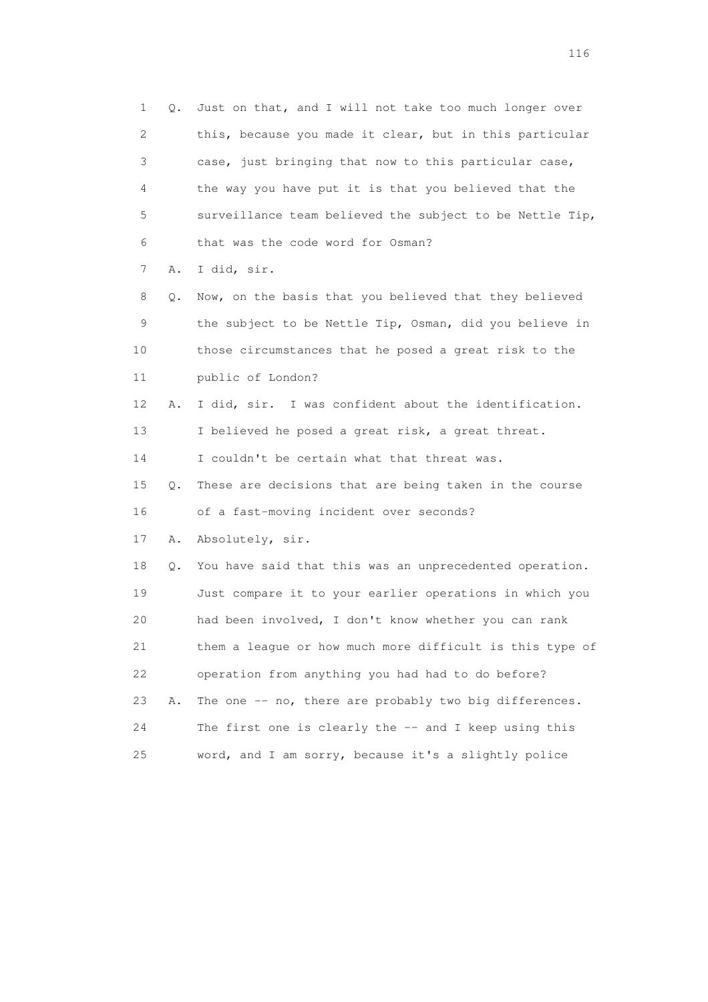| 1  | Q. | Just on that, and I will not take too much longer over   |
|----|----|----------------------------------------------------------|
| 2  |    | this, because you made it clear, but in this particular  |
| 3  |    | case, just bringing that now to this particular case,    |
| 4  |    | the way you have put it is that you believed that the    |
| 5  |    | surveillance team believed the subject to be Nettle Tip, |
| 6  |    | that was the code word for Osman?                        |
| 7  | Α. | I did, sir.                                              |
| 8  | Q. | Now, on the basis that you believed that they believed   |
| 9  |    | the subject to be Nettle Tip, Osman, did you believe in  |
| 10 |    | those circumstances that he posed a great risk to the    |
| 11 |    | public of London?                                        |
| 12 | Α. | I did, sir. I was confident about the identification.    |
| 13 |    | I believed he posed a great risk, a great threat.        |
| 14 |    | I couldn't be certain what that threat was.              |
| 15 | Q. | These are decisions that are being taken in the course   |
| 16 |    | of a fast-moving incident over seconds?                  |
| 17 | Α. | Absolutely, sir.                                         |
| 18 | Q. | You have said that this was an unprecedented operation.  |
| 19 |    | Just compare it to your earlier operations in which you  |
| 20 |    | had been involved, I don't know whether you can rank     |
| 21 |    | them a league or how much more difficult is this type of |
| 22 |    | operation from anything you had had to do before?        |
| 23 | Α. | The one -- no, there are probably two big differences.   |
| 24 |    | The first one is clearly the $-$ and I keep using this   |
| 25 |    | word, and I am sorry, because it's a slightly police     |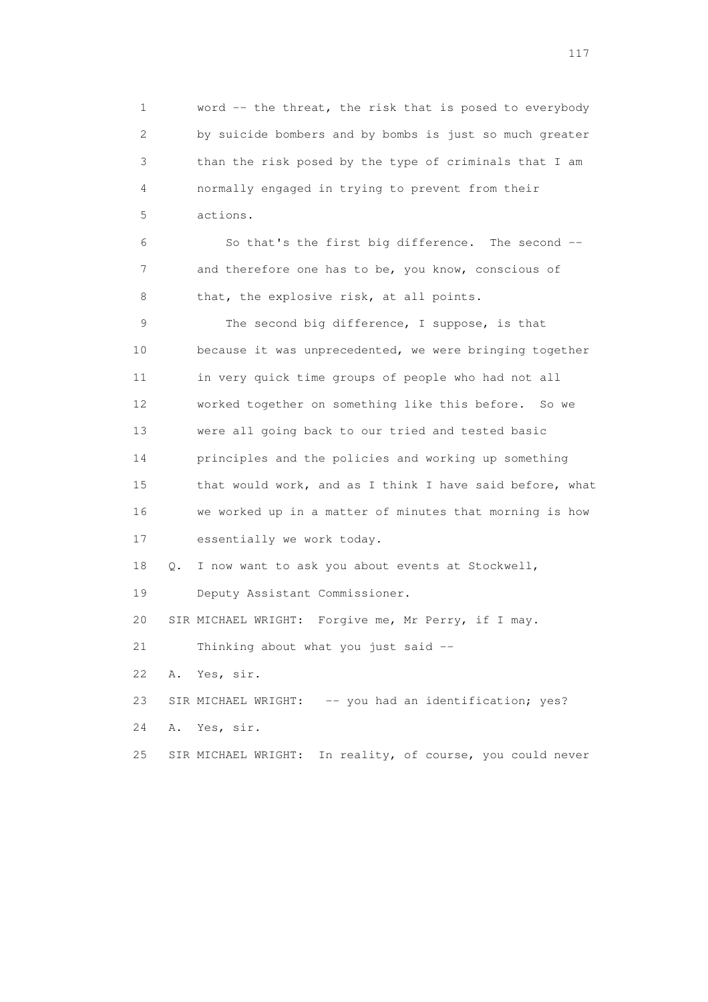1 word -- the threat, the risk that is posed to everybody 2 by suicide bombers and by bombs is just so much greater 3 than the risk posed by the type of criminals that I am 4 normally engaged in trying to prevent from their 5 actions.

 6 So that's the first big difference. The second -- 7 and therefore one has to be, you know, conscious of 8 that, the explosive risk, at all points.

 9 The second big difference, I suppose, is that 10 because it was unprecedented, we were bringing together 11 in very quick time groups of people who had not all 12 worked together on something like this before. So we 13 were all going back to our tried and tested basic 14 principles and the policies and working up something 15 that would work, and as I think I have said before, what 16 we worked up in a matter of minutes that morning is how 17 essentially we work today.

18 Q. I now want to ask you about events at Stockwell,

19 Deputy Assistant Commissioner.

20 SIR MICHAEL WRIGHT: Forgive me, Mr Perry, if I may.

21 Thinking about what you just said --

22 A. Yes, sir.

23 SIR MICHAEL WRIGHT: -- you had an identification; yes?

24 A. Yes, sir.

25 SIR MICHAEL WRIGHT: In reality, of course, you could never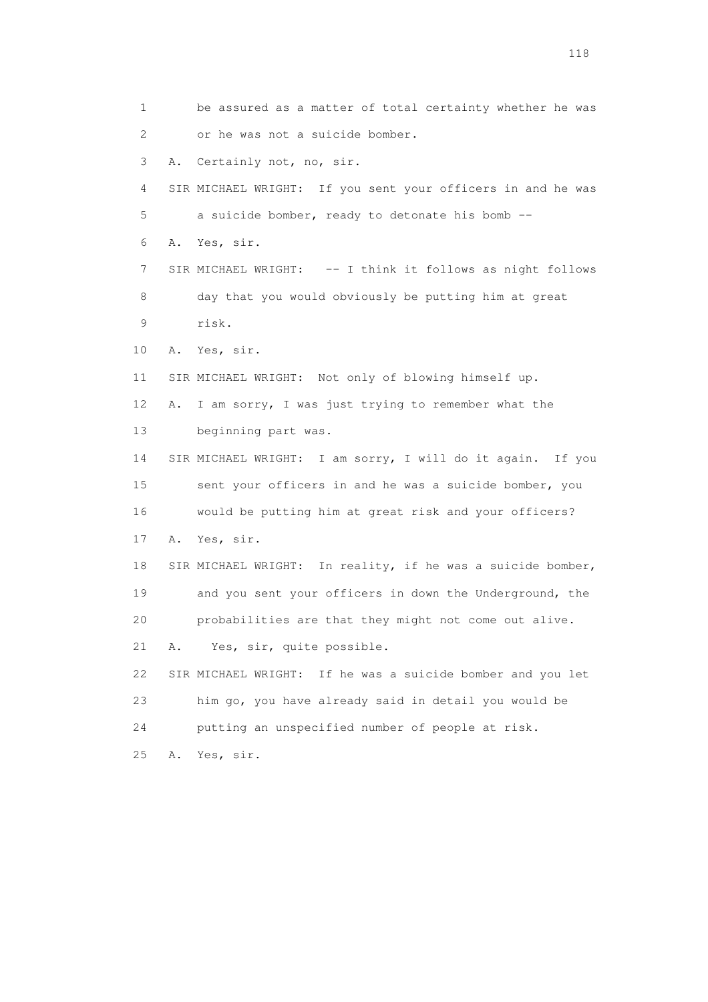1 be assured as a matter of total certainty whether he was 2 or he was not a suicide bomber. 3 A. Certainly not, no, sir. 4 SIR MICHAEL WRIGHT: If you sent your officers in and he was 5 a suicide bomber, ready to detonate his bomb -- 6 A. Yes, sir. 7 SIR MICHAEL WRIGHT: -- I think it follows as night follows 8 day that you would obviously be putting him at great 9 risk. 10 A. Yes, sir. 11 SIR MICHAEL WRIGHT: Not only of blowing himself up. 12 A. I am sorry, I was just trying to remember what the 13 beginning part was. 14 SIR MICHAEL WRIGHT: I am sorry, I will do it again. If you 15 sent your officers in and he was a suicide bomber, you 16 would be putting him at great risk and your officers? 17 A. Yes, sir. 18 SIR MICHAEL WRIGHT: In reality, if he was a suicide bomber, 19 and you sent your officers in down the Underground, the 20 probabilities are that they might not come out alive. 21 A. Yes, sir, quite possible. 22 SIR MICHAEL WRIGHT: If he was a suicide bomber and you let 23 him go, you have already said in detail you would be 24 putting an unspecified number of people at risk. 25 A. Yes, sir.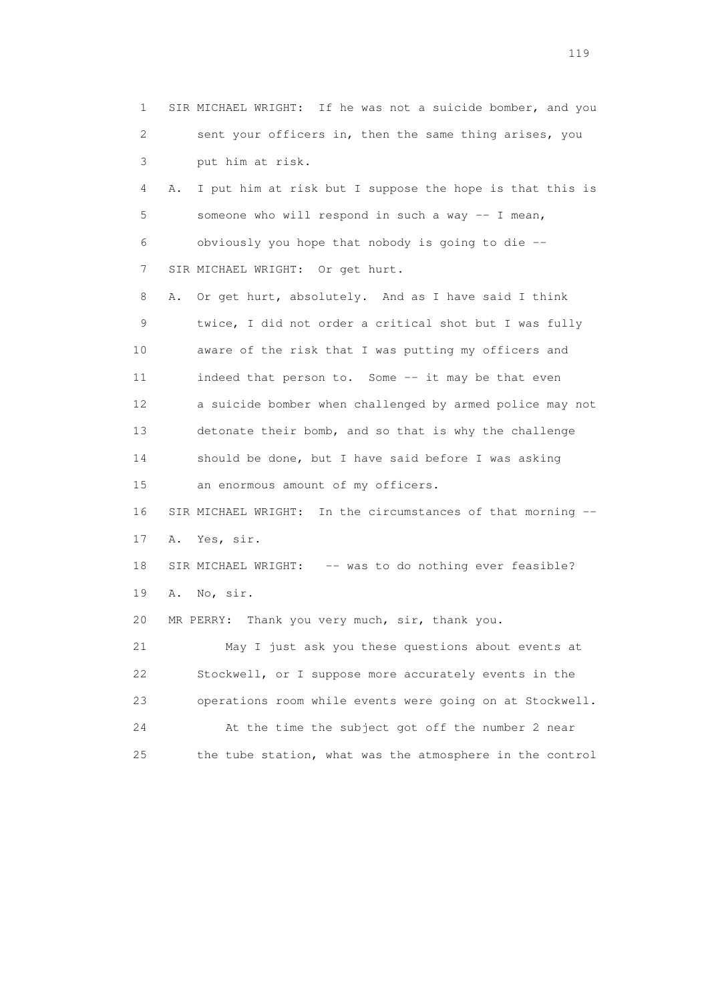1 SIR MICHAEL WRIGHT: If he was not a suicide bomber, and you 2 sent your officers in, then the same thing arises, you 3 put him at risk. 4 A. I put him at risk but I suppose the hope is that this is 5 someone who will respond in such a way -- I mean, 6 obviously you hope that nobody is going to die -- 7 SIR MICHAEL WRIGHT: Or get hurt. 8 A. Or get hurt, absolutely. And as I have said I think 9 twice, I did not order a critical shot but I was fully 10 aware of the risk that I was putting my officers and 11 indeed that person to. Some -- it may be that even 12 a suicide bomber when challenged by armed police may not 13 detonate their bomb, and so that is why the challenge 14 should be done, but I have said before I was asking 15 an enormous amount of my officers. 16 SIR MICHAEL WRIGHT: In the circumstances of that morning -- 17 A. Yes, sir. 18 SIR MICHAEL WRIGHT: -- was to do nothing ever feasible? 19 A. No, sir. 20 MR PERRY: Thank you very much, sir, thank you. 21 May I just ask you these questions about events at 22 Stockwell, or I suppose more accurately events in the 23 operations room while events were going on at Stockwell. 24 At the time the subject got off the number 2 near 25 the tube station, what was the atmosphere in the control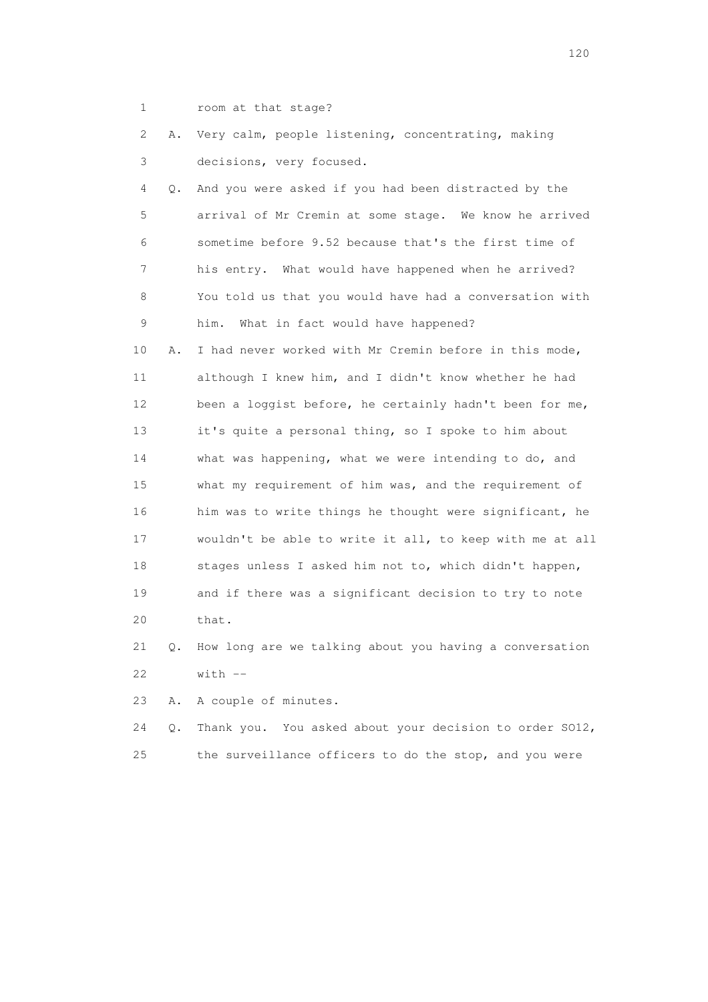1 room at that stage?

|  |                          |  | 2 A. Very calm, people listening, concentrating, making |  |  |
|--|--------------------------|--|---------------------------------------------------------|--|--|
|  | decisions, very focused. |  |                                                         |  |  |

 4 Q. And you were asked if you had been distracted by the 5 arrival of Mr Cremin at some stage. We know he arrived 6 sometime before 9.52 because that's the first time of 7 his entry. What would have happened when he arrived? 8 You told us that you would have had a conversation with 9 him. What in fact would have happened? 10 A. I had never worked with Mr Cremin before in this mode, 11 although I knew him, and I didn't know whether he had 12 been a loggist before, he certainly hadn't been for me, 13 it's quite a personal thing, so I spoke to him about 14 what was happening, what we were intending to do, and 15 what my requirement of him was, and the requirement of 16 him was to write things he thought were significant, he 17 wouldn't be able to write it all, to keep with me at all 18 stages unless I asked him not to, which didn't happen, 19 and if there was a significant decision to try to note 20 that.

 21 Q. How long are we talking about you having a conversation  $22$  with  $-$ 

23 A. A couple of minutes.

 24 Q. Thank you. You asked about your decision to order SO12, 25 the surveillance officers to do the stop, and you were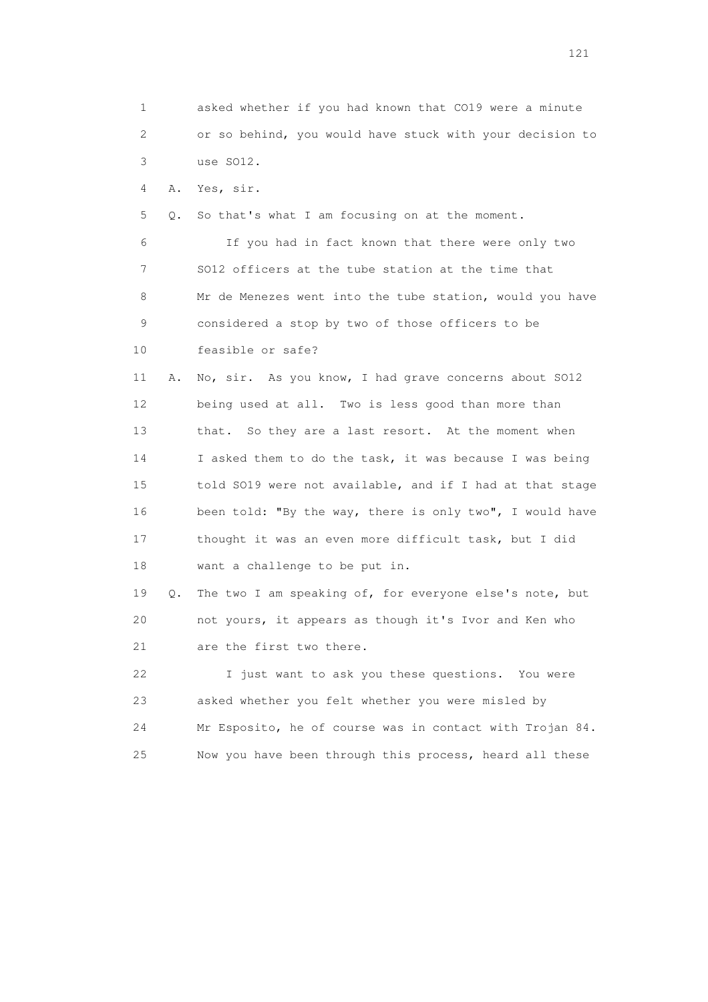1 asked whether if you had known that CO19 were a minute 2 or so behind, you would have stuck with your decision to 3 use SO12. 4 A. Yes, sir. 5 Q. So that's what I am focusing on at the moment. 6 If you had in fact known that there were only two 7 SO12 officers at the tube station at the time that 8 Mr de Menezes went into the tube station, would you have 9 considered a stop by two of those officers to be 10 feasible or safe? 11 A. No, sir. As you know, I had grave concerns about SO12 12 being used at all. Two is less good than more than 13 that. So they are a last resort. At the moment when 14 I asked them to do the task, it was because I was being 15 told SO19 were not available, and if I had at that stage 16 been told: "By the way, there is only two", I would have 17 thought it was an even more difficult task, but I did 18 want a challenge to be put in. 19 Q. The two I am speaking of, for everyone else's note, but 20 not yours, it appears as though it's Ivor and Ken who 21 are the first two there. 22 I just want to ask you these questions. You were 23 asked whether you felt whether you were misled by 24 Mr Esposito, he of course was in contact with Trojan 84. 25 Now you have been through this process, heard all these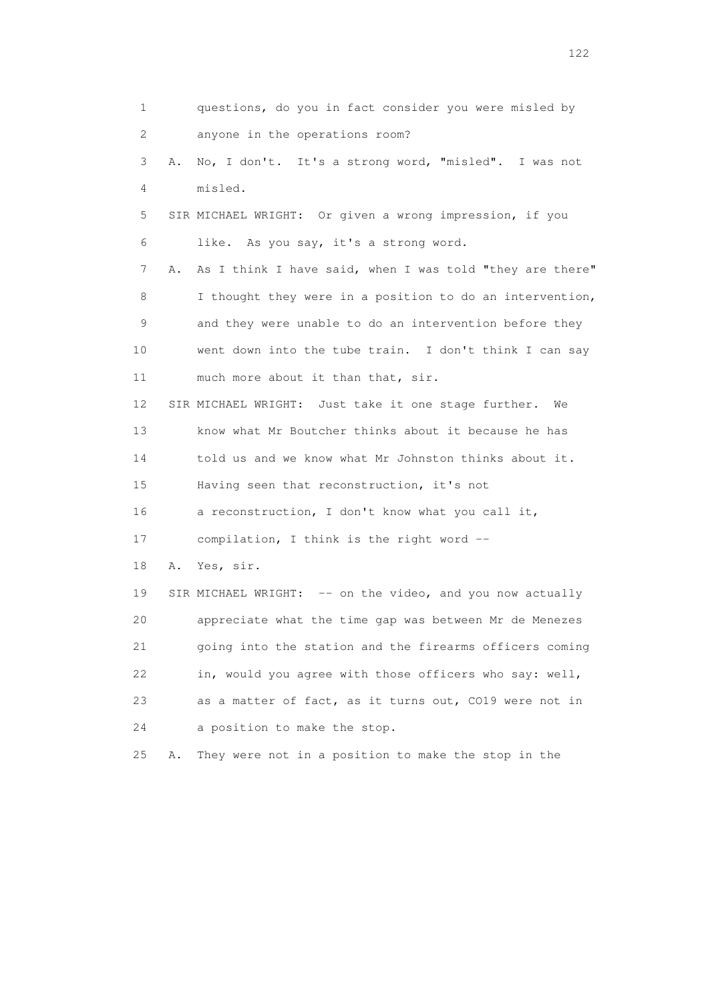1 questions, do you in fact consider you were misled by 2 anyone in the operations room? 3 A. No, I don't. It's a strong word, "misled". I was not 4 misled. 5 SIR MICHAEL WRIGHT: Or given a wrong impression, if you 6 like. As you say, it's a strong word. 7 A. As I think I have said, when I was told "they are there" 8 I thought they were in a position to do an intervention, 9 and they were unable to do an intervention before they 10 went down into the tube train. I don't think I can say 11 much more about it than that, sir. 12 SIR MICHAEL WRIGHT: Just take it one stage further. We 13 know what Mr Boutcher thinks about it because he has 14 told us and we know what Mr Johnston thinks about it. 15 Having seen that reconstruction, it's not 16 a reconstruction, I don't know what you call it, 17 compilation, I think is the right word -- 18 A. Yes, sir. 19 SIR MICHAEL WRIGHT: -- on the video, and you now actually 20 appreciate what the time gap was between Mr de Menezes 21 going into the station and the firearms officers coming 22 in, would you agree with those officers who say: well, 23 as a matter of fact, as it turns out, CO19 were not in 24 a position to make the stop. 25 A. They were not in a position to make the stop in the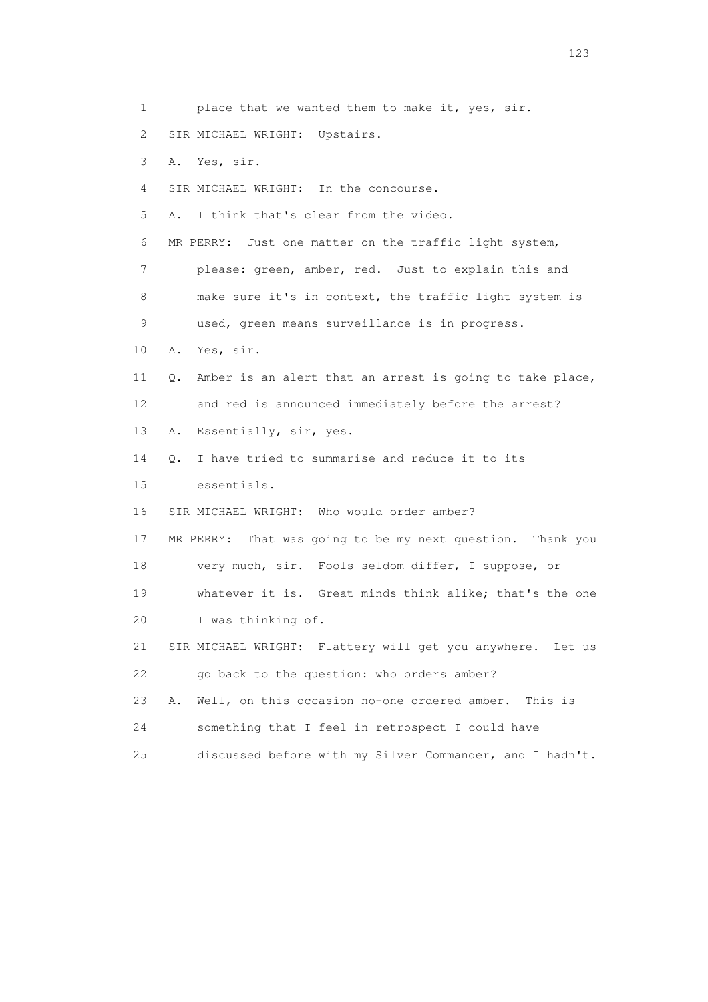1 place that we wanted them to make it, yes, sir. 2 SIR MICHAEL WRIGHT: Upstairs. 3 A. Yes, sir. 4 SIR MICHAEL WRIGHT: In the concourse. 5 A. I think that's clear from the video. 6 MR PERRY: Just one matter on the traffic light system, 7 please: green, amber, red. Just to explain this and 8 make sure it's in context, the traffic light system is 9 used, green means surveillance is in progress. 10 A. Yes, sir. 11 Q. Amber is an alert that an arrest is going to take place, 12 and red is announced immediately before the arrest? 13 A. Essentially, sir, yes. 14 Q. I have tried to summarise and reduce it to its 15 essentials. 16 SIR MICHAEL WRIGHT: Who would order amber? 17 MR PERRY: That was going to be my next question. Thank you 18 very much, sir. Fools seldom differ, I suppose, or 19 whatever it is. Great minds think alike; that's the one 20 I was thinking of. 21 SIR MICHAEL WRIGHT: Flattery will get you anywhere. Let us 22 go back to the question: who orders amber? 23 A. Well, on this occasion no-one ordered amber. This is 24 something that I feel in retrospect I could have 25 discussed before with my Silver Commander, and I hadn't.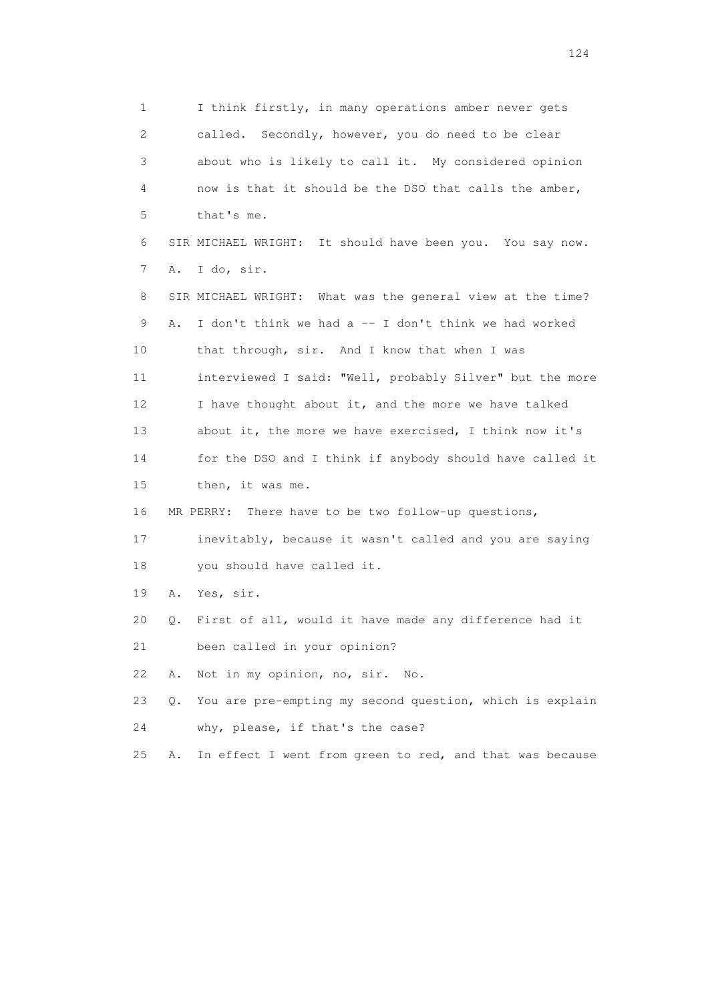1 I think firstly, in many operations amber never gets 2 called. Secondly, however, you do need to be clear 3 about who is likely to call it. My considered opinion 4 now is that it should be the DSO that calls the amber, 5 that's me. 6 SIR MICHAEL WRIGHT: It should have been you. You say now. 7 A. I do, sir. 8 SIR MICHAEL WRIGHT: What was the general view at the time? 9 A. I don't think we had a -- I don't think we had worked 10 that through, sir. And I know that when I was 11 interviewed I said: "Well, probably Silver" but the more 12 I have thought about it, and the more we have talked 13 about it, the more we have exercised, I think now it's 14 for the DSO and I think if anybody should have called it 15 then, it was me. 16 MR PERRY: There have to be two follow-up questions, 17 inevitably, because it wasn't called and you are saying 18 you should have called it. 19 A. Yes, sir. 20 Q. First of all, would it have made any difference had it 21 been called in your opinion? 22 A. Not in my opinion, no, sir. No. 23 Q. You are pre-empting my second question, which is explain 24 why, please, if that's the case? 25 A. In effect I went from green to red, and that was because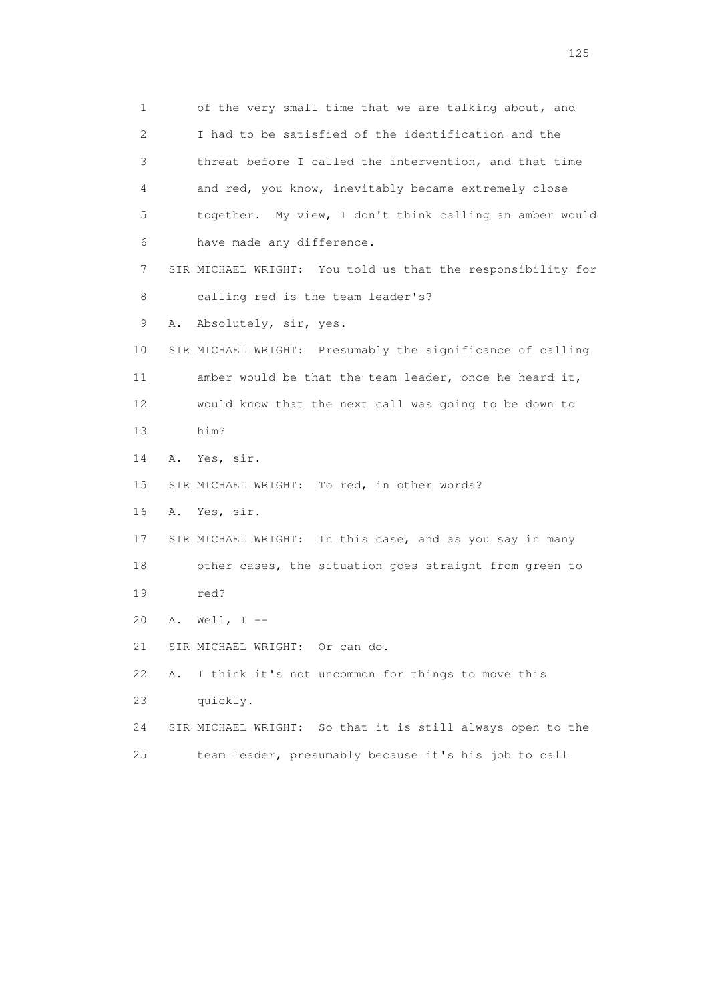1 of the very small time that we are talking about, and 2 I had to be satisfied of the identification and the 3 threat before I called the intervention, and that time 4 and red, you know, inevitably became extremely close 5 together. My view, I don't think calling an amber would 6 have made any difference. 7 SIR MICHAEL WRIGHT: You told us that the responsibility for 8 calling red is the team leader's? 9 A. Absolutely, sir, yes. 10 SIR MICHAEL WRIGHT: Presumably the significance of calling 11 amber would be that the team leader, once he heard it, 12 would know that the next call was going to be down to 13 him? 14 A. Yes, sir. 15 SIR MICHAEL WRIGHT: To red, in other words? 16 A. Yes, sir. 17 SIR MICHAEL WRIGHT: In this case, and as you say in many 18 other cases, the situation goes straight from green to 19 red? 20 A. Well, I -- 21 SIR MICHAEL WRIGHT: Or can do. 22 A. I think it's not uncommon for things to move this 23 quickly. 24 SIR MICHAEL WRIGHT: So that it is still always open to the

25 team leader, presumably because it's his job to call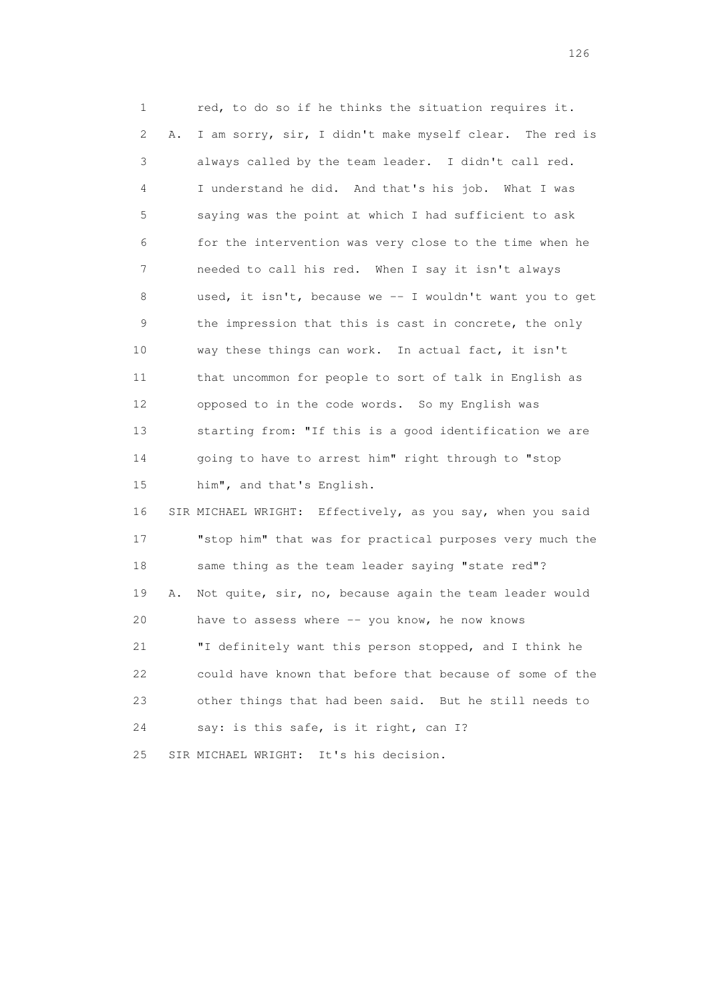1 red, to do so if he thinks the situation requires it. 2 A. I am sorry, sir, I didn't make myself clear. The red is 3 always called by the team leader. I didn't call red. 4 I understand he did. And that's his job. What I was 5 saying was the point at which I had sufficient to ask 6 for the intervention was very close to the time when he 7 needed to call his red. When I say it isn't always 8 used, it isn't, because we -- I wouldn't want you to get 9 the impression that this is cast in concrete, the only 10 way these things can work. In actual fact, it isn't 11 that uncommon for people to sort of talk in English as 12 opposed to in the code words. So my English was 13 starting from: "If this is a good identification we are 14 going to have to arrest him" right through to "stop 15 him", and that's English. 16 SIR MICHAEL WRIGHT: Effectively, as you say, when you said 17 "stop him" that was for practical purposes very much the 18 same thing as the team leader saying "state red"?

 19 A. Not quite, sir, no, because again the team leader would 20 have to assess where -- you know, he now knows 21 "I definitely want this person stopped, and I think he 22 could have known that before that because of some of the 23 other things that had been said. But he still needs to 24 say: is this safe, is it right, can I?

25 SIR MICHAEL WRIGHT: It's his decision.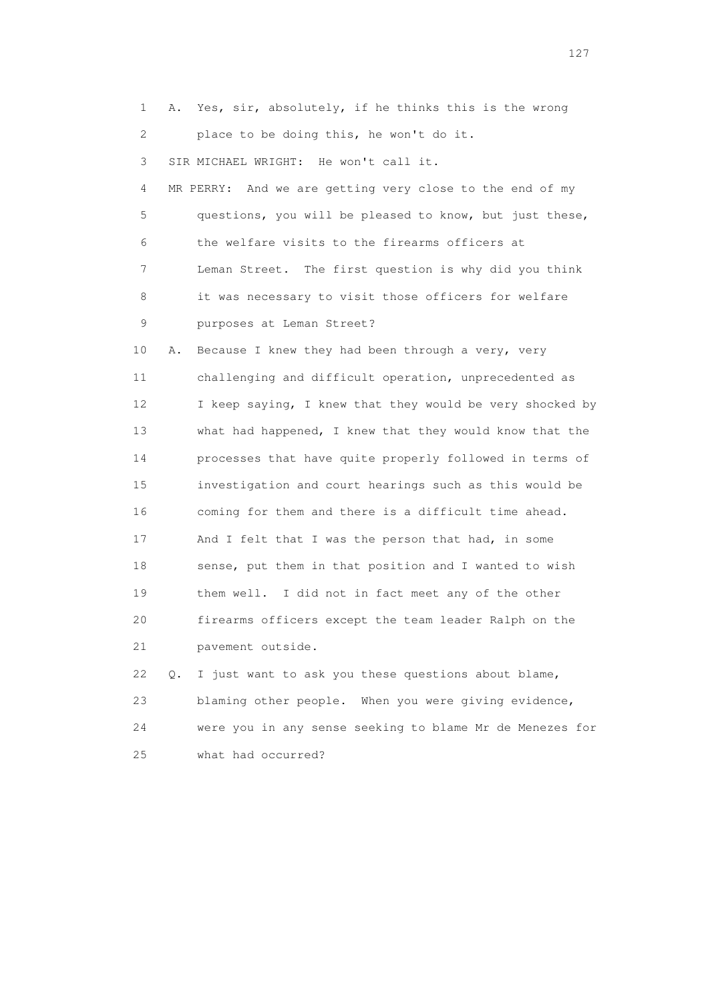1 A. Yes, sir, absolutely, if he thinks this is the wrong 2 place to be doing this, he won't do it. 3 SIR MICHAEL WRIGHT: He won't call it. 4 MR PERRY: And we are getting very close to the end of my 5 questions, you will be pleased to know, but just these, 6 the welfare visits to the firearms officers at 7 Leman Street. The first question is why did you think 8 it was necessary to visit those officers for welfare 9 purposes at Leman Street? 10 A. Because I knew they had been through a very, very 11 challenging and difficult operation, unprecedented as 12 I keep saying, I knew that they would be very shocked by 13 what had happened, I knew that they would know that the 14 processes that have quite properly followed in terms of 15 investigation and court hearings such as this would be 16 coming for them and there is a difficult time ahead. 17 And I felt that I was the person that had, in some 18 sense, put them in that position and I wanted to wish 19 them well. I did not in fact meet any of the other 20 firearms officers except the team leader Ralph on the 21 pavement outside. 22 Q. I just want to ask you these questions about blame, 23 blaming other people. When you were giving evidence, 24 were you in any sense seeking to blame Mr de Menezes for

25 what had occurred?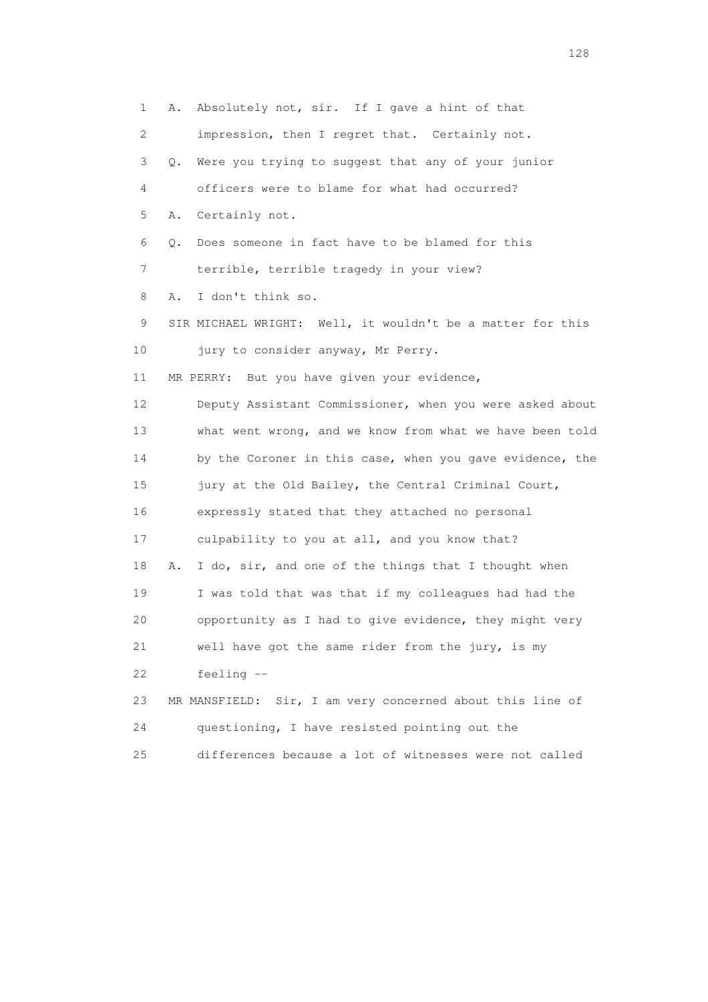1 A. Absolutely not, sir. If I gave a hint of that 2 impression, then I regret that. Certainly not. 3 Q. Were you trying to suggest that any of your junior 4 officers were to blame for what had occurred? 5 A. Certainly not. 6 Q. Does someone in fact have to be blamed for this 7 terrible, terrible tragedy in your view? 8 A. I don't think so. 9 SIR MICHAEL WRIGHT: Well, it wouldn't be a matter for this 10 jury to consider anyway, Mr Perry. 11 MR PERRY: But you have given your evidence, 12 Deputy Assistant Commissioner, when you were asked about 13 what went wrong, and we know from what we have been told 14 by the Coroner in this case, when you gave evidence, the 15 jury at the Old Bailey, the Central Criminal Court, 16 expressly stated that they attached no personal 17 culpability to you at all, and you know that? 18 A. I do, sir, and one of the things that I thought when 19 I was told that was that if my colleagues had had the 20 opportunity as I had to give evidence, they might very 21 well have got the same rider from the jury, is my 22 feeling -- 23 MR MANSFIELD: Sir, I am very concerned about this line of 24 questioning, I have resisted pointing out the 25 differences because a lot of witnesses were not called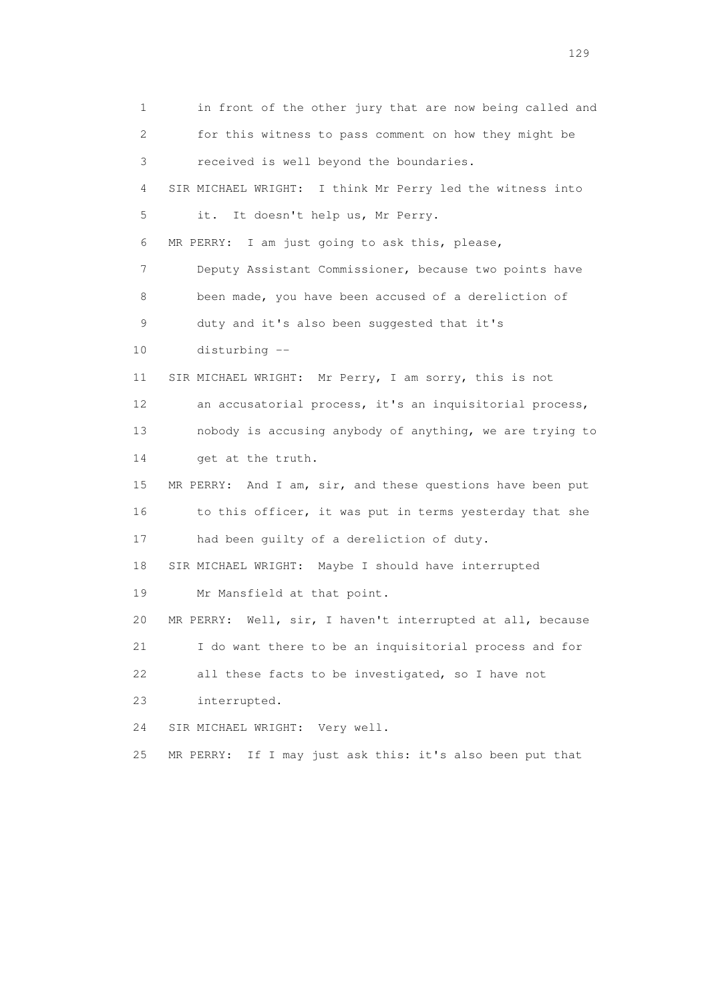1 in front of the other jury that are now being called and 2 for this witness to pass comment on how they might be 3 received is well beyond the boundaries. 4 SIR MICHAEL WRIGHT: I think Mr Perry led the witness into 5 it. It doesn't help us, Mr Perry. 6 MR PERRY: I am just going to ask this, please, 7 Deputy Assistant Commissioner, because two points have 8 been made, you have been accused of a dereliction of 9 duty and it's also been suggested that it's 10 disturbing -- 11 SIR MICHAEL WRIGHT: Mr Perry, I am sorry, this is not 12 an accusatorial process, it's an inquisitorial process, 13 nobody is accusing anybody of anything, we are trying to 14 get at the truth. 15 MR PERRY: And I am, sir, and these questions have been put 16 to this officer, it was put in terms yesterday that she 17 had been guilty of a dereliction of duty. 18 SIR MICHAEL WRIGHT: Maybe I should have interrupted 19 Mr Mansfield at that point. 20 MR PERRY: Well, sir, I haven't interrupted at all, because 21 I do want there to be an inquisitorial process and for 22 all these facts to be investigated, so I have not 23 interrupted. 24 SIR MICHAEL WRIGHT: Very well. 25 MR PERRY: If I may just ask this: it's also been put that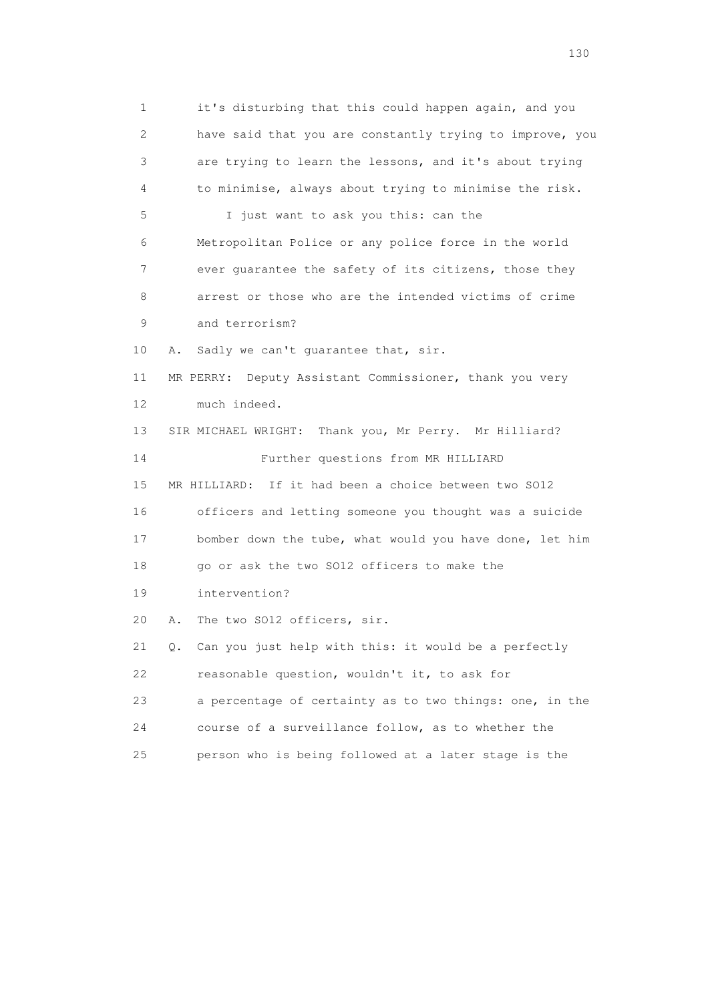1 it's disturbing that this could happen again, and you 2 have said that you are constantly trying to improve, you 3 are trying to learn the lessons, and it's about trying 4 to minimise, always about trying to minimise the risk. 5 I just want to ask you this: can the 6 Metropolitan Police or any police force in the world 7 ever guarantee the safety of its citizens, those they 8 arrest or those who are the intended victims of crime 9 and terrorism? 10 A. Sadly we can't guarantee that, sir. 11 MR PERRY: Deputy Assistant Commissioner, thank you very 12 much indeed. 13 SIR MICHAEL WRIGHT: Thank you, Mr Perry. Mr Hilliard? 14 Further questions from MR HILLIARD 15 MR HILLIARD: If it had been a choice between two SO12 16 officers and letting someone you thought was a suicide 17 bomber down the tube, what would you have done, let him 18 go or ask the two SO12 officers to make the 19 intervention? 20 A. The two SO12 officers, sir. 21 Q. Can you just help with this: it would be a perfectly 22 reasonable question, wouldn't it, to ask for 23 a percentage of certainty as to two things: one, in the 24 course of a surveillance follow, as to whether the 25 person who is being followed at a later stage is the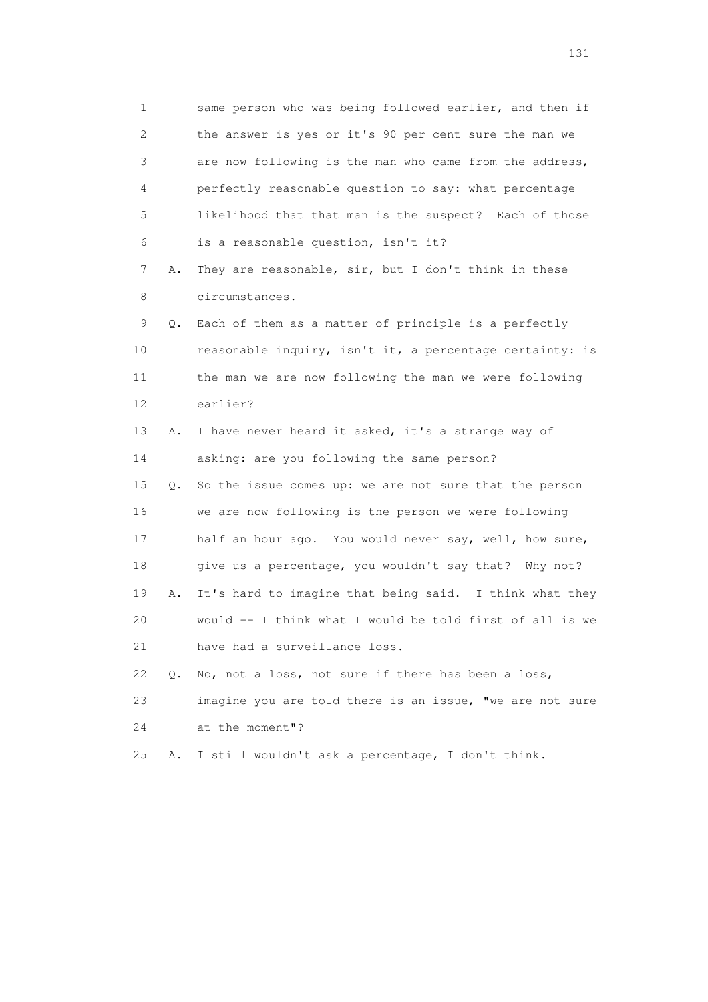1 same person who was being followed earlier, and then if 2 the answer is yes or it's 90 per cent sure the man we 3 are now following is the man who came from the address, 4 perfectly reasonable question to say: what percentage 5 likelihood that that man is the suspect? Each of those 6 is a reasonable question, isn't it? 7 A. They are reasonable, sir, but I don't think in these 8 circumstances. 9 Q. Each of them as a matter of principle is a perfectly 10 reasonable inquiry, isn't it, a percentage certainty: is 11 the man we are now following the man we were following 12 earlier? 13 A. I have never heard it asked, it's a strange way of 14 asking: are you following the same person? 15 Q. So the issue comes up: we are not sure that the person 16 we are now following is the person we were following 17 half an hour ago. You would never say, well, how sure, 18 give us a percentage, you wouldn't say that? Why not? 19 A. It's hard to imagine that being said. I think what they 20 would -- I think what I would be told first of all is we 21 have had a surveillance loss. 22 Q. No, not a loss, not sure if there has been a loss, 23 imagine you are told there is an issue, "we are not sure

24 at the moment"?

25 A. I still wouldn't ask a percentage, I don't think.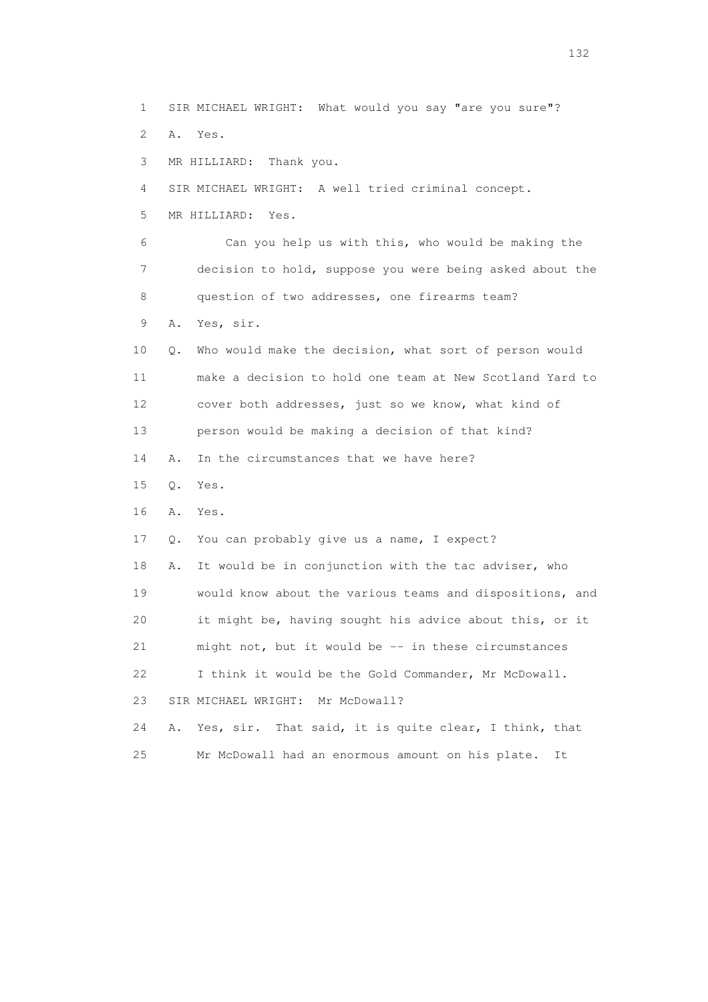1 SIR MICHAEL WRIGHT: What would you say "are you sure"? 2 A. Yes. 3 MR HILLIARD: Thank you. 4 SIR MICHAEL WRIGHT: A well tried criminal concept. 5 MR HILLIARD: Yes. 6 Can you help us with this, who would be making the 7 decision to hold, suppose you were being asked about the 8 question of two addresses, one firearms team? 9 A. Yes, sir. 10 Q. Who would make the decision, what sort of person would 11 make a decision to hold one team at New Scotland Yard to 12 cover both addresses, just so we know, what kind of 13 person would be making a decision of that kind? 14 A. In the circumstances that we have here? 15 Q. Yes. 16 A. Yes. 17 Q. You can probably give us a name, I expect? 18 A. It would be in conjunction with the tac adviser, who 19 would know about the various teams and dispositions, and 20 it might be, having sought his advice about this, or it 21 might not, but it would be -- in these circumstances 22 I think it would be the Gold Commander, Mr McDowall. 23 SIR MICHAEL WRIGHT: Mr McDowall? 24 A. Yes, sir. That said, it is quite clear, I think, that 25 Mr McDowall had an enormous amount on his plate. It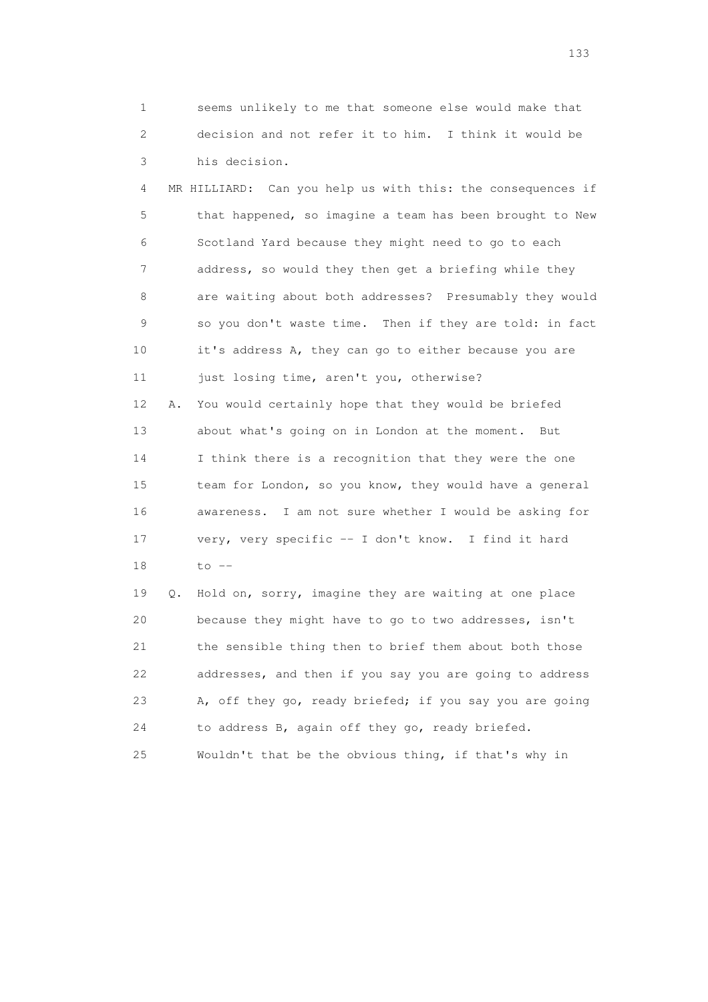1 seems unlikely to me that someone else would make that 2 decision and not refer it to him. I think it would be 3 his decision.

 4 MR HILLIARD: Can you help us with this: the consequences if 5 that happened, so imagine a team has been brought to New 6 Scotland Yard because they might need to go to each 7 address, so would they then get a briefing while they 8 are waiting about both addresses? Presumably they would 9 so you don't waste time. Then if they are told: in fact 10 it's address A, they can go to either because you are 11 just losing time, aren't you, otherwise? 12 A. You would certainly hope that they would be briefed 13 about what's going on in London at the moment. But 14 I think there is a recognition that they were the one 15 team for London, so you know, they would have a general 16 awareness. I am not sure whether I would be asking for 17 very, very specific -- I don't know. I find it hard 18 to --

 19 Q. Hold on, sorry, imagine they are waiting at one place 20 because they might have to go to two addresses, isn't 21 the sensible thing then to brief them about both those 22 addresses, and then if you say you are going to address 23 A, off they go, ready briefed; if you say you are going 24 to address B, again off they go, ready briefed. 25 Wouldn't that be the obvious thing, if that's why in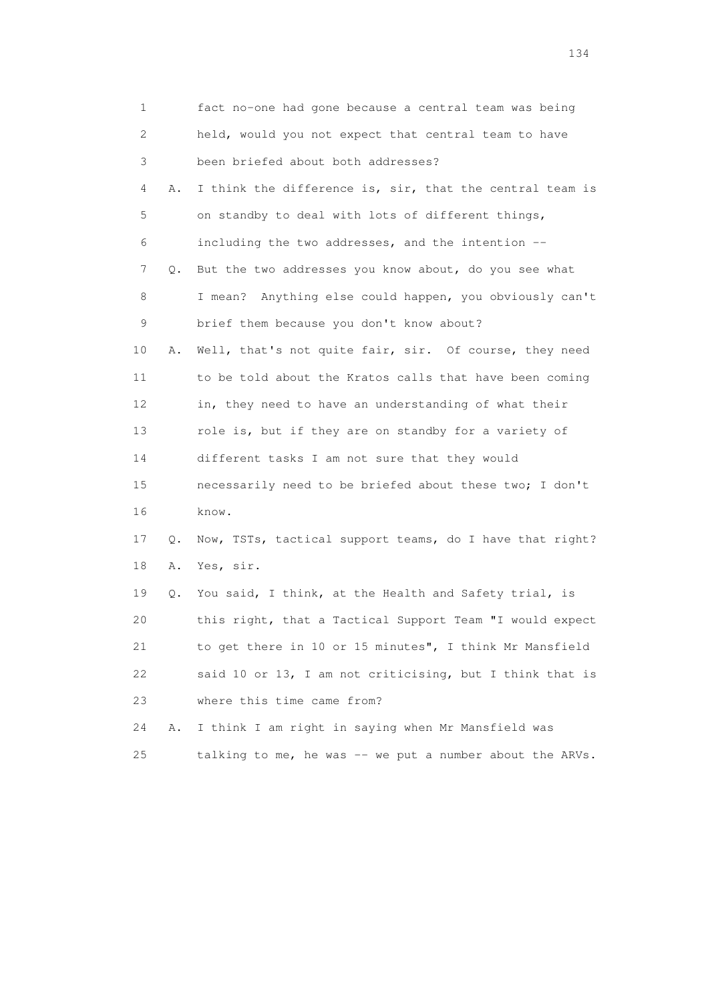| 1  |    | fact no-one had gone because a central team was being    |
|----|----|----------------------------------------------------------|
| 2  |    | held, would you not expect that central team to have     |
| 3  |    | been briefed about both addresses?                       |
| 4  | Α. | I think the difference is, sir, that the central team is |
| 5  |    | on standby to deal with lots of different things,        |
| 6  |    | including the two addresses, and the intention --        |
| 7  | Q. | But the two addresses you know about, do you see what    |
| 8  |    | I mean? Anything else could happen, you obviously can't  |
| 9  |    | brief them because you don't know about?                 |
| 10 | Α. | Well, that's not quite fair, sir. Of course, they need   |
| 11 |    | to be told about the Kratos calls that have been coming  |
| 12 |    | in, they need to have an understanding of what their     |
| 13 |    | role is, but if they are on standby for a variety of     |
| 14 |    | different tasks I am not sure that they would            |
| 15 |    | necessarily need to be briefed about these two; I don't  |
| 16 |    | know.                                                    |
| 17 | Q. | Now, TSTs, tactical support teams, do I have that right? |
| 18 | Α. | Yes, sir.                                                |
| 19 | Q. | You said, I think, at the Health and Safety trial, is    |
| 20 |    | this right, that a Tactical Support Team "I would expect |
| 21 |    | to get there in 10 or 15 minutes", I think Mr Mansfield  |
| 22 |    | said 10 or 13, I am not criticising, but I think that is |
| 23 |    | where this time came from?                               |
| 24 | Α. | I think I am right in saying when Mr Mansfield was       |
| 25 |    | talking to me, he was -- we put a number about the ARVs. |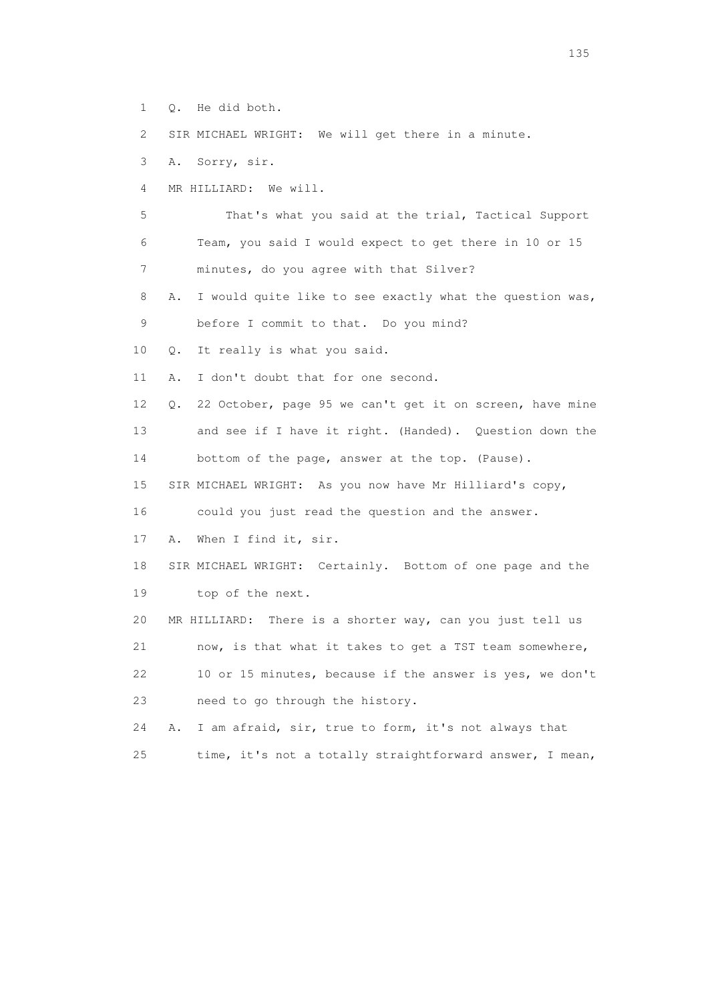1 Q. He did both.

2 SIR MICHAEL WRIGHT: We will get there in a minute.

3 A. Sorry, sir.

4 MR HILLIARD: We will.

 5 That's what you said at the trial, Tactical Support 6 Team, you said I would expect to get there in 10 or 15 7 minutes, do you agree with that Silver?

 8 A. I would quite like to see exactly what the question was, 9 before I commit to that. Do you mind?

10 Q. It really is what you said.

11 A. I don't doubt that for one second.

 12 Q. 22 October, page 95 we can't get it on screen, have mine 13 and see if I have it right. (Handed). Question down the

14 bottom of the page, answer at the top. (Pause).

15 SIR MICHAEL WRIGHT: As you now have Mr Hilliard's copy,

16 could you just read the question and the answer.

17 A. When I find it, sir.

 18 SIR MICHAEL WRIGHT: Certainly. Bottom of one page and the 19 top of the next.

20 MR HILLIARD: There is a shorter way, can you just tell us

21 now, is that what it takes to get a TST team somewhere,

 22 10 or 15 minutes, because if the answer is yes, we don't 23 need to go through the history.

 24 A. I am afraid, sir, true to form, it's not always that 25 time, it's not a totally straightforward answer, I mean,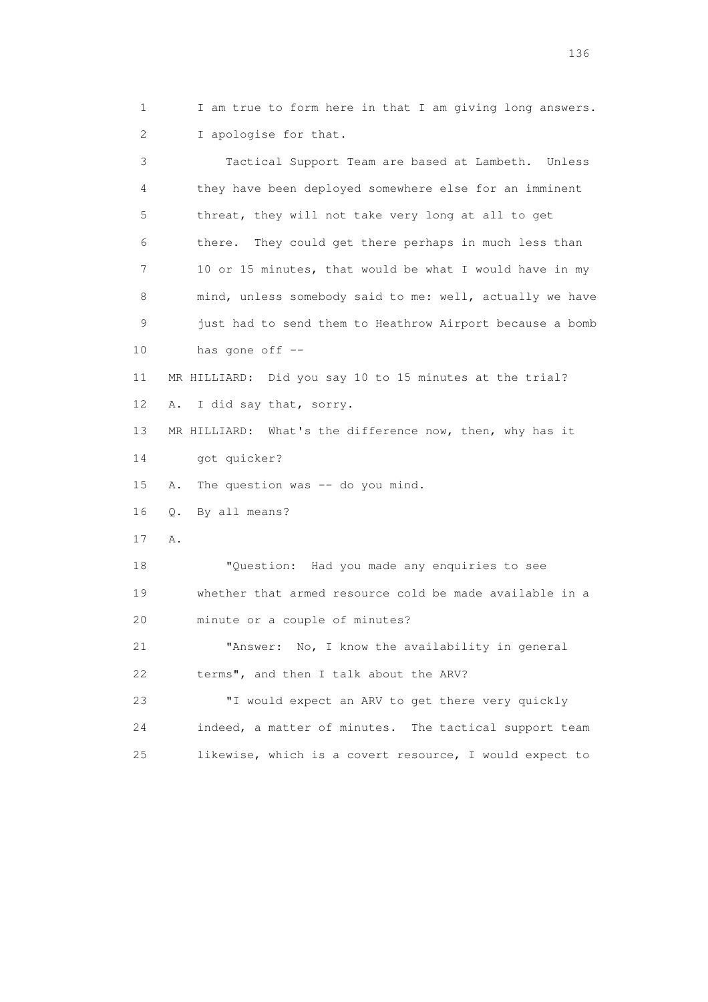1 I am true to form here in that I am giving long answers. 2 I apologise for that.

 3 Tactical Support Team are based at Lambeth. Unless 4 they have been deployed somewhere else for an imminent 5 threat, they will not take very long at all to get 6 there. They could get there perhaps in much less than 7 10 or 15 minutes, that would be what I would have in my 8 mind, unless somebody said to me: well, actually we have 9 just had to send them to Heathrow Airport because a bomb 10 has gone off -- 11 MR HILLIARD: Did you say 10 to 15 minutes at the trial? 12 A. I did say that, sorry. 13 MR HILLIARD: What's the difference now, then, why has it 14 got quicker? 15 A. The question was -- do you mind. 16 Q. By all means? 17 A. 18 "Question: Had you made any enquiries to see 19 whether that armed resource cold be made available in a 20 minute or a couple of minutes? 21 "Answer: No, I know the availability in general 22 terms", and then I talk about the ARV? 23 "I would expect an ARV to get there very quickly 24 indeed, a matter of minutes. The tactical support team 25 likewise, which is a covert resource, I would expect to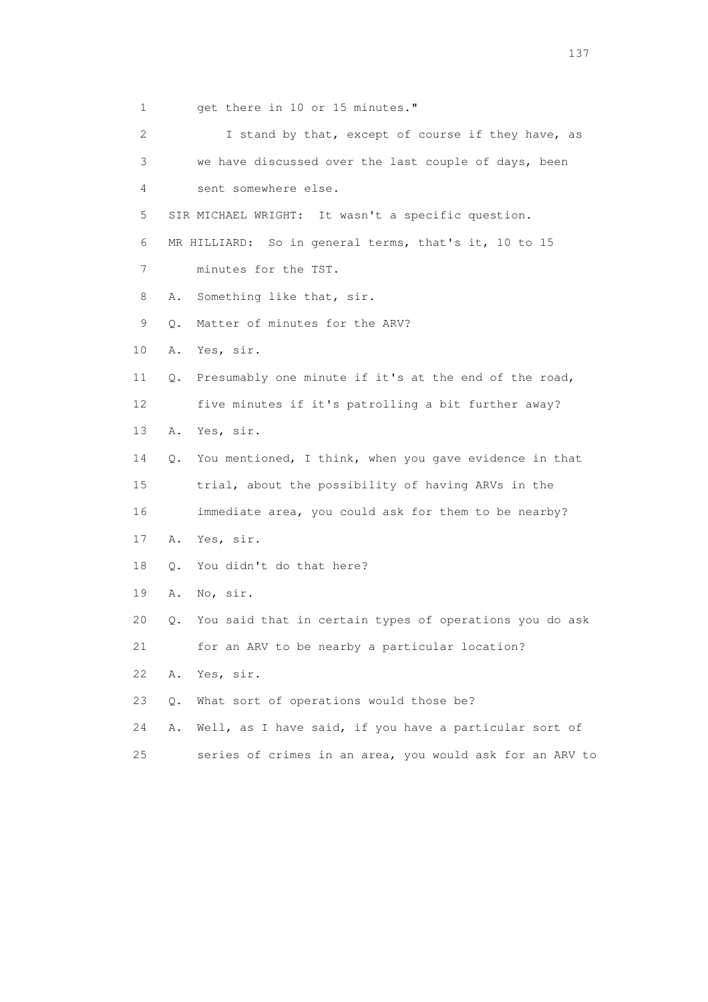1 get there in 10 or 15 minutes." 2 I stand by that, except of course if they have, as 3 we have discussed over the last couple of days, been 4 sent somewhere else. 5 SIR MICHAEL WRIGHT: It wasn't a specific question. 6 MR HILLIARD: So in general terms, that's it, 10 to 15 7 minutes for the TST. 8 A. Something like that, sir. 9 Q. Matter of minutes for the ARV? 10 A. Yes, sir. 11 Q. Presumably one minute if it's at the end of the road, 12 five minutes if it's patrolling a bit further away? 13 A. Yes, sir. 14 Q. You mentioned, I think, when you gave evidence in that 15 trial, about the possibility of having ARVs in the 16 immediate area, you could ask for them to be nearby? 17 A. Yes, sir. 18 Q. You didn't do that here? 19 A. No, sir. 20 Q. You said that in certain types of operations you do ask 21 for an ARV to be nearby a particular location? 22 A. Yes, sir. 23 Q. What sort of operations would those be? 24 A. Well, as I have said, if you have a particular sort of 25 series of crimes in an area, you would ask for an ARV to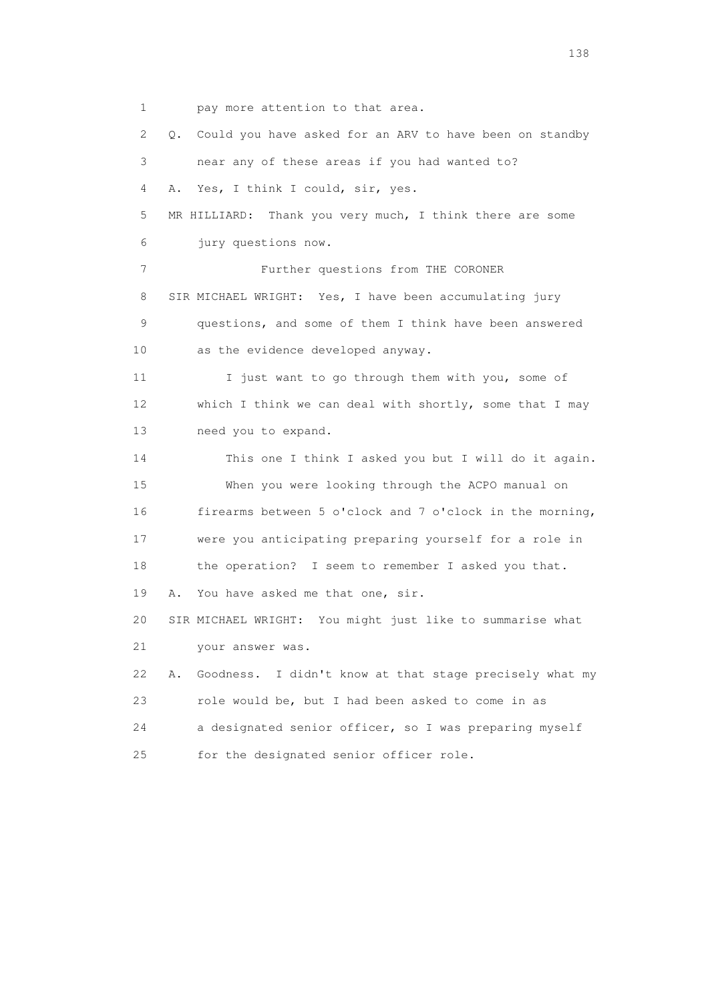1 pay more attention to that area.

 2 Q. Could you have asked for an ARV to have been on standby 3 near any of these areas if you had wanted to? 4 A. Yes, I think I could, sir, yes. 5 MR HILLIARD: Thank you very much, I think there are some 6 jury questions now. 7 Further questions from THE CORONER 8 SIR MICHAEL WRIGHT: Yes, I have been accumulating jury 9 questions, and some of them I think have been answered 10 as the evidence developed anyway. 11 I just want to go through them with you, some of 12 which I think we can deal with shortly, some that I may 13 need you to expand. 14 This one I think I asked you but I will do it again. 15 When you were looking through the ACPO manual on 16 firearms between 5 o'clock and 7 o'clock in the morning, 17 were you anticipating preparing yourself for a role in 18 the operation? I seem to remember I asked you that. 19 A. You have asked me that one, sir. 20 SIR MICHAEL WRIGHT: You might just like to summarise what 21 your answer was. 22 A. Goodness. I didn't know at that stage precisely what my 23 role would be, but I had been asked to come in as 24 a designated senior officer, so I was preparing myself 25 for the designated senior officer role.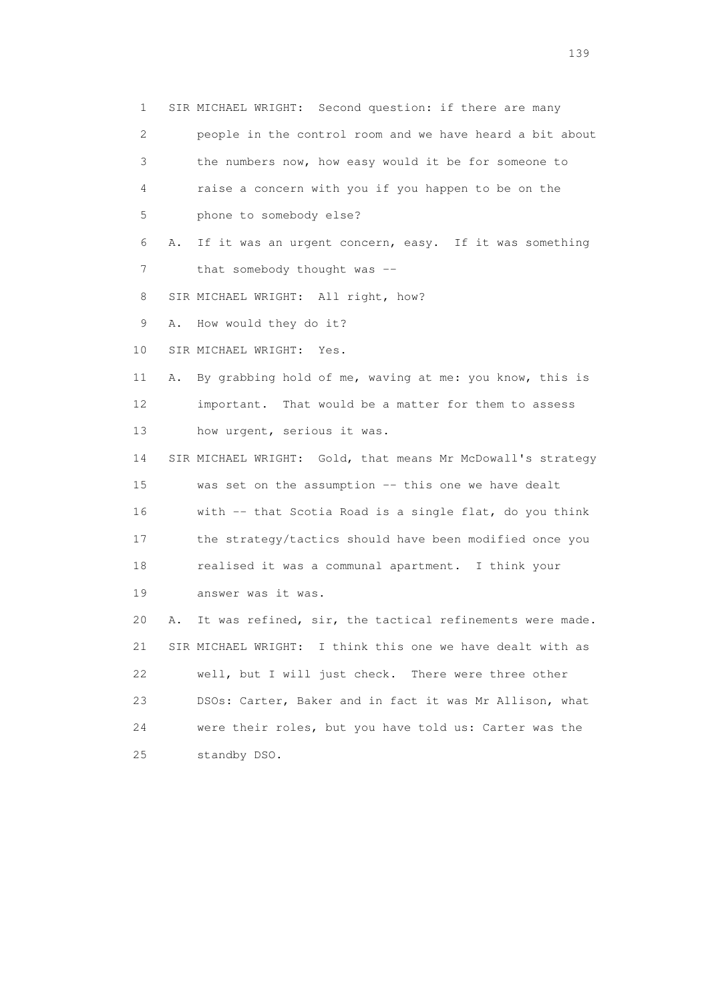1 SIR MICHAEL WRIGHT: Second question: if there are many

 2 people in the control room and we have heard a bit about 3 the numbers now, how easy would it be for someone to 4 raise a concern with you if you happen to be on the

5 phone to somebody else?

 6 A. If it was an urgent concern, easy. If it was something 7 that somebody thought was --

8 SIR MICHAEL WRIGHT: All right, how?

9 A. How would they do it?

10 SIR MICHAEL WRIGHT: Yes.

 11 A. By grabbing hold of me, waving at me: you know, this is 12 important. That would be a matter for them to assess 13 how urgent, serious it was.

 14 SIR MICHAEL WRIGHT: Gold, that means Mr McDowall's strategy 15 was set on the assumption -- this one we have dealt 16 with -- that Scotia Road is a single flat, do you think 17 the strategy/tactics should have been modified once you 18 realised it was a communal apartment. I think your 19 answer was it was.

 20 A. It was refined, sir, the tactical refinements were made. 21 SIR MICHAEL WRIGHT: I think this one we have dealt with as 22 well, but I will just check. There were three other 23 DSOs: Carter, Baker and in fact it was Mr Allison, what 24 were their roles, but you have told us: Carter was the 25 standby DSO.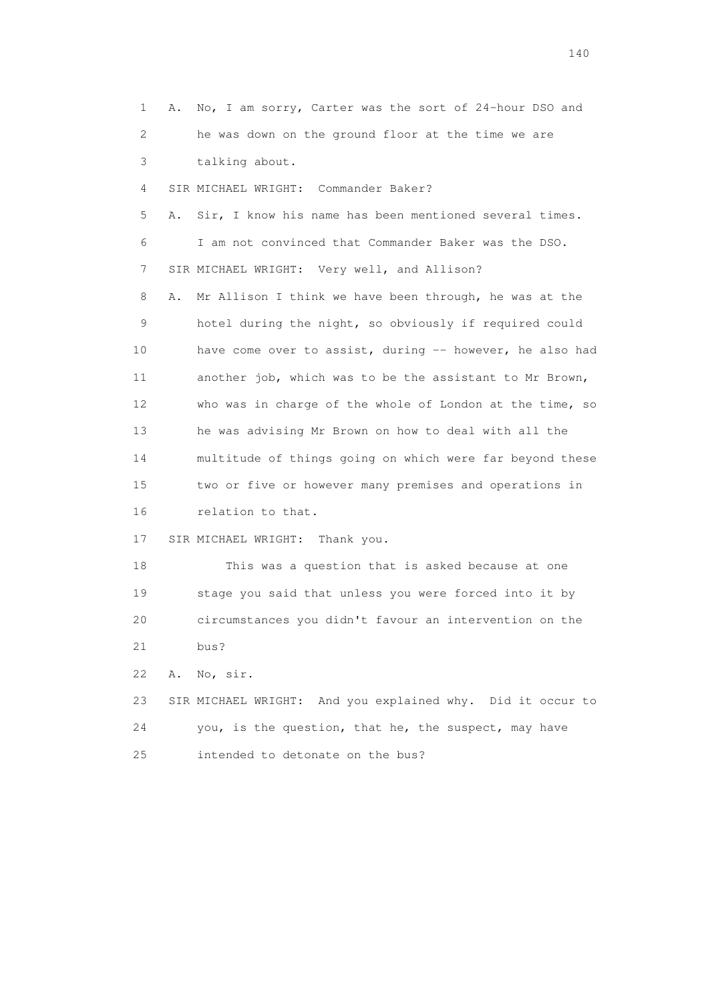1 A. No, I am sorry, Carter was the sort of 24-hour DSO and 2 he was down on the ground floor at the time we are 3 talking about. 4 SIR MICHAEL WRIGHT: Commander Baker? 5 A. Sir, I know his name has been mentioned several times. 6 I am not convinced that Commander Baker was the DSO. 7 SIR MICHAEL WRIGHT: Very well, and Allison? 8 A. Mr Allison I think we have been through, he was at the 9 hotel during the night, so obviously if required could 10 have come over to assist, during -- however, he also had 11 another job, which was to be the assistant to Mr Brown, 12 who was in charge of the whole of London at the time, so 13 he was advising Mr Brown on how to deal with all the 14 multitude of things going on which were far beyond these 15 two or five or however many premises and operations in 16 relation to that. 17 SIR MICHAEL WRIGHT: Thank you. 18 This was a question that is asked because at one 19 stage you said that unless you were forced into it by 20 circumstances you didn't favour an intervention on the 21 bus? 22 A. No, sir. 23 SIR MICHAEL WRIGHT: And you explained why. Did it occur to 24 you, is the question, that he, the suspect, may have 25 intended to detonate on the bus?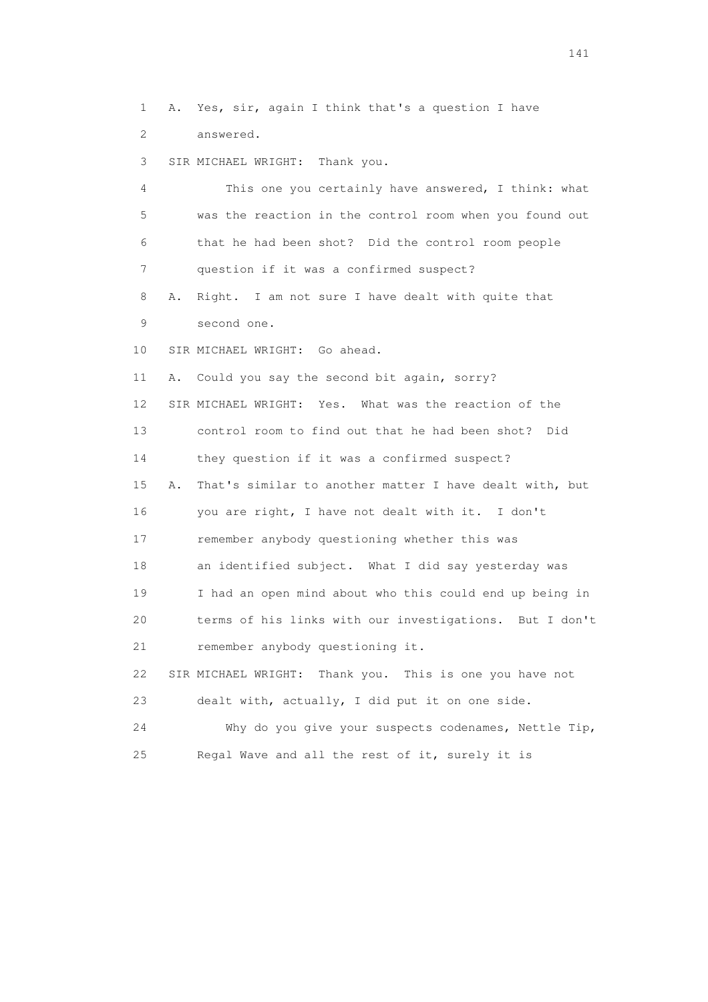1 A. Yes, sir, again I think that's a question I have 2 answered.

3 SIR MICHAEL WRIGHT: Thank you.

 4 This one you certainly have answered, I think: what 5 was the reaction in the control room when you found out 6 that he had been shot? Did the control room people 7 question if it was a confirmed suspect?

 8 A. Right. I am not sure I have dealt with quite that 9 second one.

10 SIR MICHAEL WRIGHT: Go ahead.

11 A. Could you say the second bit again, sorry?

12 SIR MICHAEL WRIGHT: Yes. What was the reaction of the

13 control room to find out that he had been shot? Did

14 they question if it was a confirmed suspect?

 15 A. That's similar to another matter I have dealt with, but 16 you are right, I have not dealt with it. I don't 17 remember anybody questioning whether this was 18 an identified subject. What I did say yesterday was 19 I had an open mind about who this could end up being in 20 terms of his links with our investigations. But I don't 21 remember anybody questioning it. 22 SIR MICHAEL WRIGHT: Thank you. This is one you have not 23 dealt with, actually, I did put it on one side.

 24 Why do you give your suspects codenames, Nettle Tip, 25 Regal Wave and all the rest of it, surely it is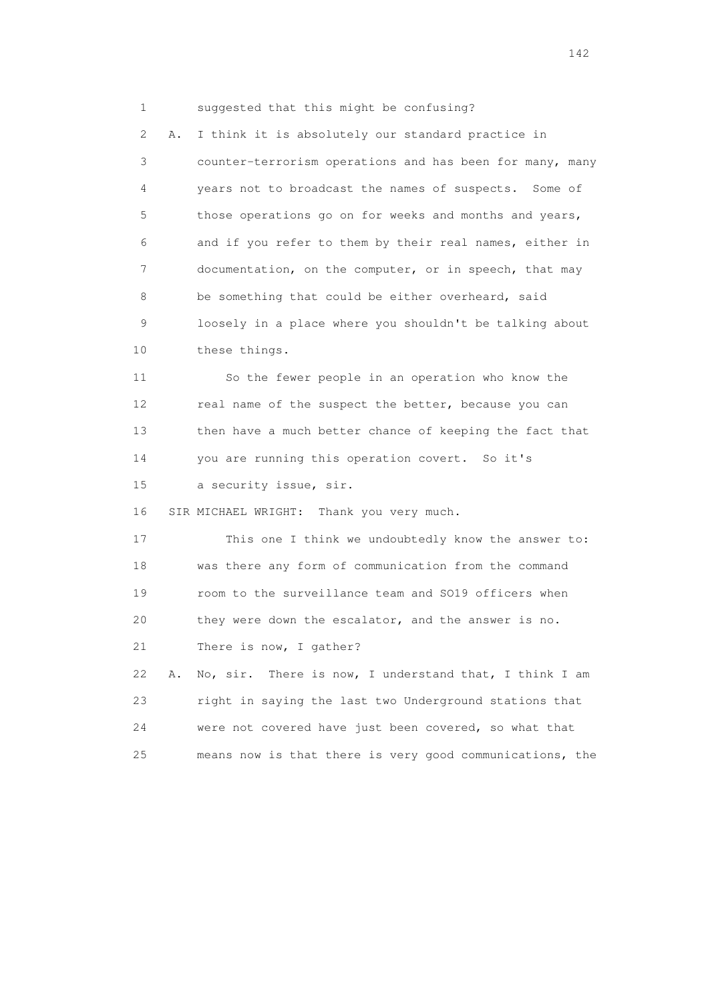1 suggested that this might be confusing?

 2 A. I think it is absolutely our standard practice in 3 counter-terrorism operations and has been for many, many 4 years not to broadcast the names of suspects. Some of 5 those operations go on for weeks and months and years, 6 and if you refer to them by their real names, either in 7 documentation, on the computer, or in speech, that may 8 be something that could be either overheard, said 9 loosely in a place where you shouldn't be talking about 10 these things.

 11 So the fewer people in an operation who know the 12 real name of the suspect the better, because you can 13 then have a much better chance of keeping the fact that 14 you are running this operation covert. So it's 15 a security issue, sir.

16 SIR MICHAEL WRIGHT: Thank you very much.

 17 This one I think we undoubtedly know the answer to: 18 was there any form of communication from the command 19 room to the surveillance team and SO19 officers when 20 they were down the escalator, and the answer is no. 21 There is now, I gather? 22 A. No, sir. There is now, I understand that, I think I am

 23 right in saying the last two Underground stations that 24 were not covered have just been covered, so what that 25 means now is that there is very good communications, the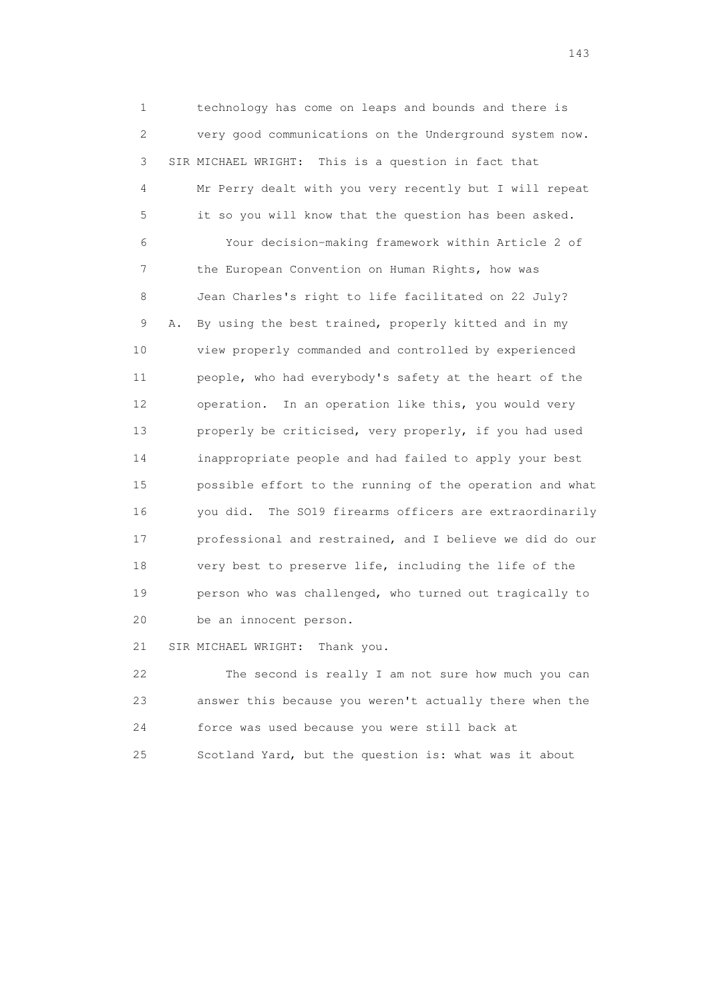1 technology has come on leaps and bounds and there is 2 very good communications on the Underground system now. 3 SIR MICHAEL WRIGHT: This is a question in fact that 4 Mr Perry dealt with you very recently but I will repeat 5 it so you will know that the question has been asked. 6 Your decision-making framework within Article 2 of 7 the European Convention on Human Rights, how was 8 Jean Charles's right to life facilitated on 22 July? 9 A. By using the best trained, properly kitted and in my 10 view properly commanded and controlled by experienced 11 people, who had everybody's safety at the heart of the 12 operation. In an operation like this, you would very 13 properly be criticised, very properly, if you had used 14 inappropriate people and had failed to apply your best 15 possible effort to the running of the operation and what 16 you did. The SO19 firearms officers are extraordinarily 17 professional and restrained, and I believe we did do our 18 very best to preserve life, including the life of the 19 person who was challenged, who turned out tragically to 20 be an innocent person.

21 SIR MICHAEL WRIGHT: Thank you.

 22 The second is really I am not sure how much you can 23 answer this because you weren't actually there when the 24 force was used because you were still back at 25 Scotland Yard, but the question is: what was it about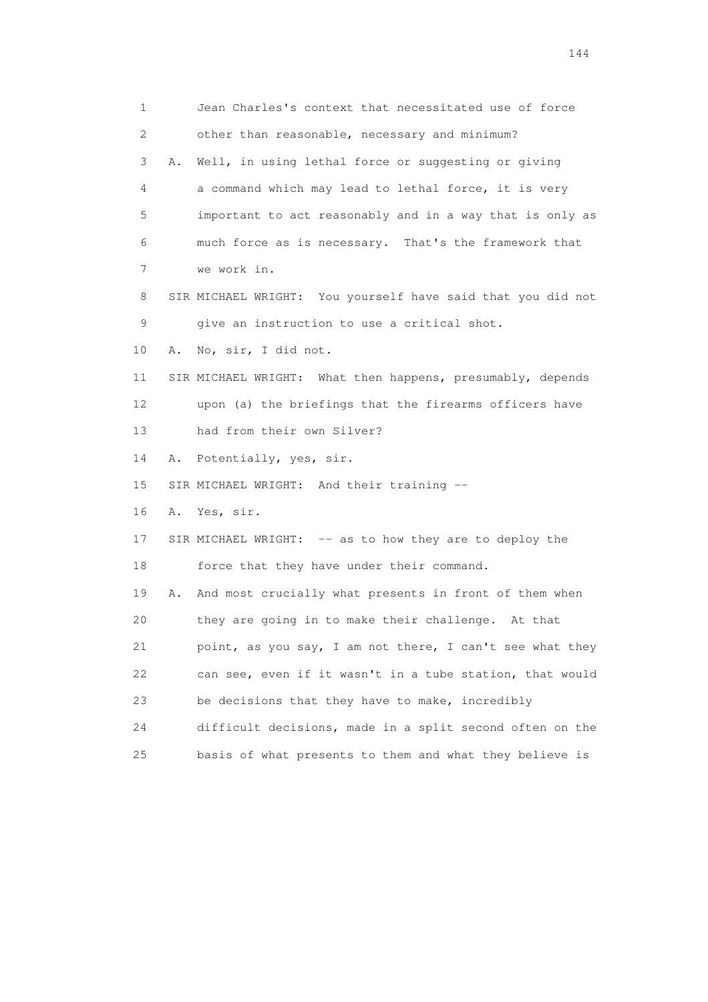1 Jean Charles's context that necessitated use of force 2 other than reasonable, necessary and minimum? 3 A. Well, in using lethal force or suggesting or giving 4 a command which may lead to lethal force, it is very 5 important to act reasonably and in a way that is only as 6 much force as is necessary. That's the framework that 7 we work in. 8 SIR MICHAEL WRIGHT: You yourself have said that you did not 9 give an instruction to use a critical shot. 10 A. No, sir, I did not. 11 SIR MICHAEL WRIGHT: What then happens, presumably, depends 12 upon (a) the briefings that the firearms officers have 13 had from their own Silver? 14 A. Potentially, yes, sir. 15 SIR MICHAEL WRIGHT: And their training -- 16 A. Yes, sir. 17 SIR MICHAEL WRIGHT: -- as to how they are to deploy the 18 force that they have under their command. 19 A. And most crucially what presents in front of them when 20 they are going in to make their challenge. At that 21 point, as you say, I am not there, I can't see what they 22 can see, even if it wasn't in a tube station, that would 23 be decisions that they have to make, incredibly 24 difficult decisions, made in a split second often on the 25 basis of what presents to them and what they believe is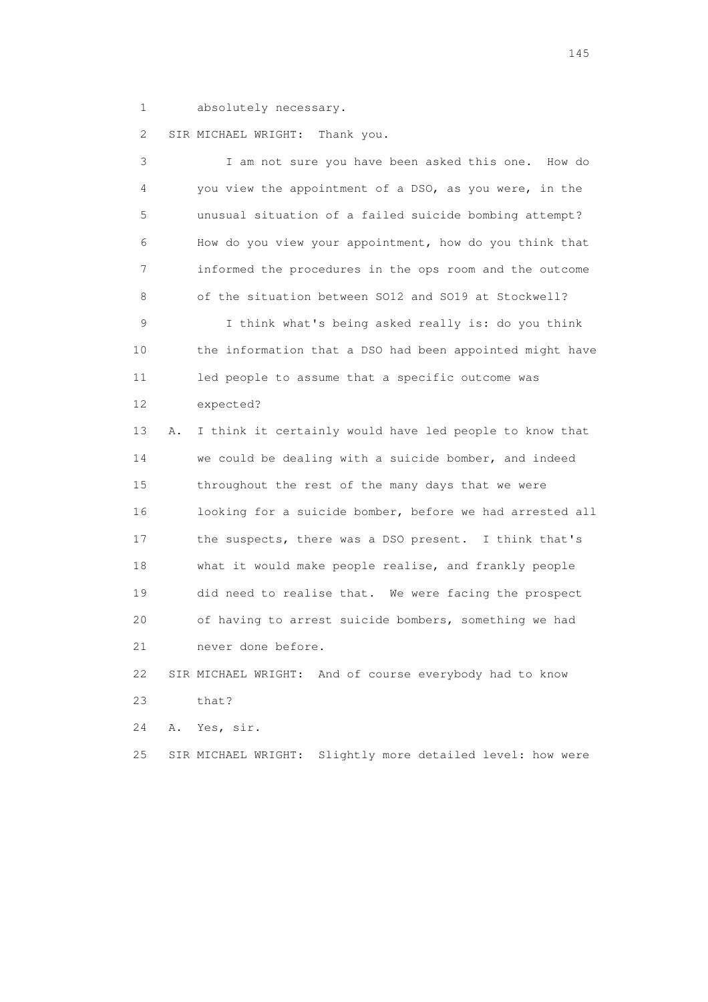1 absolutely necessary.

2 SIR MICHAEL WRIGHT: Thank you.

| 3  |    | I am not sure you have been asked this one.<br>How do    |
|----|----|----------------------------------------------------------|
| 4  |    | you view the appointment of a DSO, as you were, in the   |
| 5  |    | unusual situation of a failed suicide bombing attempt?   |
| 6  |    | How do you view your appointment, how do you think that  |
| 7  |    | informed the procedures in the ops room and the outcome  |
| 8  |    | of the situation between SO12 and SO19 at Stockwell?     |
| 9  |    | I think what's being asked really is: do you think       |
| 10 |    | the information that a DSO had been appointed might have |
| 11 |    | led people to assume that a specific outcome was         |
| 12 |    | expected?                                                |
| 13 | Α. | I think it certainly would have led people to know that  |
| 14 |    | we could be dealing with a suicide bomber, and indeed    |
| 15 |    | throughout the rest of the many days that we were        |
| 16 |    | looking for a suicide bomber, before we had arrested all |
| 17 |    | the suspects, there was a DSO present. I think that's    |
| 18 |    | what it would make people realise, and frankly people    |
| 19 |    | did need to realise that. We were facing the prospect    |
| 20 |    | of having to arrest suicide bombers, something we had    |
| 21 |    | never done before.                                       |
| 22 |    | SIR MICHAEL WRIGHT: And of course everybody had to know  |
| 23 |    | that?                                                    |
| 24 | Α. | Yes, sir.                                                |

25 SIR MICHAEL WRIGHT: Slightly more detailed level: how were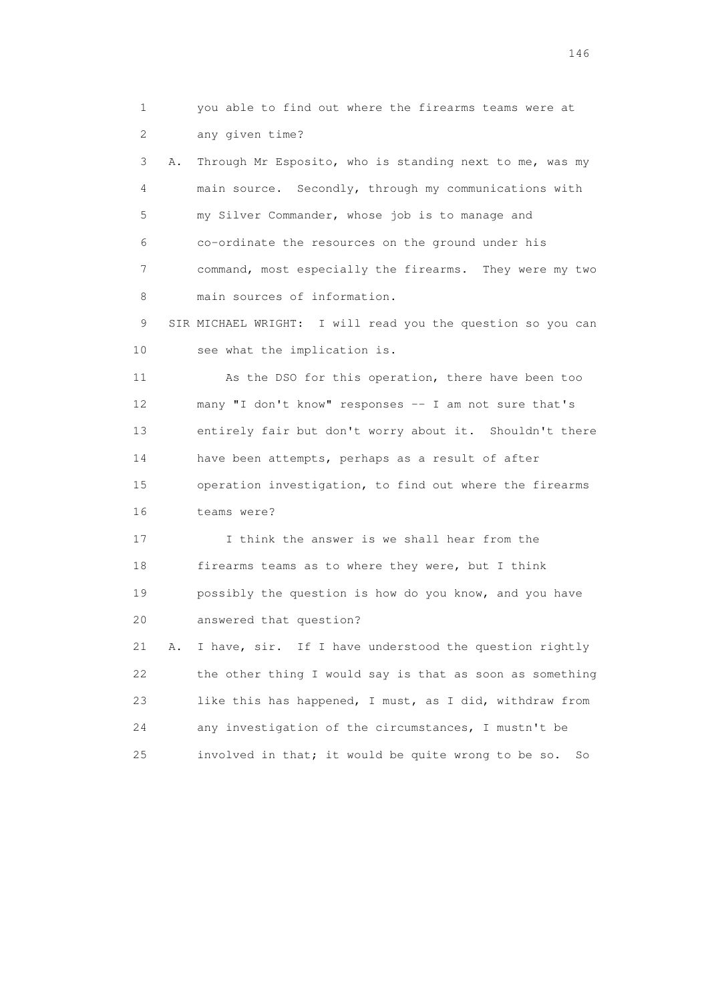1 you able to find out where the firearms teams were at 2 any given time?

 3 A. Through Mr Esposito, who is standing next to me, was my 4 main source. Secondly, through my communications with 5 my Silver Commander, whose job is to manage and 6 co-ordinate the resources on the ground under his 7 command, most especially the firearms. They were my two 8 main sources of information.

 9 SIR MICHAEL WRIGHT: I will read you the question so you can 10 see what the implication is.

 11 As the DSO for this operation, there have been too 12 many "I don't know" responses -- I am not sure that's 13 entirely fair but don't worry about it. Shouldn't there 14 have been attempts, perhaps as a result of after 15 operation investigation, to find out where the firearms 16 teams were?

 17 I think the answer is we shall hear from the 18 firearms teams as to where they were, but I think 19 possibly the question is how do you know, and you have 20 answered that question?

 21 A. I have, sir. If I have understood the question rightly 22 the other thing I would say is that as soon as something 23 like this has happened, I must, as I did, withdraw from 24 any investigation of the circumstances, I mustn't be 25 involved in that; it would be quite wrong to be so. So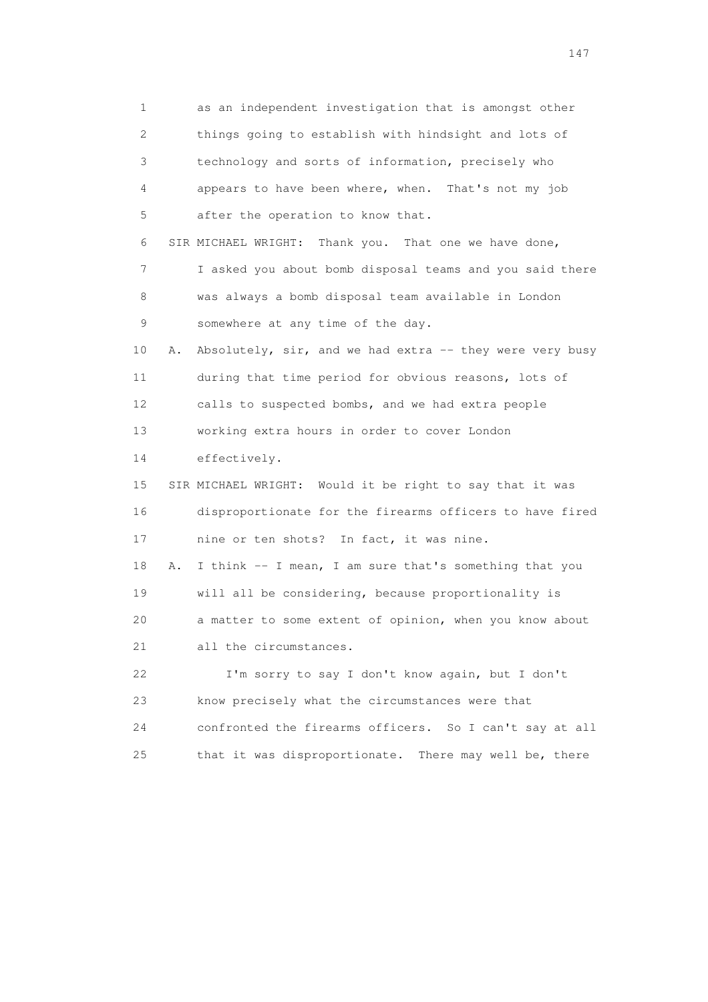1 as an independent investigation that is amongst other 2 things going to establish with hindsight and lots of 3 technology and sorts of information, precisely who 4 appears to have been where, when. That's not my job 5 after the operation to know that. 6 SIR MICHAEL WRIGHT: Thank you. That one we have done, 7 I asked you about bomb disposal teams and you said there 8 was always a bomb disposal team available in London 9 somewhere at any time of the day. 10 A. Absolutely, sir, and we had extra -- they were very busy 11 during that time period for obvious reasons, lots of 12 calls to suspected bombs, and we had extra people 13 working extra hours in order to cover London 14 effectively. 15 SIR MICHAEL WRIGHT: Would it be right to say that it was 16 disproportionate for the firearms officers to have fired 17 nine or ten shots? In fact, it was nine. 18 A. I think -- I mean, I am sure that's something that you 19 will all be considering, because proportionality is 20 a matter to some extent of opinion, when you know about 21 all the circumstances. 22 I'm sorry to say I don't know again, but I don't 23 know precisely what the circumstances were that 24 confronted the firearms officers. So I can't say at all 25 that it was disproportionate. There may well be, there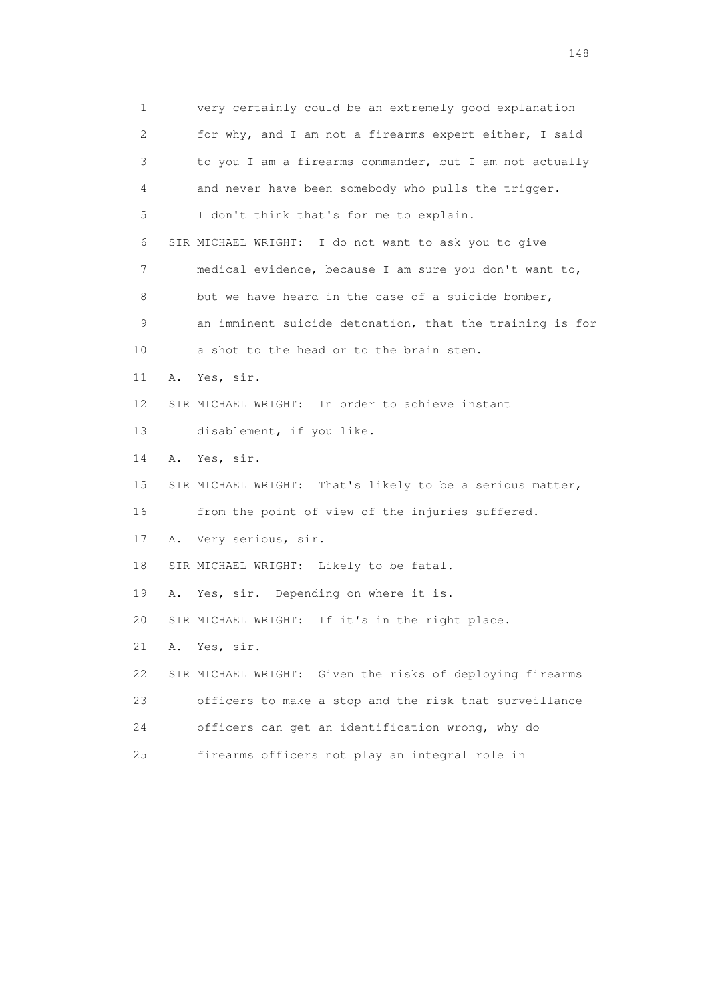1 very certainly could be an extremely good explanation 2 for why, and I am not a firearms expert either, I said 3 to you I am a firearms commander, but I am not actually 4 and never have been somebody who pulls the trigger. 5 I don't think that's for me to explain. 6 SIR MICHAEL WRIGHT: I do not want to ask you to give 7 medical evidence, because I am sure you don't want to, 8 but we have heard in the case of a suicide bomber, 9 an imminent suicide detonation, that the training is for 10 a shot to the head or to the brain stem. 11 A. Yes, sir. 12 SIR MICHAEL WRIGHT: In order to achieve instant 13 disablement, if you like. 14 A. Yes, sir. 15 SIR MICHAEL WRIGHT: That's likely to be a serious matter, 16 from the point of view of the injuries suffered. 17 A. Very serious, sir. 18 SIR MICHAEL WRIGHT: Likely to be fatal. 19 A. Yes, sir. Depending on where it is. 20 SIR MICHAEL WRIGHT: If it's in the right place. 21 A. Yes, sir. 22 SIR MICHAEL WRIGHT: Given the risks of deploying firearms 23 officers to make a stop and the risk that surveillance 24 officers can get an identification wrong, why do 25 firearms officers not play an integral role in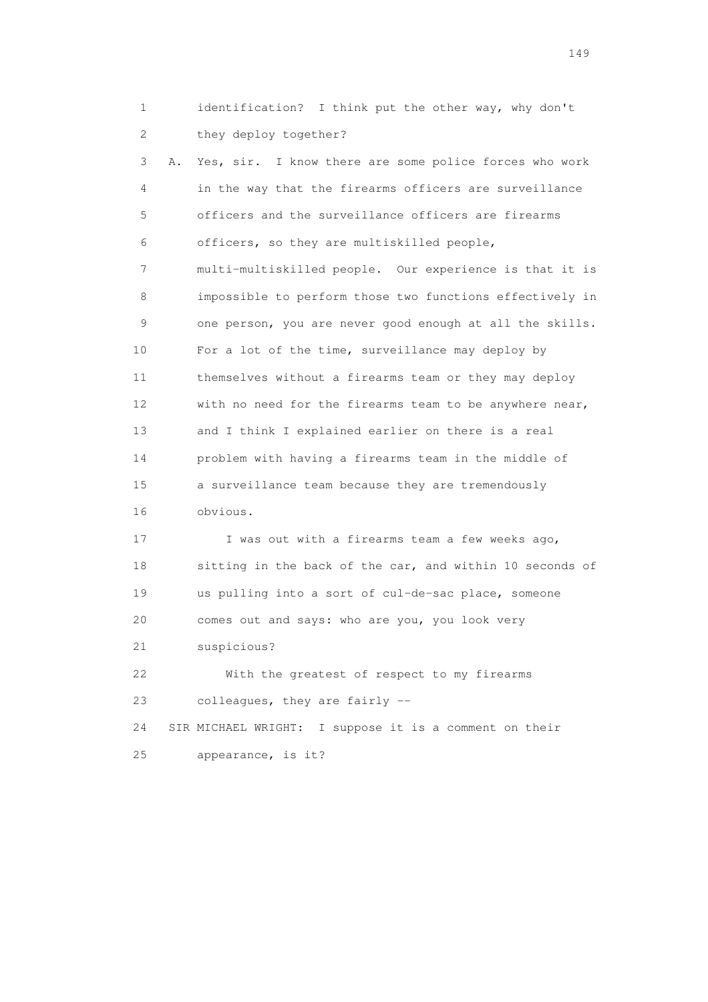1 identification? I think put the other way, why don't 2 they deploy together?

 3 A. Yes, sir. I know there are some police forces who work 4 in the way that the firearms officers are surveillance 5 officers and the surveillance officers are firearms 6 officers, so they are multiskilled people, 7 multi-multiskilled people. Our experience is that it is 8 impossible to perform those two functions effectively in 9 one person, you are never good enough at all the skills. 10 For a lot of the time, surveillance may deploy by 11 themselves without a firearms team or they may deploy 12 with no need for the firearms team to be anywhere near, 13 and I think I explained earlier on there is a real 14 problem with having a firearms team in the middle of 15 a surveillance team because they are tremendously 16 obvious.

17 I was out with a firearms team a few weeks ago, 18 sitting in the back of the car, and within 10 seconds of 19 us pulling into a sort of cul-de-sac place, someone 20 comes out and says: who are you, you look very 21 suspicious? 22 With the greatest of respect to my firearms 23 colleagues, they are fairly --

 24 SIR MICHAEL WRIGHT: I suppose it is a comment on their 25 appearance, is it?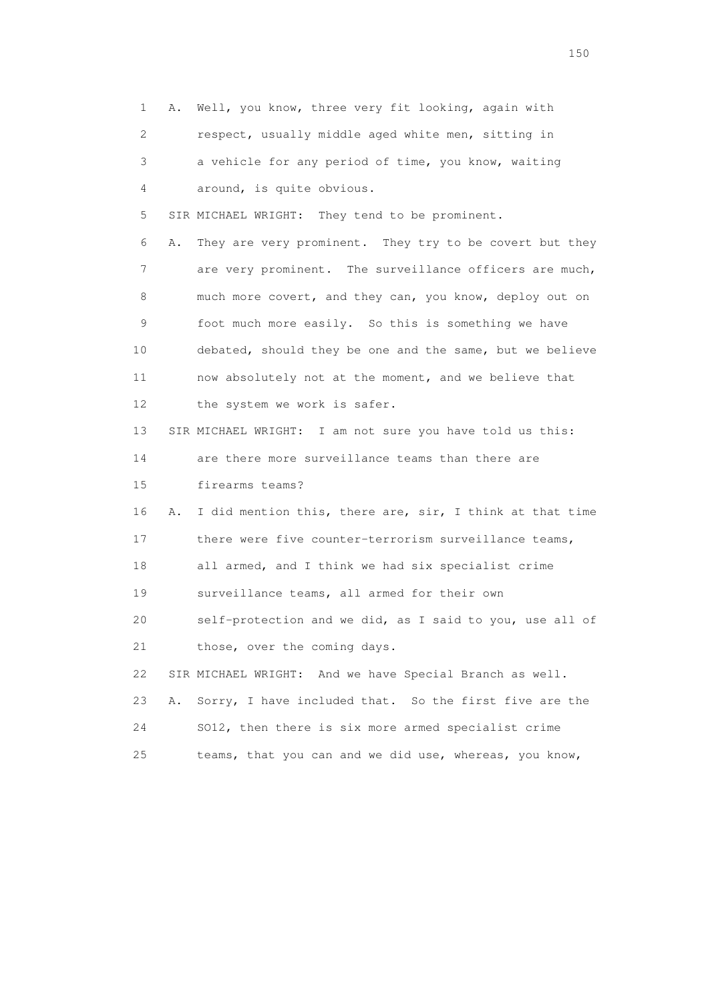1 A. Well, you know, three very fit looking, again with 2 respect, usually middle aged white men, sitting in 3 a vehicle for any period of time, you know, waiting 4 around, is quite obvious. 5 SIR MICHAEL WRIGHT: They tend to be prominent. 6 A. They are very prominent. They try to be covert but they 7 are very prominent. The surveillance officers are much, 8 much more covert, and they can, you know, deploy out on 9 foot much more easily. So this is something we have 10 debated, should they be one and the same, but we believe 11 now absolutely not at the moment, and we believe that 12 the system we work is safer. 13 SIR MICHAEL WRIGHT: I am not sure you have told us this: 14 are there more surveillance teams than there are 15 firearms teams? 16 A. I did mention this, there are, sir, I think at that time 17 there were five counter-terrorism surveillance teams, 18 all armed, and I think we had six specialist crime 19 surveillance teams, all armed for their own 20 self-protection and we did, as I said to you, use all of 21 those, over the coming days. 22 SIR MICHAEL WRIGHT: And we have Special Branch as well. 23 A. Sorry, I have included that. So the first five are the 24 SO12, then there is six more armed specialist crime 25 teams, that you can and we did use, whereas, you know,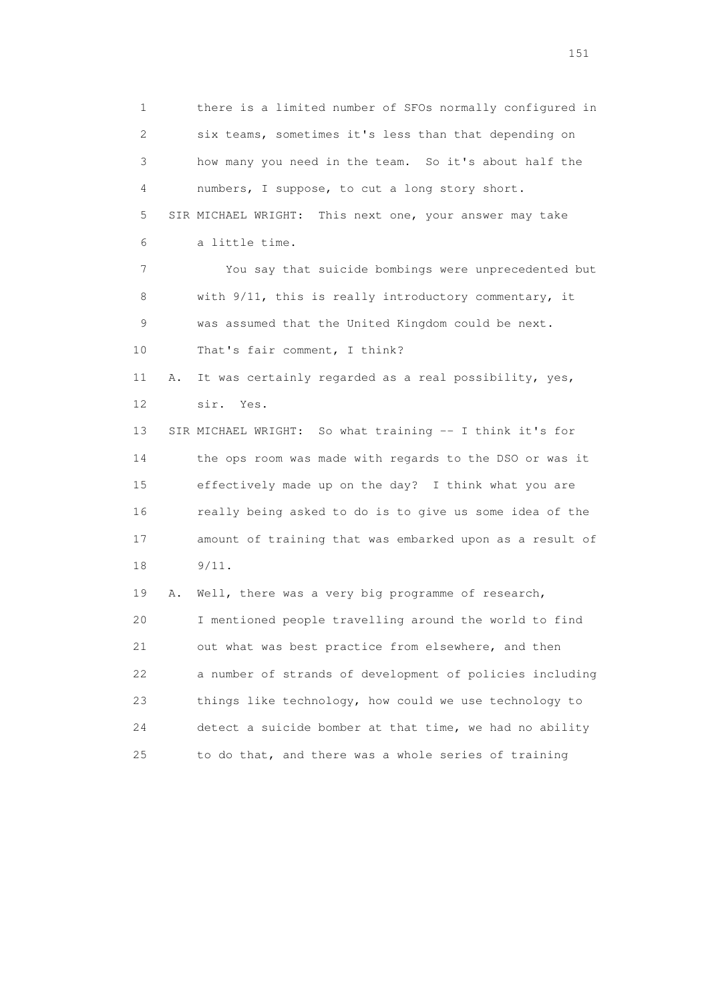1 there is a limited number of SFOs normally configured in 2 six teams, sometimes it's less than that depending on 3 how many you need in the team. So it's about half the 4 numbers, I suppose, to cut a long story short. 5 SIR MICHAEL WRIGHT: This next one, your answer may take 6 a little time. 7 You say that suicide bombings were unprecedented but 8 with 9/11, this is really introductory commentary, it 9 was assumed that the United Kingdom could be next. 10 That's fair comment, I think? 11 A. It was certainly regarded as a real possibility, yes, 12 sir. Yes. 13 SIR MICHAEL WRIGHT: So what training -- I think it's for 14 the ops room was made with regards to the DSO or was it 15 effectively made up on the day? I think what you are 16 really being asked to do is to give us some idea of the 17 amount of training that was embarked upon as a result of 18 9/11. 19 A. Well, there was a very big programme of research, 20 I mentioned people travelling around the world to find 21 out what was best practice from elsewhere, and then 22 a number of strands of development of policies including 23 things like technology, how could we use technology to 24 detect a suicide bomber at that time, we had no ability 25 to do that, and there was a whole series of training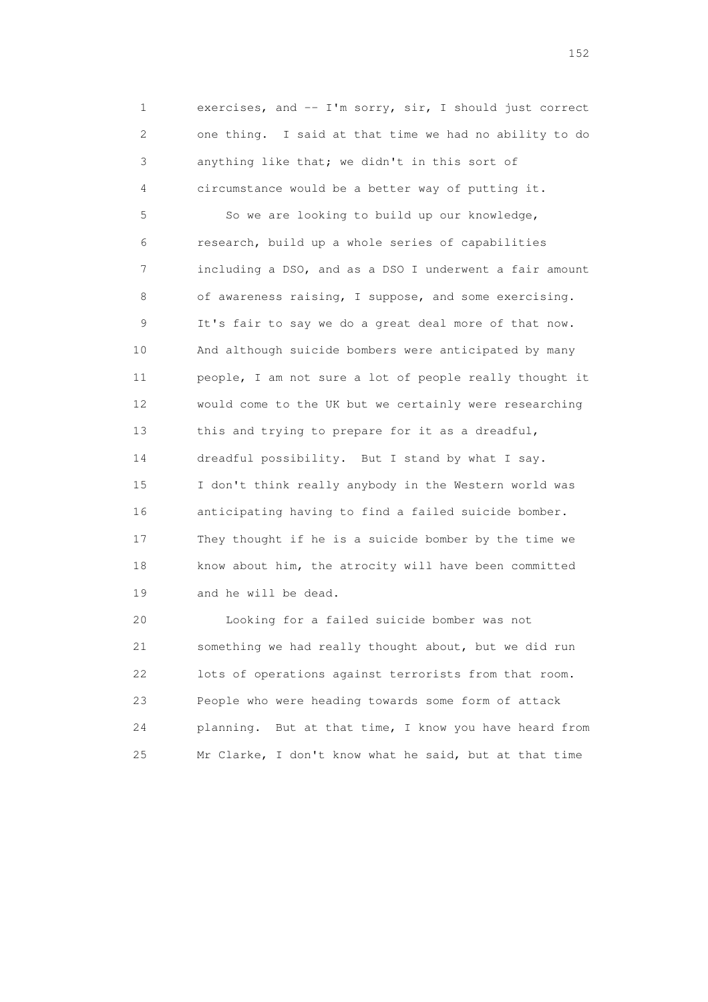1 exercises, and -- I'm sorry, sir, I should just correct 2 one thing. I said at that time we had no ability to do 3 anything like that; we didn't in this sort of 4 circumstance would be a better way of putting it.

 5 So we are looking to build up our knowledge, 6 research, build up a whole series of capabilities 7 including a DSO, and as a DSO I underwent a fair amount 8 of awareness raising, I suppose, and some exercising. 9 It's fair to say we do a great deal more of that now. 10 And although suicide bombers were anticipated by many 11 people, I am not sure a lot of people really thought it 12 would come to the UK but we certainly were researching 13 this and trying to prepare for it as a dreadful, 14 dreadful possibility. But I stand by what I say. 15 I don't think really anybody in the Western world was 16 anticipating having to find a failed suicide bomber. 17 They thought if he is a suicide bomber by the time we 18 know about him, the atrocity will have been committed 19 and he will be dead.

 20 Looking for a failed suicide bomber was not 21 something we had really thought about, but we did run 22 lots of operations against terrorists from that room. 23 People who were heading towards some form of attack 24 planning. But at that time, I know you have heard from 25 Mr Clarke, I don't know what he said, but at that time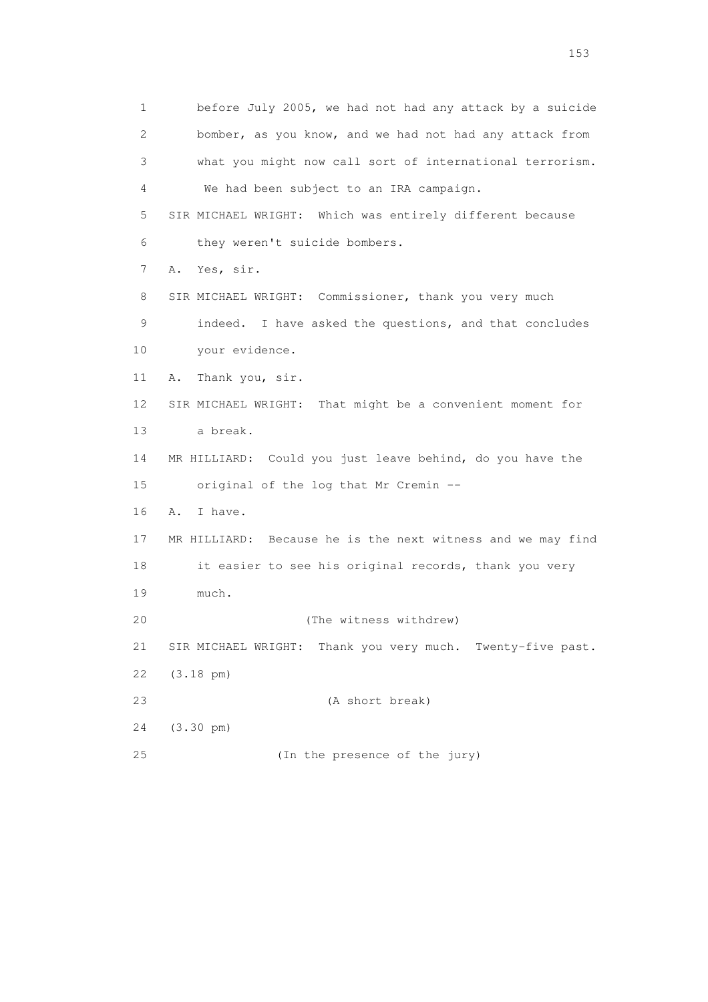1 before July 2005, we had not had any attack by a suicide 2 bomber, as you know, and we had not had any attack from 3 what you might now call sort of international terrorism. 4 We had been subject to an IRA campaign. 5 SIR MICHAEL WRIGHT: Which was entirely different because 6 they weren't suicide bombers. 7 A. Yes, sir. 8 SIR MICHAEL WRIGHT: Commissioner, thank you very much 9 indeed. I have asked the questions, and that concludes 10 your evidence. 11 A. Thank you, sir. 12 SIR MICHAEL WRIGHT: That might be a convenient moment for 13 a break. 14 MR HILLIARD: Could you just leave behind, do you have the 15 original of the log that Mr Cremin -- 16 A. I have. 17 MR HILLIARD: Because he is the next witness and we may find 18 it easier to see his original records, thank you very 19 much. 20 (The witness withdrew) 21 SIR MICHAEL WRIGHT: Thank you very much. Twenty-five past. 22 (3.18 pm) 23 (A short break) 24 (3.30 pm) 25 (In the presence of the jury)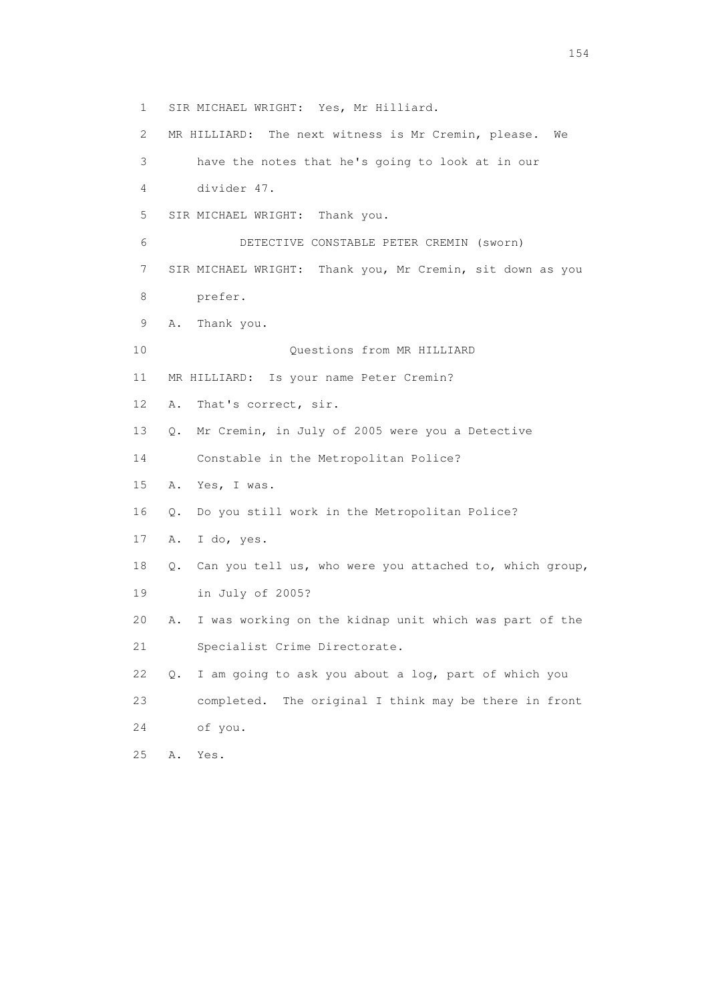1 SIR MICHAEL WRIGHT: Yes, Mr Hilliard. 2 MR HILLIARD: The next witness is Mr Cremin, please. We 3 have the notes that he's going to look at in our 4 divider 47. 5 SIR MICHAEL WRIGHT: Thank you. 6 DETECTIVE CONSTABLE PETER CREMIN (sworn) 7 SIR MICHAEL WRIGHT: Thank you, Mr Cremin, sit down as you 8 prefer. 9 A. Thank you. 10 Questions from MR HILLIARD 11 MR HILLIARD: Is your name Peter Cremin? 12 A. That's correct, sir. 13 Q. Mr Cremin, in July of 2005 were you a Detective 14 Constable in the Metropolitan Police? 15 A. Yes, I was. 16 Q. Do you still work in the Metropolitan Police? 17 A. I do, yes. 18 Q. Can you tell us, who were you attached to, which group, 19 in July of 2005? 20 A. I was working on the kidnap unit which was part of the 21 Specialist Crime Directorate. 22 Q. I am going to ask you about a log, part of which you 23 completed. The original I think may be there in front 24 of you. 25 A. Yes.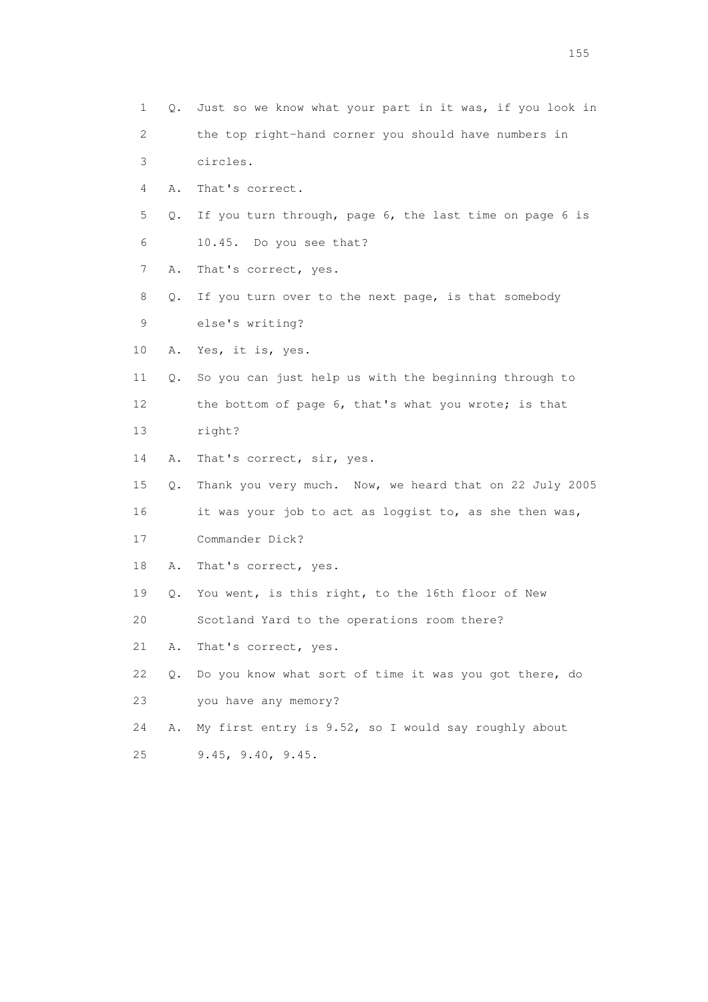1 Q. Just so we know what your part in it was, if you look in 2 the top right-hand corner you should have numbers in 3 circles. 4 A. That's correct. 5 Q. If you turn through, page 6, the last time on page 6 is 6 10.45. Do you see that? 7 A. That's correct, yes. 8 Q. If you turn over to the next page, is that somebody 9 else's writing? 10 A. Yes, it is, yes. 11 Q. So you can just help us with the beginning through to 12 the bottom of page 6, that's what you wrote; is that 13 right? 14 A. That's correct, sir, yes. 15 Q. Thank you very much. Now, we heard that on 22 July 2005 16 it was your job to act as loggist to, as she then was, 17 Commander Dick? 18 A. That's correct, yes. 19 Q. You went, is this right, to the 16th floor of New 20 Scotland Yard to the operations room there? 21 A. That's correct, yes. 22 Q. Do you know what sort of time it was you got there, do 23 you have any memory? 24 A. My first entry is 9.52, so I would say roughly about 25 9.45, 9.40, 9.45.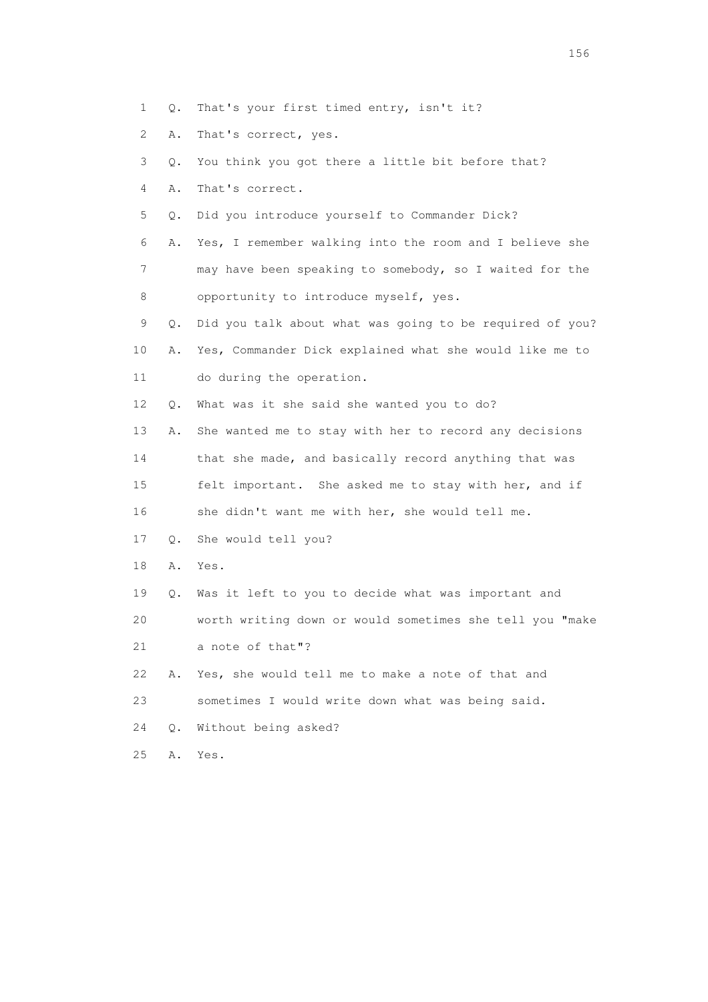- 1 Q. That's your first timed entry, isn't it?
- 2 A. That's correct, yes.
- 3 Q. You think you got there a little bit before that?
- 4 A. That's correct.
- 5 Q. Did you introduce yourself to Commander Dick?
- 6 A. Yes, I remember walking into the room and I believe she 7 may have been speaking to somebody, so I waited for the 8 opportunity to introduce myself, yes.
- 9 Q. Did you talk about what was going to be required of you? 10 A. Yes, Commander Dick explained what she would like me to 11 do during the operation.
- 12 Q. What was it she said she wanted you to do?
- 13 A. She wanted me to stay with her to record any decisions 14 that she made, and basically record anything that was
- 15 felt important. She asked me to stay with her, and if 16 she didn't want me with her, she would tell me.
- 17 Q. She would tell you?
- 18 A. Yes.
- 19 Q. Was it left to you to decide what was important and 20 worth writing down or would sometimes she tell you "make 21 a note of that"?
- 22 A. Yes, she would tell me to make a note of that and
- 23 sometimes I would write down what was being said.
- 24 Q. Without being asked?
- 25 A. Yes.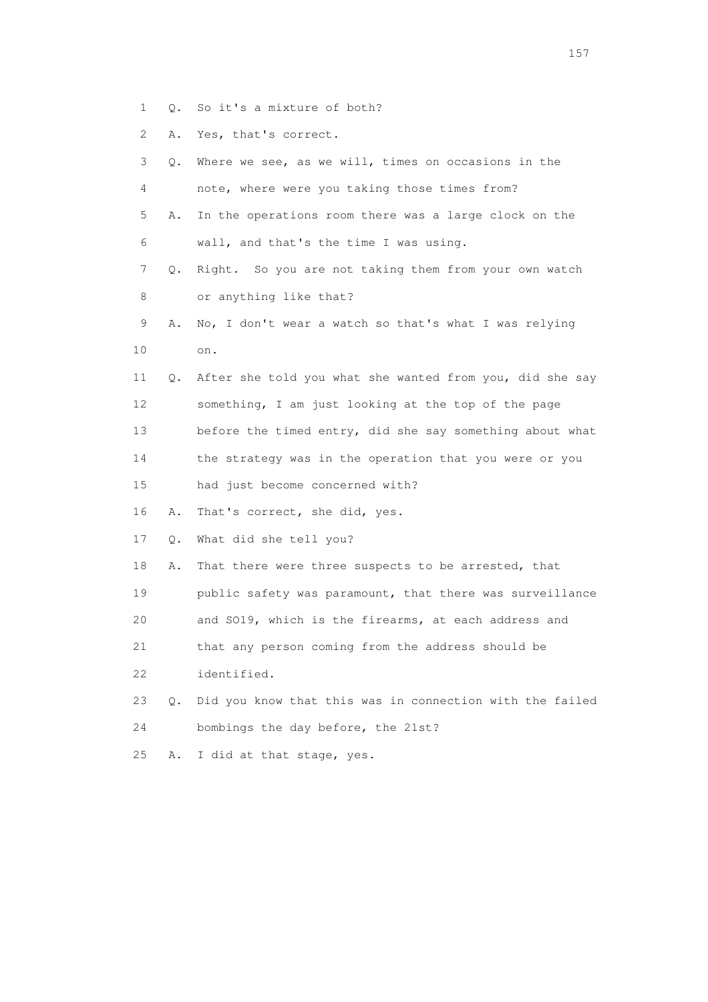- 1 Q. So it's a mixture of both?
- 2 A. Yes, that's correct.

| 3               | Q.        | Where we see, as we will, times on occasions in the      |
|-----------------|-----------|----------------------------------------------------------|
| 4               |           | note, where were you taking those times from?            |
| 5               | Α.        | In the operations room there was a large clock on the    |
| 6               |           | wall, and that's the time I was using.                   |
| 7               | Q.        | Right. So you are not taking them from your own watch    |
| 8               |           | or anything like that?                                   |
| 9               | Α.        | No, I don't wear a watch so that's what I was relying    |
| 10              |           | on.                                                      |
| 11              | О.        | After she told you what she wanted from you, did she say |
| 12 <sup>°</sup> |           | something, I am just looking at the top of the page      |
| 13              |           | before the timed entry, did she say something about what |
| 14              |           | the strategy was in the operation that you were or you   |
| 15              |           | had just become concerned with?                          |
| 16              | Α.        | That's correct, she did, yes.                            |
| 17              | Q.        | What did she tell you?                                   |
| 18              | Α.        | That there were three suspects to be arrested, that      |
| 19              |           | public safety was paramount, that there was surveillance |
| 20              |           | and SO19, which is the firearms, at each address and     |
| 21              |           | that any person coming from the address should be        |
| 22              |           | identified.                                              |
| 23              | $\circ$ . | Did you know that this was in connection with the failed |
| 24              |           | bombings the day before, the 21st?                       |
| 25              | Α.        | I did at that stage, yes.                                |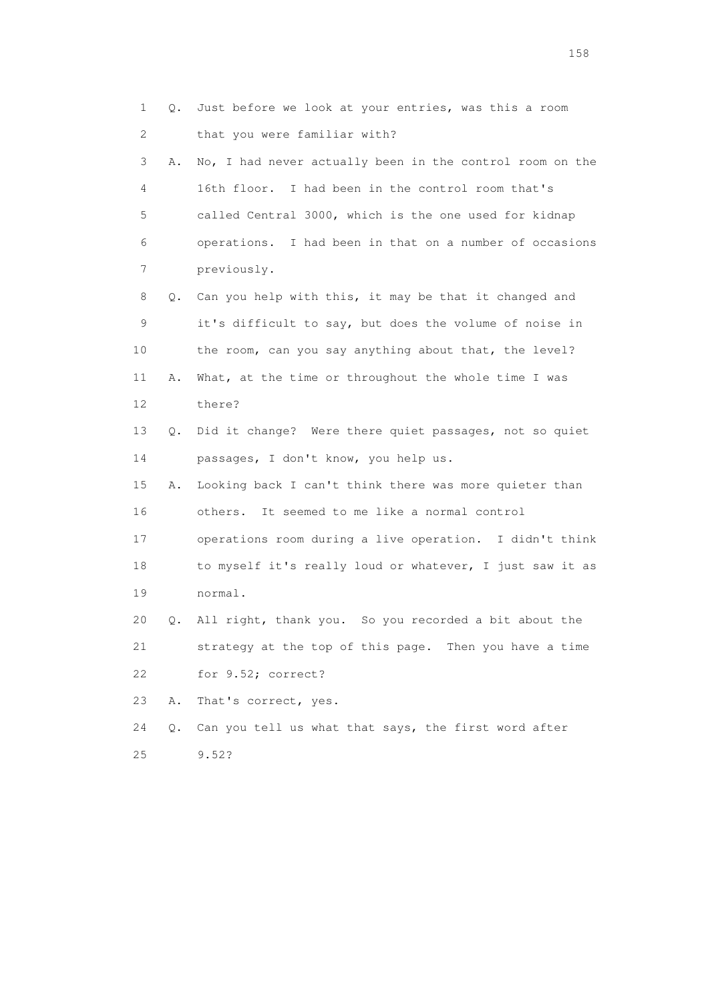1 Q. Just before we look at your entries, was this a room 2 that you were familiar with? 3 A. No, I had never actually been in the control room on the 4 16th floor. I had been in the control room that's 5 called Central 3000, which is the one used for kidnap 6 operations. I had been in that on a number of occasions 7 previously. 8 Q. Can you help with this, it may be that it changed and 9 it's difficult to say, but does the volume of noise in 10 the room, can you say anything about that, the level? 11 A. What, at the time or throughout the whole time I was 12 there? 13 Q. Did it change? Were there quiet passages, not so quiet 14 passages, I don't know, you help us. 15 A. Looking back I can't think there was more quieter than 16 others. It seemed to me like a normal control 17 operations room during a live operation. I didn't think 18 to myself it's really loud or whatever, I just saw it as 19 normal. 20 Q. All right, thank you. So you recorded a bit about the 21 strategy at the top of this page. Then you have a time 22 for 9.52; correct? 23 A. That's correct, yes. 24 Q. Can you tell us what that says, the first word after 25 9.52?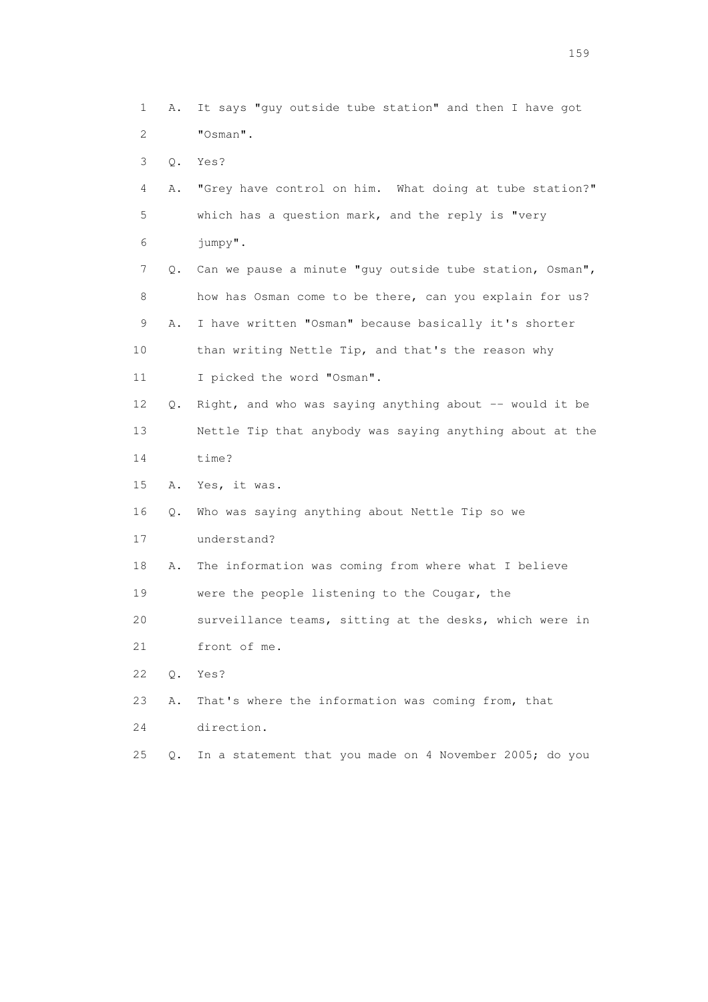1 A. It says "guy outside tube station" and then I have got 2 "Osman". 3 Q. Yes? 4 A. "Grey have control on him. What doing at tube station?" 5 which has a question mark, and the reply is "very 6 jumpy". 7 Q. Can we pause a minute "guy outside tube station, Osman", 8 how has Osman come to be there, can you explain for us? 9 A. I have written "Osman" because basically it's shorter 10 than writing Nettle Tip, and that's the reason why 11 I picked the word "Osman". 12 Q. Right, and who was saying anything about -- would it be 13 Nettle Tip that anybody was saying anything about at the 14 time? 15 A. Yes, it was. 16 Q. Who was saying anything about Nettle Tip so we 17 understand? 18 A. The information was coming from where what I believe 19 were the people listening to the Cougar, the 20 surveillance teams, sitting at the desks, which were in 21 front of me. 22 Q. Yes? 23 A. That's where the information was coming from, that 24 direction. 25 Q. In a statement that you made on 4 November 2005; do you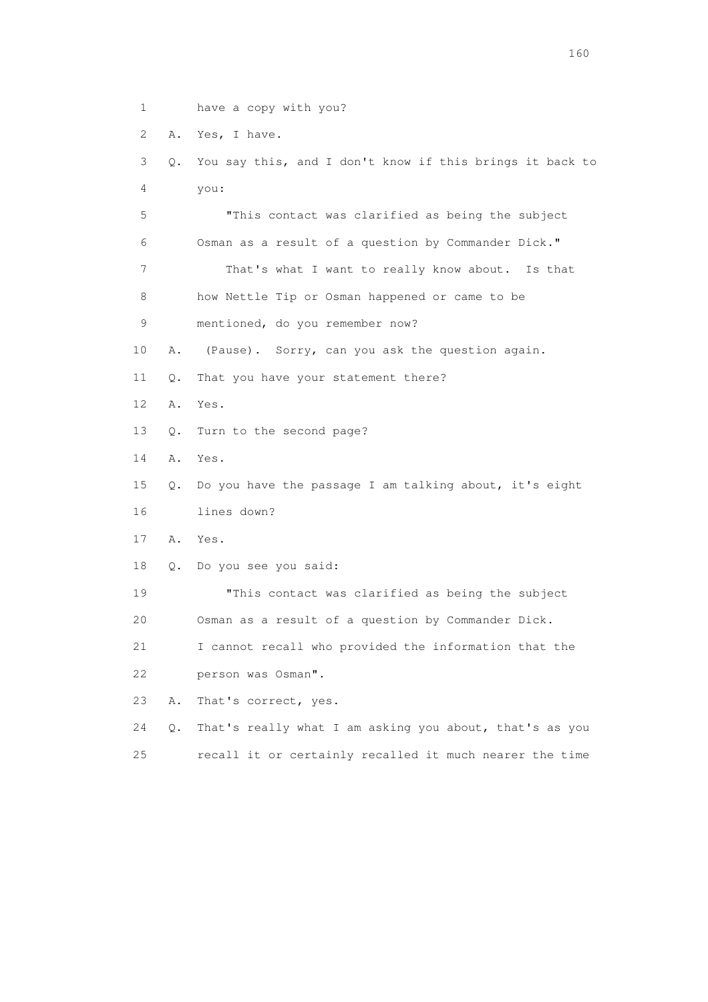1 have a copy with you?

2 A. Yes, I have.

 3 Q. You say this, and I don't know if this brings it back to 4 you: 5 "This contact was clarified as being the subject 6 Osman as a result of a question by Commander Dick." 7 That's what I want to really know about. Is that 8 how Nettle Tip or Osman happened or came to be 9 mentioned, do you remember now? 10 A. (Pause). Sorry, can you ask the question again. 11 Q. That you have your statement there? 12 A. Yes. 13 Q. Turn to the second page? 14 A. Yes. 15 Q. Do you have the passage I am talking about, it's eight 16 lines down? 17 A. Yes. 18 Q. Do you see you said: 19 "This contact was clarified as being the subject 20 Osman as a result of a question by Commander Dick. 21 I cannot recall who provided the information that the 22 person was Osman". 23 A. That's correct, yes. 24 Q. That's really what I am asking you about, that's as you 25 recall it or certainly recalled it much nearer the time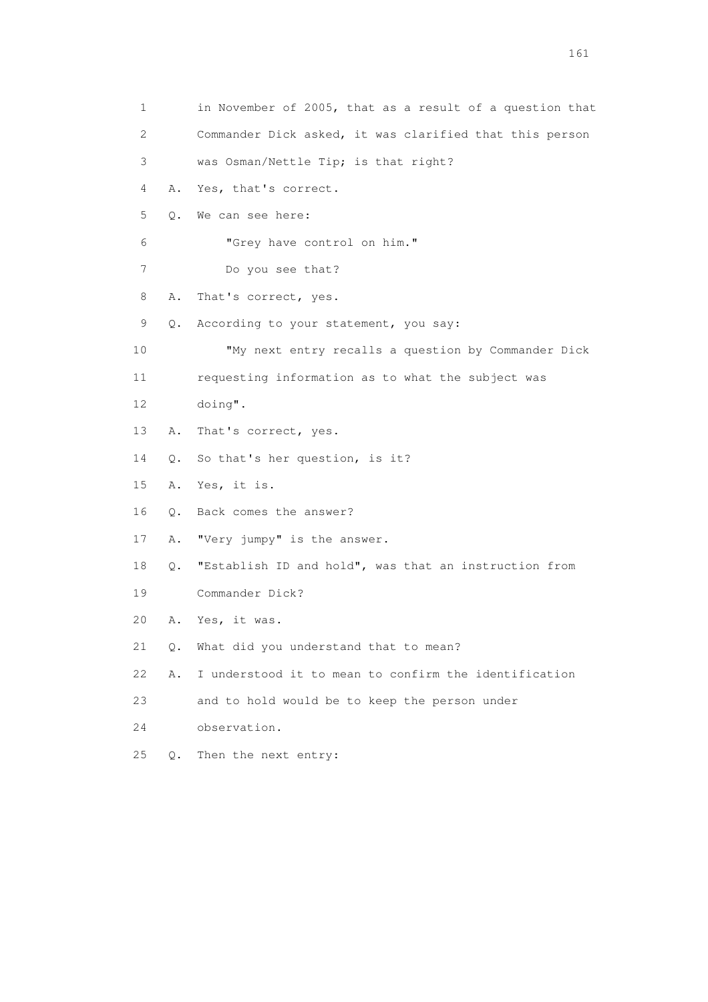| 1                         |           | in November of 2005, that as a result of a question that |
|---------------------------|-----------|----------------------------------------------------------|
| $\mathbf{2}^{\mathsf{I}}$ |           | Commander Dick asked, it was clarified that this person  |
| 3                         |           | was Osman/Nettle Tip; is that right?                     |
| 4                         | Α.        | Yes, that's correct.                                     |
| 5                         | $\circ$ . | We can see here:                                         |
| 6                         |           | "Grey have control on him."                              |
| 7                         |           | Do you see that?                                         |
| 8                         | Α.        | That's correct, yes.                                     |
| 9                         | Q.        | According to your statement, you say:                    |
| 10                        |           | "My next entry recalls a question by Commander Dick      |
| 11                        |           | requesting information as to what the subject was        |
| 12                        |           | doing".                                                  |
| 13                        | Α.        | That's correct, yes.                                     |
| 14                        | $\circ$ . | So that's her question, is it?                           |
| 15                        | A.        | Yes, it is.                                              |
| 16                        | Q.        | Back comes the answer?                                   |
| 17                        | Α.        | "Very jumpy" is the answer.                              |
| 18                        | Q.        | "Establish ID and hold", was that an instruction from    |
| 19                        |           | Commander Dick?                                          |
| 20                        | Α.        | Yes, it was.                                             |
| 21                        | $\circ$ . | What did you understand that to mean?                    |
| 22                        | Α.        | I understood it to mean to confirm the identification    |
| 23                        |           | and to hold would be to keep the person under            |
| 24                        |           | observation.                                             |
| 25                        | $Q$ .     | Then the next entry:                                     |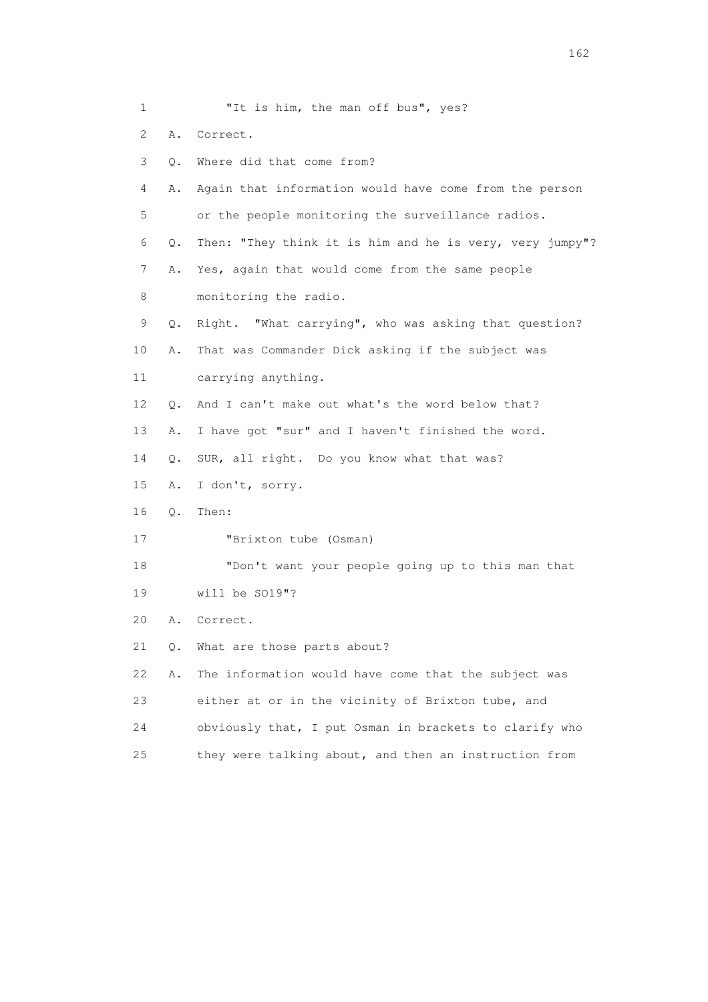1 "It is him, the man off bus", yes? 2 A. Correct. 3 Q. Where did that come from? 4 A. Again that information would have come from the person 5 or the people monitoring the surveillance radios. 6 Q. Then: "They think it is him and he is very, very jumpy"? 7 A. Yes, again that would come from the same people 8 monitoring the radio. 9 Q. Right. "What carrying", who was asking that question? 10 A. That was Commander Dick asking if the subject was 11 carrying anything. 12 O. And I can't make out what's the word below that? 13 A. I have got "sur" and I haven't finished the word. 14 Q. SUR, all right. Do you know what that was? 15 A. I don't, sorry. 16 Q. Then: 17 "Brixton tube (Osman) 18 "Don't want your people going up to this man that 19 will be SO19"? 20 A. Correct. 21 Q. What are those parts about? 22 A. The information would have come that the subject was 23 either at or in the vicinity of Brixton tube, and 24 obviously that, I put Osman in brackets to clarify who 25 they were talking about, and then an instruction from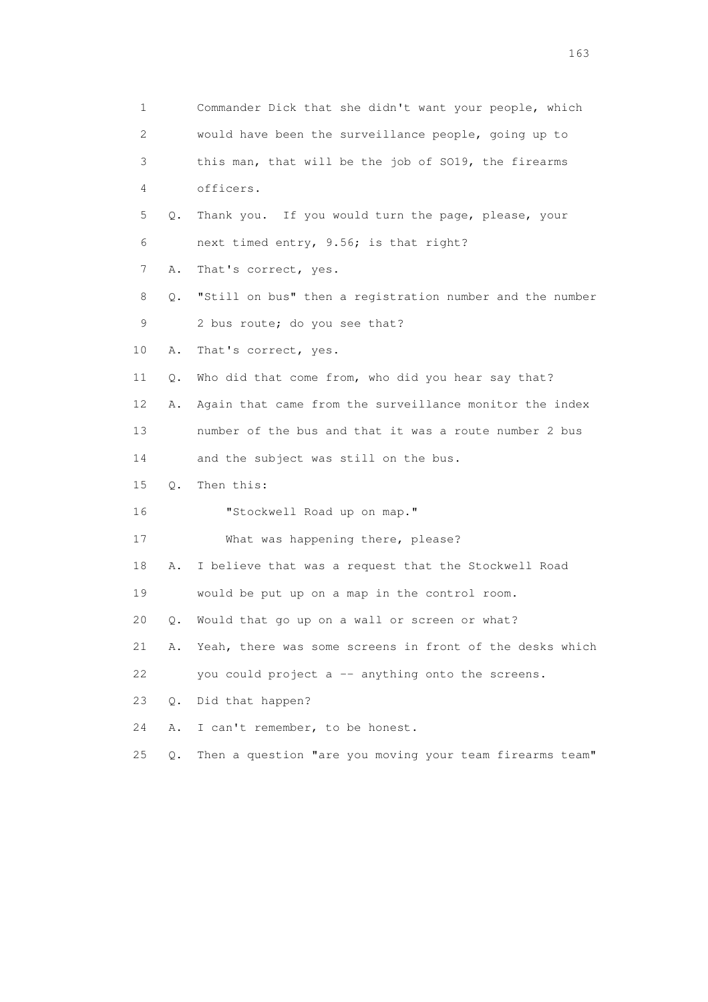| 1              |       | Commander Dick that she didn't want your people, which   |
|----------------|-------|----------------------------------------------------------|
| $\overline{2}$ |       | would have been the surveillance people, going up to     |
| 3              |       | this man, that will be the job of SO19, the firearms     |
| 4              |       | officers.                                                |
| 5              | Q.    | Thank you. If you would turn the page, please, your      |
| 6              |       | next timed entry, 9.56; is that right?                   |
| 7              | Α.    | That's correct, yes.                                     |
| 8              | Q.    | "Still on bus" then a registration number and the number |
| 9              |       | 2 bus route; do you see that?                            |
| 10             | Α.    | That's correct, yes.                                     |
| 11             | Q.    | Who did that come from, who did you hear say that?       |
| 12             | Α.    | Again that came from the surveillance monitor the index  |
| 13             |       | number of the bus and that it was a route number 2 bus   |
| 14             |       | and the subject was still on the bus.                    |
| 15             | Q.    | Then this:                                               |
| 16             |       | "Stockwell Road up on map."                              |
| 17             |       | What was happening there, please?                        |
| 18             | Α.    | I believe that was a request that the Stockwell Road     |
| 19             |       | would be put up on a map in the control room.            |
| 20             | Q.    | Would that go up on a wall or screen or what?            |
| 21             | Α.    | Yeah, there was some screens in front of the desks which |
| 22             |       | you could project a -- anything onto the screens.        |
| 23             | $Q$ . | Did that happen?                                         |
| 24             | Α.    | I can't remember, to be honest.                          |
| 25             | $Q$ . | Then a question "are you moving your team firearms team" |

<u>163</u>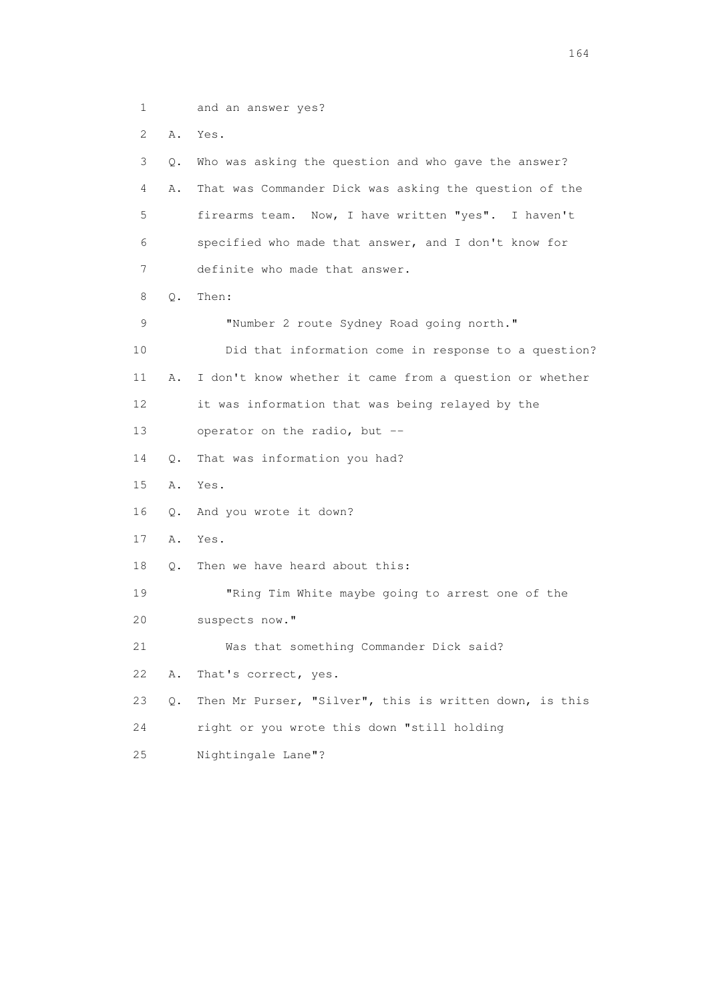1 and an answer yes? 2 A. Yes. 3 Q. Who was asking the question and who gave the answer? 4 A. That was Commander Dick was asking the question of the 5 firearms team. Now, I have written "yes". I haven't 6 specified who made that answer, and I don't know for 7 definite who made that answer. 8 Q. Then: 9 "Number 2 route Sydney Road going north." 10 Did that information come in response to a question? 11 A. I don't know whether it came from a question or whether 12 it was information that was being relayed by the 13 operator on the radio, but -- 14 Q. That was information you had? 15 A. Yes. 16 Q. And you wrote it down? 17 A. Yes. 18 Q. Then we have heard about this: 19 "Ring Tim White maybe going to arrest one of the 20 suspects now." 21 Was that something Commander Dick said? 22 A. That's correct, yes. 23 Q. Then Mr Purser, "Silver", this is written down, is this 24 right or you wrote this down "still holding 25 Nightingale Lane"?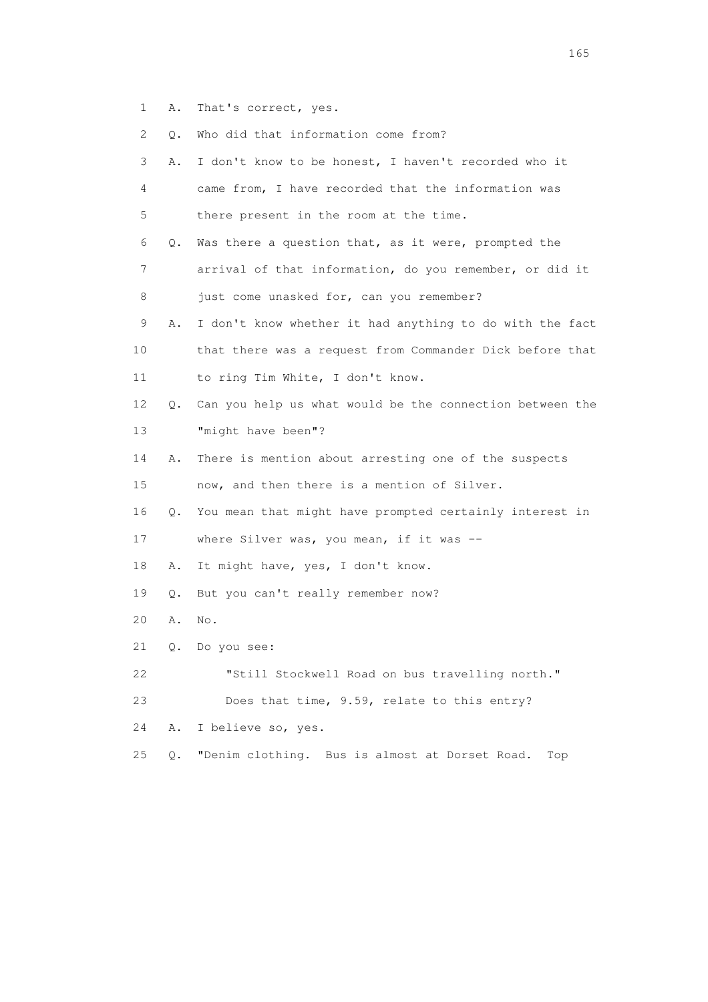1 A. That's correct, yes.

 2 Q. Who did that information come from? 3 A. I don't know to be honest, I haven't recorded who it 4 came from, I have recorded that the information was 5 there present in the room at the time. 6 Q. Was there a question that, as it were, prompted the 7 arrival of that information, do you remember, or did it 8 just come unasked for, can you remember? 9 A. I don't know whether it had anything to do with the fact 10 that there was a request from Commander Dick before that 11 to ring Tim White, I don't know. 12 Q. Can you help us what would be the connection between the 13 "might have been"? 14 A. There is mention about arresting one of the suspects 15 now, and then there is a mention of Silver. 16 Q. You mean that might have prompted certainly interest in 17 where Silver was, you mean, if it was -- 18 A. It might have, yes, I don't know. 19 Q. But you can't really remember now? 20 A. No. 21 Q. Do you see: 22 "Still Stockwell Road on bus travelling north." 23 Does that time, 9.59, relate to this entry? 24 A. I believe so, yes. 25 Q. "Denim clothing. Bus is almost at Dorset Road. Top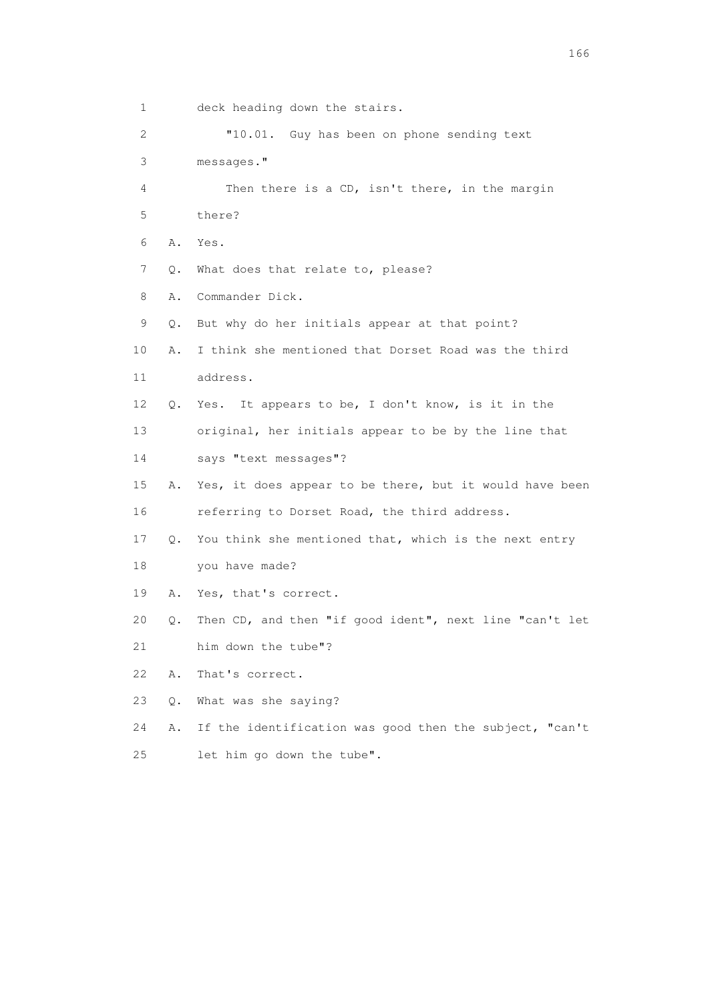1 deck heading down the stairs. 2 "10.01. Guy has been on phone sending text 3 messages." 4 Then there is a CD, isn't there, in the margin 5 there? 6 A. Yes. 7 Q. What does that relate to, please? 8 A. Commander Dick. 9 Q. But why do her initials appear at that point? 10 A. I think she mentioned that Dorset Road was the third 11 address. 12 Q. Yes. It appears to be, I don't know, is it in the 13 original, her initials appear to be by the line that 14 says "text messages"? 15 A. Yes, it does appear to be there, but it would have been 16 referring to Dorset Road, the third address. 17 Q. You think she mentioned that, which is the next entry 18 you have made? 19 A. Yes, that's correct. 20 Q. Then CD, and then "if good ident", next line "can't let 21 him down the tube"? 22 A. That's correct. 23 Q. What was she saying? 24 A. If the identification was good then the subject, "can't

25 let him go down the tube".

<u>166</u> **166**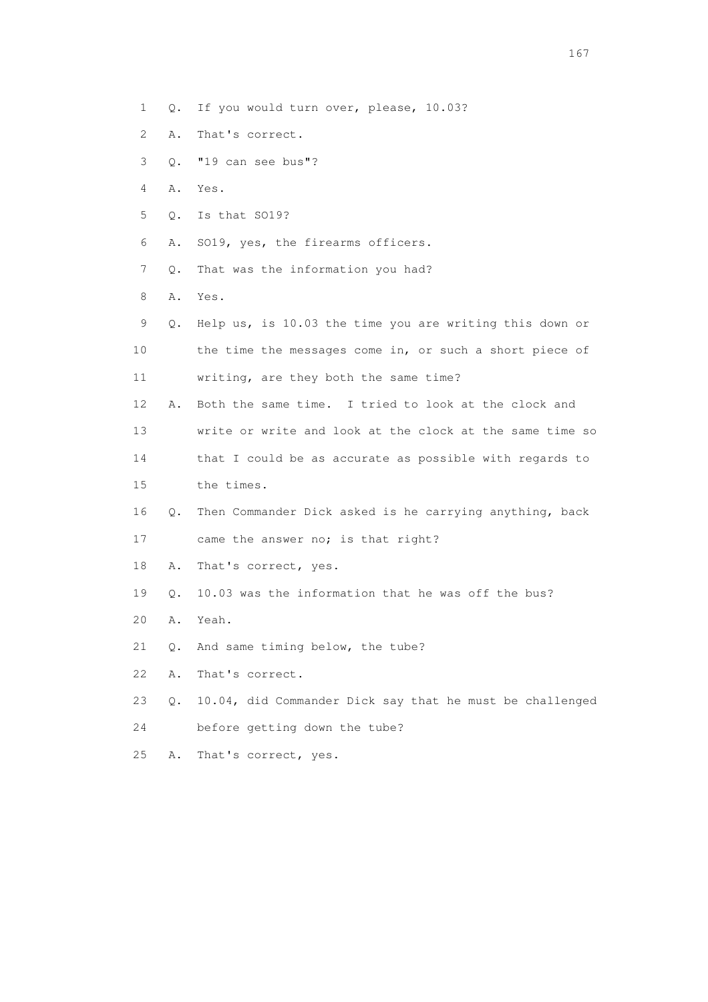- 1 Q. If you would turn over, please, 10.03?
- 2 A. That's correct.
- 3 Q. "19 can see bus"?
- 4 A. Yes.
- 5 Q. Is that SO19?
- 6 A. SO19, yes, the firearms officers.
- 7 Q. That was the information you had?
- 8 A. Yes.
- 9 Q. Help us, is 10.03 the time you are writing this down or 10 the time the messages come in, or such a short piece of 11 writing, are they both the same time? 12 A. Both the same time. I tried to look at the clock and 13 write or write and look at the clock at the same time so 14 that I could be as accurate as possible with regards to 15 the times. 16 Q. Then Commander Dick asked is he carrying anything, back 17 came the answer no; is that right? 18 A. That's correct, yes. 19 Q. 10.03 was the information that he was off the bus? 20 A. Yeah. 21 Q. And same timing below, the tube?
- 
- 22 A. That's correct.
- 23 Q. 10.04, did Commander Dick say that he must be challenged
- 24 before getting down the tube?
- 25 A. That's correct, yes.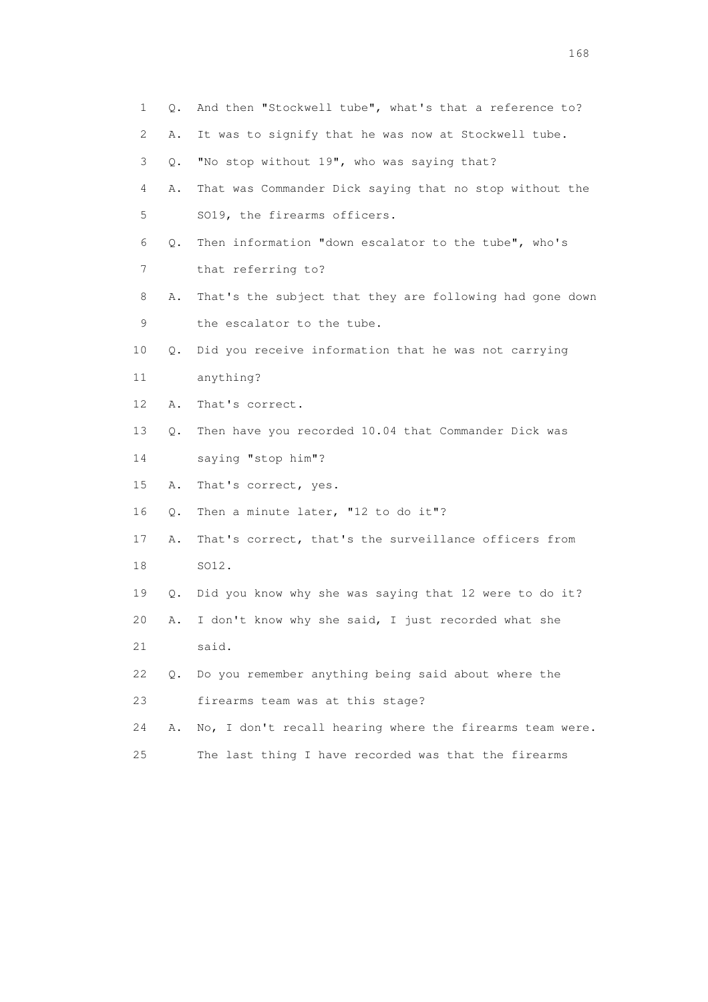| 1  | Q. | And then "Stockwell tube", what's that a reference to?   |
|----|----|----------------------------------------------------------|
| 2  | Α. | It was to signify that he was now at Stockwell tube.     |
| 3  | Q. | "No stop without 19", who was saying that?               |
| 4  | Α. | That was Commander Dick saying that no stop without the  |
| 5  |    | SO19, the firearms officers.                             |
| 6  | Q. | Then information "down escalator to the tube", who's     |
| 7  |    | that referring to?                                       |
| 8  | Α. | That's the subject that they are following had gone down |
| 9  |    | the escalator to the tube.                               |
| 10 | Q. | Did you receive information that he was not carrying     |
| 11 |    | anything?                                                |
| 12 | Α. | That's correct.                                          |
| 13 | Q. | Then have you recorded 10.04 that Commander Dick was     |
| 14 |    | saying "stop him"?                                       |
| 15 | Α. | That's correct, yes.                                     |
| 16 | Q. | Then a minute later, "12 to do it"?                      |
| 17 | Α. | That's correct, that's the surveillance officers from    |
| 18 |    | SO12.                                                    |
| 19 | Q. | Did you know why she was saying that 12 were to do it?   |
| 20 | Α. | I don't know why she said, I just recorded what she      |
| 21 |    | said.                                                    |
| 22 | 0. | Do you remember anything being said about where the      |
| 23 |    | firearms team was at this stage?                         |
| 24 | Α. | No, I don't recall hearing where the firearms team were. |
| 25 |    | The last thing I have recorded was that the firearms     |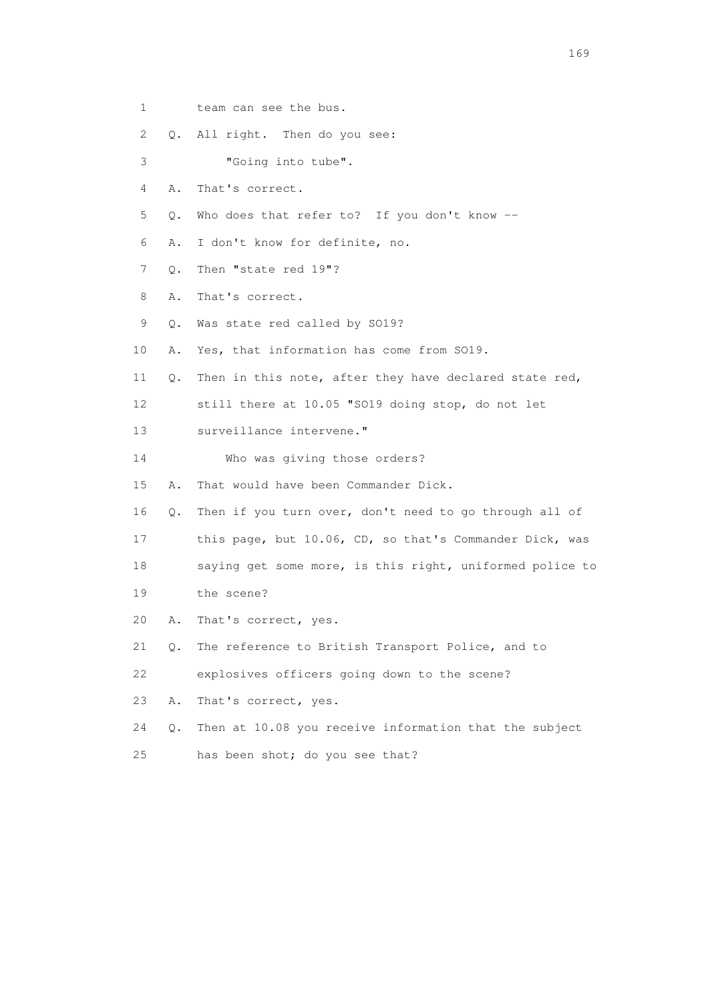1 team can see the bus.

2 Q. All right. Then do you see:

3 "Going into tube".

- 4 A. That's correct.
- 5 Q. Who does that refer to? If you don't know --
- 6 A. I don't know for definite, no.
- 7 Q. Then "state red 19"?
- 8 A. That's correct.
- 9 Q. Was state red called by SO19?
- 10 A. Yes, that information has come from SO19.
- 11 Q. Then in this note, after they have declared state red,

12 still there at 10.05 "SO19 doing stop, do not let

- 13 surveillance intervene."
- 14 Who was giving those orders?

15 A. That would have been Commander Dick.

- 16 Q. Then if you turn over, don't need to go through all of
- 17 this page, but 10.06, CD, so that's Commander Dick, was
- 18 saying get some more, is this right, uniformed police to
- 19 the scene?
- 20 A. That's correct, yes.
- 21 Q. The reference to British Transport Police, and to

22 explosives officers going down to the scene?

23 A. That's correct, yes.

- 24 Q. Then at 10.08 you receive information that the subject
- 25 has been shot; do you see that?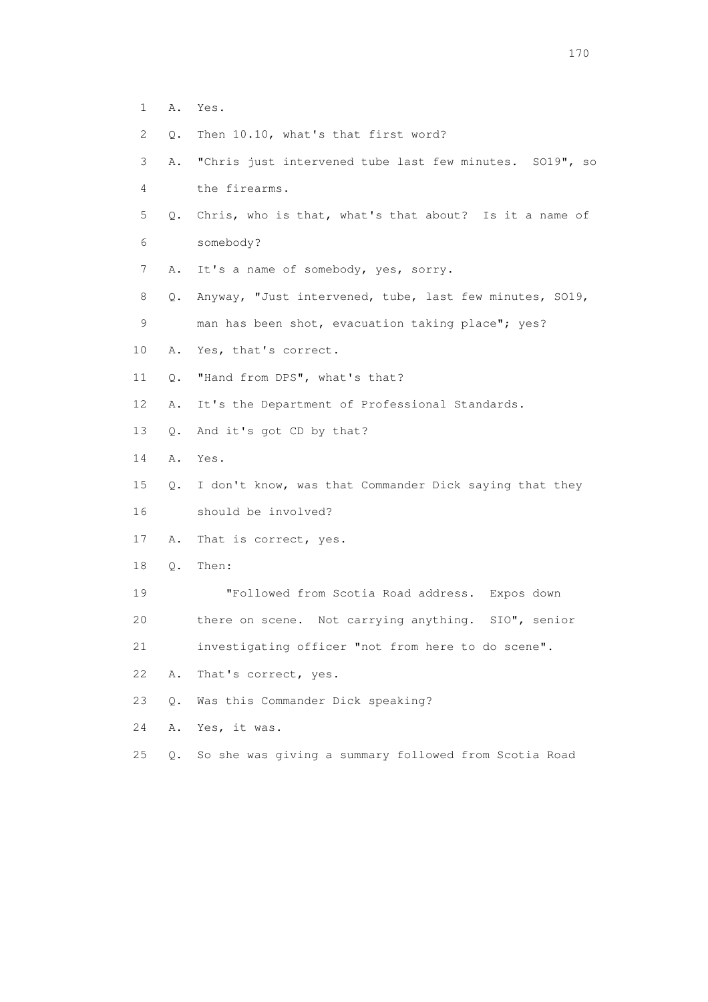- 1 A. Yes.
- 2 Q. Then 10.10, what's that first word?
- 3 A. "Chris just intervened tube last few minutes. SO19", so 4 the firearms.
- 5 Q. Chris, who is that, what's that about? Is it a name of 6 somebody?
- 7 A. It's a name of somebody, yes, sorry.
- 8 Q. Anyway, "Just intervened, tube, last few minutes, SO19,
- 9 man has been shot, evacuation taking place"; yes?
- 10 A. Yes, that's correct.
- 11 Q. "Hand from DPS", what's that?
- 12 A. It's the Department of Professional Standards.
- 13 Q. And it's got CD by that?
- 14 A. Yes.
- 15 Q. I don't know, was that Commander Dick saying that they 16 should be involved?
- 17 A. That is correct, yes.
- 18 Q. Then:
- 19 "Followed from Scotia Road address. Expos down
- 20 there on scene. Not carrying anything. SIO", senior

21 investigating officer "not from here to do scene".

- 22 A. That's correct, yes.
- 23 Q. Was this Commander Dick speaking?
- 24 A. Yes, it was.
- 25 Q. So she was giving a summary followed from Scotia Road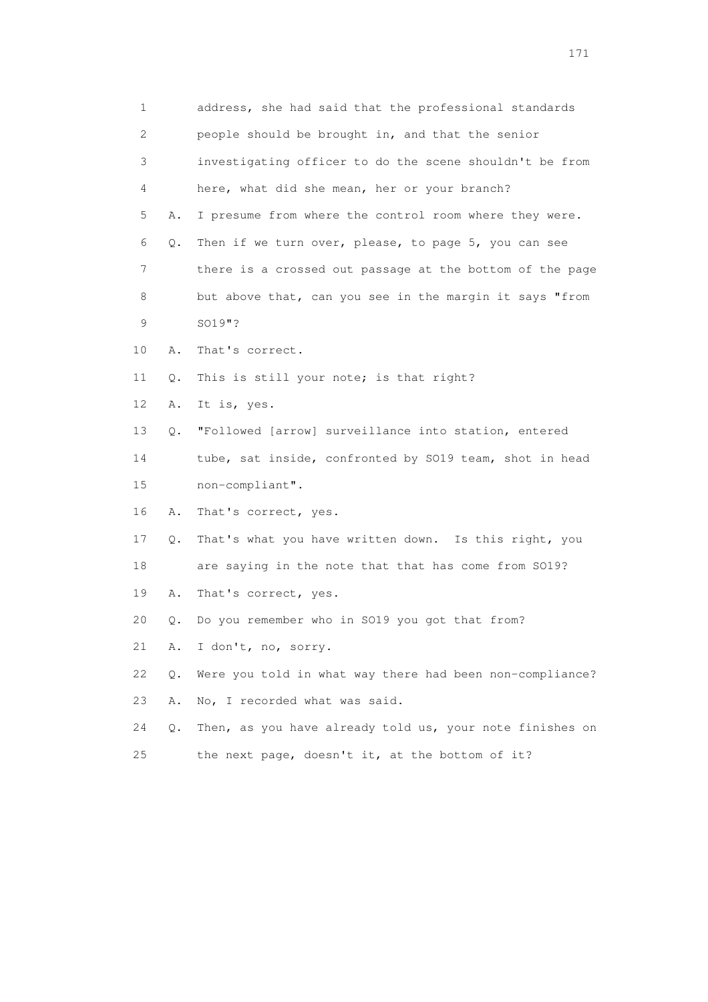1 address, she had said that the professional standards 2 people should be brought in, and that the senior 3 investigating officer to do the scene shouldn't be from 4 here, what did she mean, her or your branch? 5 A. I presume from where the control room where they were. 6 Q. Then if we turn over, please, to page 5, you can see 7 there is a crossed out passage at the bottom of the page 8 but above that, can you see in the margin it says "from 9 SO19"? 10 A. That's correct. 11 Q. This is still your note; is that right? 12 A. It is, yes. 13 Q. "Followed [arrow] surveillance into station, entered 14 tube, sat inside, confronted by SO19 team, shot in head 15 non-compliant". 16 A. That's correct, yes. 17 Q. That's what you have written down. Is this right, you 18 are saying in the note that that has come from SO19? 19 A. That's correct, yes. 20 Q. Do you remember who in SO19 you got that from? 21 A. I don't, no, sorry. 22 Q. Were you told in what way there had been non-compliance? 23 A. No, I recorded what was said. 24 Q. Then, as you have already told us, your note finishes on 25 the next page, doesn't it, at the bottom of it?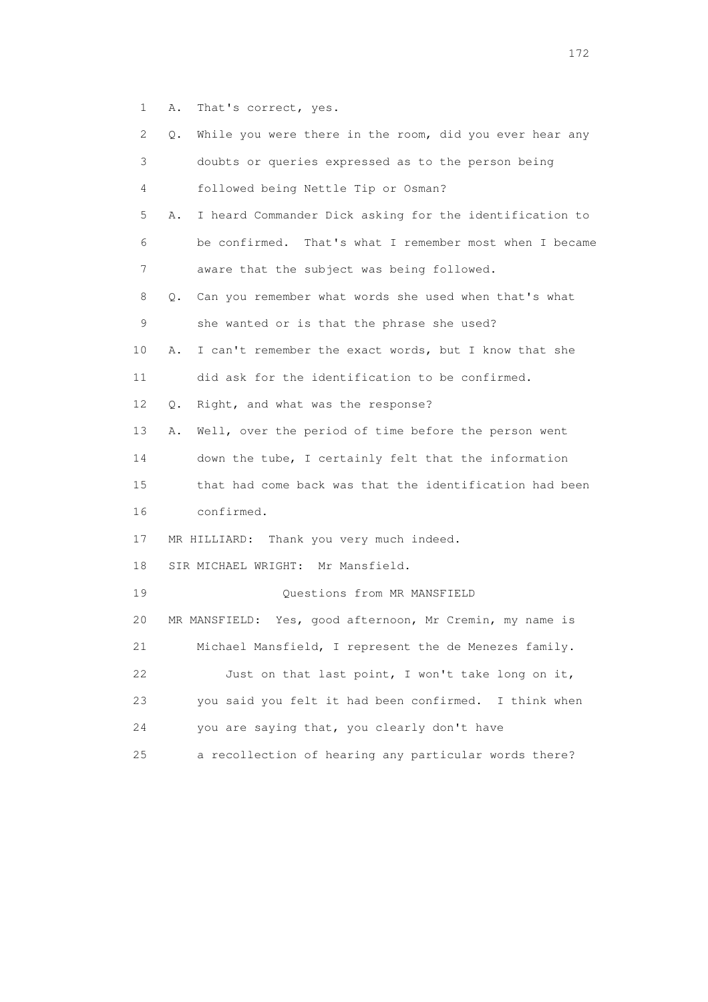1 A. That's correct, yes.

| 2  | While you were there in the room, did you ever hear any<br>Q. |
|----|---------------------------------------------------------------|
| 3  | doubts or queries expressed as to the person being            |
| 4  | followed being Nettle Tip or Osman?                           |
| 5  | I heard Commander Dick asking for the identification to<br>Α. |
| 6  | be confirmed. That's what I remember most when I became       |
| 7  | aware that the subject was being followed.                    |
| 8  | Can you remember what words she used when that's what<br>0.   |
| 9  | she wanted or is that the phrase she used?                    |
| 10 | I can't remember the exact words, but I know that she<br>Α.   |
| 11 | did ask for the identification to be confirmed.               |
| 12 | Right, and what was the response?<br>Q.                       |
| 13 | Well, over the period of time before the person went<br>Α.    |
| 14 | down the tube, I certainly felt that the information          |
| 15 | that had come back was that the identification had been       |
| 16 | confirmed.                                                    |
| 17 | MR HILLIARD: Thank you very much indeed.                      |
| 18 | SIR MICHAEL WRIGHT: Mr Mansfield.                             |
| 19 | Questions from MR MANSFIELD                                   |
| 20 | MR MANSFIELD: Yes, good afternoon, Mr Cremin, my name is      |
| 21 | Michael Mansfield, I represent the de Menezes family.         |
| 22 | Just on that last point, I won't take long on it,             |
| 23 | you said you felt it had been confirmed.<br>I think when      |
| 24 | you are saying that, you clearly don't have                   |
| 25 | a recollection of hearing any particular words there?         |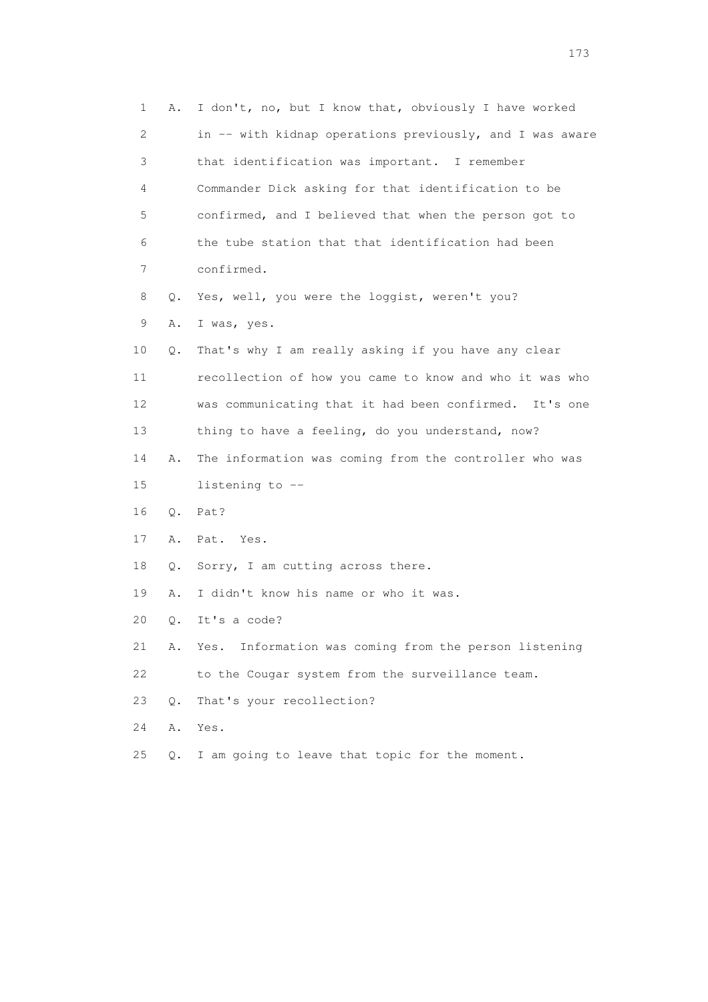| 1  | Α.        | I don't, no, but I know that, obviously I have worked    |
|----|-----------|----------------------------------------------------------|
| 2  |           | in -- with kidnap operations previously, and I was aware |
| 3  |           | that identification was important. I remember            |
| 4  |           | Commander Dick asking for that identification to be      |
| 5  |           | confirmed, and I believed that when the person got to    |
| 6  |           | the tube station that that identification had been       |
| 7  |           | confirmed.                                               |
| 8  | Q.        | Yes, well, you were the loggist, weren't you?            |
| 9  | Α.        | I was, yes.                                              |
| 10 | Q.        | That's why I am really asking if you have any clear      |
| 11 |           | recollection of how you came to know and who it was who  |
| 12 |           | was communicating that it had been confirmed. It's one   |
| 13 |           | thing to have a feeling, do you understand, now?         |
| 14 | Α.        | The information was coming from the controller who was   |
| 15 |           | listening to --                                          |
| 16 | Q.        | Pat?                                                     |
| 17 | Α.        | Pat. Yes.                                                |
| 18 | Q.        | Sorry, I am cutting across there.                        |
| 19 | Α.        | I didn't know his name or who it was.                    |
| 20 | Q.        | It's a code?                                             |
| 21 | Α.        | Information was coming from the person listening<br>Yes. |
| 22 |           | to the Cougar system from the surveillance team.         |
| 23 | $\circ$ . | That's your recollection?                                |
| 24 | Α.        | Yes.                                                     |
| 25 | Q.        | I am going to leave that topic for the moment.           |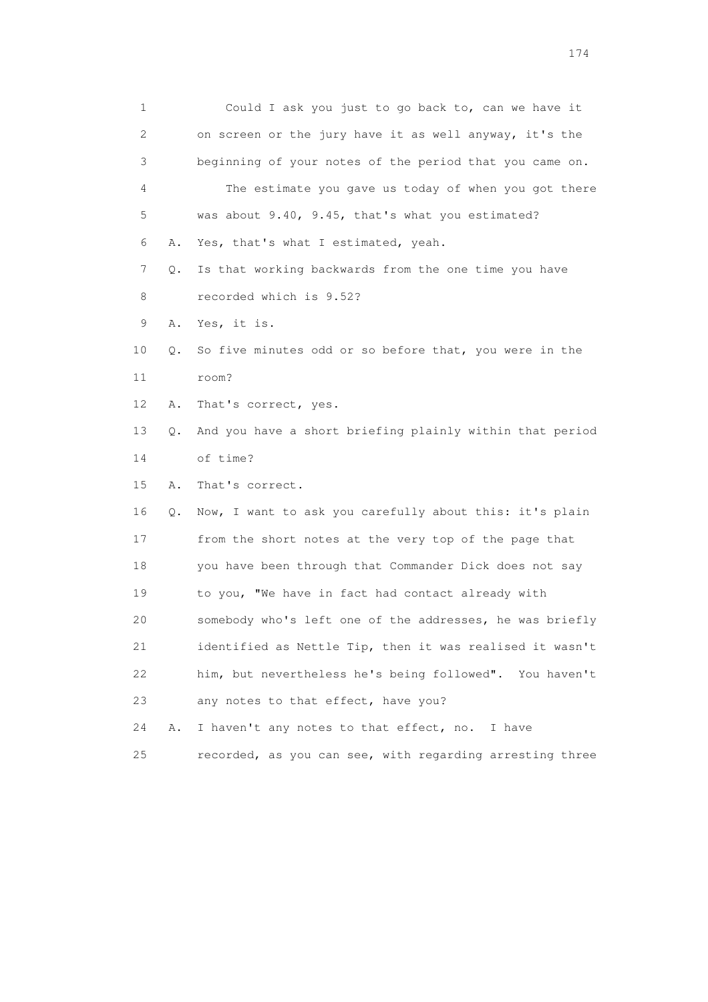1 Could I ask you just to go back to, can we have it 2 on screen or the jury have it as well anyway, it's the 3 beginning of your notes of the period that you came on. 4 The estimate you gave us today of when you got there 5 was about 9.40, 9.45, that's what you estimated? 6 A. Yes, that's what I estimated, yeah. 7 Q. Is that working backwards from the one time you have 8 recorded which is 9.52? 9 A. Yes, it is. 10 Q. So five minutes odd or so before that, you were in the 11 room? 12 A. That's correct, yes. 13 Q. And you have a short briefing plainly within that period 14 of time? 15 A. That's correct. 16 Q. Now, I want to ask you carefully about this: it's plain 17 from the short notes at the very top of the page that 18 you have been through that Commander Dick does not say 19 to you, "We have in fact had contact already with 20 somebody who's left one of the addresses, he was briefly 21 identified as Nettle Tip, then it was realised it wasn't 22 him, but nevertheless he's being followed". You haven't 23 any notes to that effect, have you? 24 A. I haven't any notes to that effect, no. I have 25 recorded, as you can see, with regarding arresting three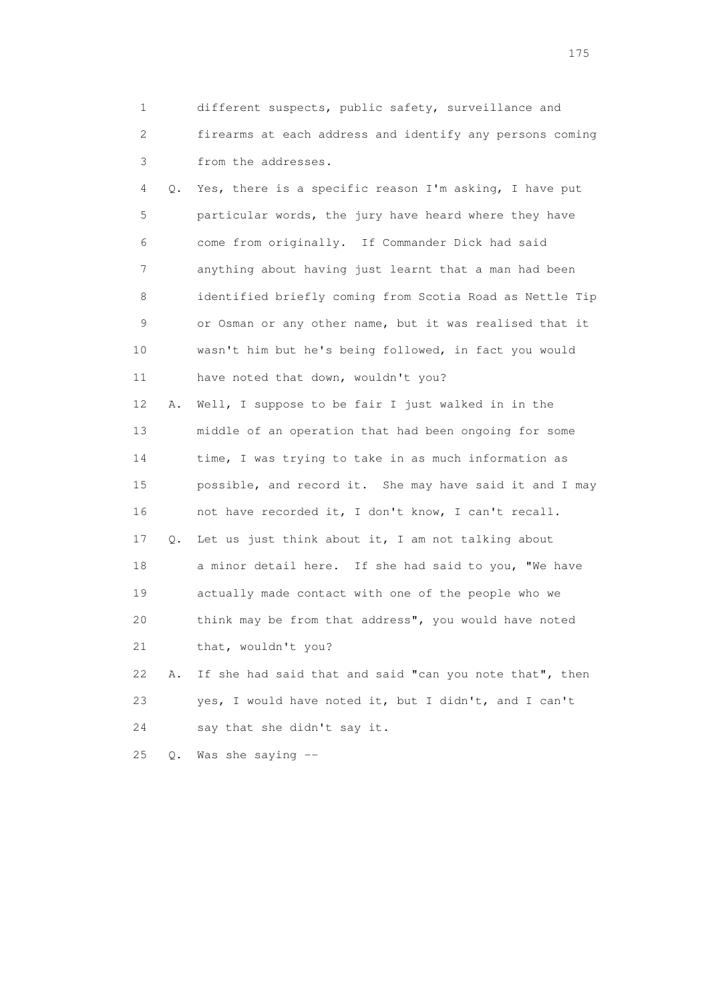1 different suspects, public safety, surveillance and 2 firearms at each address and identify any persons coming 3 from the addresses.

 4 Q. Yes, there is a specific reason I'm asking, I have put 5 particular words, the jury have heard where they have 6 come from originally. If Commander Dick had said 7 anything about having just learnt that a man had been 8 identified briefly coming from Scotia Road as Nettle Tip 9 or Osman or any other name, but it was realised that it 10 wasn't him but he's being followed, in fact you would 11 have noted that down, wouldn't you? 12 A. Well, I suppose to be fair I just walked in in the

 13 middle of an operation that had been ongoing for some 14 time, I was trying to take in as much information as 15 possible, and record it. She may have said it and I may 16 not have recorded it, I don't know, I can't recall. 17 Q. Let us just think about it, I am not talking about 18 a minor detail here. If she had said to you, "We have 19 actually made contact with one of the people who we 20 think may be from that address", you would have noted

21 that, wouldn't you?

 22 A. If she had said that and said "can you note that", then 23 yes, I would have noted it, but I didn't, and I can't 24 say that she didn't say it.

25 Q. Was she saying --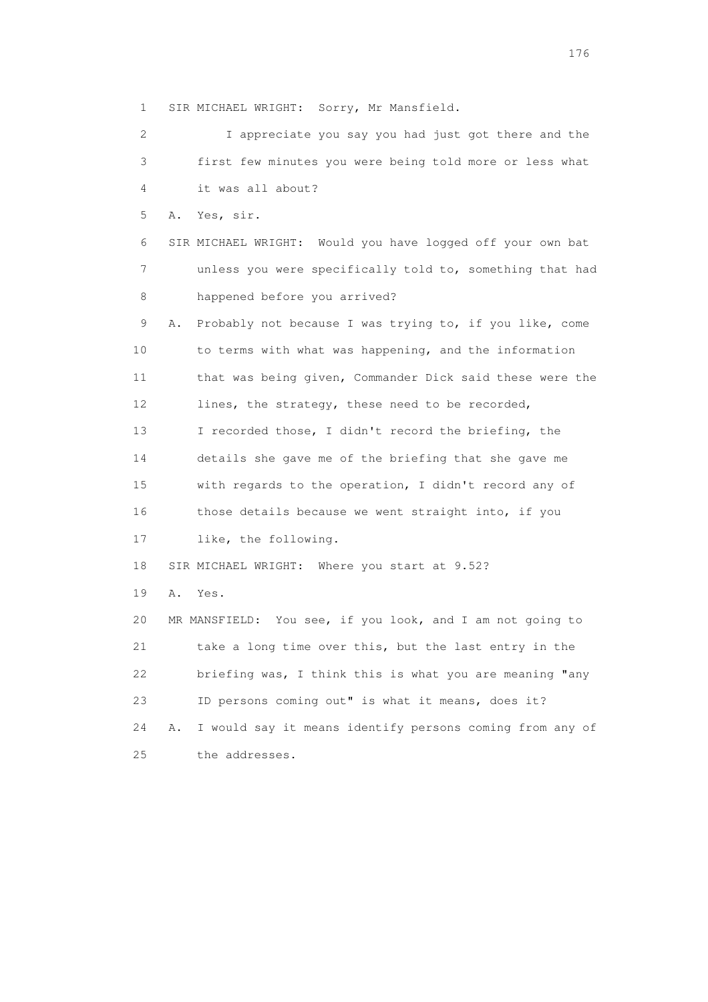1 SIR MICHAEL WRIGHT: Sorry, Mr Mansfield.

 2 I appreciate you say you had just got there and the 3 first few minutes you were being told more or less what 4 it was all about? 5 A. Yes, sir. 6 SIR MICHAEL WRIGHT: Would you have logged off your own bat 7 unless you were specifically told to, something that had 8 happened before you arrived? 9 A. Probably not because I was trying to, if you like, come 10 to terms with what was happening, and the information 11 that was being given, Commander Dick said these were the 12 lines, the strategy, these need to be recorded, 13 I recorded those, I didn't record the briefing, the 14 details she gave me of the briefing that she gave me 15 with regards to the operation, I didn't record any of 16 those details because we went straight into, if you 17 like, the following. 18 SIR MICHAEL WRIGHT: Where you start at 9.52? 19 A. Yes. 20 MR MANSFIELD: You see, if you look, and I am not going to 21 take a long time over this, but the last entry in the 22 briefing was, I think this is what you are meaning "any 23 ID persons coming out" is what it means, does it? 24 A. I would say it means identify persons coming from any of 25 the addresses.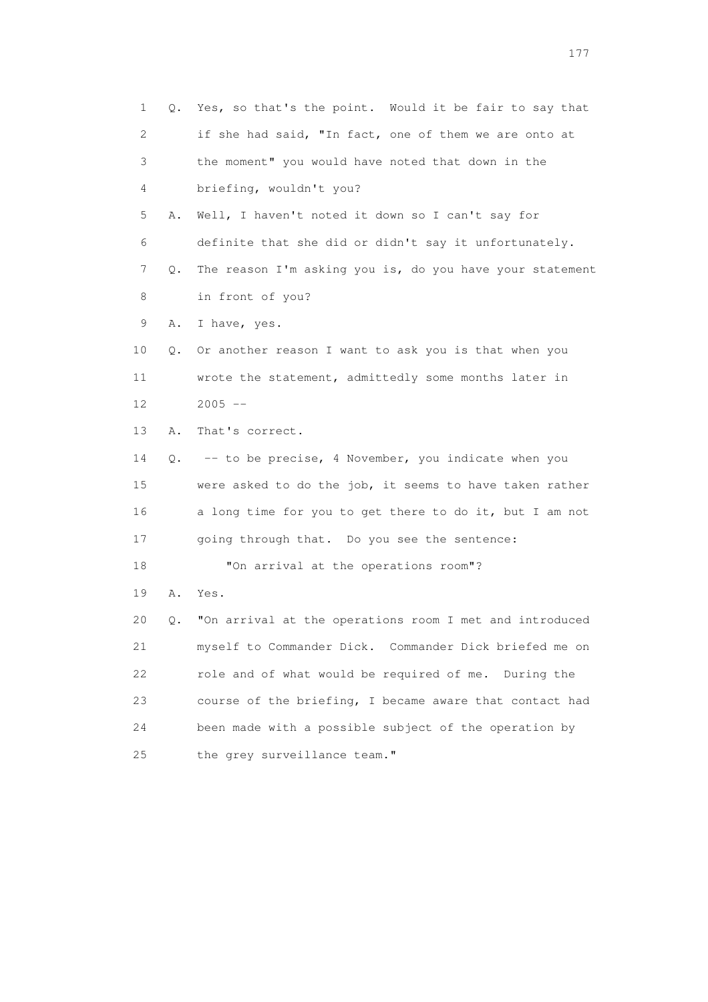| 1  | Q. | Yes, so that's the point. Would it be fair to say that   |
|----|----|----------------------------------------------------------|
| 2  |    | if she had said, "In fact, one of them we are onto at    |
| 3  |    | the moment" you would have noted that down in the        |
| 4  |    | briefing, wouldn't you?                                  |
| 5  | Α. | Well, I haven't noted it down so I can't say for         |
| 6  |    | definite that she did or didn't say it unfortunately.    |
| 7  | Q. | The reason I'm asking you is, do you have your statement |
| 8  |    | in front of you?                                         |
| 9  | Α. | I have, yes.                                             |
| 10 | Q. | Or another reason I want to ask you is that when you     |
| 11 |    | wrote the statement, admittedly some months later in     |
| 12 |    | $2005$ --                                                |
| 13 | Α. | That's correct.                                          |
| 14 | Q. | -- to be precise, 4 November, you indicate when you      |
| 15 |    | were asked to do the job, it seems to have taken rather  |
| 16 |    | a long time for you to get there to do it, but I am not  |
| 17 |    | going through that. Do you see the sentence:             |
| 18 |    | "On arrival at the operations room"?                     |
| 19 | Α. | Yes.                                                     |
| 20 | Q. | "On arrival at the operations room I met and introduced  |
| 21 |    | myself to Commander Dick. Commander Dick briefed me on   |
| 22 |    | role and of what would be required of me. During the     |
| 23 |    | course of the briefing, I became aware that contact had  |
| 24 |    | been made with a possible subject of the operation by    |
| 25 |    | the grey surveillance team."                             |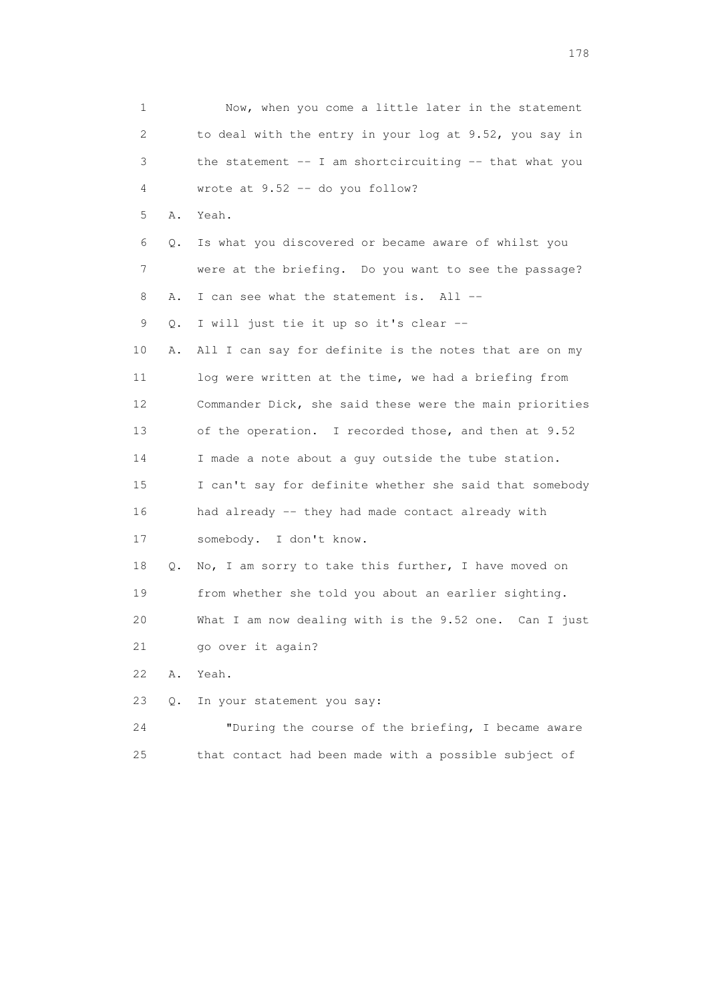| 1  |    | Now, when you come a little later in the statement         |
|----|----|------------------------------------------------------------|
| 2  |    | to deal with the entry in your log at 9.52, you say in     |
| 3  |    | the statement $--$ I am shortcircuiting $--$ that what you |
| 4  |    | wrote at $9.52 -$ do you follow?                           |
| 5  | Α. | Yeah.                                                      |
| 6  | Q. | Is what you discovered or became aware of whilst you       |
| 7  |    | were at the briefing. Do you want to see the passage?      |
| 8  | Α. | I can see what the statement is. All --                    |
| 9  | Q. | I will just tie it up so it's clear --                     |
| 10 | Α. | All I can say for definite is the notes that are on my     |
| 11 |    | log were written at the time, we had a briefing from       |
| 12 |    | Commander Dick, she said these were the main priorities    |
| 13 |    | of the operation. I recorded those, and then at 9.52       |
| 14 |    | I made a note about a guy outside the tube station.        |
| 15 |    | I can't say for definite whether she said that somebody    |
| 16 |    | had already -- they had made contact already with          |
| 17 |    | somebody. I don't know.                                    |
| 18 | Q. | No, I am sorry to take this further, I have moved on       |
| 19 |    | from whether she told you about an earlier sighting.       |
| 20 |    | What I am now dealing with is the $9.52$ one. Can I just   |
| 21 |    | go over it again?                                          |
| 22 | Α. | Yeah.                                                      |
| 23 | О. | In your statement you say:                                 |
| 24 |    | "During the course of the briefing, I became aware         |
| 25 |    | that contact had been made with a possible subject of      |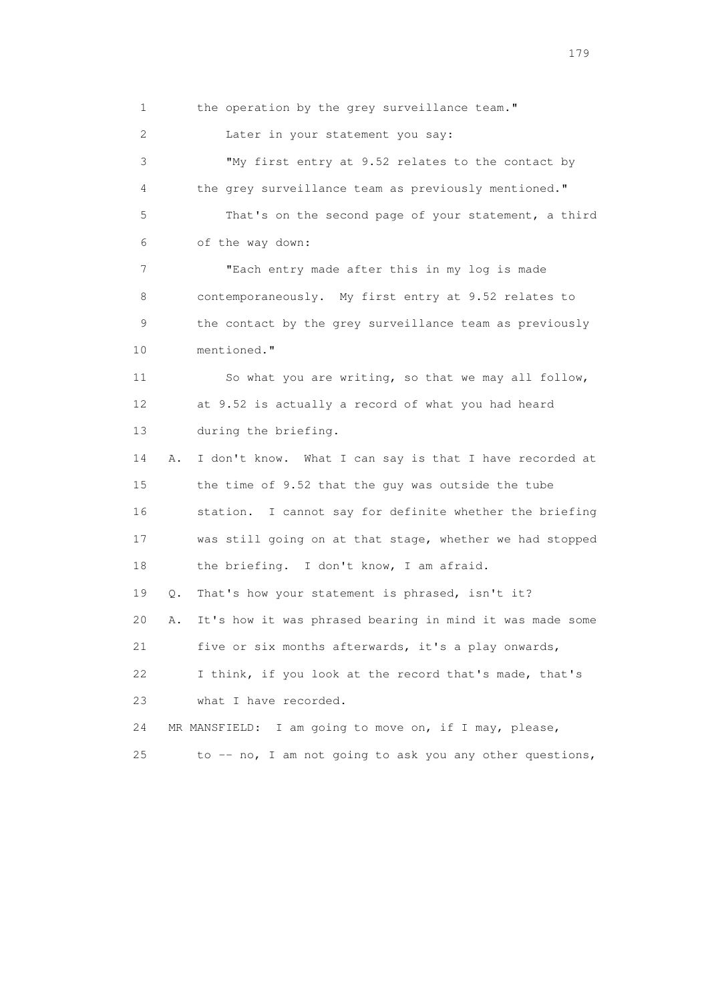1 the operation by the grey surveillance team."

2 Later in your statement you say:

 3 "My first entry at 9.52 relates to the contact by 4 the grey surveillance team as previously mentioned." 5 That's on the second page of your statement, a third 6 of the way down:

 7 "Each entry made after this in my log is made 8 contemporaneously. My first entry at 9.52 relates to 9 the contact by the grey surveillance team as previously 10 mentioned."

 11 So what you are writing, so that we may all follow, 12 at 9.52 is actually a record of what you had heard 13 during the briefing.

 14 A. I don't know. What I can say is that I have recorded at 15 the time of 9.52 that the guy was outside the tube 16 station. I cannot say for definite whether the briefing 17 was still going on at that stage, whether we had stopped 18 the briefing. I don't know, I am afraid.

19 Q. That's how your statement is phrased, isn't it?

20 A. It's how it was phrased bearing in mind it was made some

21 five or six months afterwards, it's a play onwards,

 22 I think, if you look at the record that's made, that's 23 what I have recorded.

24 MR MANSFIELD: I am going to move on, if I may, please,

25 to -- no, I am not going to ask you any other questions,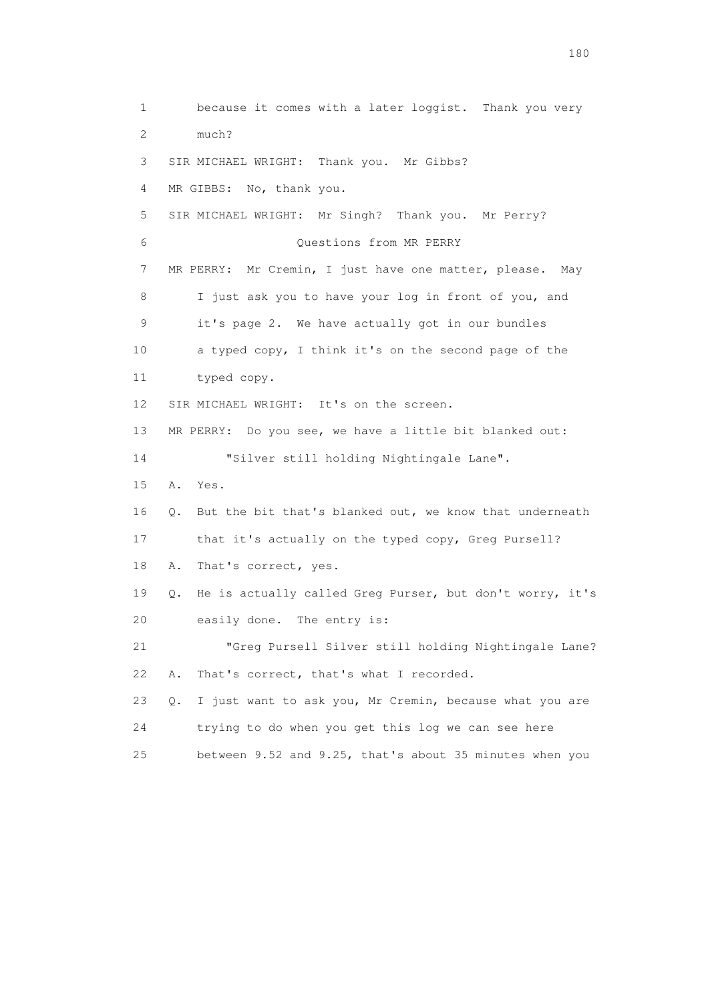1 because it comes with a later loggist. Thank you very 2 much? 3 SIR MICHAEL WRIGHT: Thank you. Mr Gibbs? 4 MR GIBBS: No, thank you. 5 SIR MICHAEL WRIGHT: Mr Singh? Thank you. Mr Perry? 6 Questions from MR PERRY 7 MR PERRY: Mr Cremin, I just have one matter, please. May 8 I just ask you to have your log in front of you, and 9 it's page 2. We have actually got in our bundles 10 a typed copy, I think it's on the second page of the 11 typed copy. 12 SIR MICHAEL WRIGHT: It's on the screen. 13 MR PERRY: Do you see, we have a little bit blanked out: 14 "Silver still holding Nightingale Lane". 15 A. Yes. 16 Q. But the bit that's blanked out, we know that underneath 17 that it's actually on the typed copy, Greg Pursell? 18 A. That's correct, yes. 19 Q. He is actually called Greg Purser, but don't worry, it's 20 easily done. The entry is: 21 "Greg Pursell Silver still holding Nightingale Lane? 22 A. That's correct, that's what I recorded. 23 Q. I just want to ask you, Mr Cremin, because what you are 24 trying to do when you get this log we can see here 25 between 9.52 and 9.25, that's about 35 minutes when you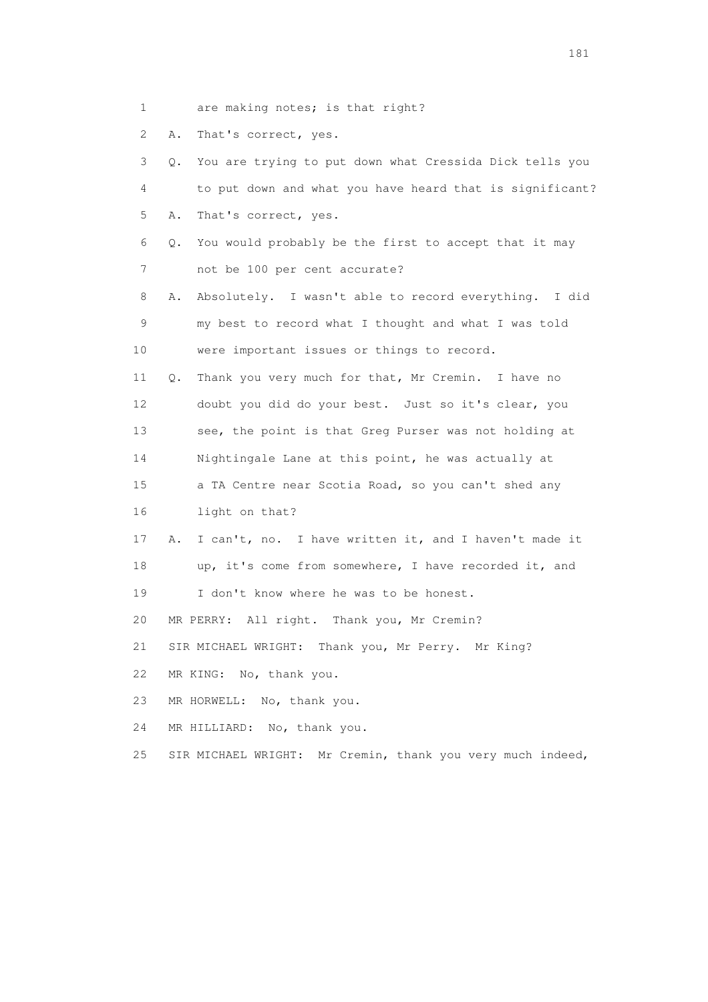1 are making notes; is that right?

2 A. That's correct, yes.

 3 Q. You are trying to put down what Cressida Dick tells you 4 to put down and what you have heard that is significant? 5 A. That's correct, yes. 6 Q. You would probably be the first to accept that it may 7 not be 100 per cent accurate? 8 A. Absolutely. I wasn't able to record everything. I did 9 my best to record what I thought and what I was told 10 were important issues or things to record. 11 Q. Thank you very much for that, Mr Cremin. I have no 12 doubt you did do your best. Just so it's clear, you 13 see, the point is that Greg Purser was not holding at 14 Nightingale Lane at this point, he was actually at 15 a TA Centre near Scotia Road, so you can't shed any 16 light on that? 17 A. I can't, no. I have written it, and I haven't made it 18 up, it's come from somewhere, I have recorded it, and 19 I don't know where he was to be honest. 20 MR PERRY: All right. Thank you, Mr Cremin? 21 SIR MICHAEL WRIGHT: Thank you, Mr Perry. Mr King? 22 MR KING: No, thank you. 23 MR HORWELL: No, thank you. 24 MR HILLIARD: No, thank you.

25 SIR MICHAEL WRIGHT: Mr Cremin, thank you very much indeed,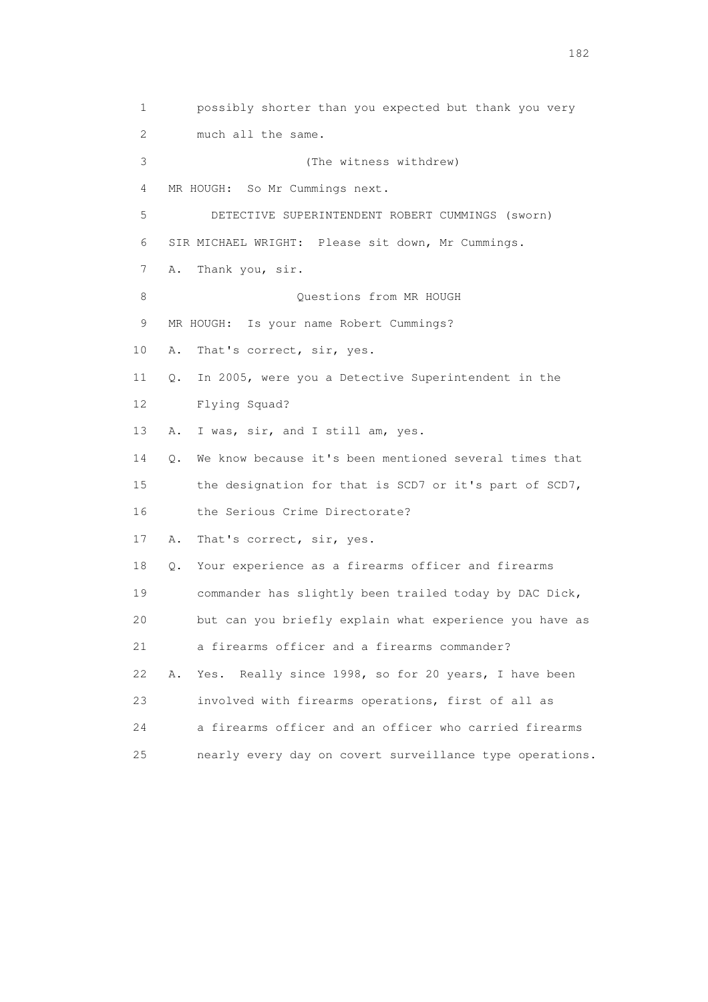1 possibly shorter than you expected but thank you very 2 much all the same. 3 (The witness withdrew) 4 MR HOUGH: So Mr Cummings next. 5 DETECTIVE SUPERINTENDENT ROBERT CUMMINGS (sworn) 6 SIR MICHAEL WRIGHT: Please sit down, Mr Cummings. 7 A. Thank you, sir. 8 Ouestions from MR HOUGH 9 MR HOUGH: Is your name Robert Cummings? 10 A. That's correct, sir, yes. 11 Q. In 2005, were you a Detective Superintendent in the 12 Flying Squad? 13 A. I was, sir, and I still am, yes. 14 Q. We know because it's been mentioned several times that 15 the designation for that is SCD7 or it's part of SCD7, 16 the Serious Crime Directorate? 17 A. That's correct, sir, yes. 18 Q. Your experience as a firearms officer and firearms 19 commander has slightly been trailed today by DAC Dick, 20 but can you briefly explain what experience you have as 21 a firearms officer and a firearms commander? 22 A. Yes. Really since 1998, so for 20 years, I have been 23 involved with firearms operations, first of all as 24 a firearms officer and an officer who carried firearms 25 nearly every day on covert surveillance type operations.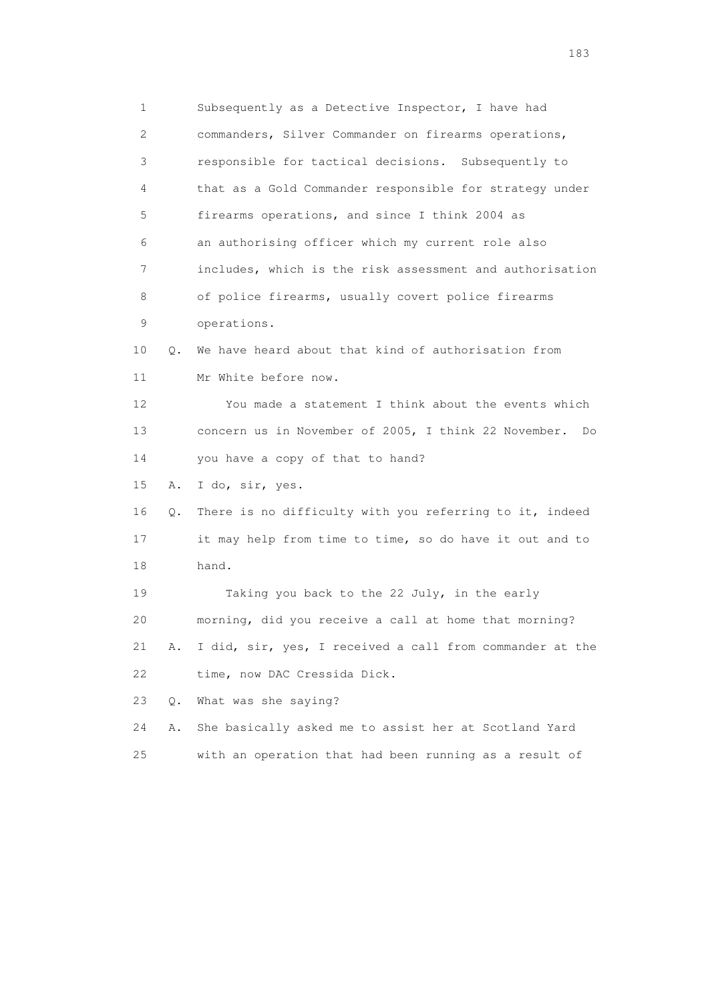1 Subsequently as a Detective Inspector, I have had 2 commanders, Silver Commander on firearms operations, 3 responsible for tactical decisions. Subsequently to 4 that as a Gold Commander responsible for strategy under 5 firearms operations, and since I think 2004 as 6 an authorising officer which my current role also 7 includes, which is the risk assessment and authorisation 8 of police firearms, usually covert police firearms 9 operations. 10 Q. We have heard about that kind of authorisation from 11 Mr White before now. 12 You made a statement I think about the events which 13 concern us in November of 2005, I think 22 November. Do 14 you have a copy of that to hand? 15 A. I do, sir, yes. 16 Q. There is no difficulty with you referring to it, indeed 17 it may help from time to time, so do have it out and to 18 hand. 19 Taking you back to the 22 July, in the early 20 morning, did you receive a call at home that morning? 21 A. I did, sir, yes, I received a call from commander at the 22 time, now DAC Cressida Dick. 23 Q. What was she saying? 24 A. She basically asked me to assist her at Scotland Yard 25 with an operation that had been running as a result of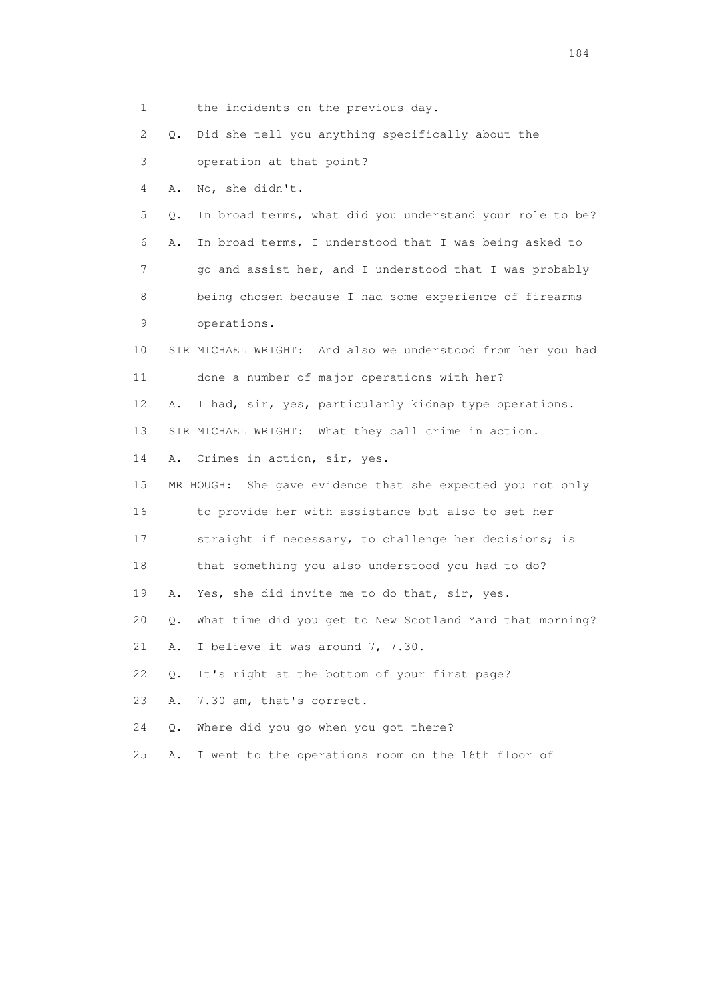1 the incidents on the previous day.

2 Q. Did she tell you anything specifically about the

3 operation at that point?

4 A. No, she didn't.

 5 Q. In broad terms, what did you understand your role to be? 6 A. In broad terms, I understood that I was being asked to 7 go and assist her, and I understood that I was probably 8 being chosen because I had some experience of firearms

- 9 operations.
- 10 SIR MICHAEL WRIGHT: And also we understood from her you had 11 done a number of major operations with her?

12 A. I had, sir, yes, particularly kidnap type operations.

13 SIR MICHAEL WRIGHT: What they call crime in action.

14 A. Crimes in action, sir, yes.

15 MR HOUGH: She gave evidence that she expected you not only

16 to provide her with assistance but also to set her

17 straight if necessary, to challenge her decisions; is

18 that something you also understood you had to do?

19 A. Yes, she did invite me to do that, sir, yes.

20 Q. What time did you get to New Scotland Yard that morning?

21 A. I believe it was around 7, 7.30.

22 Q. It's right at the bottom of your first page?

23 A. 7.30 am, that's correct.

24 Q. Where did you go when you got there?

25 A. I went to the operations room on the 16th floor of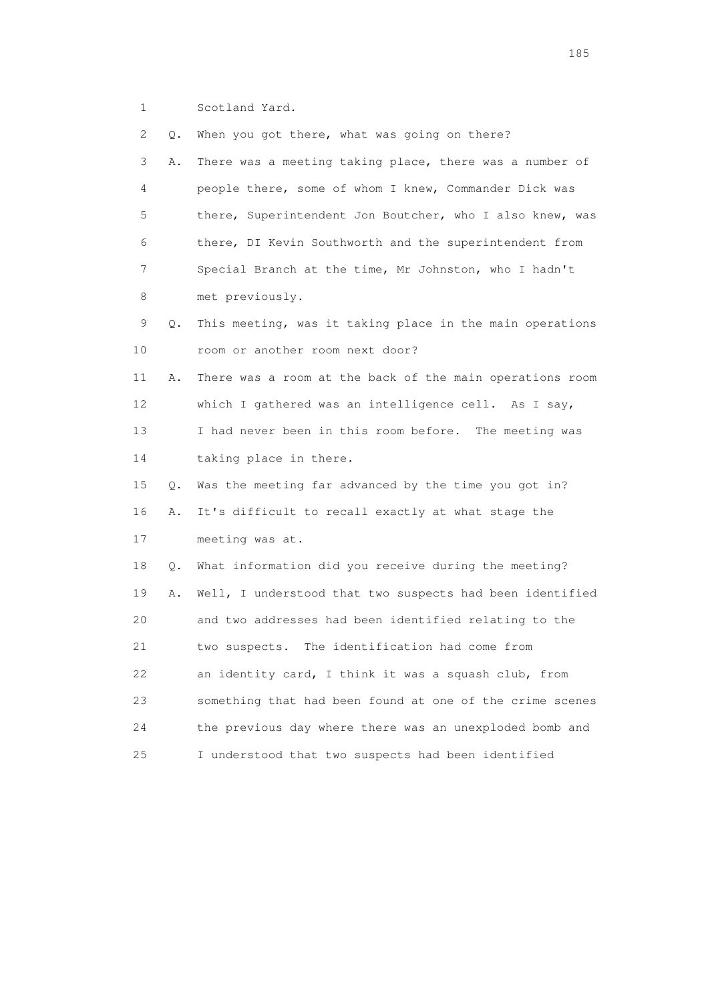1 Scotland Yard.

 2 Q. When you got there, what was going on there? 3 A. There was a meeting taking place, there was a number of 4 people there, some of whom I knew, Commander Dick was 5 there, Superintendent Jon Boutcher, who I also knew, was 6 there, DI Kevin Southworth and the superintendent from 7 Special Branch at the time, Mr Johnston, who I hadn't 8 met previously. 9 Q. This meeting, was it taking place in the main operations 10 room or another room next door? 11 A. There was a room at the back of the main operations room 12 which I gathered was an intelligence cell. As I say, 13 I had never been in this room before. The meeting was 14 taking place in there. 15 Q. Was the meeting far advanced by the time you got in? 16 A. It's difficult to recall exactly at what stage the 17 meeting was at. 18 Q. What information did you receive during the meeting? 19 A. Well, I understood that two suspects had been identified 20 and two addresses had been identified relating to the 21 two suspects. The identification had come from 22 an identity card, I think it was a squash club, from 23 something that had been found at one of the crime scenes 24 the previous day where there was an unexploded bomb and 25 I understood that two suspects had been identified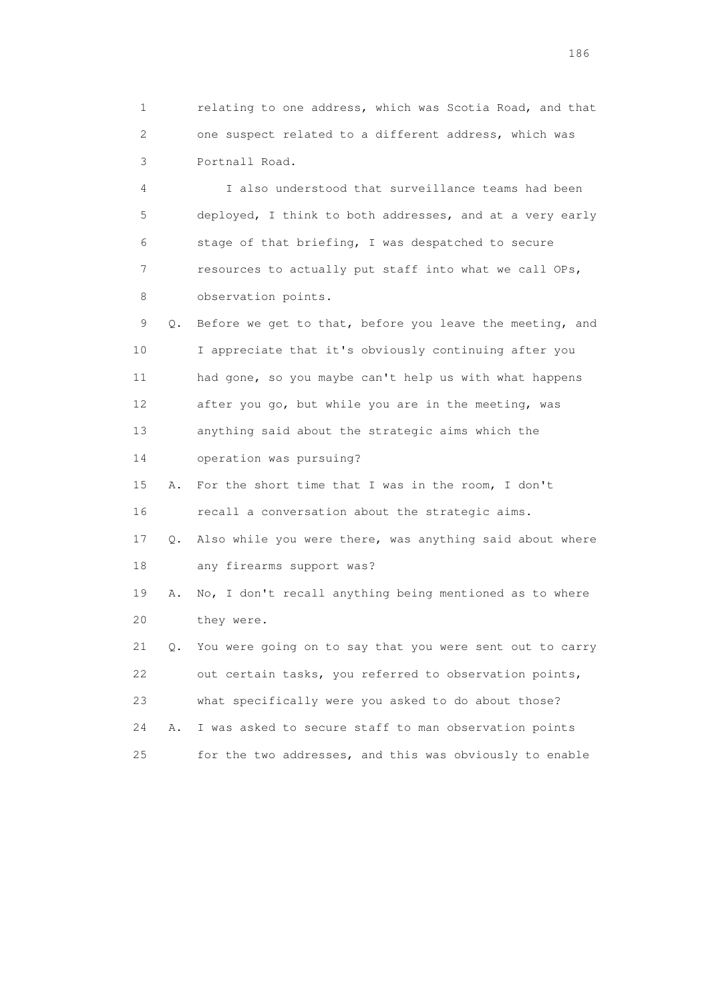1 relating to one address, which was Scotia Road, and that 2 one suspect related to a different address, which was 3 Portnall Road.

 4 I also understood that surveillance teams had been 5 deployed, I think to both addresses, and at a very early 6 stage of that briefing, I was despatched to secure 7 resources to actually put staff into what we call OPs, 8 observation points.

 9 Q. Before we get to that, before you leave the meeting, and 10 I appreciate that it's obviously continuing after you 11 had gone, so you maybe can't help us with what happens 12 after you go, but while you are in the meeting, was 13 anything said about the strategic aims which the

14 operation was pursuing?

 15 A. For the short time that I was in the room, I don't 16 recall a conversation about the strategic aims.

 17 Q. Also while you were there, was anything said about where 18 any firearms support was?

 19 A. No, I don't recall anything being mentioned as to where 20 they were.

 21 Q. You were going on to say that you were sent out to carry 22 out certain tasks, you referred to observation points, 23 what specifically were you asked to do about those? 24 A. I was asked to secure staff to man observation points 25 for the two addresses, and this was obviously to enable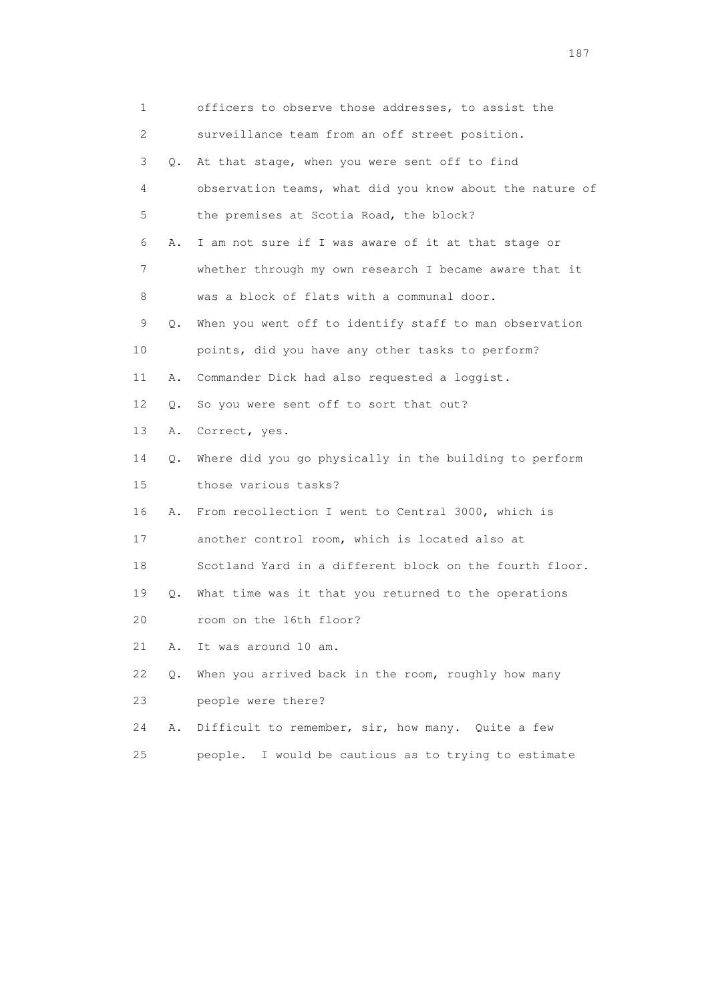| 1  |    | officers to observe those addresses, to assist the       |
|----|----|----------------------------------------------------------|
| 2  |    | surveillance team from an off street position.           |
| 3  | О. | At that stage, when you were sent off to find            |
| 4  |    | observation teams, what did you know about the nature of |
| 5  |    | the premises at Scotia Road, the block?                  |
| 6  | Α. | I am not sure if I was aware of it at that stage or      |
| 7  |    | whether through my own research I became aware that it   |
| 8  |    | was a block of flats with a communal door.               |
| 9  | Q. | When you went off to identify staff to man observation   |
| 10 |    | points, did you have any other tasks to perform?         |
| 11 | Α. | Commander Dick had also requested a loggist.             |
| 12 | Q. | So you were sent off to sort that out?                   |
| 13 | Α. | Correct, yes.                                            |
| 14 | Q. | Where did you go physically in the building to perform   |
| 15 |    | those various tasks?                                     |
| 16 | Α. | From recollection I went to Central 3000, which is       |
| 17 |    | another control room, which is located also at           |
| 18 |    | Scotland Yard in a different block on the fourth floor.  |
| 19 | Q. | What time was it that you returned to the operations     |
| 20 |    | room on the 16th floor?                                  |
| 21 | Α. | It was around 10 am.                                     |
| 22 | Q. | When you arrived back in the room, roughly how many      |
| 23 |    | people were there?                                       |
| 24 | Α. | Difficult to remember, sir, how many. Quite a few        |
| 25 |    | I would be cautious as to trying to estimate<br>people.  |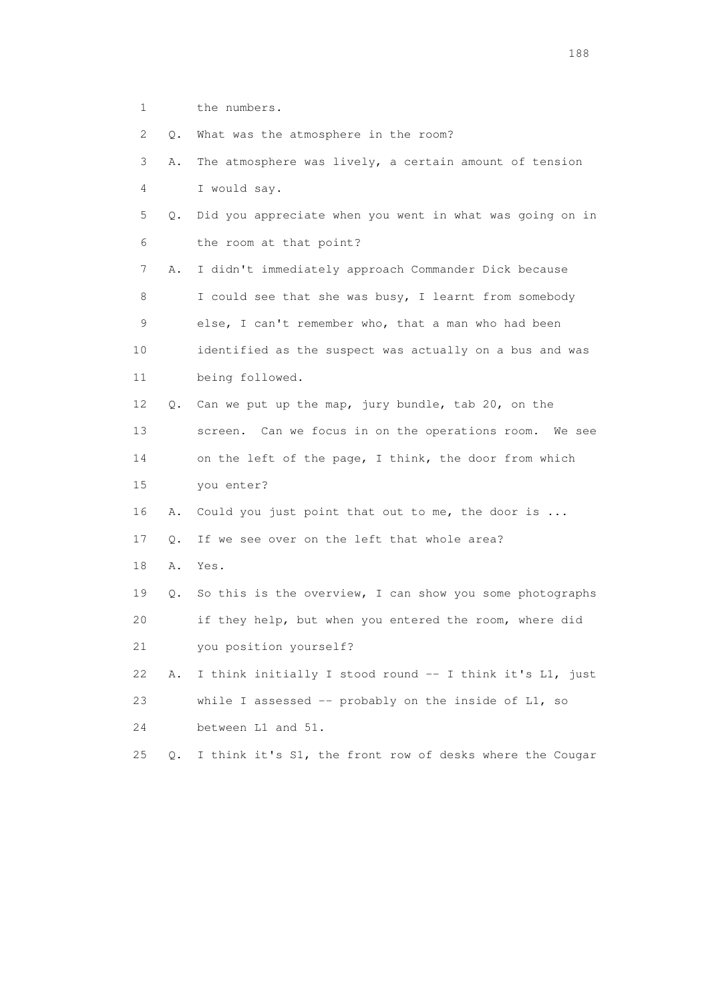1 the numbers.

2 O. What was the atmosphere in the room?

| $\angle$ | v. | what was the atmosphere in the room:                     |
|----------|----|----------------------------------------------------------|
| 3        | Α. | The atmosphere was lively, a certain amount of tension   |
| 4        |    | I would say.                                             |
| 5        | Q. | Did you appreciate when you went in what was going on in |
| 6        |    | the room at that point?                                  |
| 7        | Α. | I didn't immediately approach Commander Dick because     |
| 8        |    | I could see that she was busy, I learnt from somebody    |
| 9        |    | else, I can't remember who, that a man who had been      |
| 10       |    | identified as the suspect was actually on a bus and was  |
| 11       |    | being followed.                                          |
| 12       | Q. | Can we put up the map, jury bundle, tab 20, on the       |
| 13       |    | screen. Can we focus in on the operations room. We see   |
| 14       |    | on the left of the page, I think, the door from which    |
| 15       |    | you enter?                                               |
| 16       | Α. | Could you just point that out to me, the door is         |
| 17       | О. | If we see over on the left that whole area?              |
| 18       | Α. | Yes.                                                     |
| 19       | Q. | So this is the overview, I can show you some photographs |
| 20       |    | if they help, but when you entered the room, where did   |
| 21       |    | you position yourself?                                   |
| 22       | Α. | I think initially I stood round -- I think it's L1, just |
| 23       |    | while I assessed -- probably on the inside of L1, so     |
| 24       |    | between L1 and 51.                                       |
|          |    |                                                          |

25 Q. I think it's S1, the front row of desks where the Cougar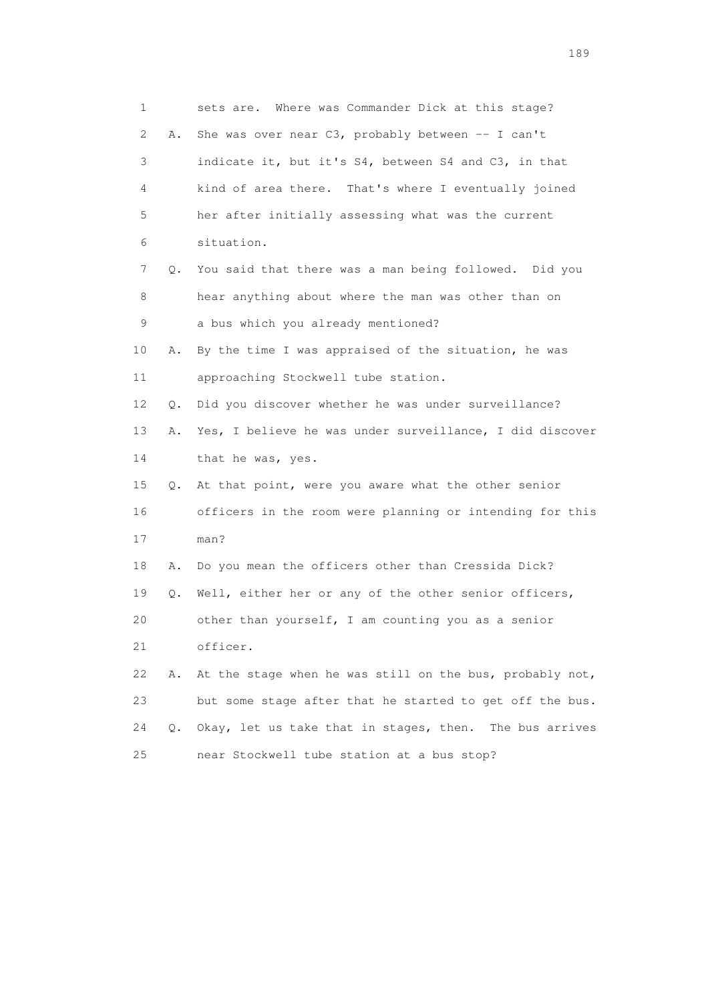1 sets are. Where was Commander Dick at this stage? 2 A. She was over near C3, probably between -- I can't 3 indicate it, but it's S4, between S4 and C3, in that 4 kind of area there. That's where I eventually joined 5 her after initially assessing what was the current 6 situation. 7 Q. You said that there was a man being followed. Did you 8 hear anything about where the man was other than on 9 a bus which you already mentioned? 10 A. By the time I was appraised of the situation, he was 11 approaching Stockwell tube station. 12 Q. Did you discover whether he was under surveillance? 13 A. Yes, I believe he was under surveillance, I did discover 14 that he was, yes. 15 Q. At that point, were you aware what the other senior 16 officers in the room were planning or intending for this 17 man? 18 A. Do you mean the officers other than Cressida Dick? 19 Q. Well, either her or any of the other senior officers, 20 other than yourself, I am counting you as a senior 21 officer. 22 A. At the stage when he was still on the bus, probably not, 23 but some stage after that he started to get off the bus. 24 Q. Okay, let us take that in stages, then. The bus arrives 25 near Stockwell tube station at a bus stop?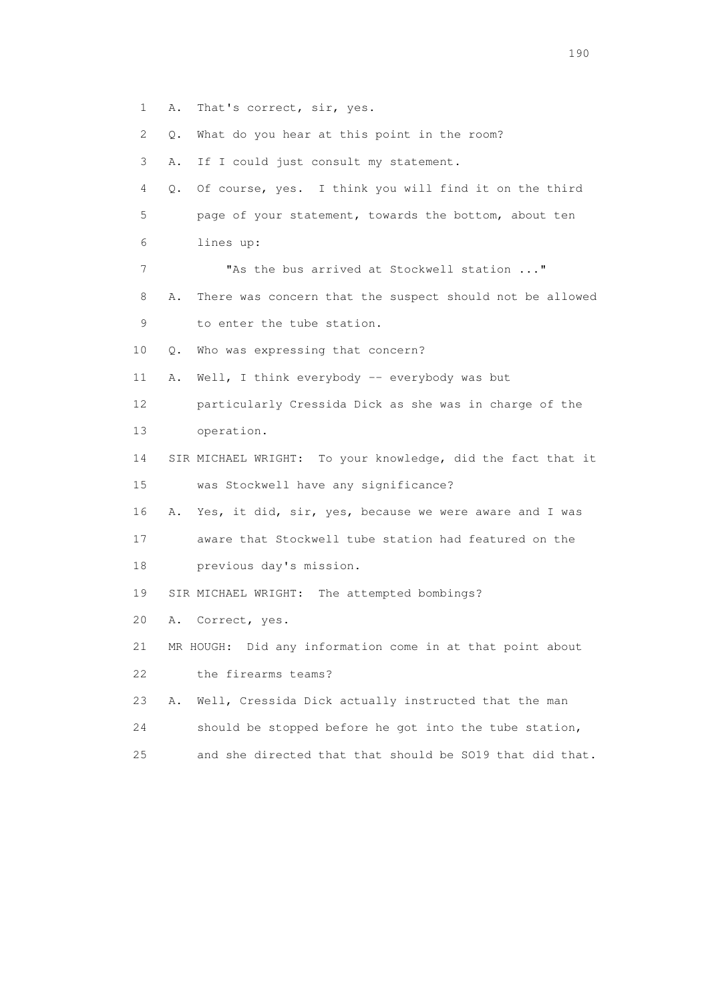- 1 A. That's correct, sir, yes.
- 2 Q. What do you hear at this point in the room?
- 3 A. If I could just consult my statement.
- 4 Q. Of course, yes. I think you will find it on the third 5 page of your statement, towards the bottom, about ten 6 lines up:
- 7 "As the bus arrived at Stockwell station ..."
- 8 A. There was concern that the suspect should not be allowed 9 to enter the tube station.
- 10 Q. Who was expressing that concern?
- 11 A. Well, I think everybody -- everybody was but
- 12 particularly Cressida Dick as she was in charge of the
- 13 operation.
- 14 SIR MICHAEL WRIGHT: To your knowledge, did the fact that it 15 was Stockwell have any significance?
- 16 A. Yes, it did, sir, yes, because we were aware and I was
- 17 aware that Stockwell tube station had featured on the 18 previous day's mission.
- 19 SIR MICHAEL WRIGHT: The attempted bombings?
- 20 A. Correct, yes.
- 21 MR HOUGH: Did any information come in at that point about
- 22 the firearms teams?
- 23 A. Well, Cressida Dick actually instructed that the man
- 24 should be stopped before he got into the tube station,
- 25 and she directed that that should be SO19 that did that.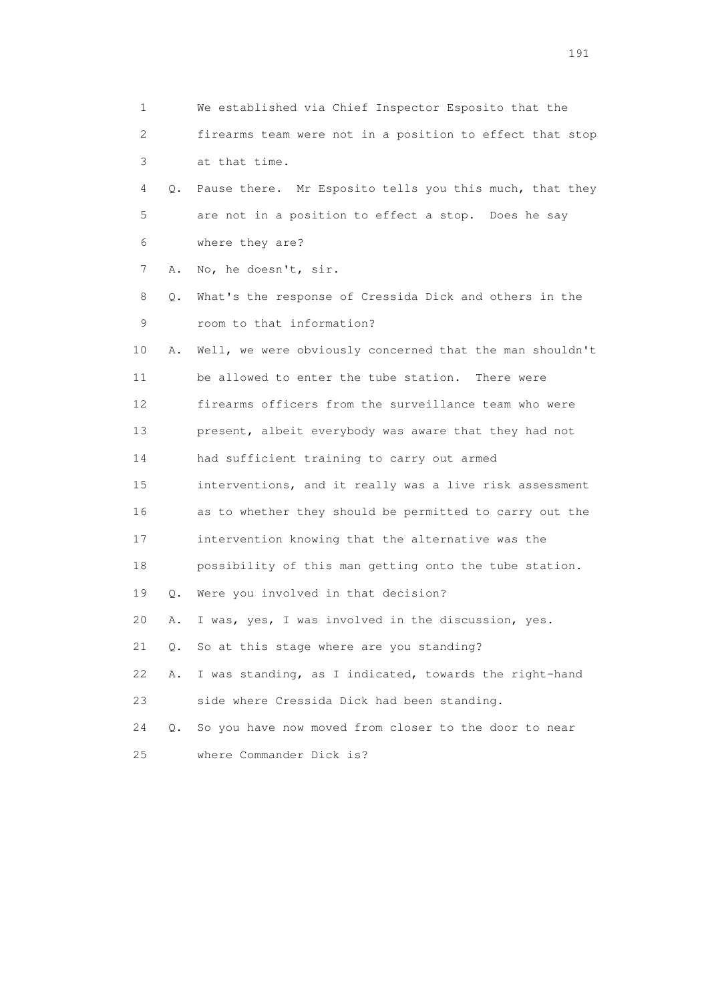| 1  |           | We established via Chief Inspector Esposito that the     |
|----|-----------|----------------------------------------------------------|
| 2  |           | firearms team were not in a position to effect that stop |
| 3  |           | at that time.                                            |
| 4  | Q.        | Pause there. Mr Esposito tells you this much, that they  |
| 5  |           | are not in a position to effect a stop. Does he say      |
| 6  |           | where they are?                                          |
| 7  | Α.        | No, he doesn't, sir.                                     |
| 8  | Q.        | What's the response of Cressida Dick and others in the   |
| 9  |           | room to that information?                                |
| 10 | Α.        | Well, we were obviously concerned that the man shouldn't |
| 11 |           | be allowed to enter the tube station. There were         |
| 12 |           | firearms officers from the surveillance team who were    |
| 13 |           | present, albeit everybody was aware that they had not    |
| 14 |           | had sufficient training to carry out armed               |
| 15 |           | interventions, and it really was a live risk assessment  |
| 16 |           | as to whether they should be permitted to carry out the  |
| 17 |           | intervention knowing that the alternative was the        |
| 18 |           | possibility of this man getting onto the tube station.   |
| 19 | $\circ$ . | Were you involved in that decision?                      |
| 20 | Α.        | I was, yes, I was involved in the discussion, yes.       |
| 21 | Q.        | So at this stage where are you standing?                 |
| 22 | Α.        | I was standing, as I indicated, towards the right-hand   |
| 23 |           | side where Cressida Dick had been standing.              |
| 24 | $\circ$ . | So you have now moved from closer to the door to near    |
| 25 |           | where Commander Dick is?                                 |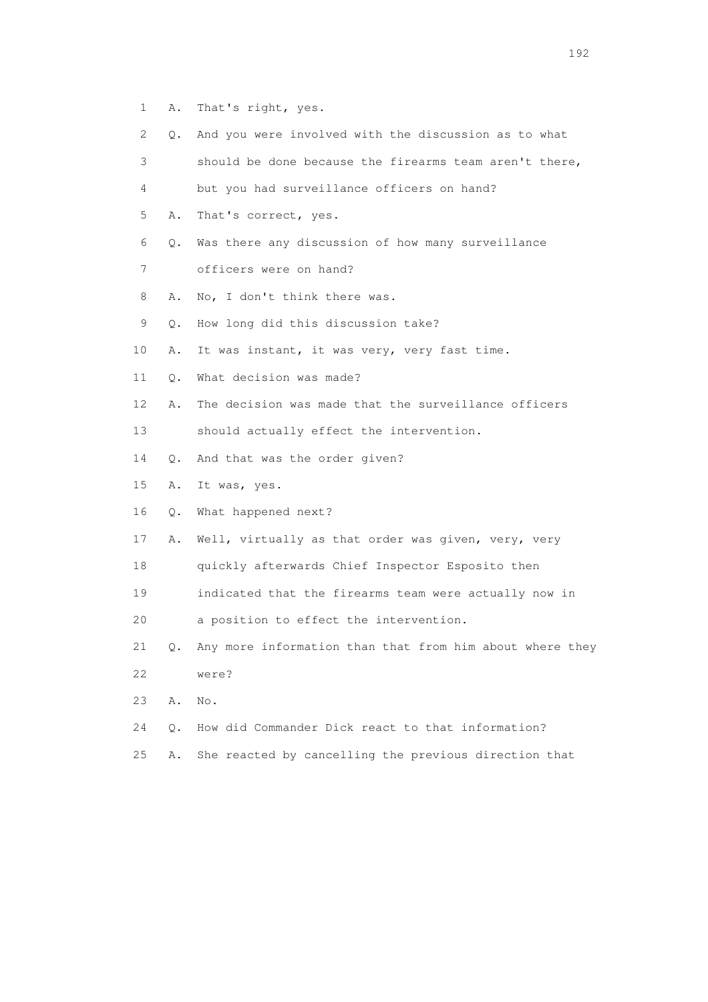- 1 A. That's right, yes.
- 2 Q. And you were involved with the discussion as to what
- 3 should be done because the firearms team aren't there,
- 4 but you had surveillance officers on hand?
- 5 A. That's correct, yes.
- 6 Q. Was there any discussion of how many surveillance
- 7 officers were on hand?
- 8 A. No, I don't think there was.
- 9 Q. How long did this discussion take?
- 10 A. It was instant, it was very, very fast time.
- 11 Q. What decision was made?
- 12 A. The decision was made that the surveillance officers
- 13 should actually effect the intervention.
- 14 Q. And that was the order given?
- 15 A. It was, yes.
- 16 Q. What happened next?
- 17 A. Well, virtually as that order was given, very, very
- 18 quickly afterwards Chief Inspector Esposito then
- 19 indicated that the firearms team were actually now in
- 20 a position to effect the intervention.
- 21 Q. Any more information than that from him about where they 22 were?
- 23 A. No.
- 24 Q. How did Commander Dick react to that information?
- 25 A. She reacted by cancelling the previous direction that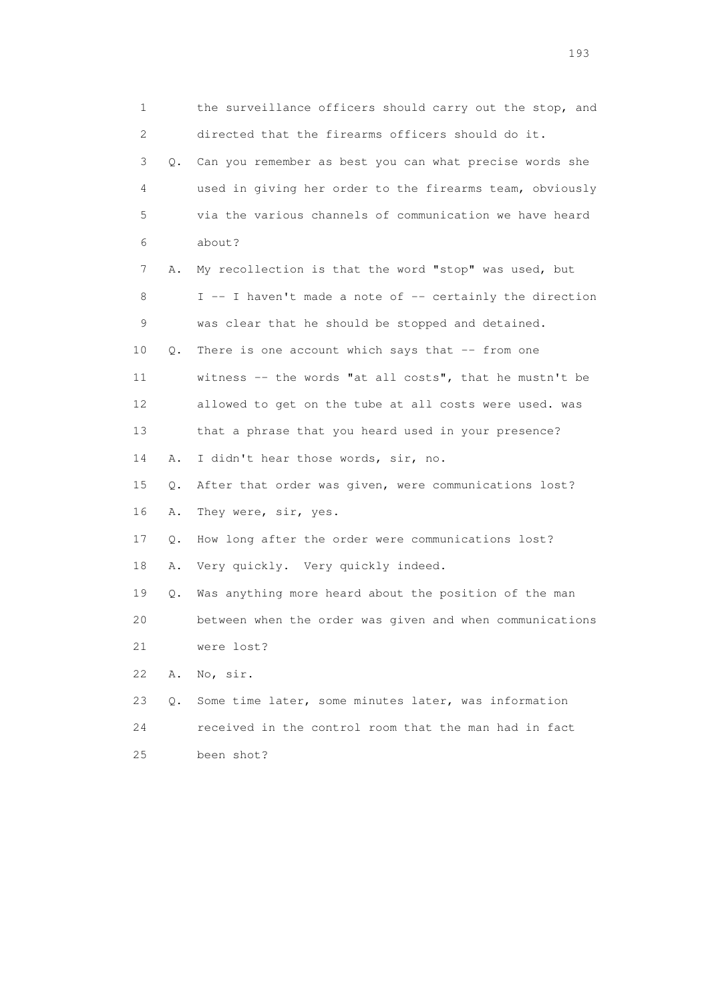1 the surveillance officers should carry out the stop, and 2 directed that the firearms officers should do it. 3 Q. Can you remember as best you can what precise words she 4 used in giving her order to the firearms team, obviously 5 via the various channels of communication we have heard 6 about? 7 A. My recollection is that the word "stop" was used, but 8 I -- I haven't made a note of -- certainly the direction 9 was clear that he should be stopped and detained. 10 Q. There is one account which says that -- from one 11 witness -- the words "at all costs", that he mustn't be 12 allowed to get on the tube at all costs were used. was 13 that a phrase that you heard used in your presence? 14 A. I didn't hear those words, sir, no. 15 Q. After that order was given, were communications lost? 16 A. They were, sir, yes. 17 Q. How long after the order were communications lost? 18 A. Very quickly. Very quickly indeed. 19 Q. Was anything more heard about the position of the man 20 between when the order was given and when communications 21 were lost? 22 A. No, sir. 23 Q. Some time later, some minutes later, was information 24 received in the control room that the man had in fact 25 been shot?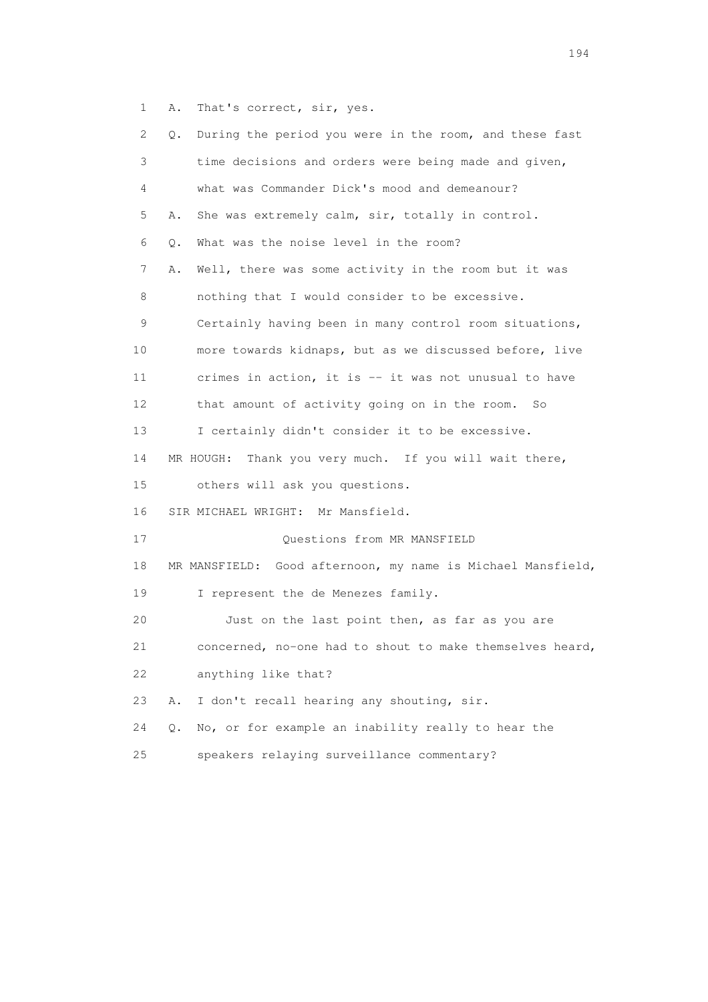1 A. That's correct, sir, yes.

| 2  | During the period you were in the room, and these fast<br>Q. |
|----|--------------------------------------------------------------|
| 3  | time decisions and orders were being made and given,         |
| 4  | what was Commander Dick's mood and demeanour?                |
| 5  | She was extremely calm, sir, totally in control.<br>Α.       |
| 6  | What was the noise level in the room?<br>Q.                  |
| 7  | Well, there was some activity in the room but it was<br>Α.   |
| 8  | nothing that I would consider to be excessive.               |
| 9  | Certainly having been in many control room situations,       |
| 10 | more towards kidnaps, but as we discussed before, live       |
| 11 | crimes in action, it is -- it was not unusual to have        |
| 12 | that amount of activity going on in the room. So             |
| 13 | I certainly didn't consider it to be excessive.              |
| 14 | Thank you very much. If you will wait there,<br>MR HOUGH:    |
| 15 | others will ask you questions.                               |
| 16 | SIR MICHAEL WRIGHT: Mr Mansfield.                            |
| 17 | Questions from MR MANSFIELD                                  |
| 18 | MR MANSFIELD: Good afternoon, my name is Michael Mansfield,  |
| 19 | I represent the de Menezes family.                           |
| 20 | Just on the last point then, as far as you are               |
| 21 | concerned, no-one had to shout to make themselves heard,     |
| 22 | anything like that?                                          |
| 23 | I don't recall hearing any shouting, sir.<br>Α.              |
| 24 | No, or for example an inability really to hear the<br>Q.     |
| 25 | speakers relaying surveillance commentary?                   |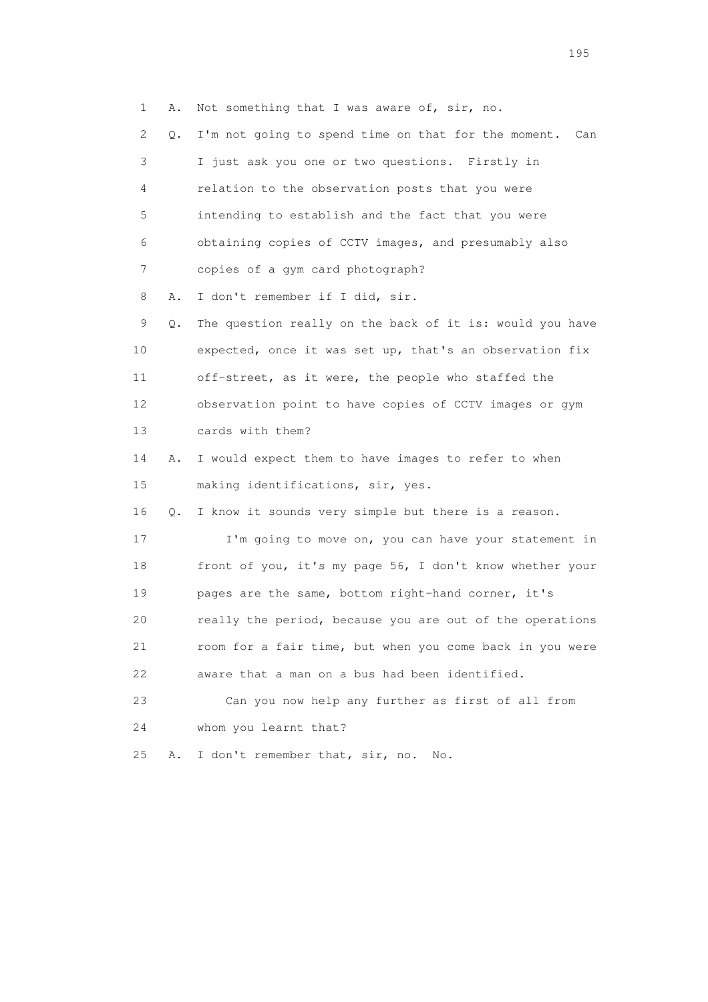1 A. Not something that I was aware of, sir, no. 2 Q. I'm not going to spend time on that for the moment. Can 3 I just ask you one or two questions. Firstly in 4 relation to the observation posts that you were 5 intending to establish and the fact that you were 6 obtaining copies of CCTV images, and presumably also 7 copies of a gym card photograph? 8 A. I don't remember if I did, sir. 9 Q. The question really on the back of it is: would you have 10 expected, once it was set up, that's an observation fix 11 off-street, as it were, the people who staffed the 12 observation point to have copies of CCTV images or gym 13 cards with them? 14 A. I would expect them to have images to refer to when 15 making identifications, sir, yes. 16 Q. I know it sounds very simple but there is a reason. 17 I'm going to move on, you can have your statement in 18 front of you, it's my page 56, I don't know whether your 19 pages are the same, bottom right-hand corner, it's 20 really the period, because you are out of the operations 21 room for a fair time, but when you come back in you were 22 aware that a man on a bus had been identified. 23 Can you now help any further as first of all from 24 whom you learnt that? 25 A. I don't remember that, sir, no. No.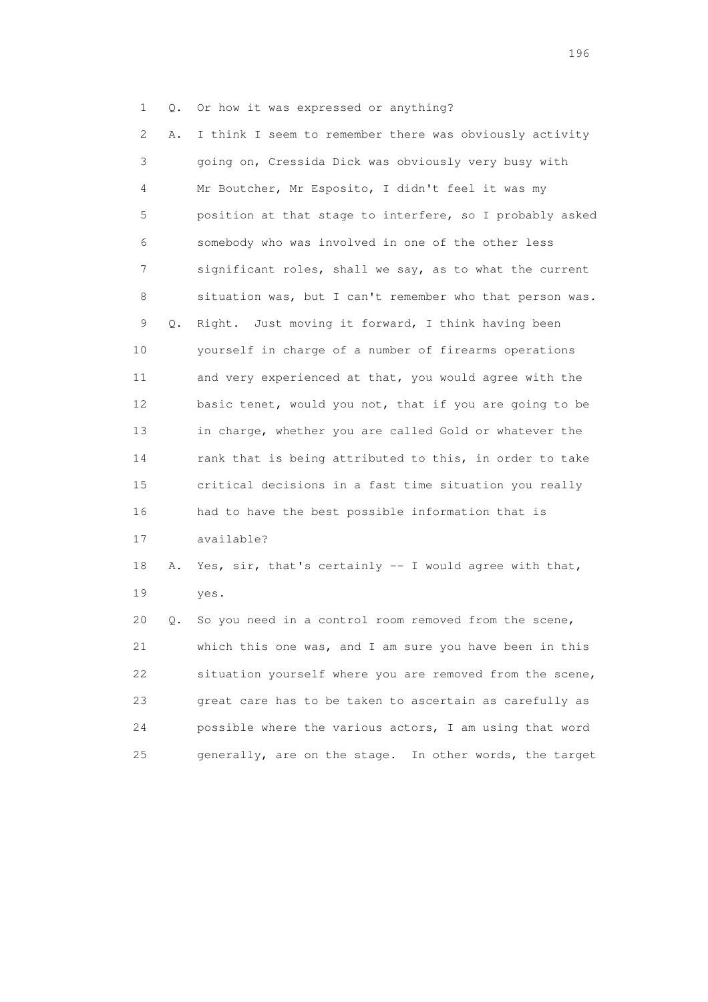1 Q. Or how it was expressed or anything?

 2 A. I think I seem to remember there was obviously activity 3 going on, Cressida Dick was obviously very busy with 4 Mr Boutcher, Mr Esposito, I didn't feel it was my 5 position at that stage to interfere, so I probably asked 6 somebody who was involved in one of the other less 7 significant roles, shall we say, as to what the current 8 situation was, but I can't remember who that person was. 9 Q. Right. Just moving it forward, I think having been 10 yourself in charge of a number of firearms operations 11 and very experienced at that, you would agree with the 12 basic tenet, would you not, that if you are going to be 13 in charge, whether you are called Gold or whatever the 14 rank that is being attributed to this, in order to take 15 critical decisions in a fast time situation you really 16 had to have the best possible information that is 17 available? 18 A. Yes, sir, that's certainly -- I would agree with that, 19 yes. 20 Q. So you need in a control room removed from the scene, 21 which this one was, and I am sure you have been in this

 22 situation yourself where you are removed from the scene, 23 great care has to be taken to ascertain as carefully as 24 possible where the various actors, I am using that word 25 generally, are on the stage. In other words, the target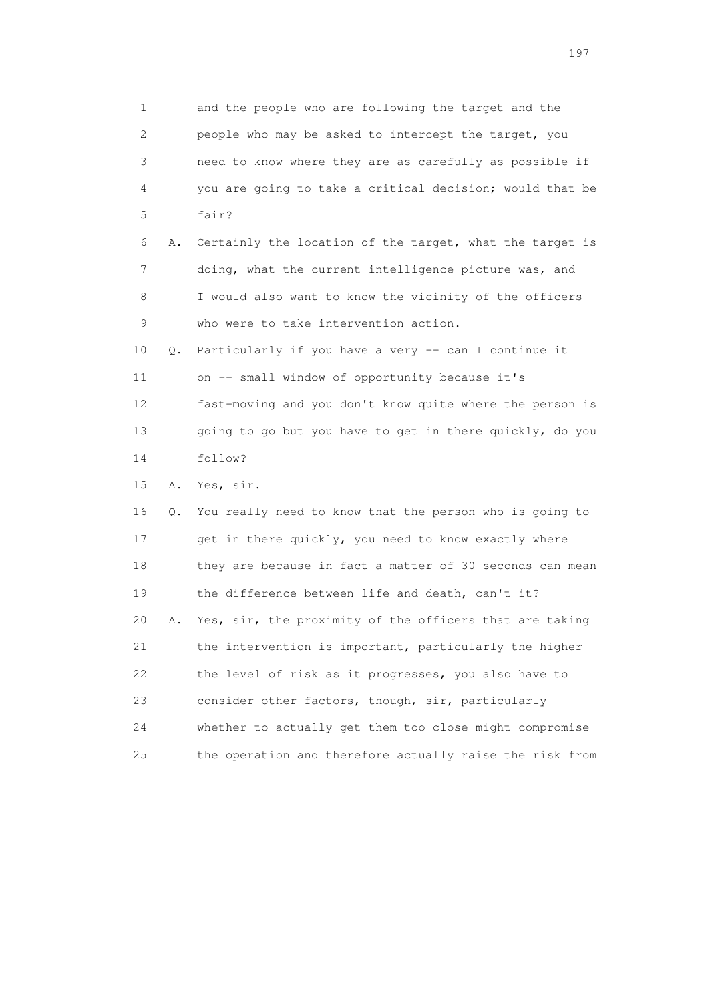1 and the people who are following the target and the 2 people who may be asked to intercept the target, you 3 need to know where they are as carefully as possible if 4 you are going to take a critical decision; would that be 5 fair? 6 A. Certainly the location of the target, what the target is 7 doing, what the current intelligence picture was, and 8 I would also want to know the vicinity of the officers 9 who were to take intervention action. 10 Q. Particularly if you have a very -- can I continue it 11 on -- small window of opportunity because it's 12 fast-moving and you don't know quite where the person is 13 going to go but you have to get in there quickly, do you 14 follow? 15 A. Yes, sir. 16 Q. You really need to know that the person who is going to 17 get in there quickly, you need to know exactly where 18 they are because in fact a matter of 30 seconds can mean 19 the difference between life and death, can't it? 20 A. Yes, sir, the proximity of the officers that are taking 21 the intervention is important, particularly the higher 22 the level of risk as it progresses, you also have to 23 consider other factors, though, sir, particularly 24 whether to actually get them too close might compromise 25 the operation and therefore actually raise the risk from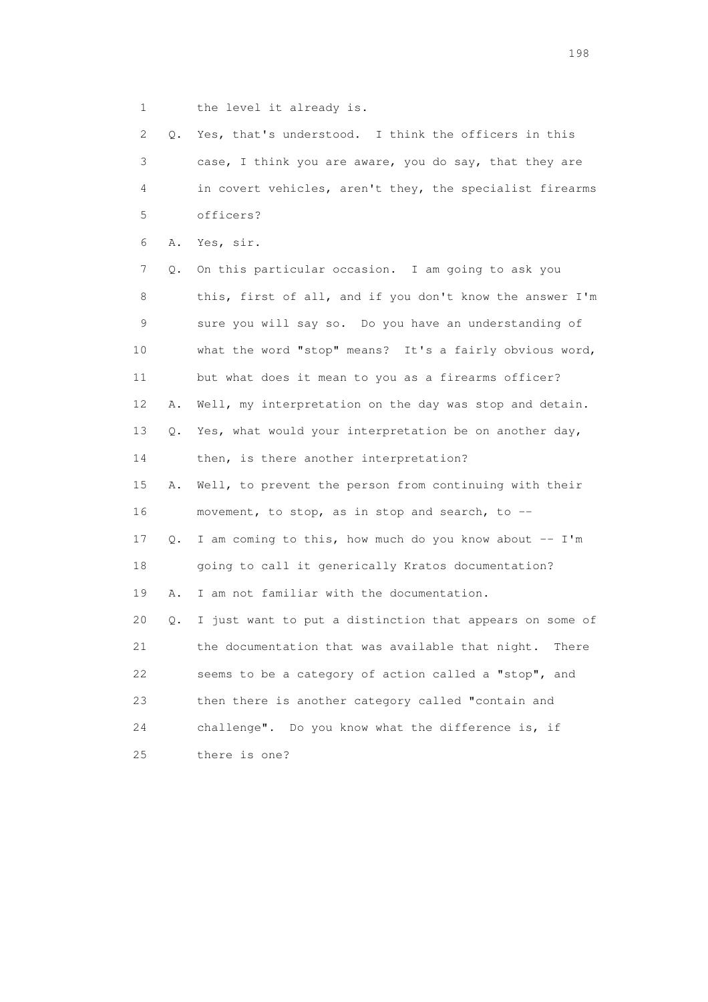1 the level it already is.

 2 Q. Yes, that's understood. I think the officers in this 3 case, I think you are aware, you do say, that they are 4 in covert vehicles, aren't they, the specialist firearms 5 officers? 6 A. Yes, sir. 7 Q. On this particular occasion. I am going to ask you 8 this, first of all, and if you don't know the answer I'm 9 sure you will say so. Do you have an understanding of 10 what the word "stop" means? It's a fairly obvious word, 11 but what does it mean to you as a firearms officer? 12 A. Well, my interpretation on the day was stop and detain. 13 Q. Yes, what would your interpretation be on another day, 14 then, is there another interpretation? 15 A. Well, to prevent the person from continuing with their 16 movement, to stop, as in stop and search, to -- 17 Q. I am coming to this, how much do you know about -- I'm 18 going to call it generically Kratos documentation? 19 A. I am not familiar with the documentation. 20 Q. I just want to put a distinction that appears on some of 21 the documentation that was available that night. There 22 seems to be a category of action called a "stop", and 23 then there is another category called "contain and 24 challenge". Do you know what the difference is, if 25 there is one?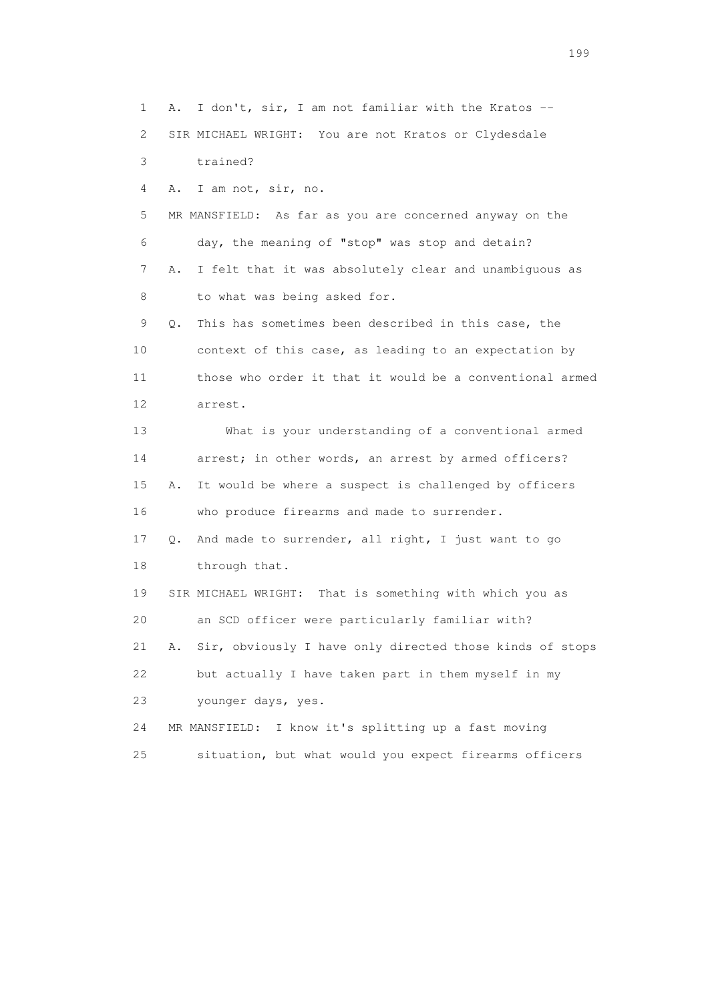1 A. I don't, sir, I am not familiar with the Kratos -- 2 SIR MICHAEL WRIGHT: You are not Kratos or Clydesdale 3 trained? 4 A. I am not, sir, no. 5 MR MANSFIELD: As far as you are concerned anyway on the 6 day, the meaning of "stop" was stop and detain? 7 A. I felt that it was absolutely clear and unambiguous as 8 to what was being asked for. 9 Q. This has sometimes been described in this case, the 10 context of this case, as leading to an expectation by 11 those who order it that it would be a conventional armed 12 arrest. 13 What is your understanding of a conventional armed 14 arrest; in other words, an arrest by armed officers? 15 A. It would be where a suspect is challenged by officers 16 who produce firearms and made to surrender. 17 Q. And made to surrender, all right, I just want to go 18 through that. 19 SIR MICHAEL WRIGHT: That is something with which you as 20 an SCD officer were particularly familiar with? 21 A. Sir, obviously I have only directed those kinds of stops 22 but actually I have taken part in them myself in my 23 younger days, yes. 24 MR MANSFIELD: I know it's splitting up a fast moving 25 situation, but what would you expect firearms officers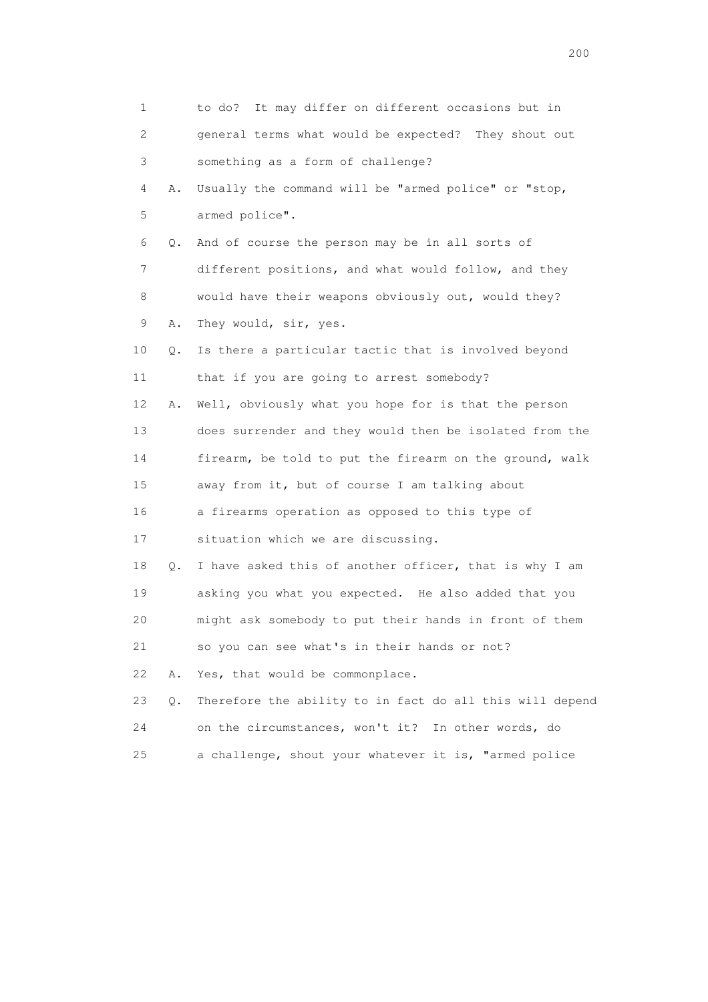| 1                         |    | It may differ on different occasions but in<br>to do?    |
|---------------------------|----|----------------------------------------------------------|
| $\mathbf{2}^{\mathsf{I}}$ |    | general terms what would be expected? They shout out     |
| 3                         |    | something as a form of challenge?                        |
| 4                         | Α. | Usually the command will be "armed police" or "stop,     |
| 5                         |    | armed police".                                           |
| 6                         | Q. | And of course the person may be in all sorts of          |
| 7                         |    | different positions, and what would follow, and they     |
| 8                         |    | would have their weapons obviously out, would they?      |
| 9                         | Α. | They would, sir, yes.                                    |
| 10                        | Q. | Is there a particular tactic that is involved beyond     |
| 11                        |    | that if you are going to arrest somebody?                |
| 12                        | Α. | Well, obviously what you hope for is that the person     |
| 13                        |    | does surrender and they would then be isolated from the  |
| 14                        |    | firearm, be told to put the firearm on the ground, walk  |
| 15                        |    | away from it, but of course I am talking about           |
| 16                        |    | a firearms operation as opposed to this type of          |
| 17                        |    | situation which we are discussing.                       |
| 18                        | Q. | I have asked this of another officer, that is why I am   |
| 19                        |    | asking you what you expected. He also added that you     |
| 20                        |    | might ask somebody to put their hands in front of them   |
| 21                        |    | so you can see what's in their hands or not?             |
| 22                        | Α. | Yes, that would be commonplace.                          |
| 23                        | Q. | Therefore the ability to in fact do all this will depend |
| 24                        |    | on the circumstances, won't it? In other words, do       |
| 25                        |    | a challenge, shout your whatever it is, "armed police    |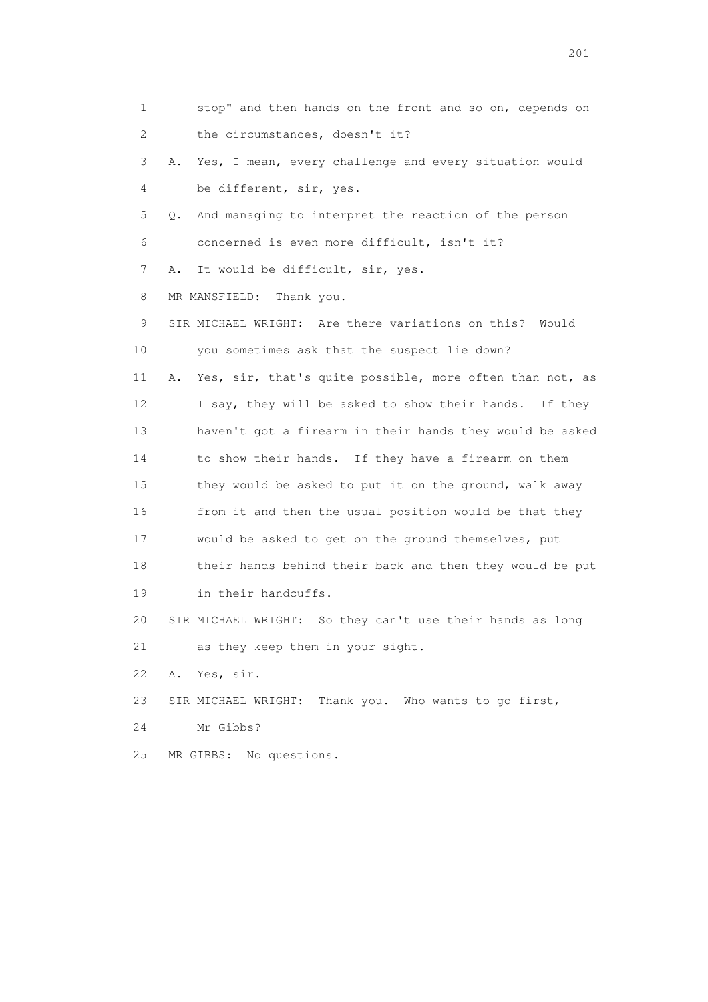1 stop" and then hands on the front and so on, depends on 2 the circumstances, doesn't it? 3 A. Yes, I mean, every challenge and every situation would 4 be different, sir, yes. 5 Q. And managing to interpret the reaction of the person 6 concerned is even more difficult, isn't it? 7 A. It would be difficult, sir, yes. 8 MR MANSFIELD: Thank you. 9 SIR MICHAEL WRIGHT: Are there variations on this? Would 10 you sometimes ask that the suspect lie down? 11 A. Yes, sir, that's quite possible, more often than not, as 12 I say, they will be asked to show their hands. If they 13 haven't got a firearm in their hands they would be asked 14 to show their hands. If they have a firearm on them 15 they would be asked to put it on the ground, walk away 16 from it and then the usual position would be that they 17 would be asked to get on the ground themselves, put 18 their hands behind their back and then they would be put 19 in their handcuffs. 20 SIR MICHAEL WRIGHT: So they can't use their hands as long 21 as they keep them in your sight. 22 A. Yes, sir. 23 SIR MICHAEL WRIGHT: Thank you. Who wants to go first, 24 Mr Gibbs? 25 MR GIBBS: No questions.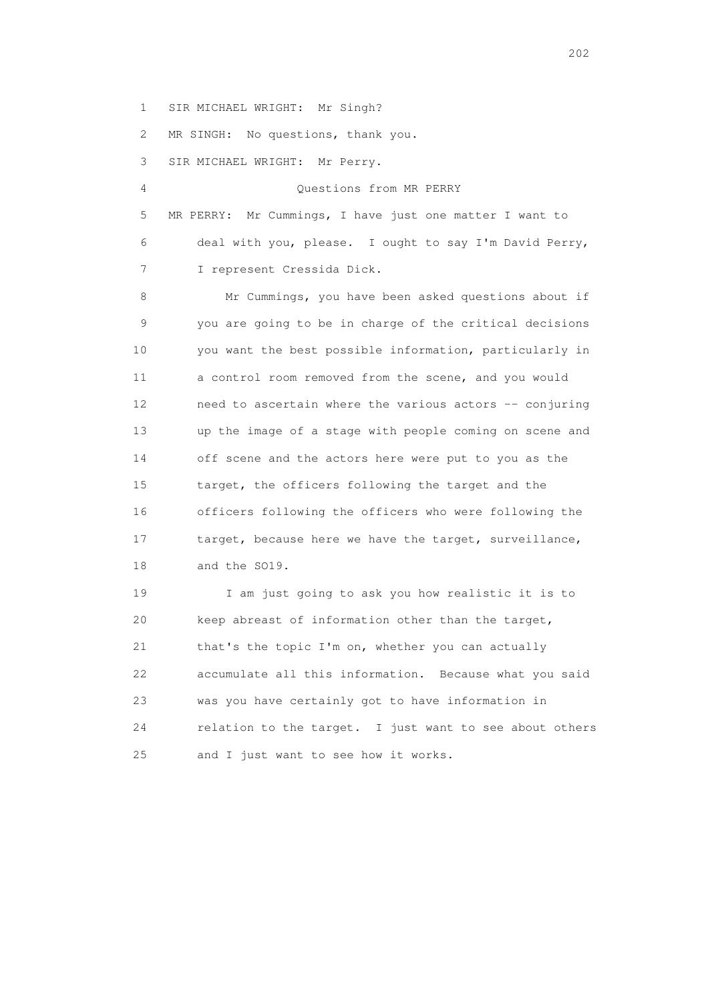1 SIR MICHAEL WRIGHT: Mr Singh?

2 MR SINGH: No questions, thank you.

3 SIR MICHAEL WRIGHT: Mr Perry.

 4 Questions from MR PERRY 5 MR PERRY: Mr Cummings, I have just one matter I want to 6 deal with you, please. I ought to say I'm David Perry, 7 I represent Cressida Dick.

 8 Mr Cummings, you have been asked questions about if 9 you are going to be in charge of the critical decisions 10 you want the best possible information, particularly in 11 a control room removed from the scene, and you would 12 need to ascertain where the various actors -- conjuring 13 up the image of a stage with people coming on scene and 14 off scene and the actors here were put to you as the 15 target, the officers following the target and the 16 officers following the officers who were following the 17 target, because here we have the target, surveillance, 18 and the SO19.

 19 I am just going to ask you how realistic it is to 20 keep abreast of information other than the target, 21 that's the topic I'm on, whether you can actually 22 accumulate all this information. Because what you said 23 was you have certainly got to have information in 24 relation to the target. I just want to see about others 25 and I just want to see how it works.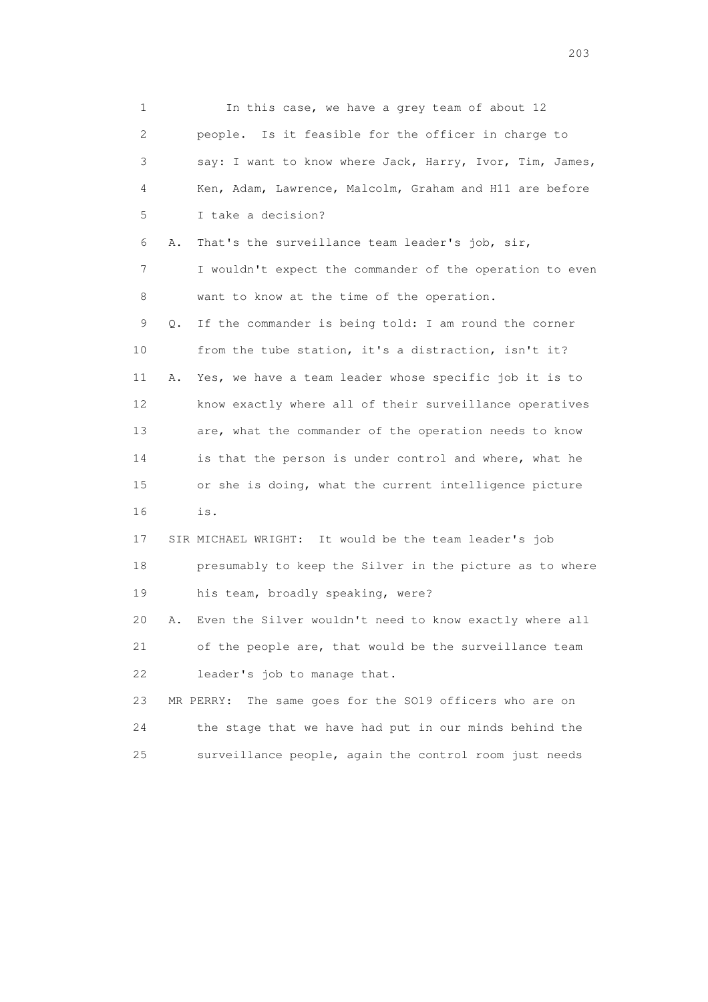1 In this case, we have a grey team of about 12 2 people. Is it feasible for the officer in charge to 3 say: I want to know where Jack, Harry, Ivor, Tim, James, 4 Ken, Adam, Lawrence, Malcolm, Graham and H11 are before 5 I take a decision? 6 A. That's the surveillance team leader's job, sir, 7 I wouldn't expect the commander of the operation to even 8 want to know at the time of the operation. 9 Q. If the commander is being told: I am round the corner 10 from the tube station, it's a distraction, isn't it? 11 A. Yes, we have a team leader whose specific job it is to 12 know exactly where all of their surveillance operatives 13 are, what the commander of the operation needs to know 14 is that the person is under control and where, what he 15 or she is doing, what the current intelligence picture 16 is. 17 SIR MICHAEL WRIGHT: It would be the team leader's job 18 presumably to keep the Silver in the picture as to where 19 his team, broadly speaking, were? 20 A. Even the Silver wouldn't need to know exactly where all 21 of the people are, that would be the surveillance team 22 leader's job to manage that. 23 MR PERRY: The same goes for the SO19 officers who are on 24 the stage that we have had put in our minds behind the 25 surveillance people, again the control room just needs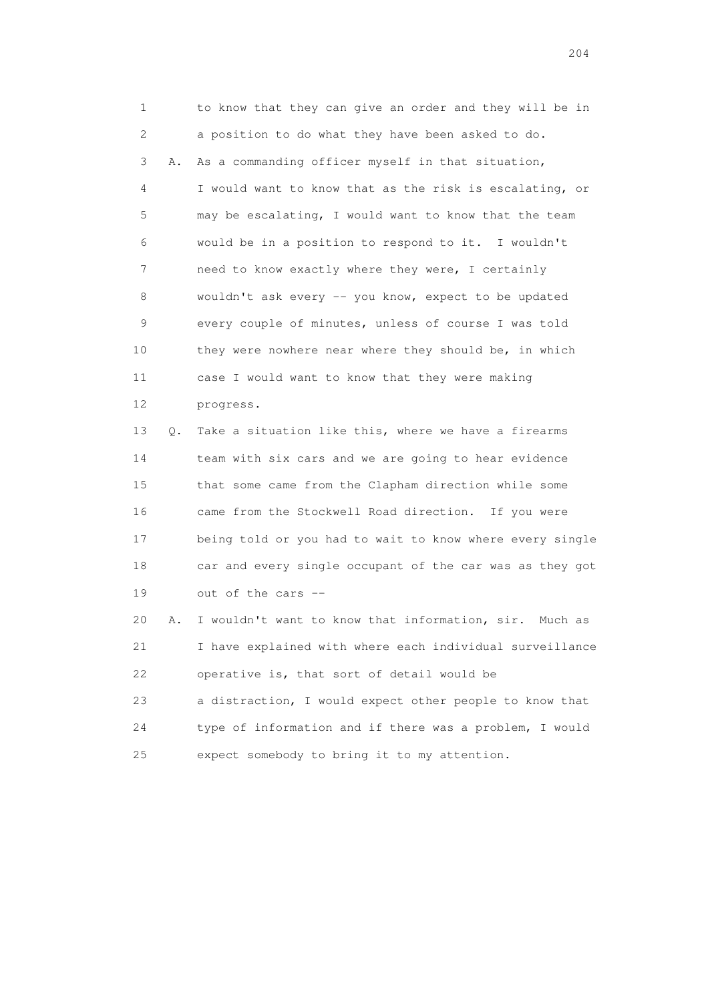1 to know that they can give an order and they will be in 2 a position to do what they have been asked to do. 3 A. As a commanding officer myself in that situation, 4 I would want to know that as the risk is escalating, or 5 may be escalating, I would want to know that the team 6 would be in a position to respond to it. I wouldn't 7 need to know exactly where they were, I certainly 8 wouldn't ask every -- you know, expect to be updated 9 every couple of minutes, unless of course I was told 10 they were nowhere near where they should be, in which 11 case I would want to know that they were making 12 progress.

 13 Q. Take a situation like this, where we have a firearms 14 team with six cars and we are going to hear evidence 15 that some came from the Clapham direction while some 16 came from the Stockwell Road direction. If you were 17 being told or you had to wait to know where every single 18 car and every single occupant of the car was as they got 19 out of the cars --

 20 A. I wouldn't want to know that information, sir. Much as 21 I have explained with where each individual surveillance 22 operative is, that sort of detail would be 23 a distraction, I would expect other people to know that

 24 type of information and if there was a problem, I would 25 expect somebody to bring it to my attention.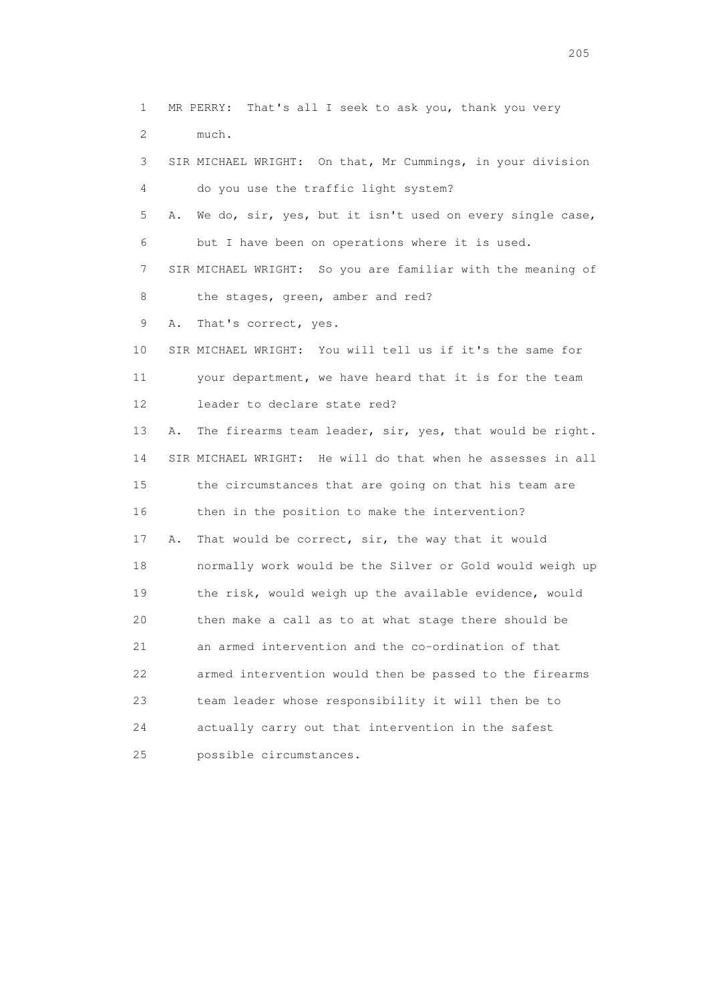1 MR PERRY: That's all I seek to ask you, thank you very 2 much. 3 SIR MICHAEL WRIGHT: On that, Mr Cummings, in your division 4 do you use the traffic light system? 5 A. We do, sir, yes, but it isn't used on every single case, 6 but I have been on operations where it is used. 7 SIR MICHAEL WRIGHT: So you are familiar with the meaning of 8 the stages, green, amber and red? 9 A. That's correct, yes. 10 SIR MICHAEL WRIGHT: You will tell us if it's the same for 11 your department, we have heard that it is for the team 12 leader to declare state red? 13 A. The firearms team leader, sir, yes, that would be right. 14 SIR MICHAEL WRIGHT: He will do that when he assesses in all 15 the circumstances that are going on that his team are 16 then in the position to make the intervention? 17 A. That would be correct, sir, the way that it would 18 normally work would be the Silver or Gold would weigh up 19 the risk, would weigh up the available evidence, would 20 then make a call as to at what stage there should be 21 an armed intervention and the co-ordination of that 22 armed intervention would then be passed to the firearms 23 team leader whose responsibility it will then be to 24 actually carry out that intervention in the safest 25 possible circumstances.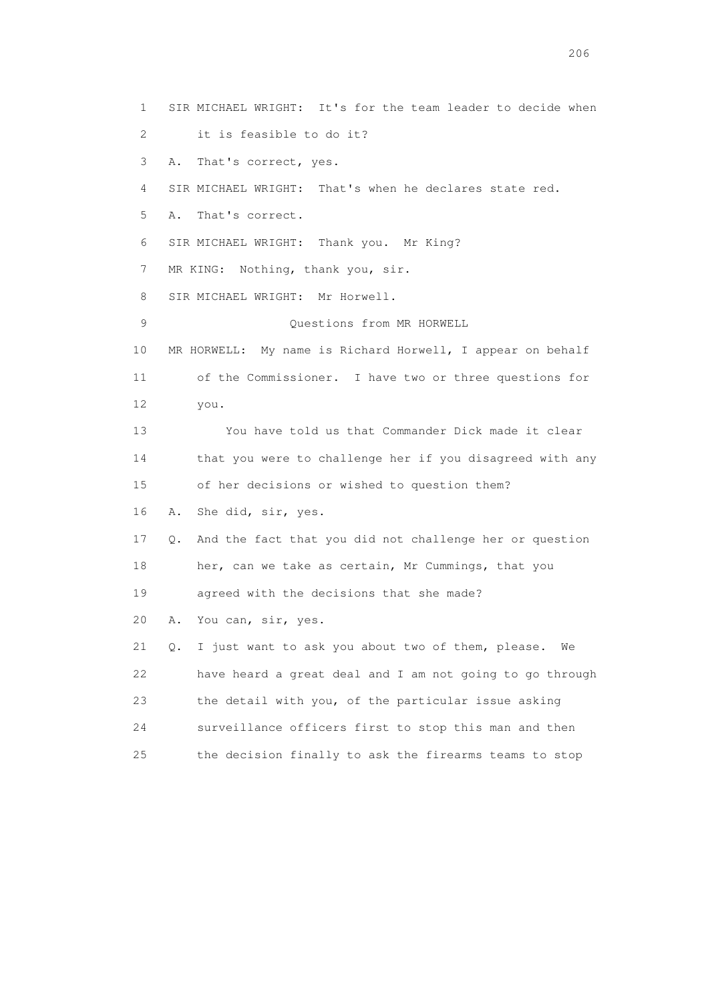1 SIR MICHAEL WRIGHT: It's for the team leader to decide when 2 it is feasible to do it? 3 A. That's correct, yes. 4 SIR MICHAEL WRIGHT: That's when he declares state red. 5 A. That's correct. 6 SIR MICHAEL WRIGHT: Thank you. Mr King? 7 MR KING: Nothing, thank you, sir. 8 SIR MICHAEL WRIGHT: Mr Horwell. 9 Questions from MR HORWELL 10 MR HORWELL: My name is Richard Horwell, I appear on behalf 11 of the Commissioner. I have two or three questions for 12 you. 13 You have told us that Commander Dick made it clear 14 that you were to challenge her if you disagreed with any 15 of her decisions or wished to question them? 16 A. She did, sir, yes. 17 Q. And the fact that you did not challenge her or question 18 her, can we take as certain, Mr Cummings, that you 19 agreed with the decisions that she made? 20 A. You can, sir, yes. 21 Q. I just want to ask you about two of them, please. We 22 have heard a great deal and I am not going to go through 23 the detail with you, of the particular issue asking 24 surveillance officers first to stop this man and then 25 the decision finally to ask the firearms teams to stop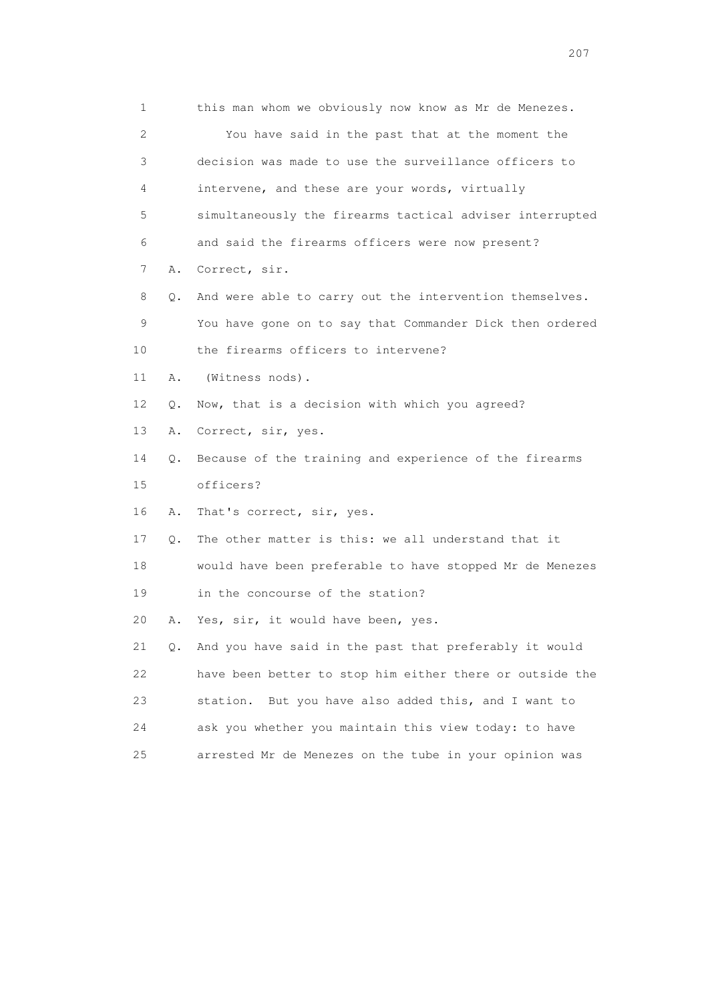|    | 1       | this man whom we obviously now know as Mr de Menezes.    |
|----|---------|----------------------------------------------------------|
|    | 2       | You have said in the past that at the moment the         |
|    | 3       | decision was made to use the surveillance officers to    |
|    | 4       | intervene, and these are your words, virtually           |
|    | 5       | simultaneously the firearms tactical adviser interrupted |
|    | 6       | and said the firearms officers were now present?         |
|    | 7<br>Α. | Correct, sir.                                            |
|    | 8<br>Q. | And were able to carry out the intervention themselves.  |
|    | 9       | You have gone on to say that Commander Dick then ordered |
| 10 |         | the firearms officers to intervene?                      |
| 11 | Α.      | (Witness nods).                                          |
| 12 | Q.      | Now, that is a decision with which you agreed?           |
| 13 | Α.      | Correct, sir, yes.                                       |
| 14 | Q.      | Because of the training and experience of the firearms   |
| 15 |         | officers?                                                |
| 16 | Α.      | That's correct, sir, yes.                                |
| 17 | Q.      | The other matter is this: we all understand that it      |
| 18 |         | would have been preferable to have stopped Mr de Menezes |
| 19 |         | in the concourse of the station?                         |
| 20 | Α.      | Yes, sir, it would have been, yes.                       |
| 21 | Q.      | And you have said in the past that preferably it would   |
| 22 |         | have been better to stop him either there or outside the |
| 23 |         | But you have also added this, and I want to<br>station.  |
| 24 |         | ask you whether you maintain this view today: to have    |
| 25 |         | arrested Mr de Menezes on the tube in your opinion was   |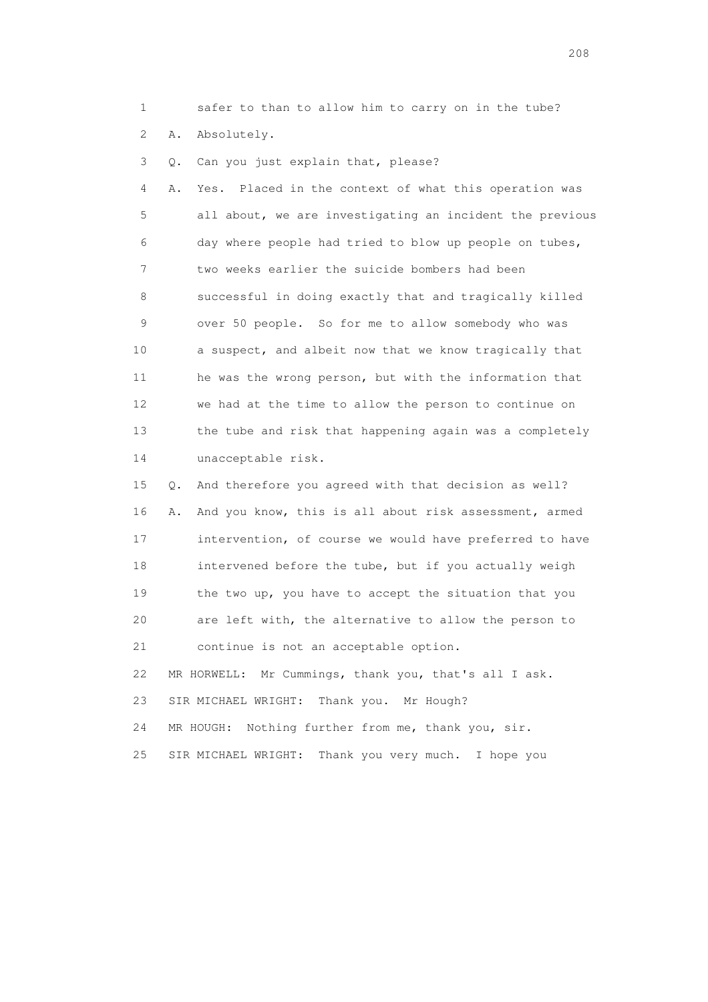1 safer to than to allow him to carry on in the tube?

2 A. Absolutely.

3 Q. Can you just explain that, please?

 4 A. Yes. Placed in the context of what this operation was 5 all about, we are investigating an incident the previous 6 day where people had tried to blow up people on tubes, 7 two weeks earlier the suicide bombers had been 8 successful in doing exactly that and tragically killed 9 over 50 people. So for me to allow somebody who was 10 a suspect, and albeit now that we know tragically that 11 he was the wrong person, but with the information that 12 we had at the time to allow the person to continue on 13 the tube and risk that happening again was a completely 14 unacceptable risk.

 15 Q. And therefore you agreed with that decision as well? 16 A. And you know, this is all about risk assessment, armed 17 intervention, of course we would have preferred to have 18 intervened before the tube, but if you actually weigh 19 the two up, you have to accept the situation that you 20 are left with, the alternative to allow the person to 21 continue is not an acceptable option. 22 MR HORWELL: Mr Cummings, thank you, that's all I ask. 23 SIR MICHAEL WRIGHT: Thank you. Mr Hough? 24 MR HOUGH: Nothing further from me, thank you, sir. 25 SIR MICHAEL WRIGHT: Thank you very much. I hope you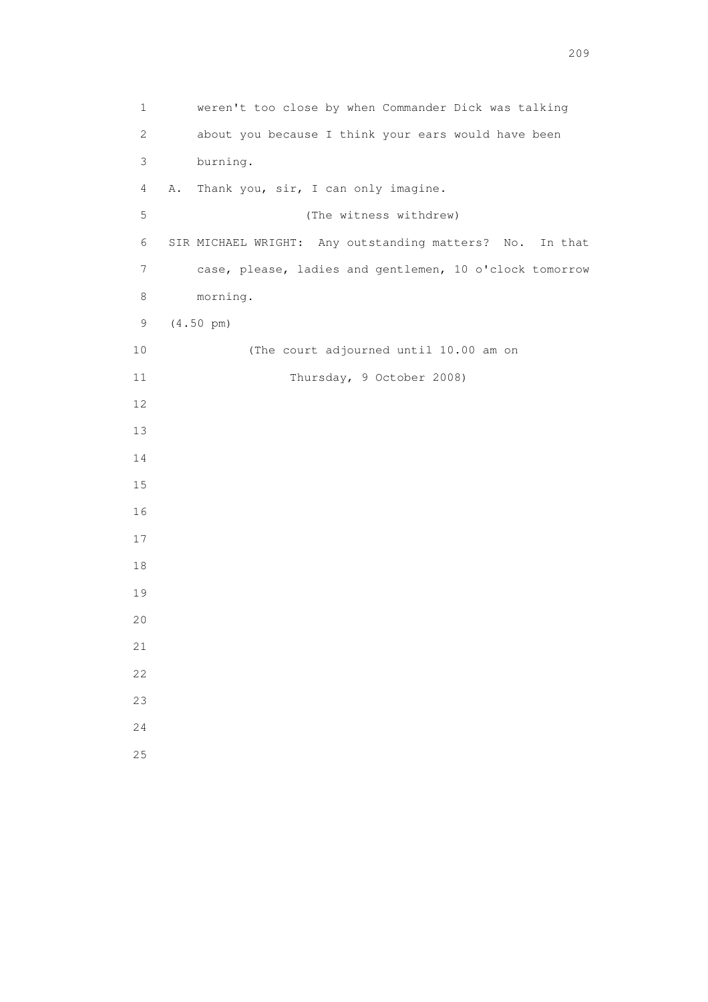1 weren't too close by when Commander Dick was talking 2 about you because I think your ears would have been 3 burning. 4 A. Thank you, sir, I can only imagine. 5 (The witness withdrew) 6 SIR MICHAEL WRIGHT: Any outstanding matters? No. In that 7 case, please, ladies and gentlemen, 10 o'clock tomorrow 8 morning. 9 (4.50 pm) 10 (The court adjourned until 10.00 am on 11 Thursday, 9 October 2008) 12 13 14 15 16 17 18 19 20 21 22 23 24 25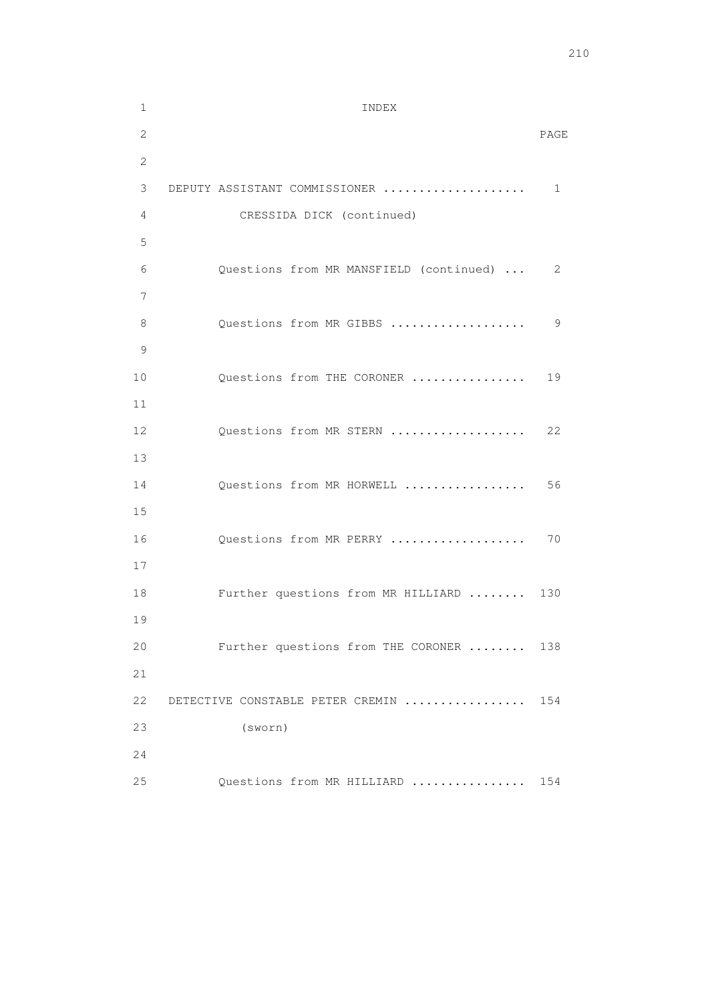```
 1 INDEX 
 2 PAGE 
        2 
        3 DEPUTY ASSISTANT COMMISSIONER .................... 1 
        4 CRESSIDA DICK (continued) 
        5 
        6 Questions from MR MANSFIELD (continued) ... 2 
 7 
        8 Questions from MR GIBBS ................... 9 
        9 
      10 Questions from THE CORONER ................. 19
       11 
      12 Questions from MR STERN .................... 22
       13 
      14 Questions from MR HORWELL ................... 56
       15 
      16 Questions from MR PERRY ...................... 70
       17 
      18 Further questions from MR HILLIARD ........ 130
       19 
       20 Further questions from THE CORONER ........ 138 
       21 
       22 DETECTIVE CONSTABLE PETER CREMIN ................. 154 
       23 (sworn) 
       24 
       25 Questions from MR HILLIARD ................ 154
```